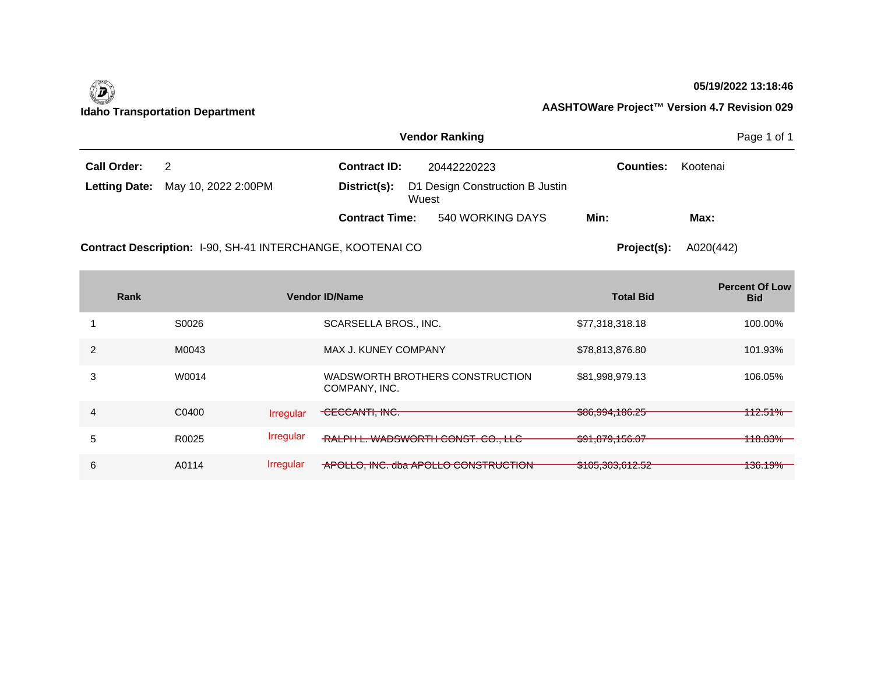

 $\mathcal{L}$ 

### **05/19/2022 13:18:46**

| <b>Vendor Ranking</b> |                                                          |  |                                                       |          |  |
|-----------------------|----------------------------------------------------------|--|-------------------------------------------------------|----------|--|
| 2                     | <b>Contract ID:</b>                                      |  | <b>Counties:</b>                                      | Kootenai |  |
|                       | D1 Design Construction B Justin<br>District(s):<br>Wuest |  |                                                       |          |  |
|                       |                                                          |  | Min:                                                  | Max:     |  |
|                       | <b>Letting Date:</b> May 10, 2022 2:00PM                 |  | 20442220223<br><b>Contract Time:</b> 540 WORKING DAYS |          |  |

Contract Description: 1-90, SH-41 INTERCHANGE, KOOTENAI CO

**Project(s):** A020(442)

| Rank |       |                  | <b>Vendor ID/Name</b>                            | <b>Total Bid</b>                           | <b>Percent Of Low</b><br><b>Bid</b> |
|------|-------|------------------|--------------------------------------------------|--------------------------------------------|-------------------------------------|
|      | S0026 |                  | SCARSELLA BROS., INC.                            | \$77,318,318.18                            | 100.00%                             |
|      | M0043 |                  | MAX J. KUNEY COMPANY                             | \$78,813,876.80                            | 101.93%                             |
| 3    | W0014 |                  | WADSWORTH BROTHERS CONSTRUCTION<br>COMPANY, INC. | \$81,998,979.13                            | 106.05%                             |
| 4    | C0400 | <b>Irregular</b> | CECCANTI, INC.                                   | \$86,994,186.25                            | 112.51%                             |
| 5    | R0025 | <b>Irregular</b> | RALPH L. WADSWORTH CONST. CO., LLC               | 0.40701502<br>00.001,015                   | <del>118.83%</del>                  |
| 6    | A0114 | <b>Irregular</b> | APOLLO, INC. dba APOLLO CONSTRUCTION             | $A = 0.0000000$<br><u>\$100,000,012.02</u> | <del>136.19%</del>                  |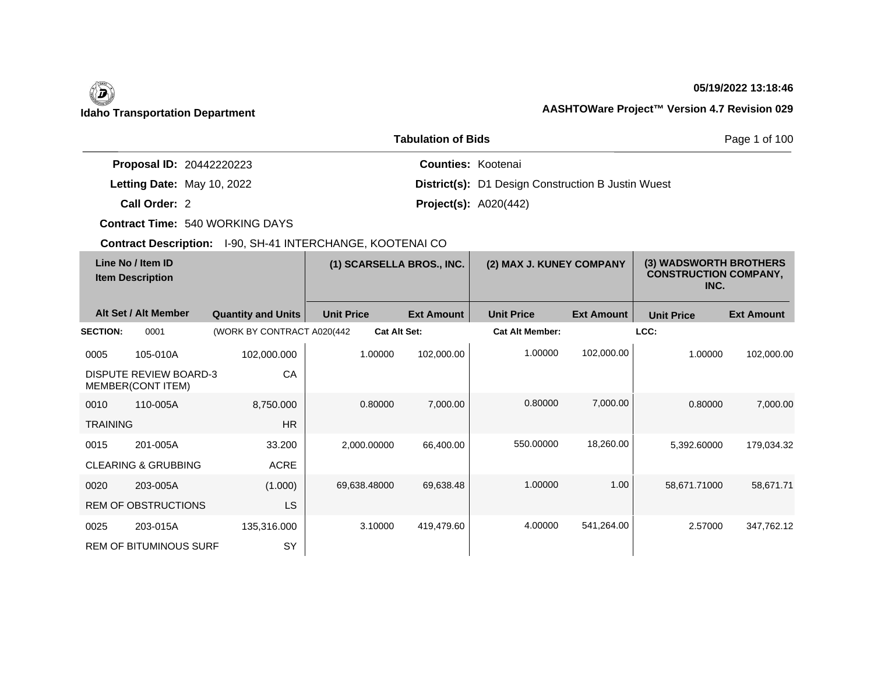# **05/19/2022 13:18:46**

# **Idaho Transportation Department AASHTOWare Project™ Version 4.7 Revision 029**

|                                 | Page 1 of 100                                             |  |
|---------------------------------|-----------------------------------------------------------|--|
| <b>Proposal ID: 20442220223</b> | <b>Counties: Kootenai</b>                                 |  |
| Letting Date: May 10, 2022      | <b>District(s):</b> D1 Design Construction B Justin Wuest |  |
| Call Order: 2                   | <b>Project(s):</b> $A020(442)$                            |  |

**Contract Time:** 540 WORKING DAYS

| Line No / Item ID<br><b>Item Description</b> |                                                    | (1) SCARSELLA BROS., INC.   |                   | (2) MAX J. KUNEY COMPANY |                        | (3) WADSWORTH BROTHERS<br><b>CONSTRUCTION COMPANY,</b><br>INC. |                   |                   |
|----------------------------------------------|----------------------------------------------------|-----------------------------|-------------------|--------------------------|------------------------|----------------------------------------------------------------|-------------------|-------------------|
|                                              | Alt Set / Alt Member                               | <b>Quantity and Units</b>   | <b>Unit Price</b> | <b>Ext Amount</b>        | <b>Unit Price</b>      | <b>Ext Amount</b>                                              | <b>Unit Price</b> | <b>Ext Amount</b> |
| <b>SECTION:</b>                              | 0001                                               | (WORK BY CONTRACT A020(442) |                   | <b>Cat Alt Set:</b>      | <b>Cat Alt Member:</b> |                                                                | LCC:              |                   |
| 0005                                         | 105-010A                                           | 102,000.000                 | 1.00000           | 102,000.00               | 1.00000                | 102,000.00                                                     | 1.00000           | 102,000.00        |
|                                              | <b>DISPUTE REVIEW BOARD-3</b><br>MEMBER(CONT ITEM) | CA                          |                   |                          |                        |                                                                |                   |                   |
| 0010                                         | 110-005A                                           | 8,750.000                   | 0.80000           | 7,000.00                 | 0.80000                | 7,000.00                                                       | 0.80000           | 7,000.00          |
| <b>TRAINING</b>                              |                                                    | <b>HR</b>                   |                   |                          |                        |                                                                |                   |                   |
| 0015                                         | 201-005A                                           | 33.200                      | 2,000.00000       | 66,400.00                | 550.00000              | 18,260.00                                                      | 5,392.60000       | 179,034.32        |
|                                              | <b>CLEARING &amp; GRUBBING</b>                     | <b>ACRE</b>                 |                   |                          |                        |                                                                |                   |                   |
| 0020                                         | 203-005A                                           | (1.000)                     | 69,638.48000      | 69,638.48                | 1.00000                | 1.00                                                           | 58,671.71000      | 58,671.71         |
|                                              | <b>REM OF OBSTRUCTIONS</b>                         | LS                          |                   |                          |                        |                                                                |                   |                   |
| 0025                                         | 203-015A                                           | 135,316.000                 | 3.10000           | 419,479.60               | 4.00000                | 541,264.00                                                     | 2.57000           | 347,762.12        |
|                                              | <b>REM OF BITUMINOUS SURF</b>                      | SY                          |                   |                          |                        |                                                                |                   |                   |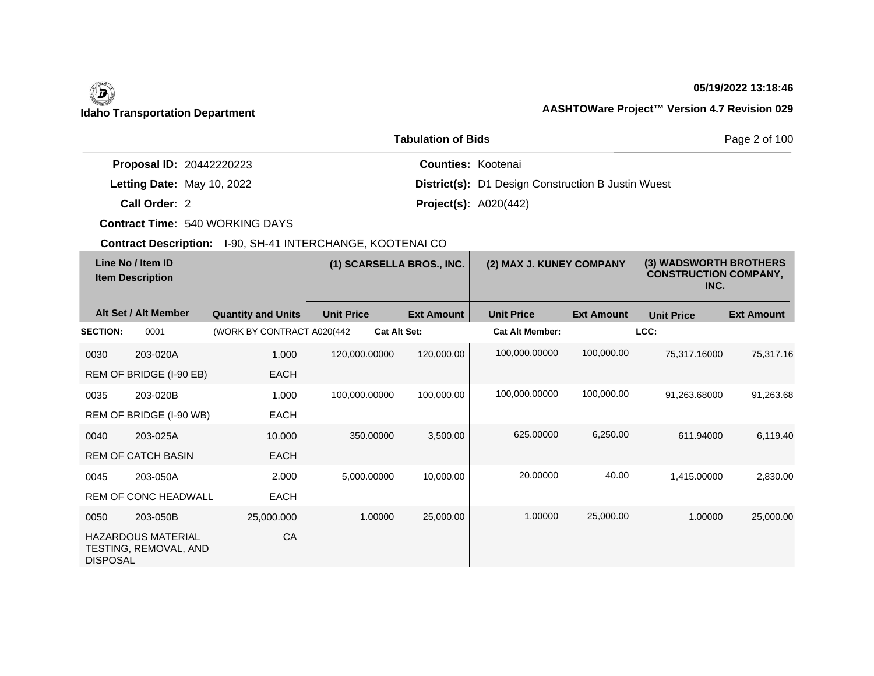# **05/19/2022 13:18:46**

# **Idaho Transportation Department AASHTOWare Project™ Version 4.7 Revision 029**

|                                 | Page 2 of 100                                             |  |
|---------------------------------|-----------------------------------------------------------|--|
| <b>Proposal ID: 20442220223</b> | <b>Counties: Kootenai</b>                                 |  |
| Letting Date: May 10, 2022      | <b>District(s):</b> D1 Design Construction B Justin Wuest |  |
| Call Order: 2                   | <b>Project(s): A020(442)</b>                              |  |

**Contract Time:** 540 WORKING DAYS

| Line No / Item ID<br><b>Item Description</b> |                                                    | (1) SCARSELLA BROS., INC.   |                   | (2) MAX J. KUNEY COMPANY |                        | (3) WADSWORTH BROTHERS<br><b>CONSTRUCTION COMPANY,</b><br>INC. |                   |                   |
|----------------------------------------------|----------------------------------------------------|-----------------------------|-------------------|--------------------------|------------------------|----------------------------------------------------------------|-------------------|-------------------|
|                                              | Alt Set / Alt Member                               | <b>Quantity and Units</b>   | <b>Unit Price</b> | <b>Ext Amount</b>        | <b>Unit Price</b>      | <b>Ext Amount</b>                                              | <b>Unit Price</b> | <b>Ext Amount</b> |
| <b>SECTION:</b>                              | 0001                                               | (WORK BY CONTRACT A020(442) |                   | <b>Cat Alt Set:</b>      | <b>Cat Alt Member:</b> |                                                                | LCC:              |                   |
| 0030                                         | 203-020A                                           | 1.000                       | 120,000.00000     | 120,000.00               | 100,000.00000          | 100,000.00                                                     | 75,317.16000      | 75,317.16         |
|                                              | REM OF BRIDGE (I-90 EB)                            | <b>EACH</b>                 |                   |                          |                        |                                                                |                   |                   |
| 0035                                         | 203-020B                                           | 1.000                       | 100,000.00000     | 100,000.00               | 100,000.00000          | 100,000.00                                                     | 91,263.68000      | 91,263.68         |
|                                              | REM OF BRIDGE (I-90 WB)                            | <b>EACH</b>                 |                   |                          |                        |                                                                |                   |                   |
| 0040                                         | 203-025A                                           | 10.000                      | 350,00000         | 3,500.00                 | 625,00000              | 6,250.00                                                       | 611.94000         | 6,119.40          |
|                                              | <b>REM OF CATCH BASIN</b>                          | <b>EACH</b>                 |                   |                          |                        |                                                                |                   |                   |
| 0045                                         | 203-050A                                           | 2.000                       | 5,000.00000       | 10,000.00                | 20.00000               | 40.00                                                          | 1,415.00000       | 2,830.00          |
|                                              | <b>REM OF CONC HEADWALL</b>                        | <b>EACH</b>                 |                   |                          |                        |                                                                |                   |                   |
| 0050                                         | 203-050B                                           | 25,000.000                  | 1.00000           | 25,000.00                | 1.00000                | 25,000.00                                                      | 1.00000           | 25,000.00         |
| <b>DISPOSAL</b>                              | <b>HAZARDOUS MATERIAL</b><br>TESTING, REMOVAL, AND | CA                          |                   |                          |                        |                                                                |                   |                   |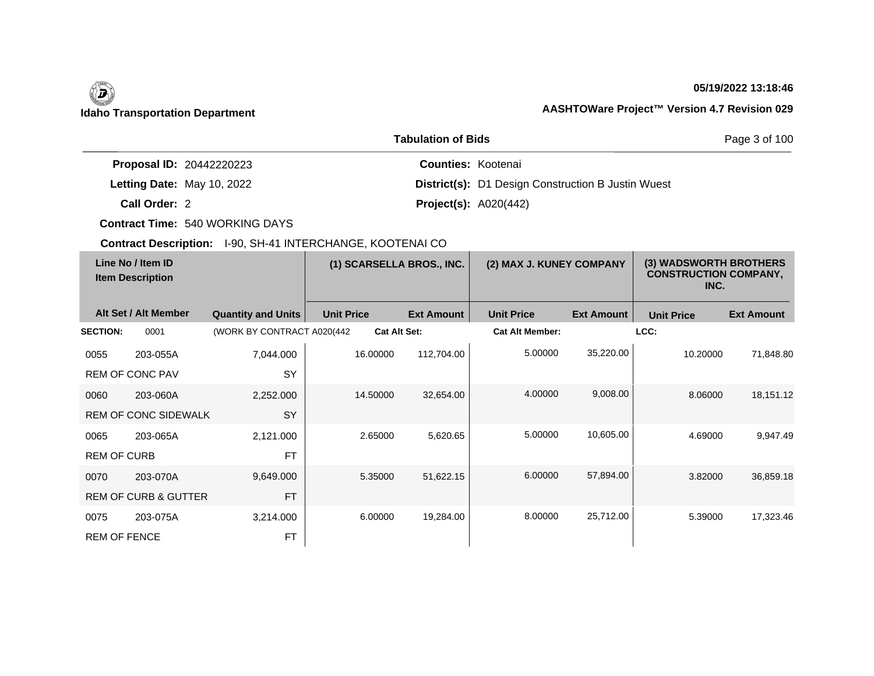# $\left(\begin{matrix} \n\end{matrix}\right)$

# **05/19/2022 13:18:46**

# **Idaho Transportation Department AASHTOWare Project™ Version 4.7 Revision 029**

|                                 | Page 3 of 100                                             |  |
|---------------------------------|-----------------------------------------------------------|--|
| <b>Proposal ID: 20442220223</b> | <b>Counties: Kootenai</b>                                 |  |
| Letting Date: May 10, 2022      | <b>District(s): D1 Design Construction B Justin Wuest</b> |  |
| Call Order: 2                   | <b>Project(s): A020(442)</b>                              |  |

**Contract Time:** 540 WORKING DAYS

| Line No / Item ID<br><b>Item Description</b> |                                 | (1) SCARSELLA BROS., INC.   |                   | (2) MAX J. KUNEY COMPANY |                   | (3) WADSWORTH BROTHERS<br><b>CONSTRUCTION COMPANY,</b><br>INC. |                   |                   |                   |
|----------------------------------------------|---------------------------------|-----------------------------|-------------------|--------------------------|-------------------|----------------------------------------------------------------|-------------------|-------------------|-------------------|
|                                              | Alt Set / Alt Member            | <b>Quantity and Units</b>   | <b>Unit Price</b> |                          | <b>Ext Amount</b> | <b>Unit Price</b>                                              | <b>Ext Amount</b> | <b>Unit Price</b> | <b>Ext Amount</b> |
| <b>SECTION:</b>                              | 0001                            | (WORK BY CONTRACT A020(442) |                   | <b>Cat Alt Set:</b>      |                   | <b>Cat Alt Member:</b>                                         |                   | LCC:              |                   |
| 0055                                         | 203-055A                        | 7,044.000                   |                   | 16.00000                 | 112,704.00        | 5.00000                                                        | 35,220.00         | 10.20000          | 71,848.80         |
|                                              | <b>REM OF CONC PAV</b>          | SY                          |                   |                          |                   |                                                                |                   |                   |                   |
| 0060                                         | 203-060A                        | 2,252.000                   |                   | 14.50000                 | 32,654.00         | 4.00000                                                        | 9,008.00          | 8.06000           | 18,151.12         |
|                                              | <b>REM OF CONC SIDEWALK</b>     | SY                          |                   |                          |                   |                                                                |                   |                   |                   |
| 0065                                         | 203-065A                        | 2,121.000                   |                   | 2.65000                  | 5,620.65          | 5.00000                                                        | 10,605.00         | 4.69000           | 9,947.49          |
| <b>REM OF CURB</b>                           |                                 | <b>FT</b>                   |                   |                          |                   |                                                                |                   |                   |                   |
| 0070                                         | 203-070A                        | 9,649.000                   |                   | 5.35000                  | 51,622.15         | 6.00000                                                        | 57,894.00         | 3.82000           | 36,859.18         |
|                                              | <b>REM OF CURB &amp; GUTTER</b> | <b>FT</b>                   |                   |                          |                   |                                                                |                   |                   |                   |
| 0075                                         | 203-075A                        | 3,214.000                   |                   | 6.00000                  | 19,284.00         | 8.00000                                                        | 25,712.00         | 5.39000           | 17,323.46         |
| <b>REM OF FENCE</b>                          |                                 | <b>FT</b>                   |                   |                          |                   |                                                                |                   |                   |                   |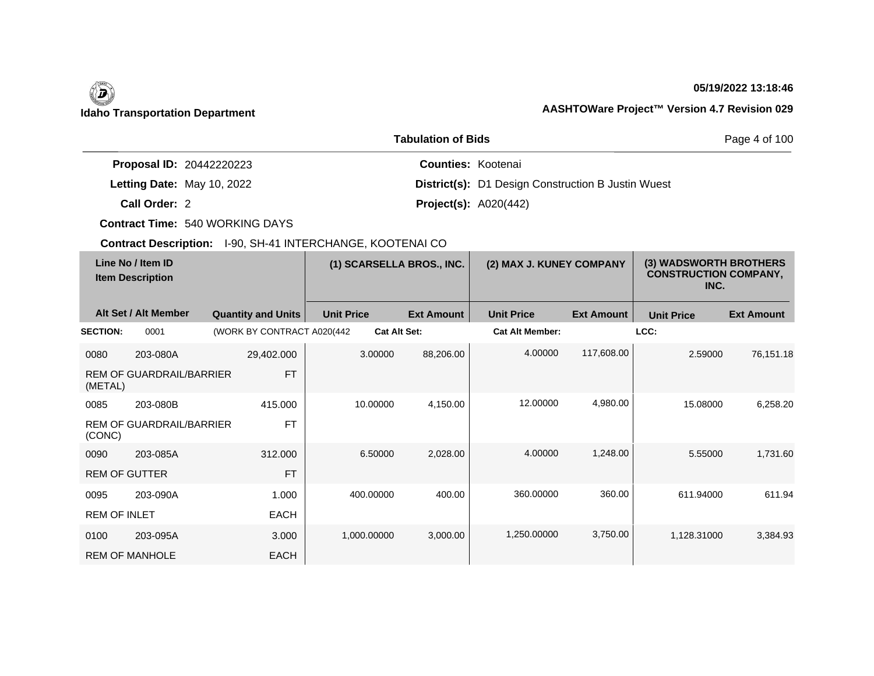$\overline{\phantom{a}}$ 

# **05/19/2022 13:18:46**

|                                 | Page 4 of 100                                             |  |
|---------------------------------|-----------------------------------------------------------|--|
| <b>Proposal ID: 20442220223</b> | <b>Counties: Kootenai</b>                                 |  |
| Letting Date: May 10, 2022      | <b>District(s):</b> D1 Design Construction B Justin Wuest |  |
| Call Order: 2                   | <b>Project(s):</b> $A020(442)$                            |  |

**Contract Time:** 540 WORKING DAYS

| Line No / Item ID<br><b>Item Description</b> |                                 | (1) SCARSELLA BROS., INC.   |                   | (2) MAX J. KUNEY COMPANY |                        | (3) WADSWORTH BROTHERS<br><b>CONSTRUCTION COMPANY,</b><br>INC. |                   |                   |
|----------------------------------------------|---------------------------------|-----------------------------|-------------------|--------------------------|------------------------|----------------------------------------------------------------|-------------------|-------------------|
|                                              | Alt Set / Alt Member            | <b>Quantity and Units</b>   | <b>Unit Price</b> | <b>Ext Amount</b>        | <b>Unit Price</b>      | <b>Ext Amount</b>                                              | <b>Unit Price</b> | <b>Ext Amount</b> |
| <b>SECTION:</b>                              | 0001                            | (WORK BY CONTRACT A020(442) |                   | <b>Cat Alt Set:</b>      | <b>Cat Alt Member:</b> |                                                                | LCC:              |                   |
| 0080                                         | 203-080A                        | 29,402.000                  | 3.00000           | 88,206.00                | 4.00000                | 117,608.00                                                     | 2.59000           | 76,151.18         |
| (METAL)                                      | <b>REM OF GUARDRAIL/BARRIER</b> | <b>FT</b>                   |                   |                          |                        |                                                                |                   |                   |
| 0085                                         | 203-080B                        | 415,000                     | 10.00000          | 4,150.00                 | 12.00000               | 4,980.00                                                       | 15.08000          | 6,258.20          |
| (CONC)                                       | <b>REM OF GUARDRAIL/BARRIER</b> | <b>FT</b>                   |                   |                          |                        |                                                                |                   |                   |
| 0090                                         | 203-085A                        | 312,000                     | 6.50000           | 2,028.00                 | 4.00000                | 1,248.00                                                       | 5.55000           | 1,731.60          |
| <b>REM OF GUTTER</b>                         |                                 | <b>FT</b>                   |                   |                          |                        |                                                                |                   |                   |
| 0095                                         | 203-090A                        | 1.000                       | 400.00000         | 400.00                   | 360.00000              | 360.00                                                         | 611.94000         | 611.94            |
| <b>REM OF INLET</b>                          |                                 | <b>EACH</b>                 |                   |                          |                        |                                                                |                   |                   |
| 0100                                         | 203-095A                        | 3.000                       | 1,000.00000       | 3,000.00                 | 1,250.00000            | 3,750.00                                                       | 1,128.31000       | 3,384.93          |
|                                              | <b>REM OF MANHOLE</b>           | <b>EACH</b>                 |                   |                          |                        |                                                                |                   |                   |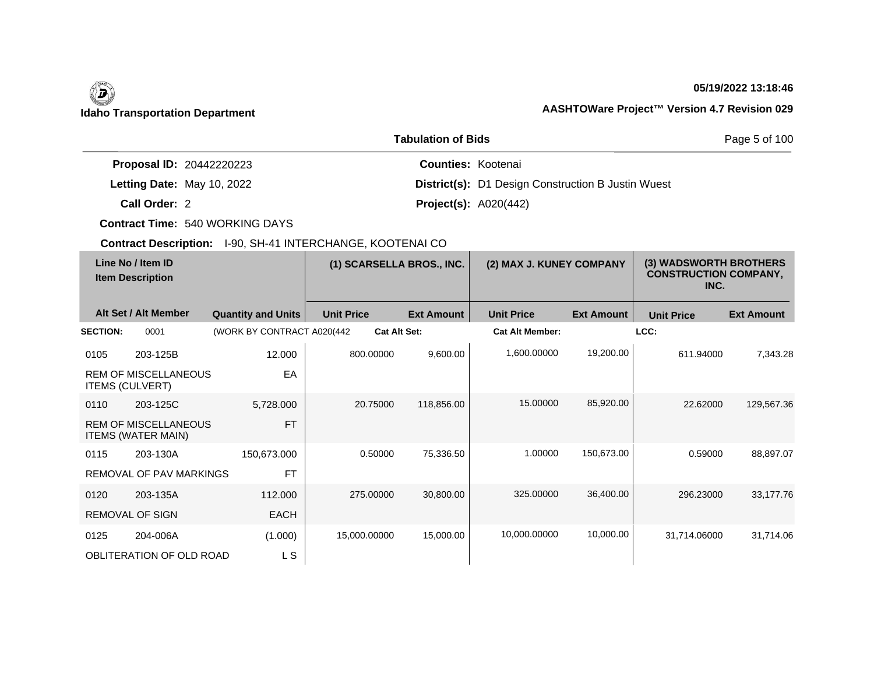# $\left(\begin{matrix} \n\end{matrix}\right)$

# **05/19/2022 13:18:46**

# **Idaho Transportation Department AASHTOWare Project™ Version 4.7 Revision 029**

|                                 | Page 5 of 100                                             |  |
|---------------------------------|-----------------------------------------------------------|--|
| <b>Proposal ID: 20442220223</b> | <b>Counties: Kootenai</b>                                 |  |
| Letting Date: May 10, 2022      | <b>District(s):</b> D1 Design Construction B Justin Wuest |  |
| Call Order: 2                   | <b>Project(s):</b> $A020(442)$                            |  |

**Contract Time:** 540 WORKING DAYS

|                        | Line No / Item ID<br><b>Item Description</b>             |                             | (1) SCARSELLA BROS., INC. |                   | (2) MAX J. KUNEY COMPANY |                   | (3) WADSWORTH BROTHERS<br><b>CONSTRUCTION COMPANY,</b><br>INC. |                   |
|------------------------|----------------------------------------------------------|-----------------------------|---------------------------|-------------------|--------------------------|-------------------|----------------------------------------------------------------|-------------------|
|                        | Alt Set / Alt Member                                     | <b>Quantity and Units</b>   | <b>Unit Price</b>         | <b>Ext Amount</b> | <b>Unit Price</b>        | <b>Ext Amount</b> | <b>Unit Price</b>                                              | <b>Ext Amount</b> |
| <b>SECTION:</b>        | 0001                                                     | (WORK BY CONTRACT A020(442) | <b>Cat Alt Set:</b>       |                   | <b>Cat Alt Member:</b>   |                   | LCC:                                                           |                   |
| 0105                   | 203-125B                                                 | 12.000                      | 800.00000                 | 9,600.00          | 1,600.00000              | 19,200.00         | 611.94000                                                      | 7,343.28          |
| <b>ITEMS (CULVERT)</b> | <b>REM OF MISCELLANEOUS</b>                              | EA                          |                           |                   |                          |                   |                                                                |                   |
| 0110                   | 203-125C                                                 | 5,728.000                   | 20.75000                  | 118,856.00        | 15.00000                 | 85,920.00         | 22.62000                                                       | 129,567.36        |
|                        | <b>REM OF MISCELLANEOUS</b><br><b>ITEMS (WATER MAIN)</b> | <b>FT</b>                   |                           |                   |                          |                   |                                                                |                   |
| 0115                   | 203-130A                                                 | 150,673.000                 | 0.50000                   | 75,336.50         | 1.00000                  | 150,673.00        | 0.59000                                                        | 88,897.07         |
|                        | REMOVAL OF PAV MARKINGS                                  | <b>FT</b>                   |                           |                   |                          |                   |                                                                |                   |
| 0120                   | 203-135A                                                 | 112.000                     | 275,00000                 | 30,800.00         | 325,00000                | 36,400.00         | 296.23000                                                      | 33,177.76         |
|                        | <b>REMOVAL OF SIGN</b>                                   | <b>EACH</b>                 |                           |                   |                          |                   |                                                                |                   |
| 0125                   | 204-006A                                                 | (1.000)                     | 15,000.00000              | 15,000.00         | 10,000.00000             | 10,000.00         | 31,714.06000                                                   | 31,714.06         |
|                        | OBLITERATION OF OLD ROAD                                 | L S                         |                           |                   |                          |                   |                                                                |                   |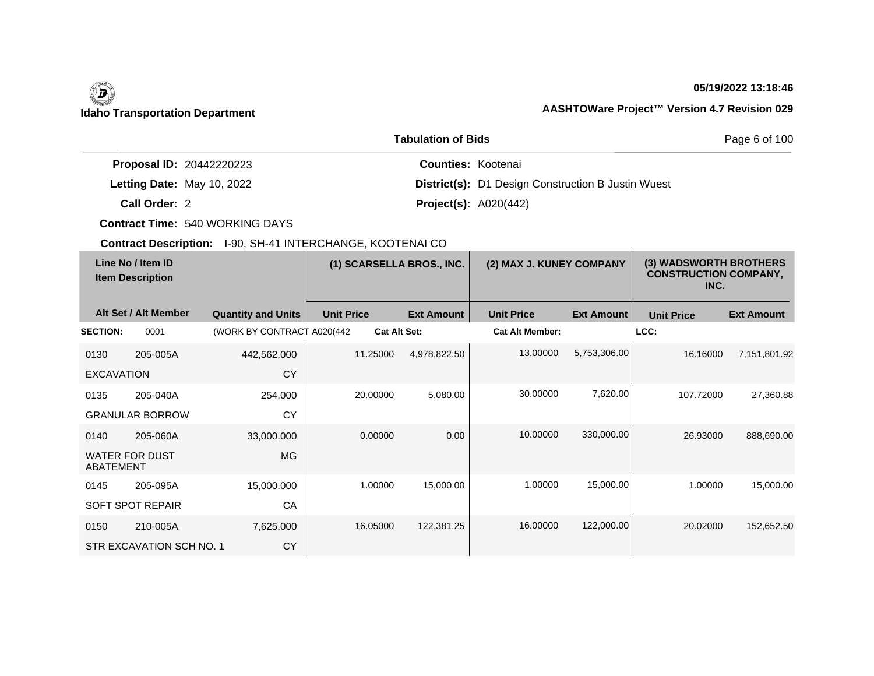$\overline{\phantom{a}}$ 

# **05/19/2022 13:18:46**

|                                 | <b>Tabulation of Bids</b>                                 | Page 6 of 100 |
|---------------------------------|-----------------------------------------------------------|---------------|
| <b>Proposal ID: 20442220223</b> | <b>Counties: Kootenai</b>                                 |               |
| Letting Date: May 10, 2022      | <b>District(s): D1 Design Construction B Justin Wuest</b> |               |
| Call Order: 2                   | <b>Project(s): A020(442)</b>                              |               |

**Contract Time:** 540 WORKING DAYS

| Line No / Item ID<br><b>Item Description</b> |                          |                             | (1) SCARSELLA BROS., INC. |                   | (2) MAX J. KUNEY COMPANY |                   | (3) WADSWORTH BROTHERS<br><b>CONSTRUCTION COMPANY,</b><br>INC. |                   |
|----------------------------------------------|--------------------------|-----------------------------|---------------------------|-------------------|--------------------------|-------------------|----------------------------------------------------------------|-------------------|
|                                              | Alt Set / Alt Member     | <b>Quantity and Units</b>   | <b>Unit Price</b>         | <b>Ext Amount</b> | <b>Unit Price</b>        | <b>Ext Amount</b> | <b>Unit Price</b>                                              | <b>Ext Amount</b> |
| <b>SECTION:</b>                              | 0001                     | (WORK BY CONTRACT A020(442) | <b>Cat Alt Set:</b>       |                   | <b>Cat Alt Member:</b>   |                   | LCC:                                                           |                   |
| 0130                                         | 205-005A                 | 442,562.000                 | 11.25000                  | 4,978,822.50      | 13.00000                 | 5,753,306.00      | 16.16000                                                       | 7,151,801.92      |
| <b>EXCAVATION</b>                            |                          | <b>CY</b>                   |                           |                   |                          |                   |                                                                |                   |
| 0135                                         | 205-040A                 | 254.000                     | 20.00000                  | 5,080.00          | 30.00000                 | 7,620.00          | 107.72000                                                      | 27,360.88         |
|                                              | <b>GRANULAR BORROW</b>   | CY                          |                           |                   |                          |                   |                                                                |                   |
| 0140                                         | 205-060A                 | 33,000.000                  | 0.00000                   | 0.00              | 10.00000                 | 330,000.00        | 26.93000                                                       | 888,690.00        |
| <b>ABATEMENT</b>                             | <b>WATER FOR DUST</b>    | <b>MG</b>                   |                           |                   |                          |                   |                                                                |                   |
| 0145                                         | 205-095A                 | 15,000.000                  | 1.00000                   | 15,000.00         | 1.00000                  | 15,000.00         | 1.00000                                                        | 15,000.00         |
|                                              | <b>SOFT SPOT REPAIR</b>  | CA                          |                           |                   |                          |                   |                                                                |                   |
| 0150                                         | 210-005A                 | 7,625.000                   | 16.05000                  | 122,381.25        | 16.00000                 | 122,000.00        | 20.02000                                                       | 152,652.50        |
|                                              | STR EXCAVATION SCH NO. 1 | CY                          |                           |                   |                          |                   |                                                                |                   |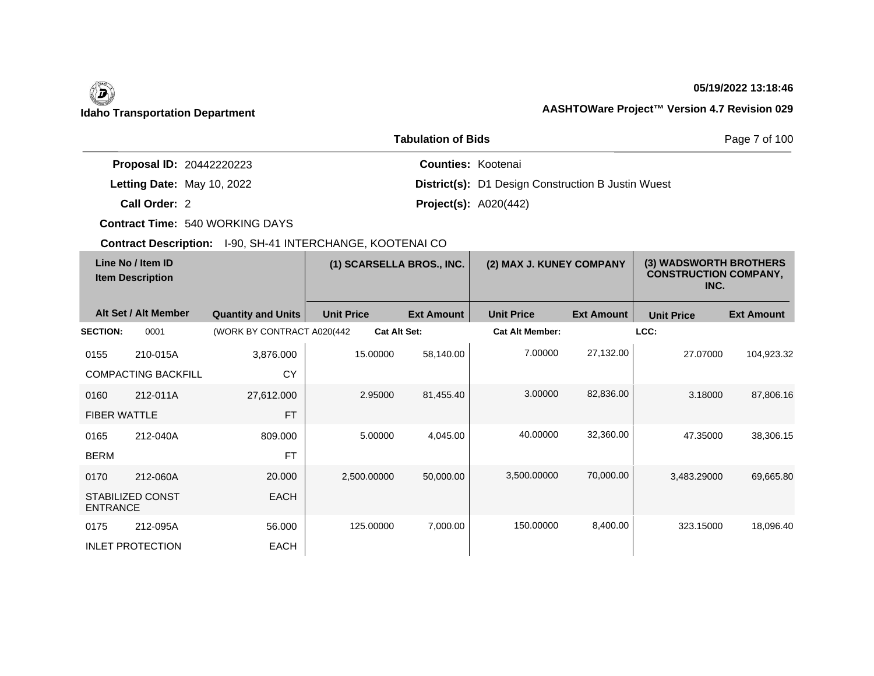# (5)

# **05/19/2022 13:18:46**

# **Idaho Transportation Department AASHTOWare Project™ Version 4.7 Revision 029**

|                                 | <b>Tabulation of Bids</b>                                 | Page 7 of 100 |
|---------------------------------|-----------------------------------------------------------|---------------|
| <b>Proposal ID: 20442220223</b> | <b>Counties: Kootenai</b>                                 |               |
| Letting Date: May 10, 2022      | <b>District(s): D1 Design Construction B Justin Wuest</b> |               |
| Call Order: 2                   | <b>Project(s): A020(442)</b>                              |               |

**Contract Time:** 540 WORKING DAYS

|                                              | <b>OOMTQUE DUSUI IRIUM.</b> TOO, ON FITTING ENOTINGE, NOOTENNI OO |                             |                     |                          |                        |                                                                |                   |                   |
|----------------------------------------------|-------------------------------------------------------------------|-----------------------------|---------------------|--------------------------|------------------------|----------------------------------------------------------------|-------------------|-------------------|
| Line No / Item ID<br><b>Item Description</b> |                                                                   | (1) SCARSELLA BROS., INC.   |                     | (2) MAX J. KUNEY COMPANY |                        | (3) WADSWORTH BROTHERS<br><b>CONSTRUCTION COMPANY,</b><br>INC. |                   |                   |
|                                              | Alt Set / Alt Member                                              | <b>Quantity and Units</b>   | <b>Unit Price</b>   | <b>Ext Amount</b>        | <b>Unit Price</b>      | <b>Ext Amount</b>                                              | <b>Unit Price</b> | <b>Ext Amount</b> |
| <b>SECTION:</b>                              | 0001                                                              | (WORK BY CONTRACT A020(442) | <b>Cat Alt Set:</b> |                          | <b>Cat Alt Member:</b> |                                                                | LCC:              |                   |
| 0155                                         | 210-015A                                                          | 3,876.000                   | 15.00000            | 58,140.00                | 7.00000                | 27,132.00                                                      | 27.07000          | 104,923.32        |
|                                              | <b>COMPACTING BACKFILL</b>                                        | <b>CY</b>                   |                     |                          |                        |                                                                |                   |                   |
| 0160                                         | 212-011A                                                          | 27,612.000                  | 2.95000             | 81,455.40                | 3.00000                | 82,836.00                                                      | 3.18000           | 87,806.16         |
| <b>FIBER WATTLE</b>                          |                                                                   | <b>FT</b>                   |                     |                          |                        |                                                                |                   |                   |
| 0165                                         | 212-040A                                                          | 809.000                     | 5.00000             | 4,045.00                 | 40.00000               | 32,360.00                                                      | 47.35000          | 38,306.15         |
| <b>BERM</b>                                  |                                                                   | <b>FT</b>                   |                     |                          |                        |                                                                |                   |                   |
| 0170                                         | 212-060A                                                          | 20.000                      | 2,500.00000         | 50,000.00                | 3,500.00000            | 70,000.00                                                      | 3,483.29000       | 69,665.80         |
| <b>ENTRANCE</b>                              | STABILIZED CONST                                                  | <b>EACH</b>                 |                     |                          |                        |                                                                |                   |                   |
| 0175                                         | 212-095A                                                          | 56.000                      | 125.00000           | 7,000.00                 | 150.00000              | 8,400.00                                                       | 323.15000         | 18,096.40         |
|                                              | <b>INLET PROTECTION</b>                                           | <b>EACH</b>                 |                     |                          |                        |                                                                |                   |                   |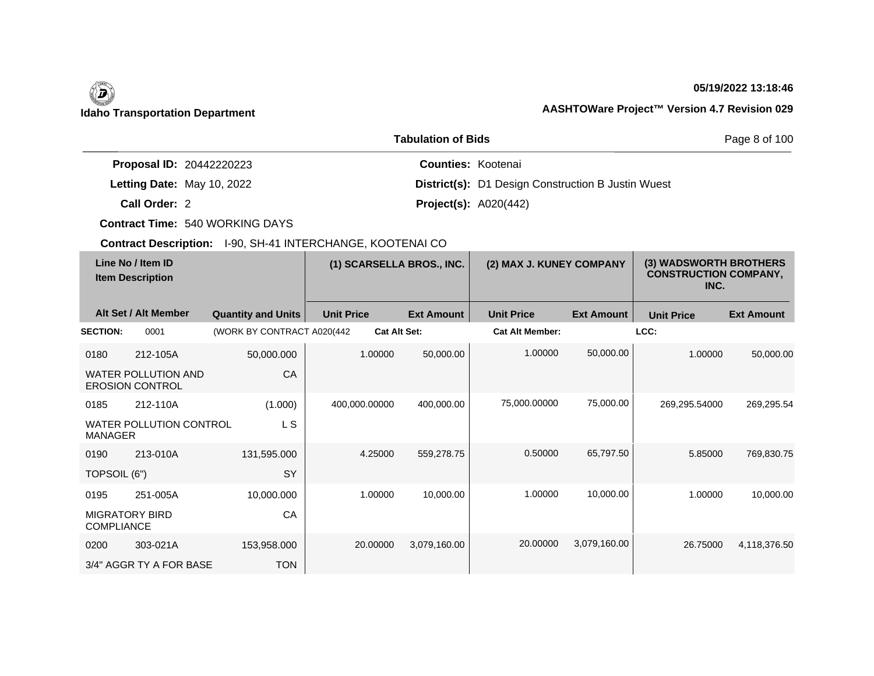# **05/19/2022 13:18:46**

|                                 | <b>Tabulation of Bids</b>                                 | Page 8 of 100 |
|---------------------------------|-----------------------------------------------------------|---------------|
| <b>Proposal ID: 20442220223</b> | <b>Counties: Kootenai</b>                                 |               |
| Letting Date: May 10, 2022      | <b>District(s):</b> D1 Design Construction B Justin Wuest |               |
| Call Order: 2                   | <b>Project(s):</b> $A020(442)$                            |               |

**Contract Time:** 540 WORKING DAYS

| Line No / Item ID<br><b>Item Description</b> |                                                      |                             | (1) SCARSELLA BROS., INC. |                   | (2) MAX J. KUNEY COMPANY |                   | (3) WADSWORTH BROTHERS<br><b>CONSTRUCTION COMPANY,</b><br>INC. |                   |
|----------------------------------------------|------------------------------------------------------|-----------------------------|---------------------------|-------------------|--------------------------|-------------------|----------------------------------------------------------------|-------------------|
|                                              | Alt Set / Alt Member                                 | <b>Quantity and Units</b>   | <b>Unit Price</b>         | <b>Ext Amount</b> | <b>Unit Price</b>        | <b>Ext Amount</b> | <b>Unit Price</b>                                              | <b>Ext Amount</b> |
| <b>SECTION:</b>                              | 0001                                                 | (WORK BY CONTRACT A020(442) | <b>Cat Alt Set:</b>       |                   | <b>Cat Alt Member:</b>   |                   | LCC:                                                           |                   |
| 0180                                         | 212-105A                                             | 50,000.000                  | 1.00000                   | 50,000.00         | 1.00000                  | 50,000.00         | 1.00000                                                        | 50,000.00         |
|                                              | <b>WATER POLLUTION AND</b><br><b>EROSION CONTROL</b> | CA                          |                           |                   |                          |                   |                                                                |                   |
| 0185                                         | 212-110A                                             | (1.000)                     | 400,000.00000             | 400,000.00        | 75,000.00000             | 75,000.00         | 269,295.54000                                                  | 269,295.54        |
| <b>MANAGER</b>                               | <b>WATER POLLUTION CONTROL</b>                       | L S                         |                           |                   |                          |                   |                                                                |                   |
| 0190                                         | 213-010A                                             | 131,595.000                 | 4.25000                   | 559,278.75        | 0.50000                  | 65,797.50         | 5.85000                                                        | 769,830.75        |
| TOPSOIL (6")                                 |                                                      | SY                          |                           |                   |                          |                   |                                                                |                   |
| 0195                                         | 251-005A                                             | 10,000.000                  | 1.00000                   | 10,000.00         | 1.00000                  | 10,000.00         | 1.00000                                                        | 10,000.00         |
| <b>MIGRATORY BIRD</b><br><b>COMPLIANCE</b>   |                                                      | CA                          |                           |                   |                          |                   |                                                                |                   |
| 0200                                         | 303-021A                                             | 153,958.000                 | 20.00000                  | 3,079,160.00      | 20.00000                 | 3,079,160.00      | 26.75000                                                       | 4,118,376.50      |
|                                              | 3/4" AGGR TY A FOR BASE                              | <b>TON</b>                  |                           |                   |                          |                   |                                                                |                   |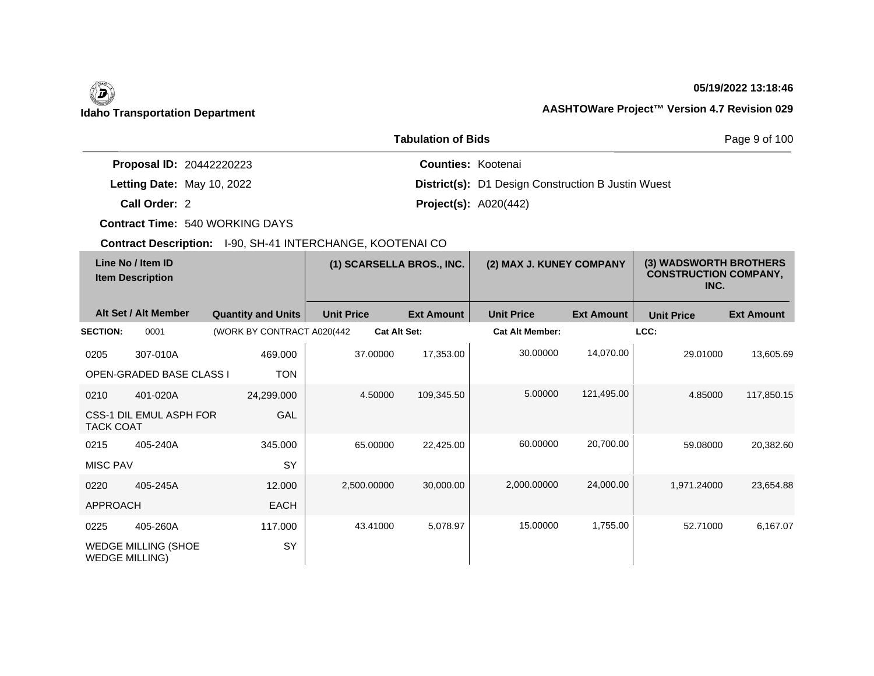# $\left(\begin{matrix} \n\end{matrix}\right)$ **Idaho Transportation Department AASHTOWare Project™ Version 4.7 Revision 029**

# **05/19/2022 13:18:46**

|                                 | <b>Tabulation of Bids</b> | Page 9 of 100                                             |  |
|---------------------------------|---------------------------|-----------------------------------------------------------|--|
| <b>Proposal ID: 20442220223</b> | <b>Counties: Kootenai</b> |                                                           |  |
| Letting Date: May 10, 2022      |                           | <b>District(s):</b> D1 Design Construction B Justin Wuest |  |
| Call Order: 2                   |                           | <b>Project(s): A020(442)</b>                              |  |

**Contract Time:** 540 WORKING DAYS

| Line No / Item ID<br><b>Item Description</b> |                                 | (1) SCARSELLA BROS., INC.   |                     | (2) MAX J. KUNEY COMPANY |                        | (3) WADSWORTH BROTHERS<br><b>CONSTRUCTION COMPANY,</b><br>INC. |                   |                   |
|----------------------------------------------|---------------------------------|-----------------------------|---------------------|--------------------------|------------------------|----------------------------------------------------------------|-------------------|-------------------|
|                                              | Alt Set / Alt Member            | <b>Quantity and Units</b>   | <b>Unit Price</b>   | <b>Ext Amount</b>        | <b>Unit Price</b>      | <b>Ext Amount</b>                                              | <b>Unit Price</b> | <b>Ext Amount</b> |
| <b>SECTION:</b>                              | 0001                            | (WORK BY CONTRACT A020(442) | <b>Cat Alt Set:</b> |                          | <b>Cat Alt Member:</b> |                                                                | LCC:              |                   |
| 0205                                         | 307-010A                        | 469.000                     | 37.00000            | 17,353.00                | 30.00000               | 14,070.00                                                      | 29.01000          | 13,605.69         |
|                                              | <b>OPEN-GRADED BASE CLASS I</b> | <b>TON</b>                  |                     |                          |                        |                                                                |                   |                   |
| 0210                                         | 401-020A                        | 24,299.000                  | 4.50000             | 109,345.50               | 5.00000                | 121,495.00                                                     | 4.85000           | 117,850.15        |
| <b>TACK COAT</b>                             | CSS-1 DIL EMUL ASPH FOR         | GAL                         |                     |                          |                        |                                                                |                   |                   |
| 0215                                         | 405-240A                        | 345.000                     | 65.00000            | 22,425.00                | 60.00000               | 20,700.00                                                      | 59.08000          | 20,382.60         |
| <b>MISC PAV</b>                              |                                 | SY                          |                     |                          |                        |                                                                |                   |                   |
| 0220                                         | 405-245A                        | 12.000                      | 2,500.00000         | 30,000.00                | 2,000.00000            | 24,000.00                                                      | 1,971.24000       | 23,654.88         |
| <b>APPROACH</b>                              |                                 | <b>EACH</b>                 |                     |                          |                        |                                                                |                   |                   |
| 0225                                         | 405-260A                        | 117.000                     | 43.41000            | 5,078.97                 | 15.00000               | 1,755.00                                                       | 52.71000          | 6,167.07          |
| <b>WEDGE MILLING)</b>                        | <b>WEDGE MILLING (SHOE</b>      | SY                          |                     |                          |                        |                                                                |                   |                   |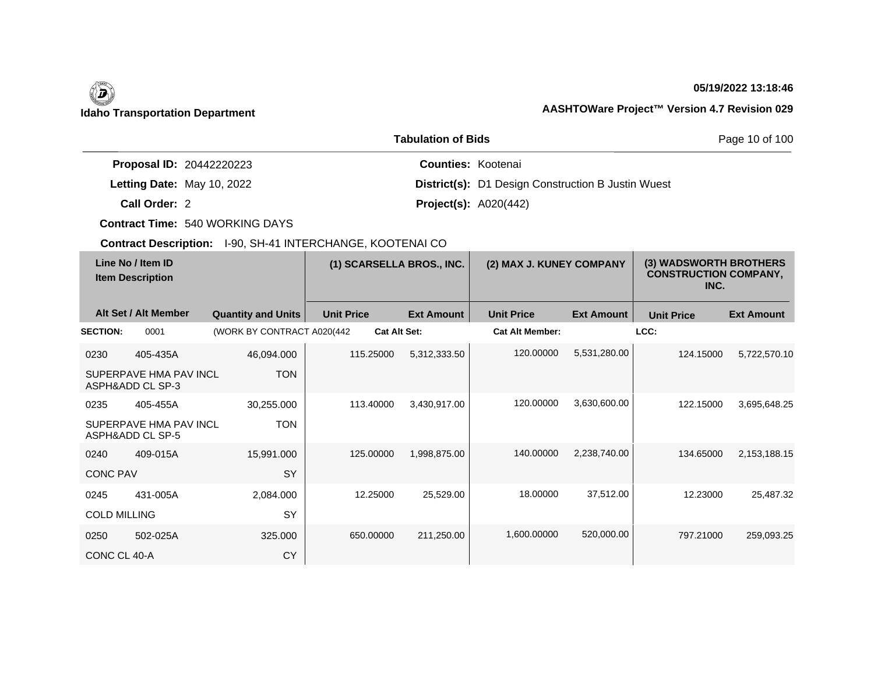$\overline{\phantom{a}}$ 

## **05/19/2022 13:18:46**

|                                 | <b>Tabulation of Bids</b>                                 | Page 10 of 100 |
|---------------------------------|-----------------------------------------------------------|----------------|
| <b>Proposal ID: 20442220223</b> | <b>Counties: Kootenai</b>                                 |                |
| Letting Date: May 10, 2022      | <b>District(s):</b> D1 Design Construction B Justin Wuest |                |
| Call Order: 2                   | <b>Project(s):</b> $A020(442)$                            |                |

**Contract Time:** 540 WORKING DAYS

| Line No / Item ID<br><b>Item Description</b> |                                            | (1) SCARSELLA BROS., INC.   |                   | (2) MAX J. KUNEY COMPANY |                        | (3) WADSWORTH BROTHERS<br><b>CONSTRUCTION COMPANY,</b><br>INC. |                   |                   |
|----------------------------------------------|--------------------------------------------|-----------------------------|-------------------|--------------------------|------------------------|----------------------------------------------------------------|-------------------|-------------------|
|                                              | Alt Set / Alt Member                       | <b>Quantity and Units</b>   | <b>Unit Price</b> | <b>Ext Amount</b>        | <b>Unit Price</b>      | <b>Ext Amount</b>                                              | <b>Unit Price</b> | <b>Ext Amount</b> |
| <b>SECTION:</b>                              | 0001                                       | (WORK BY CONTRACT A020(442) |                   | <b>Cat Alt Set:</b>      | <b>Cat Alt Member:</b> |                                                                | LCC:              |                   |
| 0230                                         | 405-435A                                   | 46,094.000                  | 115.25000         | 5,312,333.50             | 120.00000              | 5,531,280.00                                                   | 124.15000         | 5,722,570.10      |
|                                              | SUPERPAVE HMA PAV INCL<br>ASPH&ADD CL SP-3 | <b>TON</b>                  |                   |                          |                        |                                                                |                   |                   |
| 0235                                         | 405-455A                                   | 30,255.000                  | 113.40000         | 3,430,917.00             | 120.00000              | 3,630,600.00                                                   | 122.15000         | 3,695,648.25      |
|                                              | SUPERPAVE HMA PAV INCL<br>ASPH&ADD CL SP-5 | <b>TON</b>                  |                   |                          |                        |                                                                |                   |                   |
| 0240                                         | 409-015A                                   | 15,991.000                  | 125.00000         | 1,998,875.00             | 140.00000              | 2,238,740.00                                                   | 134.65000         | 2,153,188.15      |
| <b>CONC PAV</b>                              |                                            | <b>SY</b>                   |                   |                          |                        |                                                                |                   |                   |
| 0245                                         | 431-005A                                   | 2,084.000                   | 12.25000          | 25,529.00                | 18.00000               | 37,512.00                                                      | 12.23000          | 25,487.32         |
| <b>COLD MILLING</b>                          |                                            | SY                          |                   |                          |                        |                                                                |                   |                   |
| 0250                                         | 502-025A                                   | 325.000                     | 650.00000         | 211,250.00               | 1,600.00000            | 520,000.00                                                     | 797.21000         | 259,093.25        |
| CONC CL 40-A                                 |                                            | <b>CY</b>                   |                   |                          |                        |                                                                |                   |                   |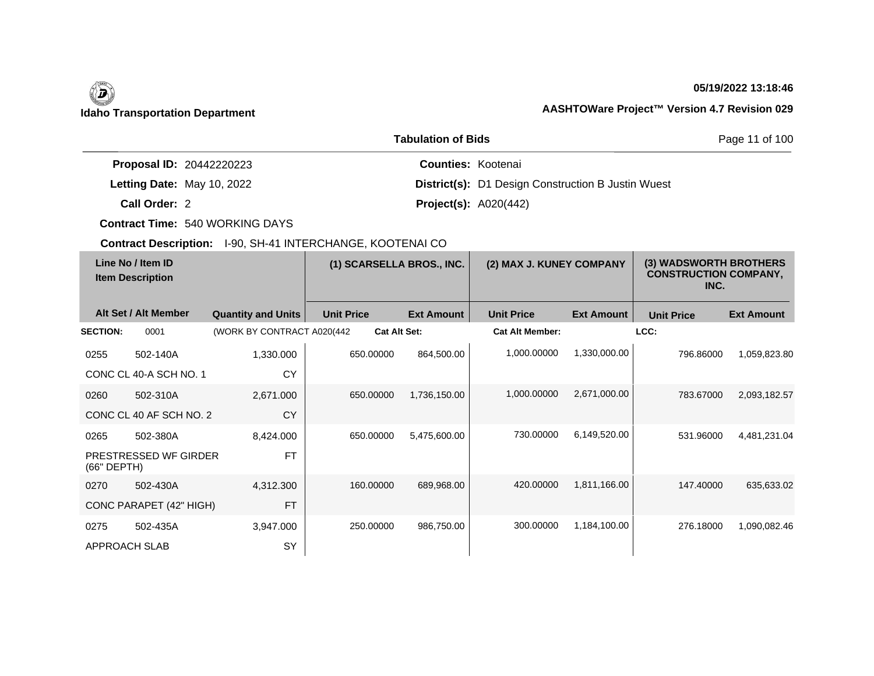# $\left(\begin{matrix} \n\end{matrix}\right)$

# **05/19/2022 13:18:46**

# **Idaho Transportation Department AASHTOWare Project™ Version 4.7 Revision 029**

|                                 | <b>Tabulation of Bids</b>                                 | Page 11 of 100 |
|---------------------------------|-----------------------------------------------------------|----------------|
| <b>Proposal ID: 20442220223</b> | <b>Counties: Kootenai</b>                                 |                |
| Letting Date: May 10, 2022      | <b>District(s):</b> D1 Design Construction B Justin Wuest |                |
| Call Order: 2                   | <b>Project(s):</b> $A020(442)$                            |                |

**Contract Time:** 540 WORKING DAYS

| Line No / Item ID<br><b>Item Description</b> |                         | (1) SCARSELLA BROS., INC.   |                     | (2) MAX J. KUNEY COMPANY |                        | (3) WADSWORTH BROTHERS<br><b>CONSTRUCTION COMPANY,</b><br>INC. |                   |                   |
|----------------------------------------------|-------------------------|-----------------------------|---------------------|--------------------------|------------------------|----------------------------------------------------------------|-------------------|-------------------|
|                                              | Alt Set / Alt Member    | <b>Quantity and Units</b>   | <b>Unit Price</b>   | <b>Ext Amount</b>        | <b>Unit Price</b>      | <b>Ext Amount</b>                                              | <b>Unit Price</b> | <b>Ext Amount</b> |
| <b>SECTION:</b>                              | 0001                    | (WORK BY CONTRACT A020(442) | <b>Cat Alt Set:</b> |                          | <b>Cat Alt Member:</b> |                                                                | LCC:              |                   |
| 0255                                         | 502-140A                | 1,330.000                   | 650.00000           | 864,500.00               | 1,000.00000            | 1,330,000.00                                                   | 796.86000         | 1,059,823.80      |
|                                              | CONC CL 40-A SCH NO. 1  | <b>CY</b>                   |                     |                          |                        |                                                                |                   |                   |
| 0260                                         | 502-310A                | 2,671.000                   | 650.00000           | 1,736,150.00             | 1,000.00000            | 2,671,000.00                                                   | 783.67000         | 2,093,182.57      |
|                                              | CONC CL 40 AF SCH NO. 2 | <b>CY</b>                   |                     |                          |                        |                                                                |                   |                   |
| 0265                                         | 502-380A                | 8,424.000                   | 650.00000           | 5,475,600.00             | 730.00000              | 6,149,520.00                                                   | 531.96000         | 4,481,231.04      |
| (66" DEPTH)                                  | PRESTRESSED WF GIRDER   | <b>FT</b>                   |                     |                          |                        |                                                                |                   |                   |
| 0270                                         | 502-430A                | 4,312.300                   | 160,00000           | 689,968.00               | 420.00000              | 1,811,166.00                                                   | 147.40000         | 635,633.02        |
|                                              | CONC PARAPET (42" HIGH) | <b>FT</b>                   |                     |                          |                        |                                                                |                   |                   |
| 0275                                         | 502-435A                | 3,947.000                   | 250,00000           | 986,750.00               | 300.00000              | 1,184,100.00                                                   | 276.18000         | 1,090,082.46      |
| APPROACH SLAB                                |                         | SY                          |                     |                          |                        |                                                                |                   |                   |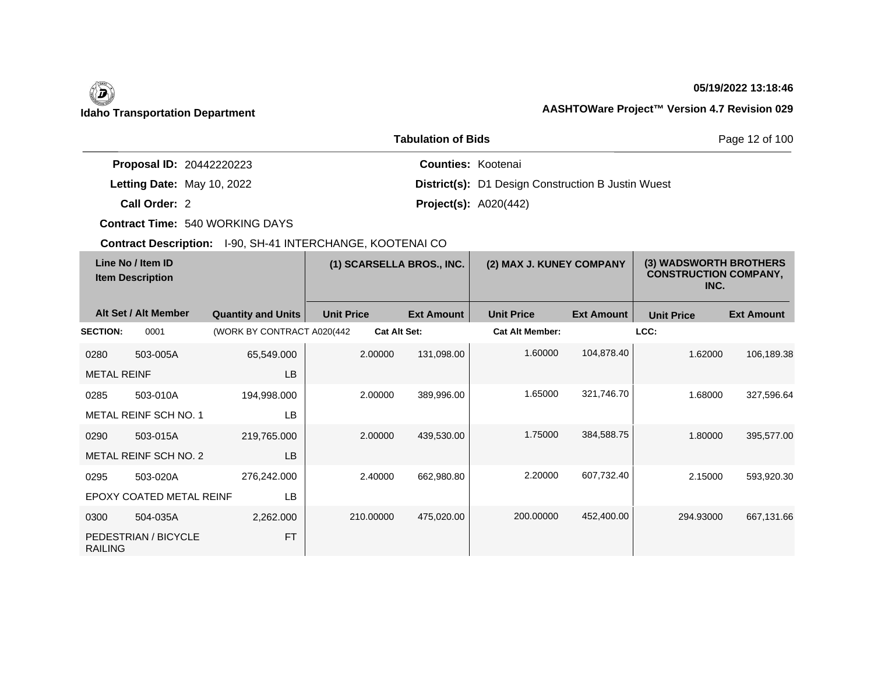$\overline{\phantom{a}}$ 

# **05/19/2022 13:18:46**

|                                 | Page 12 of 100                                            |  |
|---------------------------------|-----------------------------------------------------------|--|
| <b>Proposal ID: 20442220223</b> | <b>Counties: Kootenai</b>                                 |  |
| Letting Date: May 10, 2022      | <b>District(s):</b> D1 Design Construction B Justin Wuest |  |
| Call Order: 2                   | <b>Project(s): A020(442)</b>                              |  |

**Contract Time:** 540 WORKING DAYS

| Line No / Item ID<br><b>Item Description</b> |                          | (1) SCARSELLA BROS., INC.   |                   | (2) MAX J. KUNEY COMPANY |                   | (3) WADSWORTH BROTHERS<br><b>CONSTRUCTION COMPANY,</b><br>INC. |                   |                   |                   |
|----------------------------------------------|--------------------------|-----------------------------|-------------------|--------------------------|-------------------|----------------------------------------------------------------|-------------------|-------------------|-------------------|
|                                              | Alt Set / Alt Member     | <b>Quantity and Units</b>   | <b>Unit Price</b> |                          | <b>Ext Amount</b> | <b>Unit Price</b>                                              | <b>Ext Amount</b> | <b>Unit Price</b> | <b>Ext Amount</b> |
| <b>SECTION:</b>                              | 0001                     | (WORK BY CONTRACT A020(442) |                   | <b>Cat Alt Set:</b>      |                   | <b>Cat Alt Member:</b>                                         |                   | LCC:              |                   |
| 0280                                         | 503-005A                 | 65,549.000                  |                   | 2.00000                  | 131,098.00        | 1.60000                                                        | 104,878.40        | 1.62000           | 106,189.38        |
| <b>METAL REINF</b>                           |                          | LB                          |                   |                          |                   |                                                                |                   |                   |                   |
| 0285                                         | 503-010A                 | 194,998.000                 |                   | 2.00000                  | 389,996.00        | 1.65000                                                        | 321,746.70        | 1.68000           | 327,596.64        |
|                                              | METAL REINF SCH NO. 1    | LB                          |                   |                          |                   |                                                                |                   |                   |                   |
| 0290                                         | 503-015A                 | 219,765.000                 |                   | 2.00000                  | 439,530.00        | 1.75000                                                        | 384,588.75        | 1.80000           | 395,577.00        |
|                                              | METAL REINF SCH NO. 2    | LB                          |                   |                          |                   |                                                                |                   |                   |                   |
| 0295                                         | 503-020A                 | 276,242.000                 |                   | 2.40000                  | 662,980.80        | 2.20000                                                        | 607,732.40        | 2.15000           | 593,920.30        |
|                                              | EPOXY COATED METAL REINF | LB                          |                   |                          |                   |                                                                |                   |                   |                   |
| 0300                                         | 504-035A                 | 2,262.000                   |                   | 210.00000                | 475,020.00        | 200.00000                                                      | 452,400.00        | 294.93000         | 667,131.66        |
| <b>RAILING</b>                               | PEDESTRIAN / BICYCLE     | <b>FT</b>                   |                   |                          |                   |                                                                |                   |                   |                   |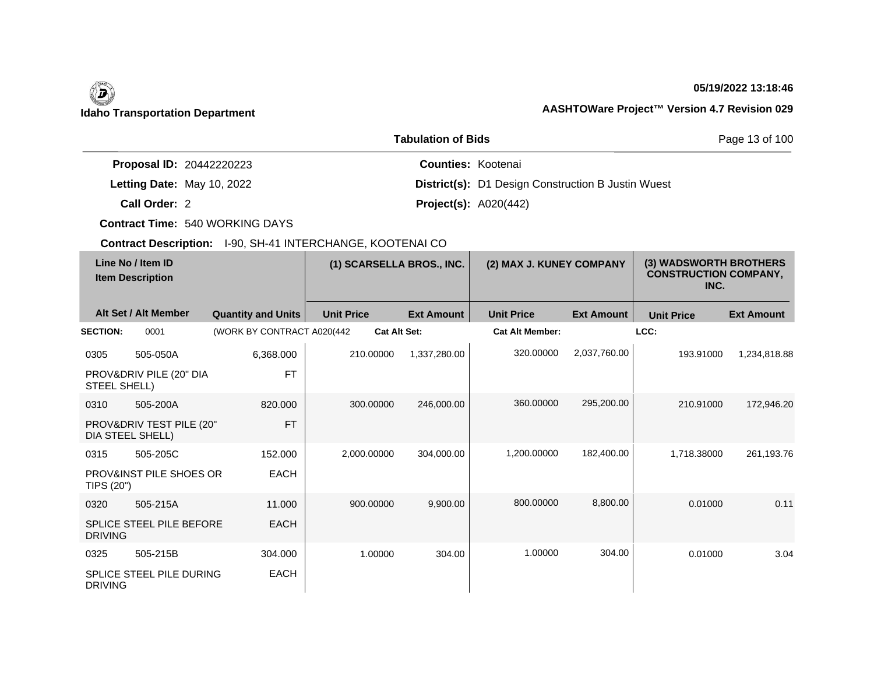$\overline{\phantom{a}}$ 

### **05/19/2022 13:18:46**

|                                 | <b>Tabulation of Bids</b>                                 | Page 13 of 100 |
|---------------------------------|-----------------------------------------------------------|----------------|
| <b>Proposal ID: 20442220223</b> | <b>Counties: Kootenai</b>                                 |                |
| Letting Date: May 10, 2022      | <b>District(s):</b> D1 Design Construction B Justin Wuest |                |
| Call Order: 2                   | <b>Project(s):</b> $A020(442)$                            |                |

**Contract Time:** 540 WORKING DAYS

| Line No / Item ID<br><b>Item Description</b> |                                              | (1) SCARSELLA BROS., INC.   |                     | (2) MAX J. KUNEY COMPANY |                        | (3) WADSWORTH BROTHERS<br><b>CONSTRUCTION COMPANY,</b><br>INC. |                   |                   |
|----------------------------------------------|----------------------------------------------|-----------------------------|---------------------|--------------------------|------------------------|----------------------------------------------------------------|-------------------|-------------------|
|                                              | Alt Set / Alt Member                         | <b>Quantity and Units</b>   | <b>Unit Price</b>   | <b>Ext Amount</b>        | <b>Unit Price</b>      | <b>Ext Amount</b>                                              | <b>Unit Price</b> | <b>Ext Amount</b> |
| <b>SECTION:</b>                              | 0001                                         | (WORK BY CONTRACT A020(442) | <b>Cat Alt Set:</b> |                          | <b>Cat Alt Member:</b> |                                                                | LCC:              |                   |
| 0305                                         | 505-050A                                     | 6,368.000                   | 210.00000           | 1,337,280.00             | 320,00000              | 2,037,760.00                                                   | 193.91000         | 1,234,818.88      |
| STEEL SHELL)                                 | PROV&DRIV PILE (20" DIA                      | <b>FT</b>                   |                     |                          |                        |                                                                |                   |                   |
| 0310                                         | 505-200A                                     | 820,000                     | 300.00000           | 246,000.00               | 360,00000              | 295,200.00                                                     | 210.91000         | 172,946.20        |
|                                              | PROV&DRIV TEST PILE (20"<br>DIA STEEL SHELL) | <b>FT</b>                   |                     |                          |                        |                                                                |                   |                   |
| 0315                                         | 505-205C                                     | 152.000                     | 2,000.00000         | 304,000.00               | 1,200.00000            | 182,400.00                                                     | 1,718.38000       | 261,193.76        |
| TIPS (20")                                   | PROV&INST PILE SHOES OR                      | <b>EACH</b>                 |                     |                          |                        |                                                                |                   |                   |
| 0320                                         | 505-215A                                     | 11.000                      | 900.00000           | 9,900.00                 | 800.00000              | 8,800.00                                                       | 0.01000           | 0.11              |
| <b>DRIVING</b>                               | <b>SPLICE STEEL PILE BEFORE</b>              | <b>EACH</b>                 |                     |                          |                        |                                                                |                   |                   |
| 0325                                         | 505-215B                                     | 304.000                     | 1.00000             | 304.00                   | 1.00000                | 304.00                                                         | 0.01000           | 3.04              |
| <b>DRIVING</b>                               | SPLICE STEEL PILE DURING                     | <b>EACH</b>                 |                     |                          |                        |                                                                |                   |                   |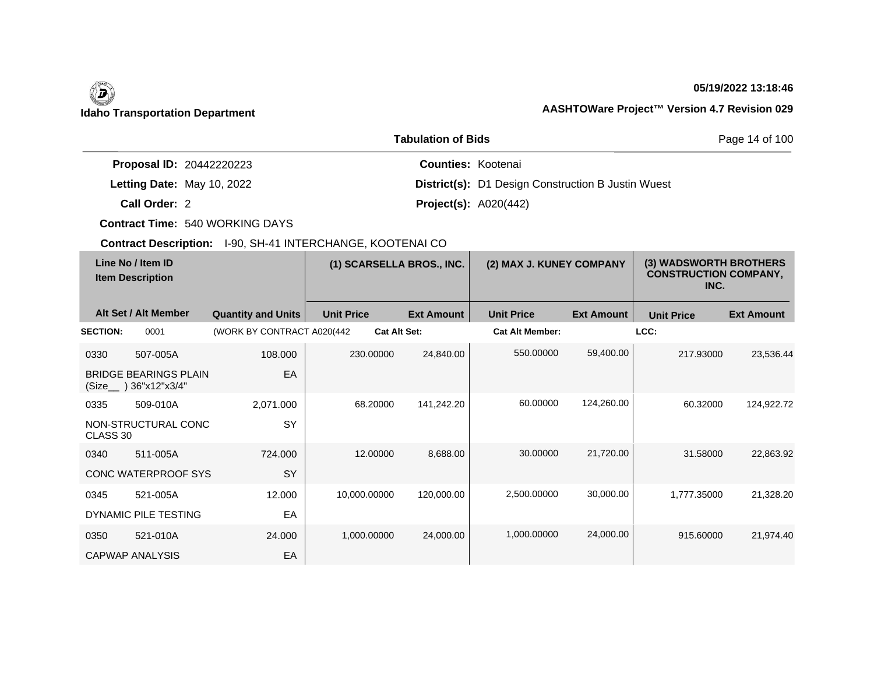$\overline{\phantom{a}}$ 

## **05/19/2022 13:18:46**

|                                 | Page 14 of 100                                            |  |
|---------------------------------|-----------------------------------------------------------|--|
| <b>Proposal ID: 20442220223</b> | <b>Counties: Kootenai</b>                                 |  |
| Letting Date: May 10, 2022      | <b>District(s):</b> D1 Design Construction B Justin Wuest |  |
| Call Order: 2                   | <b>Project(s):</b> $A020(442)$                            |  |

**Contract Time:** 540 WORKING DAYS

| Line No / Item ID<br><b>Item Description</b> |                                                | (1) SCARSELLA BROS., INC.   |                   | (2) MAX J. KUNEY COMPANY |                        | (3) WADSWORTH BROTHERS<br><b>CONSTRUCTION COMPANY,</b><br>INC. |                   |                   |
|----------------------------------------------|------------------------------------------------|-----------------------------|-------------------|--------------------------|------------------------|----------------------------------------------------------------|-------------------|-------------------|
|                                              | Alt Set / Alt Member                           | <b>Quantity and Units</b>   | <b>Unit Price</b> | <b>Ext Amount</b>        | <b>Unit Price</b>      | <b>Ext Amount</b>                                              | <b>Unit Price</b> | <b>Ext Amount</b> |
| <b>SECTION:</b>                              | 0001                                           | (WORK BY CONTRACT A020(442) |                   | <b>Cat Alt Set:</b>      | <b>Cat Alt Member:</b> |                                                                | LCC:              |                   |
| 0330                                         | 507-005A                                       | 108.000                     | 230,00000         | 24,840.00                | 550,00000              | 59,400.00                                                      | 217.93000         | 23,536.44         |
| (Size                                        | <b>BRIDGE BEARINGS PLAIN</b><br>) 36"x12"x3/4" | EA                          |                   |                          |                        |                                                                |                   |                   |
| 0335                                         | 509-010A                                       | 2,071.000                   | 68.20000          | 141,242.20               | 60.00000               | 124,260.00                                                     | 60.32000          | 124,922.72        |
| CLASS 30                                     | NON-STRUCTURAL CONC                            | SY                          |                   |                          |                        |                                                                |                   |                   |
| 0340                                         | 511-005A                                       | 724.000                     | 12.00000          | 8,688.00                 | 30.00000               | 21,720.00                                                      | 31.58000          | 22,863.92         |
|                                              | CONC WATERPROOF SYS                            | SY                          |                   |                          |                        |                                                                |                   |                   |
| 0345                                         | 521-005A                                       | 12.000                      | 10,000.00000      | 120,000.00               | 2.500.00000            | 30,000.00                                                      | 1,777.35000       | 21,328.20         |
|                                              | DYNAMIC PILE TESTING                           | EA                          |                   |                          |                        |                                                                |                   |                   |
| 0350                                         | 521-010A                                       | 24.000                      | 1,000.00000       | 24,000.00                | 1,000.00000            | 24,000.00                                                      | 915.60000         | 21,974.40         |
|                                              | <b>CAPWAP ANALYSIS</b>                         | EA                          |                   |                          |                        |                                                                |                   |                   |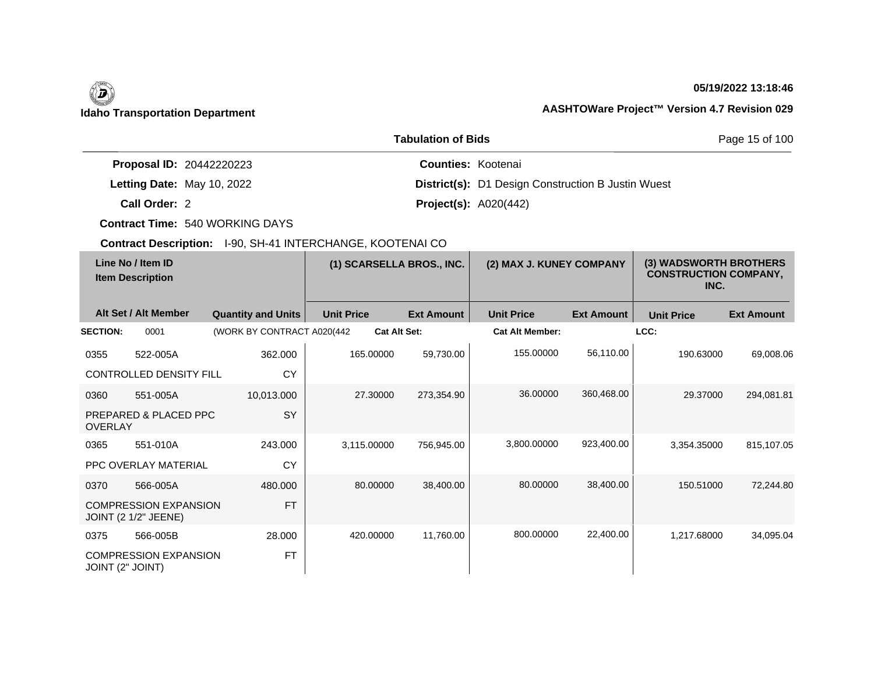## **05/19/2022 13:18:46**

# **Idaho Transportation Department AASHTOWare Project™ Version 4.7 Revision 029**

|                                 | <b>Tabulation of Bids</b>                                 | Page 15 of 100 |  |
|---------------------------------|-----------------------------------------------------------|----------------|--|
| <b>Proposal ID: 20442220223</b> | <b>Counties: Kootenai</b>                                 |                |  |
| Letting Date: May 10, 2022      | <b>District(s):</b> D1 Design Construction B Justin Wuest |                |  |
| Call Order: 2                   | <b>Project(s): A020(442)</b>                              |                |  |

**Contract Time:** 540 WORKING DAYS

| Line No / Item ID<br><b>Item Description</b> |                                                             | (1) SCARSELLA BROS., INC.   |                     | (2) MAX J. KUNEY COMPANY |                        | (3) WADSWORTH BROTHERS<br><b>CONSTRUCTION COMPANY,</b><br>INC. |                   |                   |
|----------------------------------------------|-------------------------------------------------------------|-----------------------------|---------------------|--------------------------|------------------------|----------------------------------------------------------------|-------------------|-------------------|
|                                              | Alt Set / Alt Member                                        | <b>Quantity and Units</b>   | <b>Unit Price</b>   | <b>Ext Amount</b>        | <b>Unit Price</b>      | <b>Ext Amount</b>                                              | <b>Unit Price</b> | <b>Ext Amount</b> |
| <b>SECTION:</b>                              | 0001                                                        | (WORK BY CONTRACT A020(442) | <b>Cat Alt Set:</b> |                          | <b>Cat Alt Member:</b> |                                                                | LCC:              |                   |
| 0355                                         | 522-005A                                                    | 362.000                     | 165.00000           | 59,730.00                | 155.00000              | 56,110.00                                                      | 190.63000         | 69,008.06         |
|                                              | <b>CONTROLLED DENSITY FILL</b>                              | CY                          |                     |                          |                        |                                                                |                   |                   |
| 0360                                         | 551-005A                                                    | 10,013.000                  | 27.30000            | 273,354.90               | 36.00000               | 360,468.00                                                     | 29.37000          | 294,081.81        |
| <b>OVERLAY</b>                               | PREPARED & PLACED PPC                                       | SY                          |                     |                          |                        |                                                                |                   |                   |
| 0365                                         | 551-010A                                                    | 243.000                     | 3,115.00000         | 756,945.00               | 3,800.00000            | 923,400.00                                                     | 3.354.35000       | 815,107.05        |
|                                              | PPC OVERLAY MATERIAL                                        | CY                          |                     |                          |                        |                                                                |                   |                   |
| 0370                                         | 566-005A                                                    | 480.000                     | 80.00000            | 38,400.00                | 80.00000               | 38,400.00                                                      | 150.51000         | 72,244.80         |
|                                              | <b>COMPRESSION EXPANSION</b><br><b>JOINT (2 1/2" JEENE)</b> | <b>FT</b>                   |                     |                          |                        |                                                                |                   |                   |
| 0375                                         | 566-005B                                                    | 28.000                      | 420.00000           | 11,760.00                | 800.00000              | 22,400.00                                                      | 1,217.68000       | 34,095.04         |
| JOINT (2" JOINT)                             | <b>COMPRESSION EXPANSION</b>                                | <b>FT</b>                   |                     |                          |                        |                                                                |                   |                   |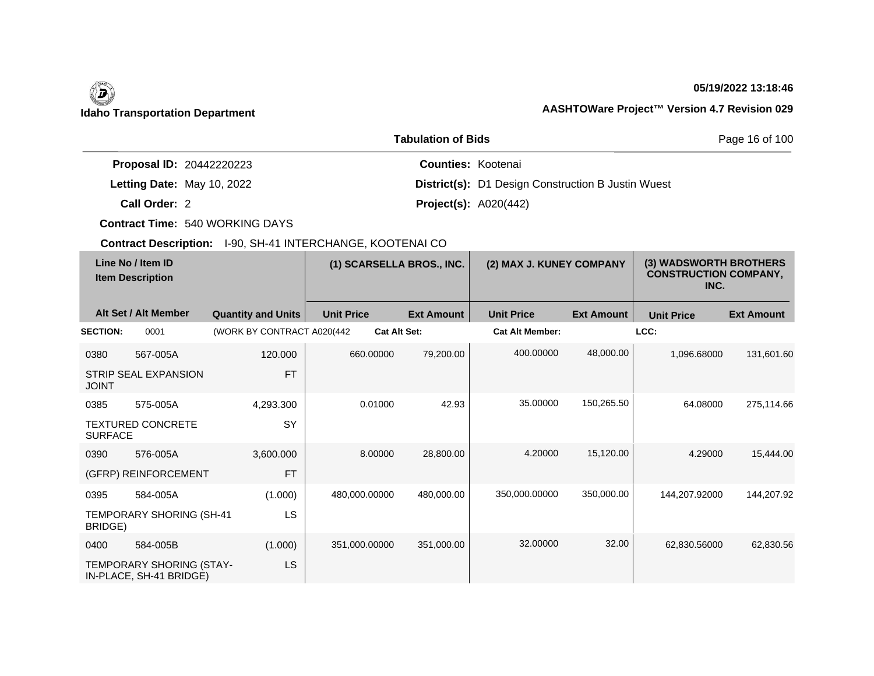## **05/19/2022 13:18:46**

|                                 | <b>Tabulation of Bids</b>                                 | Page 16 of 100 |
|---------------------------------|-----------------------------------------------------------|----------------|
| <b>Proposal ID: 20442220223</b> | <b>Counties: Kootenai</b>                                 |                |
| Letting Date: May 10, 2022      | <b>District(s):</b> D1 Design Construction B Justin Wuest |                |
| Call Order: 2                   | <b>Project(s): A020(442)</b>                              |                |

**Contract Time:** 540 WORKING DAYS

| Line No / Item ID<br><b>Item Description</b> |                                                     | (1) SCARSELLA BROS., INC.   |                   | (2) MAX J. KUNEY COMPANY |                        | (3) WADSWORTH BROTHERS<br><b>CONSTRUCTION COMPANY,</b><br>INC. |                   |                   |
|----------------------------------------------|-----------------------------------------------------|-----------------------------|-------------------|--------------------------|------------------------|----------------------------------------------------------------|-------------------|-------------------|
|                                              | Alt Set / Alt Member                                | <b>Quantity and Units</b>   | <b>Unit Price</b> | <b>Ext Amount</b>        | <b>Unit Price</b>      | <b>Ext Amount</b>                                              | <b>Unit Price</b> | <b>Ext Amount</b> |
| <b>SECTION:</b>                              | 0001                                                | (WORK BY CONTRACT A020(442) |                   | <b>Cat Alt Set:</b>      | <b>Cat Alt Member:</b> |                                                                | LCC:              |                   |
| 0380                                         | 567-005A                                            | 120,000                     | 660,00000         | 79,200.00                | 400.00000              | 48,000.00                                                      | 1,096.68000       | 131,601.60        |
| <b>JOINT</b>                                 | STRIP SEAL EXPANSION                                | <b>FT</b>                   |                   |                          |                        |                                                                |                   |                   |
| 0385                                         | 575-005A                                            | 4,293.300                   | 0.01000           | 42.93                    | 35.00000               | 150,265.50                                                     | 64.08000          | 275,114.66        |
| <b>SURFACE</b>                               | <b>TEXTURED CONCRETE</b>                            | <b>SY</b>                   |                   |                          |                        |                                                                |                   |                   |
| 0390                                         | 576-005A                                            | 3,600.000                   | 8.00000           | 28,800.00                | 4.20000                | 15,120.00                                                      | 4.29000           | 15,444.00         |
|                                              | (GFRP) REINFORCEMENT                                | <b>FT</b>                   |                   |                          |                        |                                                                |                   |                   |
| 0395                                         | 584-005A                                            | (1.000)                     | 480,000.00000     | 480,000.00               | 350,000.00000          | 350,000.00                                                     | 144,207.92000     | 144,207.92        |
| BRIDGE)                                      | TEMPORARY SHORING (SH-41                            | LS                          |                   |                          |                        |                                                                |                   |                   |
| 0400                                         | 584-005B                                            | (1.000)                     | 351,000.00000     | 351,000.00               | 32.00000               | 32.00                                                          | 62,830.56000      | 62,830.56         |
|                                              | TEMPORARY SHORING (STAY-<br>IN-PLACE, SH-41 BRIDGE) | LS                          |                   |                          |                        |                                                                |                   |                   |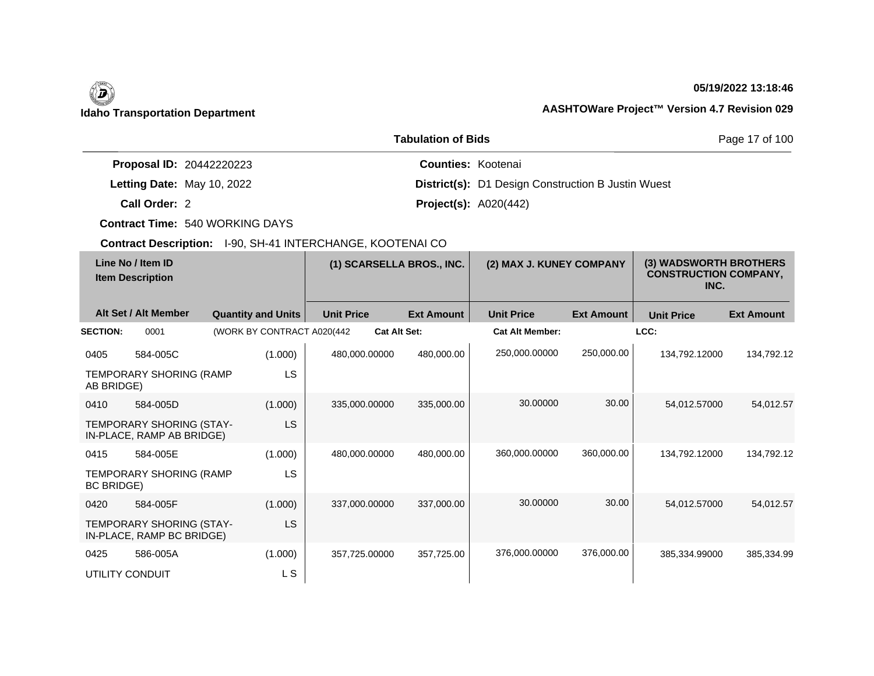# $\left(\begin{matrix} \n\end{matrix}\right)$

## **05/19/2022 13:18:46**

# **Idaho Transportation Department AASHTOWare Project™ Version 4.7 Revision 029**

|                                 | <b>Tabulation of Bids</b>                                 | Page 17 of 100 |
|---------------------------------|-----------------------------------------------------------|----------------|
| <b>Proposal ID: 20442220223</b> | <b>Counties: Kootenai</b>                                 |                |
| Letting Date: May 10, 2022      | <b>District(s):</b> D1 Design Construction B Justin Wuest |                |
| Call Order: 2                   | <b>Project(s): A020(442)</b>                              |                |

**Contract Time:** 540 WORKING DAYS

| Line No / Item ID<br><b>Item Description</b> |                                                       | (1) SCARSELLA BROS., INC.   |           | (2) MAX J. KUNEY COMPANY |                     | (3) WADSWORTH BROTHERS<br><b>CONSTRUCTION COMPANY,</b><br>INC. |                        |                   |                   |                   |
|----------------------------------------------|-------------------------------------------------------|-----------------------------|-----------|--------------------------|---------------------|----------------------------------------------------------------|------------------------|-------------------|-------------------|-------------------|
|                                              | Alt Set / Alt Member                                  | <b>Quantity and Units</b>   |           | <b>Unit Price</b>        |                     | <b>Ext Amount</b>                                              | <b>Unit Price</b>      | <b>Ext Amount</b> | <b>Unit Price</b> | <b>Ext Amount</b> |
| <b>SECTION:</b>                              | 0001                                                  | (WORK BY CONTRACT A020(442) |           |                          | <b>Cat Alt Set:</b> |                                                                | <b>Cat Alt Member:</b> |                   | LCC:              |                   |
| 0405                                         | 584-005C                                              |                             | (1.000)   | 480.000.00000            |                     | 480,000.00                                                     | 250,000.00000          | 250,000.00        | 134,792.12000     | 134,792.12        |
| AB BRIDGE)                                   | TEMPORARY SHORING (RAMP                               |                             | LS        |                          |                     |                                                                |                        |                   |                   |                   |
| 0410                                         | 584-005D                                              |                             | (1.000)   | 335.000.00000            |                     | 335,000.00                                                     | 30.00000               | 30.00             | 54.012.57000      | 54.012.57         |
|                                              | TEMPORARY SHORING (STAY-<br>IN-PLACE, RAMP AB BRIDGE) |                             | LS        |                          |                     |                                                                |                        |                   |                   |                   |
| 0415                                         | 584-005E                                              |                             | (1.000)   | 480.000.00000            |                     | 480.000.00                                                     | 360,000.00000          | 360,000.00        | 134,792.12000     | 134.792.12        |
| <b>BC BRIDGE)</b>                            | TEMPORARY SHORING (RAMP                               |                             | LS        |                          |                     |                                                                |                        |                   |                   |                   |
| 0420                                         | 584-005F                                              |                             | (1.000)   | 337,000.00000            |                     | 337,000.00                                                     | 30.00000               | 30.00             | 54,012.57000      | 54,012.57         |
|                                              | TEMPORARY SHORING (STAY-<br>IN-PLACE, RAMP BC BRIDGE) |                             | <b>LS</b> |                          |                     |                                                                |                        |                   |                   |                   |
| 0425                                         | 586-005A                                              |                             | (1.000)   | 357,725.00000            |                     | 357,725.00                                                     | 376,000.00000          | 376,000.00        | 385,334.99000     | 385,334.99        |
|                                              | UTILITY CONDUIT                                       |                             | L S       |                          |                     |                                                                |                        |                   |                   |                   |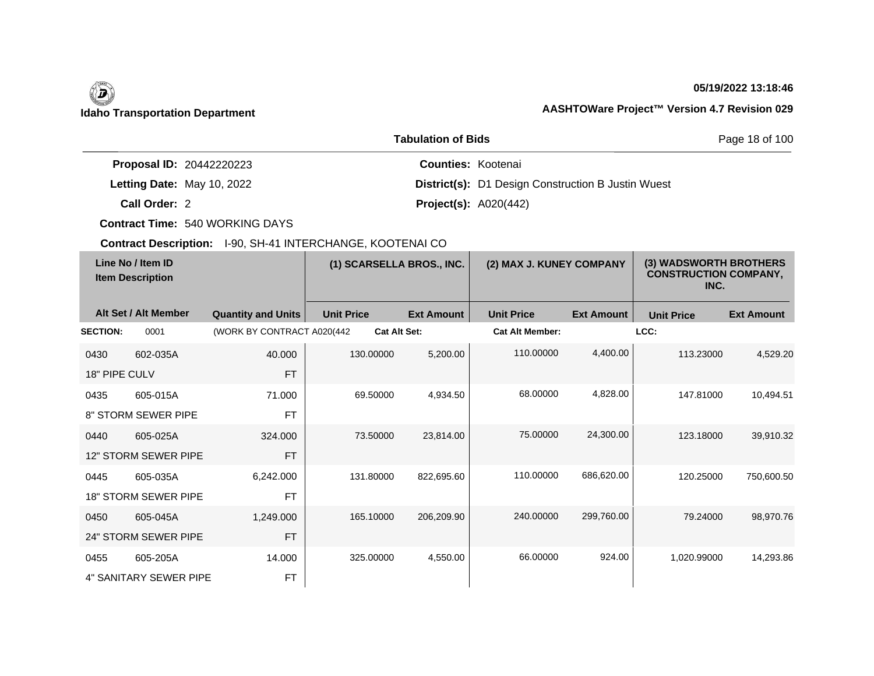# $\left(\begin{matrix} \n\end{matrix}\right)$

### **05/19/2022 13:18:46**

# **Idaho Transportation Department AASHTOWare Project™ Version 4.7 Revision 029**

|                                 | <b>Tabulation of Bids</b>                                 | Page 18 of 100 |
|---------------------------------|-----------------------------------------------------------|----------------|
| <b>Proposal ID: 20442220223</b> | <b>Counties: Kootenai</b>                                 |                |
| Letting Date: May 10, 2022      | <b>District(s):</b> D1 Design Construction B Justin Wuest |                |
| Call Order: 2                   | <b>Project(s):</b> $A020(442)$                            |                |

**Contract Time:** 540 WORKING DAYS

| Line No / Item ID<br><b>Item Description</b> |                             | (1) SCARSELLA BROS., INC.   |                     | (2) MAX J. KUNEY COMPANY |                        | (3) WADSWORTH BROTHERS<br><b>CONSTRUCTION COMPANY,</b><br>INC. |                   |                   |
|----------------------------------------------|-----------------------------|-----------------------------|---------------------|--------------------------|------------------------|----------------------------------------------------------------|-------------------|-------------------|
|                                              | Alt Set / Alt Member        | <b>Quantity and Units</b>   | <b>Unit Price</b>   | <b>Ext Amount</b>        | <b>Unit Price</b>      | <b>Ext Amount</b>                                              | <b>Unit Price</b> | <b>Ext Amount</b> |
| <b>SECTION:</b>                              | 0001                        | (WORK BY CONTRACT A020(442) | <b>Cat Alt Set:</b> |                          | <b>Cat Alt Member:</b> |                                                                | LCC:              |                   |
| 0430                                         | 602-035A                    | 40.000                      | 130.00000           | 5,200.00                 | 110.00000              | 4,400.00                                                       | 113.23000         | 4,529.20          |
| 18" PIPE CULV                                |                             | <b>FT</b>                   |                     |                          |                        |                                                                |                   |                   |
| 0435                                         | 605-015A                    | 71.000                      | 69.50000            | 4,934.50                 | 68.00000               | 4,828.00                                                       | 147.81000         | 10,494.51         |
|                                              | 8" STORM SEWER PIPE         | <b>FT</b>                   |                     |                          |                        |                                                                |                   |                   |
| 0440                                         | 605-025A                    | 324.000                     | 73.50000            | 23,814.00                | 75.00000               | 24,300.00                                                      | 123.18000         | 39,910.32         |
|                                              | 12" STORM SEWER PIPE        | <b>FT</b>                   |                     |                          |                        |                                                                |                   |                   |
| 0445                                         | 605-035A                    | 6,242.000                   | 131.80000           | 822,695.60               | 110.00000              | 686,620.00                                                     | 120.25000         | 750,600.50        |
|                                              | <b>18" STORM SEWER PIPE</b> | <b>FT</b>                   |                     |                          |                        |                                                                |                   |                   |
| 0450                                         | 605-045A                    | 1,249.000                   | 165.10000           | 206,209.90               | 240,00000              | 299,760.00                                                     | 79.24000          | 98,970.76         |
|                                              | 24" STORM SEWER PIPE        | <b>FT</b>                   |                     |                          |                        |                                                                |                   |                   |
| 0455                                         | 605-205A                    | 14.000                      | 325.00000           | 4,550.00                 | 66,00000               | 924.00                                                         | 1,020.99000       | 14,293.86         |
|                                              | 4" SANITARY SEWER PIPE      | <b>FT</b>                   |                     |                          |                        |                                                                |                   |                   |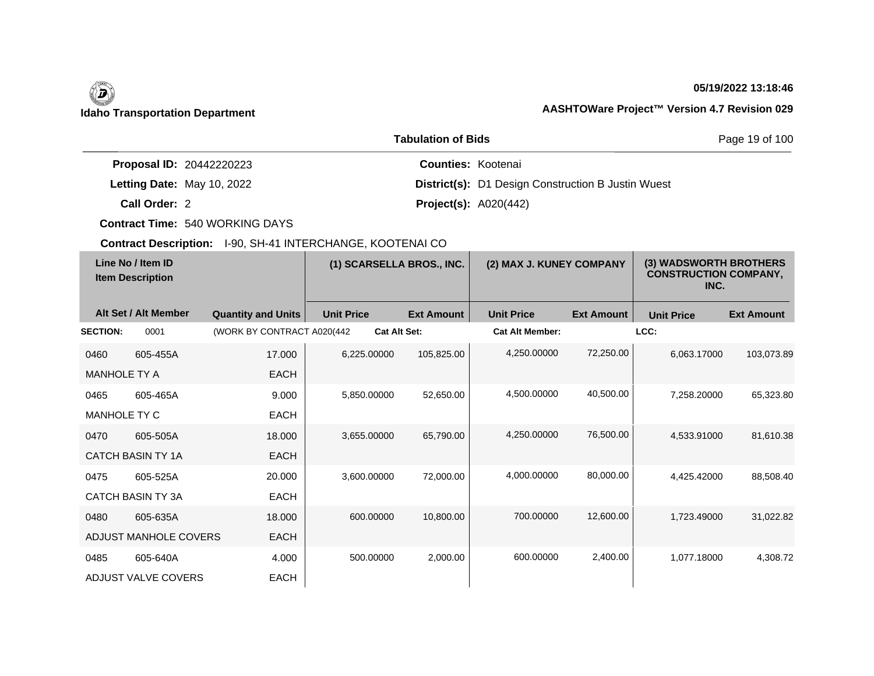## **05/19/2022 13:18:46**

|                                 | <b>Tabulation of Bids</b>                                 | Page 19 of 100 |
|---------------------------------|-----------------------------------------------------------|----------------|
| <b>Proposal ID: 20442220223</b> | <b>Counties: Kootenai</b>                                 |                |
| Letting Date: May 10, 2022      | <b>District(s):</b> D1 Design Construction B Justin Wuest |                |
| Call Order: 2                   | <b>Project(s): A020(442)</b>                              |                |

**Contract Time:** 540 WORKING DAYS

| Line No / Item ID<br><b>Item Description</b> |                          | (1) SCARSELLA BROS., INC.  |                   | (2) MAX J. KUNEY COMPANY |                        | (3) WADSWORTH BROTHERS<br><b>CONSTRUCTION COMPANY,</b><br>INC. |                   |                   |
|----------------------------------------------|--------------------------|----------------------------|-------------------|--------------------------|------------------------|----------------------------------------------------------------|-------------------|-------------------|
|                                              | Alt Set / Alt Member     | <b>Quantity and Units</b>  | <b>Unit Price</b> | <b>Ext Amount</b>        | <b>Unit Price</b>      | <b>Ext Amount</b>                                              | <b>Unit Price</b> | <b>Ext Amount</b> |
| <b>SECTION:</b>                              | 0001                     | (WORK BY CONTRACT A020(442 |                   | <b>Cat Alt Set:</b>      | <b>Cat Alt Member:</b> |                                                                | LCC:              |                   |
| 0460                                         | 605-455A                 | 17.000                     | 6.225.00000       | 105,825.00               | 4,250.00000            | 72,250.00                                                      | 6.063.17000       | 103,073.89        |
| <b>MANHOLE TY A</b>                          |                          | <b>EACH</b>                |                   |                          |                        |                                                                |                   |                   |
| 0465                                         | 605-465A                 | 9.000                      | 5,850.00000       | 52,650.00                | 4,500.00000            | 40,500.00                                                      | 7,258.20000       | 65,323.80         |
| <b>MANHOLE TY C</b>                          |                          | <b>EACH</b>                |                   |                          |                        |                                                                |                   |                   |
| 0470                                         | 605-505A                 | 18.000                     | 3.655.00000       | 65.790.00                | 4,250.00000            | 76,500.00                                                      | 4.533.91000       | 81,610.38         |
|                                              | <b>CATCH BASIN TY 1A</b> | <b>EACH</b>                |                   |                          |                        |                                                                |                   |                   |
| 0475                                         | 605-525A                 | 20,000                     | 3.600.00000       | 72,000.00                | 4,000.00000            | 80,000.00                                                      | 4.425.42000       | 88,508.40         |
|                                              | <b>CATCH BASIN TY 3A</b> | <b>EACH</b>                |                   |                          |                        |                                                                |                   |                   |
| 0480                                         | 605-635A                 | 18.000                     | 600.00000         | 10,800.00                | 700.00000              | 12,600.00                                                      | 1.723.49000       | 31,022.82         |
|                                              | ADJUST MANHOLE COVERS    | <b>EACH</b>                |                   |                          |                        |                                                                |                   |                   |
| 0485                                         | 605-640A                 | 4.000                      | 500.00000         | 2,000.00                 | 600.00000              | 2,400.00                                                       | 1.077.18000       | 4.308.72          |
|                                              | ADJUST VALVE COVERS      | <b>EACH</b>                |                   |                          |                        |                                                                |                   |                   |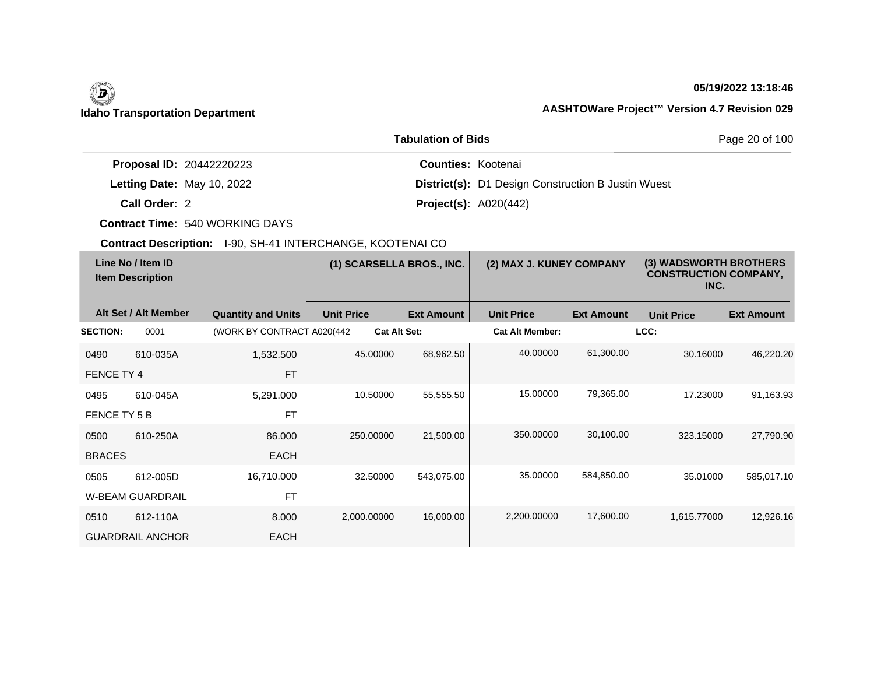## **05/19/2022 13:18:46**

|                                 | <b>Tabulation of Bids</b>                                 | Page 20 of 100 |
|---------------------------------|-----------------------------------------------------------|----------------|
| <b>Proposal ID: 20442220223</b> | <b>Counties: Kootenai</b>                                 |                |
| Letting Date: May 10, 2022      | <b>District(s):</b> D1 Design Construction B Justin Wuest |                |
| Call Order: 2                   | <b>Project(s): A020(442)</b>                              |                |

**Contract Time:** 540 WORKING DAYS

| Line No / Item ID<br><b>Item Description</b> |                         | (1) SCARSELLA BROS., INC.  |                   | (2) MAX J. KUNEY COMPANY |                   | (3) WADSWORTH BROTHERS<br><b>CONSTRUCTION COMPANY,</b><br>INC. |                   |                   |                   |
|----------------------------------------------|-------------------------|----------------------------|-------------------|--------------------------|-------------------|----------------------------------------------------------------|-------------------|-------------------|-------------------|
|                                              | Alt Set / Alt Member    | <b>Quantity and Units</b>  | <b>Unit Price</b> |                          | <b>Ext Amount</b> | <b>Unit Price</b>                                              | <b>Ext Amount</b> | <b>Unit Price</b> | <b>Ext Amount</b> |
| <b>SECTION:</b>                              | 0001                    | (WORK BY CONTRACT A020(442 |                   | <b>Cat Alt Set:</b>      |                   | <b>Cat Alt Member:</b>                                         |                   | LCC:              |                   |
| 0490                                         | 610-035A                | 1,532.500                  |                   | 45.00000                 | 68,962.50         | 40.00000                                                       | 61,300.00         | 30.16000          | 46,220.20         |
| FENCE TY 4                                   |                         | <b>FT</b>                  |                   |                          |                   |                                                                |                   |                   |                   |
| 0495                                         | 610-045A                | 5,291.000                  |                   | 10.50000                 | 55,555.50         | 15.00000                                                       | 79,365.00         | 17.23000          | 91,163.93         |
| FENCE TY 5 B                                 |                         | <b>FT</b>                  |                   |                          |                   |                                                                |                   |                   |                   |
| 0500                                         | 610-250A                | 86.000                     |                   | 250,00000                | 21,500.00         | 350.00000                                                      | 30,100.00         | 323.15000         | 27,790.90         |
| <b>BRACES</b>                                |                         | <b>EACH</b>                |                   |                          |                   |                                                                |                   |                   |                   |
| 0505                                         | 612-005D                | 16,710.000                 |                   | 32.50000                 | 543,075.00        | 35.00000                                                       | 584,850.00        | 35.01000          | 585,017.10        |
|                                              | <b>W-BEAM GUARDRAIL</b> | <b>FT</b>                  |                   |                          |                   |                                                                |                   |                   |                   |
| 0510                                         | 612-110A                | 8.000                      |                   | 2,000.00000              | 16,000.00         | 2,200.00000                                                    | 17,600.00         | 1,615.77000       | 12,926.16         |
|                                              | <b>GUARDRAIL ANCHOR</b> | <b>EACH</b>                |                   |                          |                   |                                                                |                   |                   |                   |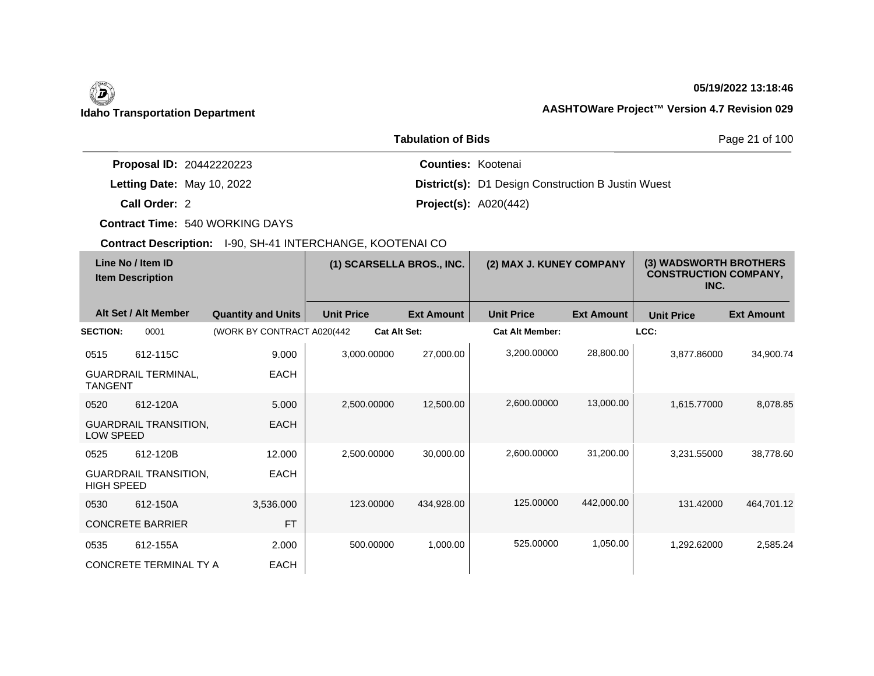# $\left(\begin{matrix} \n\end{matrix}\right)$

## **05/19/2022 13:18:46**

# **Idaho Transportation Department AASHTOWare Project™ Version 4.7 Revision 029**

|                                 | <b>Tabulation of Bids</b>                                 | Page 21 of 100 |
|---------------------------------|-----------------------------------------------------------|----------------|
| <b>Proposal ID: 20442220223</b> | <b>Counties: Kootenai</b>                                 |                |
| Letting Date: May 10, 2022      | <b>District(s):</b> D1 Design Construction B Justin Wuest |                |
| Call Order: 2                   | <b>Project(s):</b> $A020(442)$                            |                |

**Contract Time:** 540 WORKING DAYS

| Line No / Item ID<br><b>Item Description</b> |                              | (1) SCARSELLA BROS., INC.   |                     | (2) MAX J. KUNEY COMPANY |                        | (3) WADSWORTH BROTHERS<br><b>CONSTRUCTION COMPANY,</b><br>INC. |                   |                   |
|----------------------------------------------|------------------------------|-----------------------------|---------------------|--------------------------|------------------------|----------------------------------------------------------------|-------------------|-------------------|
|                                              | Alt Set / Alt Member         | <b>Quantity and Units</b>   | <b>Unit Price</b>   | <b>Ext Amount</b>        | <b>Unit Price</b>      | <b>Ext Amount</b>                                              | <b>Unit Price</b> | <b>Ext Amount</b> |
| <b>SECTION:</b>                              | 0001                         | (WORK BY CONTRACT A020(442) | <b>Cat Alt Set:</b> |                          | <b>Cat Alt Member:</b> |                                                                | LCC:              |                   |
| 0515                                         | 612-115C                     | 9.000                       | 3.000.00000         | 27,000.00                | 3,200.00000            | 28,800.00                                                      | 3.877.86000       | 34,900.74         |
| <b>TANGENT</b>                               | <b>GUARDRAIL TERMINAL,</b>   | <b>EACH</b>                 |                     |                          |                        |                                                                |                   |                   |
| 0520                                         | 612-120A                     | 5.000                       | 2,500.00000         | 12,500.00                | 2,600.00000            | 13,000.00                                                      | 1,615.77000       | 8,078.85          |
| LOW SPEED                                    | <b>GUARDRAIL TRANSITION,</b> | <b>EACH</b>                 |                     |                          |                        |                                                                |                   |                   |
| 0525                                         | 612-120B                     | 12.000                      | 2,500.00000         | 30,000.00                | 2,600.00000            | 31,200.00                                                      | 3.231.55000       | 38,778.60         |
| <b>HIGH SPEED</b>                            | <b>GUARDRAIL TRANSITION,</b> | <b>EACH</b>                 |                     |                          |                        |                                                                |                   |                   |
| 0530                                         | 612-150A                     | 3,536.000                   | 123.00000           | 434,928.00               | 125.00000              | 442,000.00                                                     | 131.42000         | 464,701.12        |
|                                              | <b>CONCRETE BARRIER</b>      | <b>FT</b>                   |                     |                          |                        |                                                                |                   |                   |
| 0535                                         | 612-155A                     | 2.000                       | 500.00000           | 1.000.00                 | 525.00000              | 1,050.00                                                       | 1.292.62000       | 2.585.24          |
|                                              | CONCRETE TERMINAL TY A       | <b>EACH</b>                 |                     |                          |                        |                                                                |                   |                   |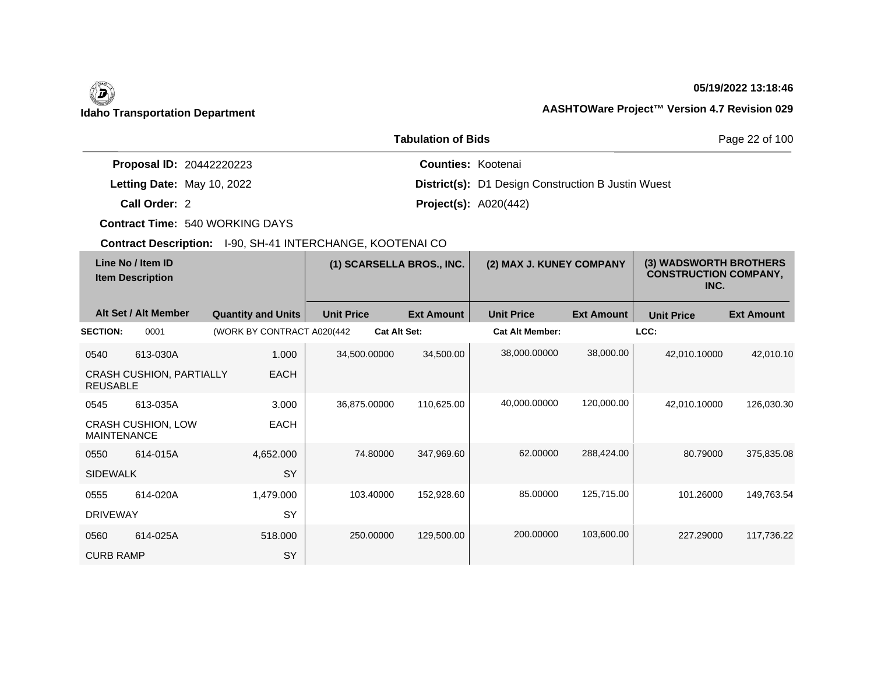## **05/19/2022 13:18:46**

|                                 | <b>Tabulation of Bids</b>                                 | Page 22 of 100 |
|---------------------------------|-----------------------------------------------------------|----------------|
| <b>Proposal ID: 20442220223</b> | <b>Counties: Kootenai</b>                                 |                |
| Letting Date: May 10, 2022      | <b>District(s):</b> D1 Design Construction B Justin Wuest |                |
| Call Order: 2                   | <b>Project(s): A020(442)</b>                              |                |

**Contract Time:** 540 WORKING DAYS

| <b>OUTHACLOGOFIQUOIL</b> TOO, OIL TERRICHOLIANOE, NOOTENATOO |                                 |                            |                   |                          |                   |                                                                |                   |                   |                   |
|--------------------------------------------------------------|---------------------------------|----------------------------|-------------------|--------------------------|-------------------|----------------------------------------------------------------|-------------------|-------------------|-------------------|
| Line No / Item ID<br><b>Item Description</b>                 |                                 | (1) SCARSELLA BROS., INC.  |                   | (2) MAX J. KUNEY COMPANY |                   | (3) WADSWORTH BROTHERS<br><b>CONSTRUCTION COMPANY,</b><br>INC. |                   |                   |                   |
|                                                              | Alt Set / Alt Member            | <b>Quantity and Units</b>  | <b>Unit Price</b> |                          | <b>Ext Amount</b> | <b>Unit Price</b>                                              | <b>Ext Amount</b> | <b>Unit Price</b> | <b>Ext Amount</b> |
| <b>SECTION:</b>                                              | 0001                            | (WORK BY CONTRACT A020(442 |                   | <b>Cat Alt Set:</b>      |                   | <b>Cat Alt Member:</b>                                         |                   | LCC:              |                   |
| 0540                                                         | 613-030A                        | 1.000                      |                   | 34,500.00000             | 34,500.00         | 38,000.00000                                                   | 38,000.00         | 42,010.10000      | 42,010.10         |
| <b>REUSABLE</b>                                              | <b>CRASH CUSHION, PARTIALLY</b> | <b>EACH</b>                |                   |                          |                   |                                                                |                   |                   |                   |
| 0545                                                         | 613-035A                        | 3.000                      |                   | 36,875.00000             | 110,625.00        | 40,000.00000                                                   | 120,000.00        | 42,010.10000      | 126,030.30        |
| <b>MAINTENANCE</b>                                           | <b>CRASH CUSHION, LOW</b>       | <b>EACH</b>                |                   |                          |                   |                                                                |                   |                   |                   |
| 0550                                                         | 614-015A                        | 4,652.000                  |                   | 74.80000                 | 347,969.60        | 62.00000                                                       | 288,424.00        | 80.79000          | 375,835.08        |
| <b>SIDEWALK</b>                                              |                                 | <b>SY</b>                  |                   |                          |                   |                                                                |                   |                   |                   |
| 0555                                                         | 614-020A                        | 1,479.000                  |                   | 103.40000                | 152,928.60        | 85.00000                                                       | 125,715.00        | 101.26000         | 149,763.54        |
| <b>DRIVEWAY</b>                                              |                                 | <b>SY</b>                  |                   |                          |                   |                                                                |                   |                   |                   |
| 0560                                                         | 614-025A                        | 518.000                    |                   | 250.00000                | 129,500.00        | 200.00000                                                      | 103,600.00        | 227.29000         | 117,736.22        |
| <b>CURB RAMP</b>                                             |                                 | SY                         |                   |                          |                   |                                                                |                   |                   |                   |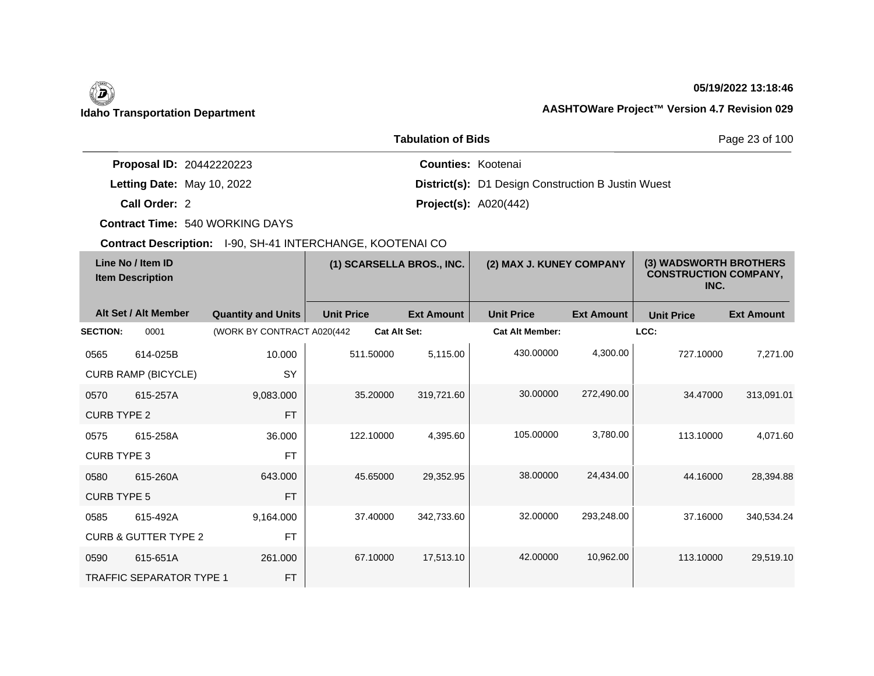### **05/19/2022 13:18:46**

|                                 | <b>Tabulation of Bids</b>                                 | Page 23 of 100 |
|---------------------------------|-----------------------------------------------------------|----------------|
| <b>Proposal ID: 20442220223</b> | <b>Counties: Kootenai</b>                                 |                |
| Letting Date: May 10, 2022      | <b>District(s):</b> D1 Design Construction B Justin Wuest |                |
| Call Order: 2                   | <b>Project(s): A020(442)</b>                              |                |

**Contract Time:** 540 WORKING DAYS

| Line No / Item ID<br><b>Item Description</b> |                                 | (1) SCARSELLA BROS., INC.  |                     | (2) MAX J. KUNEY COMPANY |                        | (3) WADSWORTH BROTHERS<br><b>CONSTRUCTION COMPANY,</b><br>INC. |                   |                   |
|----------------------------------------------|---------------------------------|----------------------------|---------------------|--------------------------|------------------------|----------------------------------------------------------------|-------------------|-------------------|
|                                              | Alt Set / Alt Member            | <b>Quantity and Units</b>  | <b>Unit Price</b>   | <b>Ext Amount</b>        | <b>Unit Price</b>      | <b>Ext Amount</b>                                              | <b>Unit Price</b> | <b>Ext Amount</b> |
| <b>SECTION:</b>                              | 0001                            | (WORK BY CONTRACT A020(442 | <b>Cat Alt Set:</b> |                          | <b>Cat Alt Member:</b> |                                                                | LCC:              |                   |
| 0565                                         | 614-025B                        | 10.000                     | 511.50000           | 5,115.00                 | 430.00000              | 4,300.00                                                       | 727.10000         | 7,271.00          |
|                                              | <b>CURB RAMP (BICYCLE)</b>      | SY                         |                     |                          |                        |                                                                |                   |                   |
| 0570                                         | 615-257A                        | 9,083.000                  | 35.20000            | 319,721.60               | 30.00000               | 272,490.00                                                     | 34.47000          | 313,091.01        |
| <b>CURB TYPE 2</b>                           |                                 | <b>FT</b>                  |                     |                          |                        |                                                                |                   |                   |
| 0575                                         | 615-258A                        | 36.000                     | 122.10000           | 4,395.60                 | 105.00000              | 3,780.00                                                       | 113.10000         | 4,071.60          |
| <b>CURB TYPE 3</b>                           |                                 | <b>FT</b>                  |                     |                          |                        |                                                                |                   |                   |
| 0580                                         | 615-260A                        | 643.000                    | 45.65000            | 29,352.95                | 38.00000               | 24,434.00                                                      | 44.16000          | 28,394.88         |
| <b>CURB TYPE 5</b>                           |                                 | <b>FT</b>                  |                     |                          |                        |                                                                |                   |                   |
| 0585                                         | 615-492A                        | 9,164.000                  | 37.40000            | 342,733.60               | 32.00000               | 293,248.00                                                     | 37.16000          | 340,534.24        |
|                                              | <b>CURB &amp; GUTTER TYPE 2</b> | <b>FT</b>                  |                     |                          |                        |                                                                |                   |                   |
| 0590                                         | 615-651A                        | 261.000                    | 67.10000            | 17,513.10                | 42.00000               | 10,962.00                                                      | 113.10000         | 29,519.10         |
|                                              | <b>TRAFFIC SEPARATOR TYPE 1</b> | <b>FT</b>                  |                     |                          |                        |                                                                |                   |                   |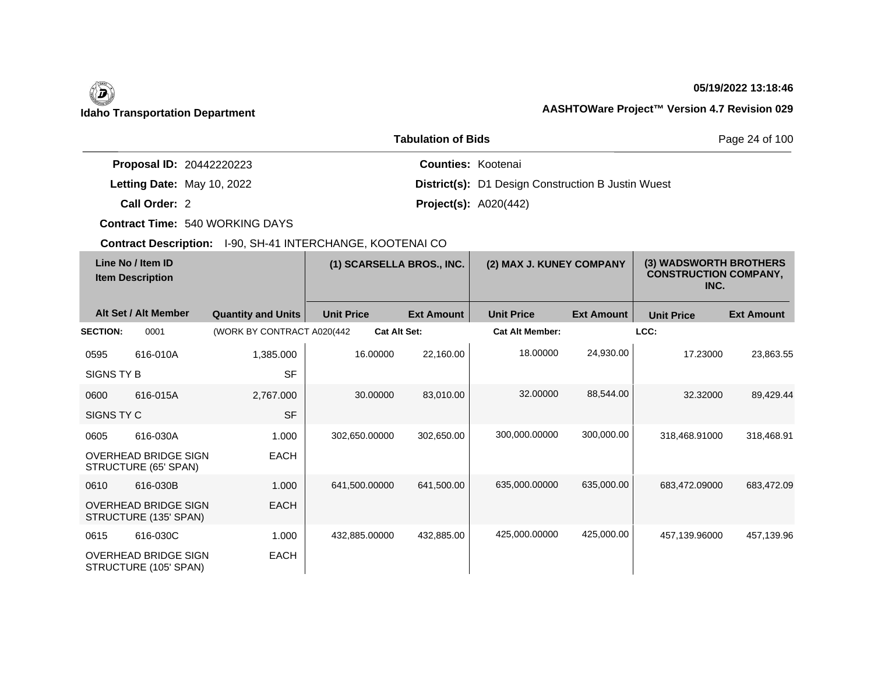## **05/19/2022 13:18:46**

# **Idaho Transportation Department AASHTOWare Project™ Version 4.7 Revision 029**

|                                 | Page 24 of 100                                            |  |
|---------------------------------|-----------------------------------------------------------|--|
| <b>Proposal ID: 20442220223</b> | <b>Counties: Kootenai</b>                                 |  |
| Letting Date: May 10, 2022      | <b>District(s):</b> D1 Design Construction B Justin Wuest |  |
| Call Order: 2                   | <b>Project(s):</b> $A020(442)$                            |  |

**Contract Time:** 540 WORKING DAYS

| Line No / Item ID<br><b>Item Description</b> |                                                      | (1) SCARSELLA BROS., INC.   |                   | (2) MAX J. KUNEY COMPANY |                        | (3) WADSWORTH BROTHERS<br><b>CONSTRUCTION COMPANY,</b><br>INC. |                   |                   |
|----------------------------------------------|------------------------------------------------------|-----------------------------|-------------------|--------------------------|------------------------|----------------------------------------------------------------|-------------------|-------------------|
|                                              | Alt Set / Alt Member                                 | <b>Quantity and Units</b>   | <b>Unit Price</b> | <b>Ext Amount</b>        | <b>Unit Price</b>      | <b>Ext Amount</b>                                              | <b>Unit Price</b> | <b>Ext Amount</b> |
| <b>SECTION:</b>                              | 0001                                                 | (WORK BY CONTRACT A020(442) |                   | <b>Cat Alt Set:</b>      | <b>Cat Alt Member:</b> |                                                                | LCC:              |                   |
| 0595                                         | 616-010A                                             | 1,385.000                   | 16.00000          | 22,160.00                | 18.00000               | 24,930.00                                                      | 17.23000          | 23,863.55         |
| SIGNS TY B                                   |                                                      | <b>SF</b>                   |                   |                          |                        |                                                                |                   |                   |
| 0600                                         | 616-015A                                             | 2,767.000                   | 30.00000          | 83,010.00                | 32,00000               | 88,544.00                                                      | 32.32000          | 89,429.44         |
| SIGNS TY C                                   |                                                      | <b>SF</b>                   |                   |                          |                        |                                                                |                   |                   |
| 0605                                         | 616-030A                                             | 1.000                       | 302,650.00000     | 302,650.00               | 300,000.00000          | 300,000.00                                                     | 318,468.91000     | 318,468.91        |
|                                              | <b>OVERHEAD BRIDGE SIGN</b><br>STRUCTURE (65' SPAN)  | <b>EACH</b>                 |                   |                          |                        |                                                                |                   |                   |
| 0610                                         | 616-030B                                             | 1.000                       | 641,500.00000     | 641,500.00               | 635,000.00000          | 635,000.00                                                     | 683,472.09000     | 683,472.09        |
|                                              | <b>OVERHEAD BRIDGE SIGN</b><br>STRUCTURE (135' SPAN) | <b>EACH</b>                 |                   |                          |                        |                                                                |                   |                   |
| 0615                                         | 616-030C                                             | 1.000                       | 432,885.00000     | 432,885.00               | 425,000.00000          | 425,000.00                                                     | 457,139.96000     | 457,139.96        |
|                                              | <b>OVERHEAD BRIDGE SIGN</b><br>STRUCTURE (105' SPAN) | <b>EACH</b>                 |                   |                          |                        |                                                                |                   |                   |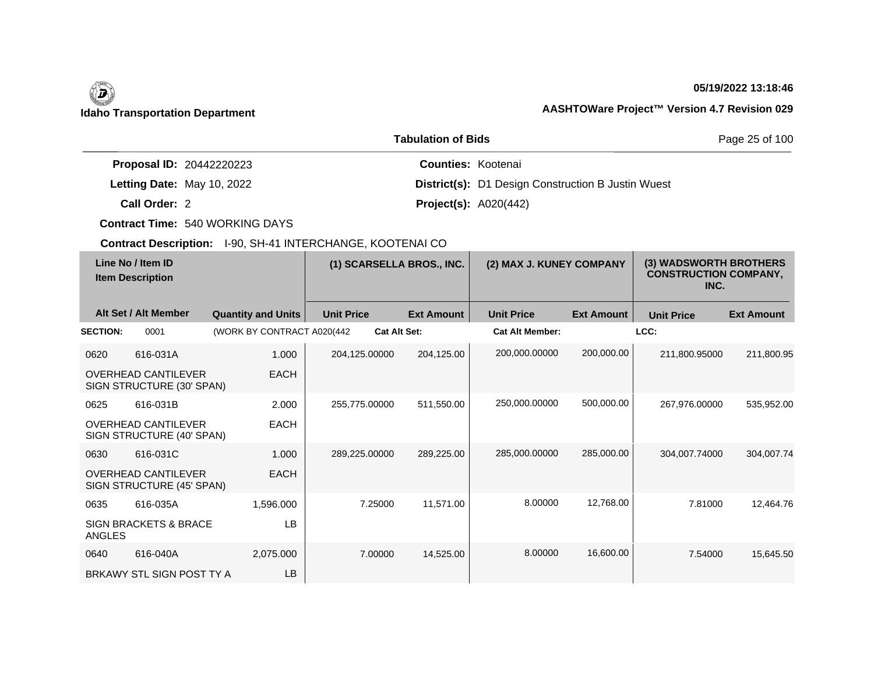## **05/19/2022 13:18:46**

# **Idaho Transportation Department AASHTOWare Project™ Version 4.7 Revision 029**

|                                 | Page 25 of 100                                            |  |
|---------------------------------|-----------------------------------------------------------|--|
| <b>Proposal ID: 20442220223</b> | <b>Counties: Kootenai</b>                                 |  |
| Letting Date: May 10, 2022      | <b>District(s):</b> D1 Design Construction B Justin Wuest |  |
| Call Order: 2                   | <b>Project(s): A020(442)</b>                              |  |

**Contract Time:** 540 WORKING DAYS

| Line No / Item ID<br><b>Item Description</b> |                                                         | (1) SCARSELLA BROS., INC.   |                   | (2) MAX J. KUNEY COMPANY |                        | (3) WADSWORTH BROTHERS<br><b>CONSTRUCTION COMPANY,</b><br>INC. |                   |                   |
|----------------------------------------------|---------------------------------------------------------|-----------------------------|-------------------|--------------------------|------------------------|----------------------------------------------------------------|-------------------|-------------------|
|                                              | Alt Set / Alt Member                                    | <b>Quantity and Units</b>   | <b>Unit Price</b> | <b>Ext Amount</b>        | <b>Unit Price</b>      | <b>Ext Amount</b>                                              | <b>Unit Price</b> | <b>Ext Amount</b> |
| <b>SECTION:</b>                              | 0001                                                    | (WORK BY CONTRACT A020(442) |                   | <b>Cat Alt Set:</b>      | <b>Cat Alt Member:</b> |                                                                | LCC:              |                   |
| 0620                                         | 616-031A                                                | 1.000                       | 204,125.00000     | 204,125.00               | 200,000.00000          | 200,000.00                                                     | 211,800.95000     | 211,800.95        |
|                                              | <b>OVERHEAD CANTILEVER</b><br>SIGN STRUCTURE (30' SPAN) | <b>EACH</b>                 |                   |                          |                        |                                                                |                   |                   |
| 0625                                         | 616-031B                                                | 2.000                       | 255,775.00000     | 511,550.00               | 250,000.00000          | 500,000.00                                                     | 267,976.00000     | 535,952.00        |
|                                              | <b>OVERHEAD CANTILEVER</b><br>SIGN STRUCTURE (40' SPAN) | <b>EACH</b>                 |                   |                          |                        |                                                                |                   |                   |
| 0630                                         | 616-031C                                                | 1.000                       | 289,225.00000     | 289,225.00               | 285,000.00000          | 285,000.00                                                     | 304,007.74000     | 304,007.74        |
|                                              | <b>OVERHEAD CANTILEVER</b><br>SIGN STRUCTURE (45' SPAN) | <b>EACH</b>                 |                   |                          |                        |                                                                |                   |                   |
| 0635                                         | 616-035A                                                | 1,596.000                   |                   | 7.25000<br>11,571.00     | 8.00000                | 12,768.00                                                      | 7.81000           | 12,464.76         |
| ANGLES                                       | <b>SIGN BRACKETS &amp; BRACE</b>                        | LB.                         |                   |                          |                        |                                                                |                   |                   |
| 0640                                         | 616-040A                                                | 2,075.000                   |                   | 7.00000<br>14,525.00     | 8.00000                | 16,600.00                                                      | 7.54000           | 15,645.50         |
|                                              | BRKAWY STL SIGN POST TY A                               | LB.                         |                   |                          |                        |                                                                |                   |                   |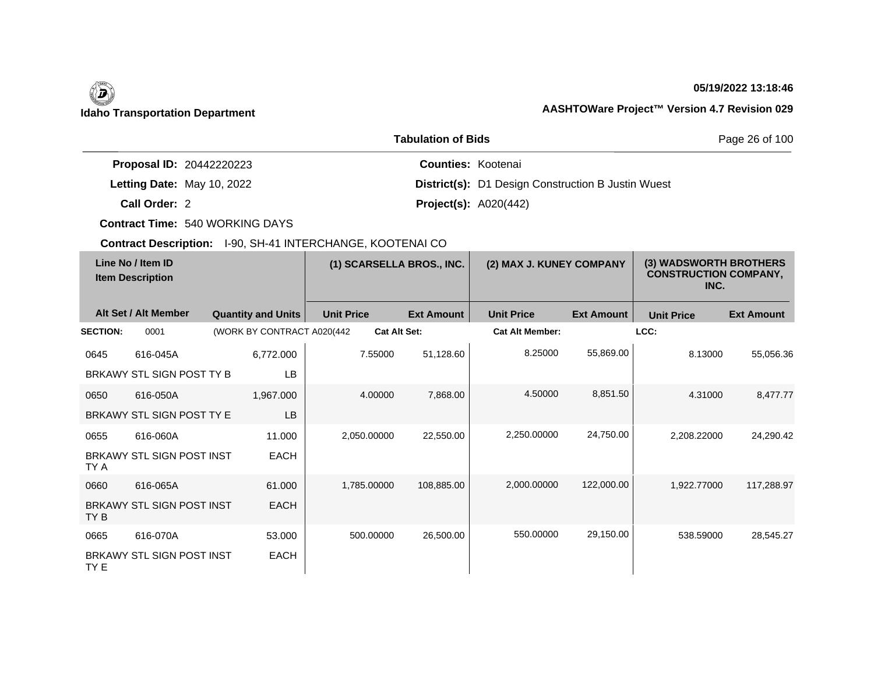### **05/19/2022 13:18:46**

# **Idaho Transportation Department AASHTOWare Project™ Version 4.7 Revision 029**

|                                 | Page 26 of 100                                            |  |
|---------------------------------|-----------------------------------------------------------|--|
| <b>Proposal ID: 20442220223</b> | <b>Counties: Kootenai</b>                                 |  |
| Letting Date: May 10, 2022      | <b>District(s):</b> D1 Design Construction B Justin Wuest |  |
| Call Order: 2                   | <b>Project(s): A020(442)</b>                              |  |

**Contract Time:** 540 WORKING DAYS

| Line No / Item ID<br><b>Item Description</b> |                                  | (1) SCARSELLA BROS., INC.   |                   | (2) MAX J. KUNEY COMPANY |                        | (3) WADSWORTH BROTHERS<br><b>CONSTRUCTION COMPANY,</b><br>INC. |                   |                   |
|----------------------------------------------|----------------------------------|-----------------------------|-------------------|--------------------------|------------------------|----------------------------------------------------------------|-------------------|-------------------|
|                                              | Alt Set / Alt Member             | <b>Quantity and Units</b>   | <b>Unit Price</b> | <b>Ext Amount</b>        | <b>Unit Price</b>      | <b>Ext Amount</b>                                              | <b>Unit Price</b> | <b>Ext Amount</b> |
| <b>SECTION:</b>                              | 0001                             | (WORK BY CONTRACT A020(442) |                   | <b>Cat Alt Set:</b>      | <b>Cat Alt Member:</b> |                                                                | LCC:              |                   |
| 0645                                         | 616-045A                         | 6,772.000                   | 7.55000           | 51,128.60                | 8.25000                | 55,869.00                                                      | 8.13000           | 55,056.36         |
|                                              | BRKAWY STL SIGN POST TY B        | <b>LB</b>                   |                   |                          |                        |                                                                |                   |                   |
| 0650                                         | 616-050A                         | 1,967.000                   | 4.00000           | 7,868.00                 | 4.50000                | 8,851.50                                                       | 4.31000           | 8,477.77          |
|                                              | BRKAWY STL SIGN POST TY E        | <b>LB</b>                   |                   |                          |                        |                                                                |                   |                   |
| 0655                                         | 616-060A                         | 11.000                      | 2,050.00000       | 22,550.00                | 2,250.00000            | 24,750.00                                                      | 2,208.22000       | 24,290.42         |
| TY A                                         | BRKAWY STL SIGN POST INST        | <b>EACH</b>                 |                   |                          |                        |                                                                |                   |                   |
| 0660                                         | 616-065A                         | 61.000                      | 1,785.00000       | 108,885.00               | 2,000.00000            | 122,000.00                                                     | 1,922.77000       | 117,288.97        |
| TY B                                         | <b>BRKAWY STL SIGN POST INST</b> | <b>EACH</b>                 |                   |                          |                        |                                                                |                   |                   |
| 0665                                         | 616-070A                         | 53.000                      | 500.00000         | 26,500.00                | 550.00000              | 29,150.00                                                      | 538.59000         | 28,545.27         |
| TY E                                         | BRKAWY STL SIGN POST INST        | <b>EACH</b>                 |                   |                          |                        |                                                                |                   |                   |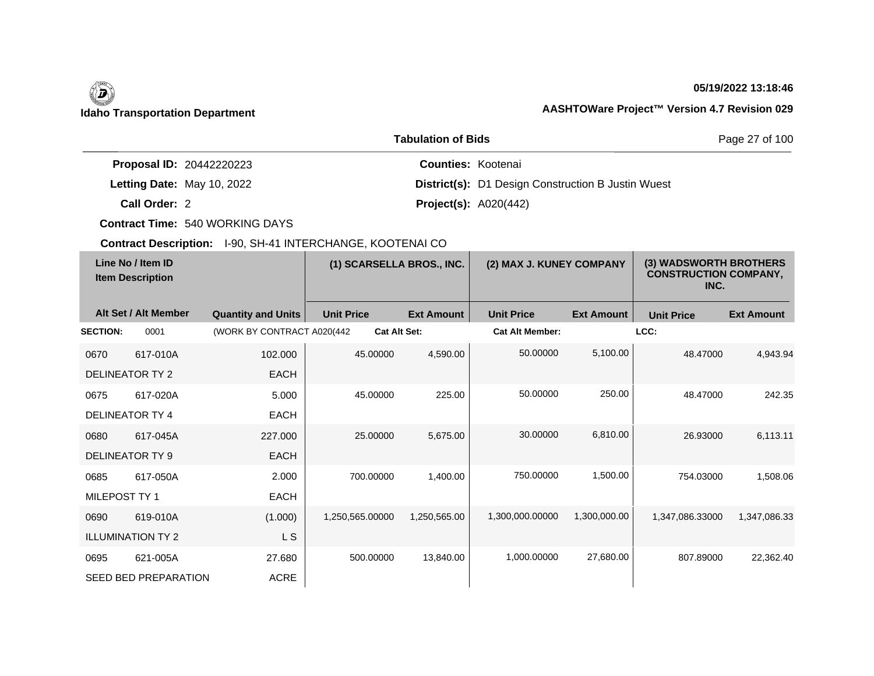### **05/19/2022 13:18:46**

# **Idaho Transportation Department AASHTOWare Project™ Version 4.7 Revision 029**

|                                 | <b>Tabulation of Bids</b> |                                                           | Page 27 of 100 |
|---------------------------------|---------------------------|-----------------------------------------------------------|----------------|
| <b>Proposal ID: 20442220223</b> |                           | <b>Counties: Kootenai</b>                                 |                |
| Letting Date: May 10, 2022      |                           | <b>District(s):</b> D1 Design Construction B Justin Wuest |                |
| Call Order: 2                   |                           | <b>Project(s): A020(442)</b>                              |                |

**Contract Time:** 540 WORKING DAYS

| Line No / Item ID<br><b>Item Description</b> |                             | (1) SCARSELLA BROS., INC.   |                   | (2) MAX J. KUNEY COMPANY |                        | (3) WADSWORTH BROTHERS<br><b>CONSTRUCTION COMPANY,</b><br>INC. |                   |                   |
|----------------------------------------------|-----------------------------|-----------------------------|-------------------|--------------------------|------------------------|----------------------------------------------------------------|-------------------|-------------------|
|                                              | Alt Set / Alt Member        | <b>Quantity and Units</b>   | <b>Unit Price</b> | <b>Ext Amount</b>        | <b>Unit Price</b>      | <b>Ext Amount</b>                                              | <b>Unit Price</b> | <b>Ext Amount</b> |
| <b>SECTION:</b>                              | 0001                        | (WORK BY CONTRACT A020(442) |                   | <b>Cat Alt Set:</b>      | <b>Cat Alt Member:</b> |                                                                | LCC:              |                   |
| 0670                                         | 617-010A                    | 102.000                     | 45.00000          | 4,590.00                 | 50.00000               | 5,100.00                                                       | 48.47000          | 4.943.94          |
|                                              | DELINEATOR TY 2             | <b>EACH</b>                 |                   |                          |                        |                                                                |                   |                   |
| 0675                                         | 617-020A                    | 5.000                       | 45.00000          | 225.00                   | 50.00000               | 250.00                                                         | 48.47000          | 242.35            |
|                                              | <b>DELINEATOR TY 4</b>      | <b>EACH</b>                 |                   |                          |                        |                                                                |                   |                   |
| 0680                                         | 617-045A                    | 227,000                     | 25.00000          | 5,675.00                 | 30.00000               | 6,810.00                                                       | 26.93000          | 6,113.11          |
|                                              | <b>DELINEATOR TY 9</b>      | <b>EACH</b>                 |                   |                          |                        |                                                                |                   |                   |
| 0685                                         | 617-050A                    | 2.000                       | 700.00000         | 1,400.00                 | 750.00000              | 1,500.00                                                       | 754.03000         | 1,508.06          |
| MILEPOST TY 1                                |                             | <b>EACH</b>                 |                   |                          |                        |                                                                |                   |                   |
| 0690                                         | 619-010A                    | (1.000)                     | 1,250,565.00000   | 1,250,565.00             | 1,300,000.00000        | 1,300,000.00                                                   | 1,347,086.33000   | 1,347,086.33      |
|                                              | <b>ILLUMINATION TY 2</b>    | L S                         |                   |                          |                        |                                                                |                   |                   |
| 0695                                         | 621-005A                    | 27.680                      | 500.00000         | 13,840.00                | 1,000.00000            | 27,680.00                                                      | 807.89000         | 22,362.40         |
|                                              | <b>SEED BED PREPARATION</b> | <b>ACRE</b>                 |                   |                          |                        |                                                                |                   |                   |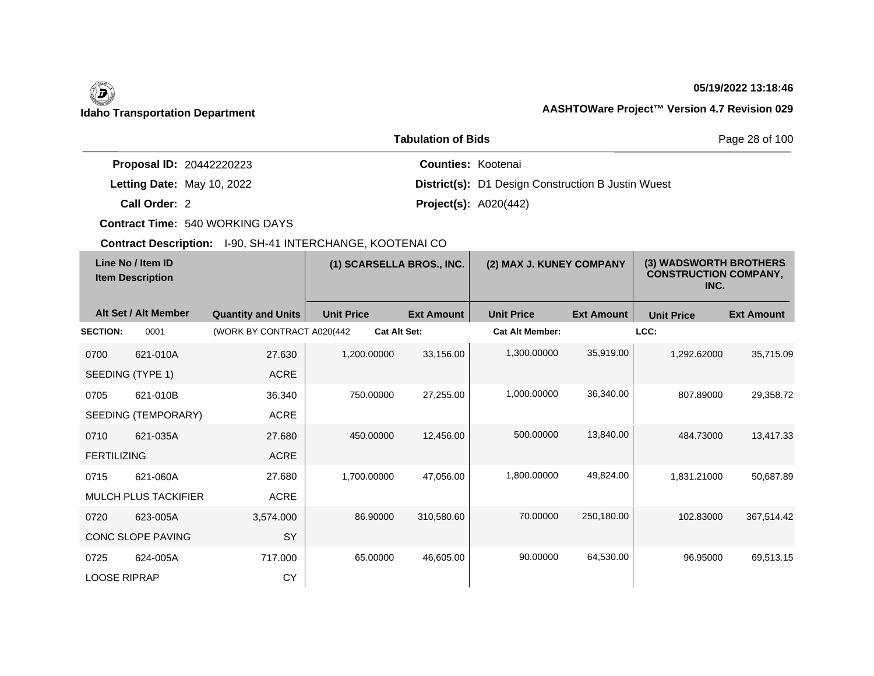# $\left(\begin{matrix} \n\end{matrix}\right)$

### **05/19/2022 13:18:46**

# **Idaho Transportation Department AASHTOWare Project™ Version 4.7 Revision 029**

|                                 | Page 28 of 100                                            |  |
|---------------------------------|-----------------------------------------------------------|--|
| <b>Proposal ID: 20442220223</b> | <b>Counties: Kootenai</b>                                 |  |
| Letting Date: May 10, 2022      | <b>District(s):</b> D1 Design Construction B Justin Wuest |  |
| Call Order: 2                   | <b>Project(s): A020(442)</b>                              |  |

**Contract Time:** 540 WORKING DAYS

| Line No / Item ID<br><b>Item Description</b> |                             | (1) SCARSELLA BROS., INC.   |                   | (2) MAX J. KUNEY COMPANY |                        | (3) WADSWORTH BROTHERS<br><b>CONSTRUCTION COMPANY,</b><br>INC. |                   |                   |
|----------------------------------------------|-----------------------------|-----------------------------|-------------------|--------------------------|------------------------|----------------------------------------------------------------|-------------------|-------------------|
|                                              | Alt Set / Alt Member        | <b>Quantity and Units</b>   | <b>Unit Price</b> | <b>Ext Amount</b>        | <b>Unit Price</b>      | <b>Ext Amount</b>                                              | <b>Unit Price</b> | <b>Ext Amount</b> |
| <b>SECTION:</b>                              | 0001                        | (WORK BY CONTRACT A020(442) |                   | <b>Cat Alt Set:</b>      | <b>Cat Alt Member:</b> |                                                                | LCC:              |                   |
| 0700                                         | 621-010A                    | 27.630                      | 1,200.00000       | 33,156.00                | 1,300.00000            | 35,919.00                                                      | 1,292.62000       | 35,715.09         |
|                                              | SEEDING (TYPE 1)            | <b>ACRE</b>                 |                   |                          |                        |                                                                |                   |                   |
| 0705                                         | 621-010B                    | 36.340                      | 750.00000         | 27,255.00                | 1,000.00000            | 36,340.00                                                      | 807.89000         | 29,358.72         |
|                                              | SEEDING (TEMPORARY)         | ACRE                        |                   |                          |                        |                                                                |                   |                   |
| 0710                                         | 621-035A                    | 27.680                      | 450.00000         | 12,456.00                | 500.00000              | 13,840.00                                                      | 484.73000         | 13,417.33         |
| <b>FERTILIZING</b>                           |                             | <b>ACRE</b>                 |                   |                          |                        |                                                                |                   |                   |
| 0715                                         | 621-060A                    | 27.680                      | 1,700.00000       | 47,056.00                | 1,800.00000            | 49,824.00                                                      | 1,831.21000       | 50,687.89         |
|                                              | <b>MULCH PLUS TACKIFIER</b> | <b>ACRE</b>                 |                   |                          |                        |                                                                |                   |                   |
| 0720                                         | 623-005A                    | 3,574.000                   | 86.90000          | 310,580.60               | 70.00000               | 250,180.00                                                     | 102.83000         | 367,514.42        |
|                                              | CONC SLOPE PAVING           | SY                          |                   |                          |                        |                                                                |                   |                   |
| 0725                                         | 624-005A                    | 717.000                     | 65.00000          | 46,605.00                | 90.00000               | 64,530.00                                                      | 96.95000          | 69,513.15         |
| <b>LOOSE RIPRAP</b>                          |                             | CY                          |                   |                          |                        |                                                                |                   |                   |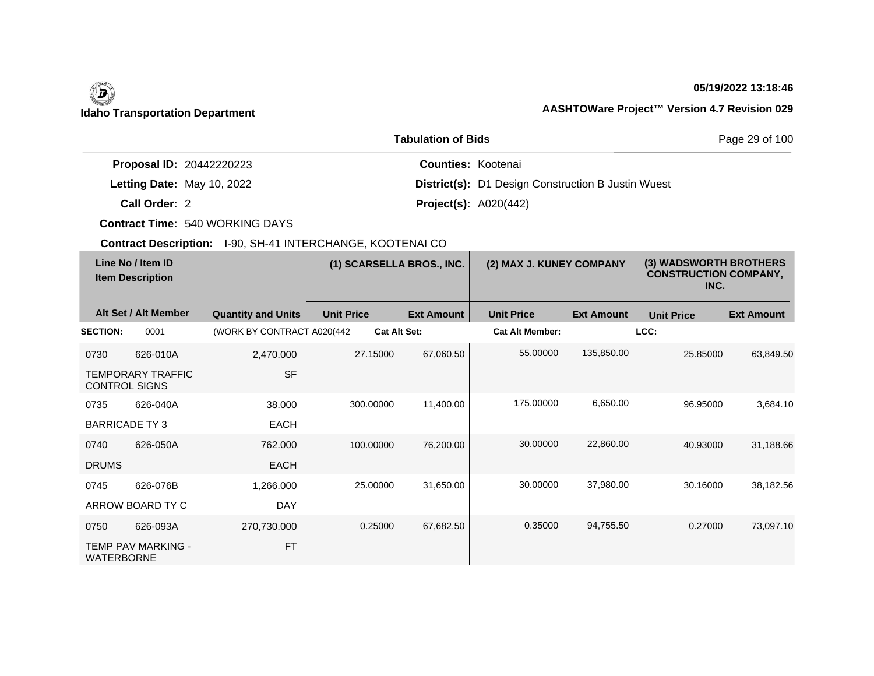$\overline{\phantom{a}}$ 

## **05/19/2022 13:18:46**

|                                 | Page 29 of 100                                            |  |
|---------------------------------|-----------------------------------------------------------|--|
| <b>Proposal ID: 20442220223</b> | <b>Counties: Kootenai</b>                                 |  |
| Letting Date: May 10, 2022      | <b>District(s):</b> D1 Design Construction B Justin Wuest |  |
| Call Order: 2                   | <b>Project(s):</b> $A020(442)$                            |  |

**Contract Time:** 540 WORKING DAYS

| Line No / Item ID<br><b>Item Description</b> |                           | (1) SCARSELLA BROS., INC.   |                   | (2) MAX J. KUNEY COMPANY |                        | (3) WADSWORTH BROTHERS<br><b>CONSTRUCTION COMPANY,</b><br>INC. |                   |                   |
|----------------------------------------------|---------------------------|-----------------------------|-------------------|--------------------------|------------------------|----------------------------------------------------------------|-------------------|-------------------|
|                                              | Alt Set / Alt Member      | <b>Quantity and Units</b>   | <b>Unit Price</b> | <b>Ext Amount</b>        | <b>Unit Price</b>      | <b>Ext Amount</b>                                              | <b>Unit Price</b> | <b>Ext Amount</b> |
| <b>SECTION:</b>                              | 0001                      | (WORK BY CONTRACT A020(442) |                   | <b>Cat Alt Set:</b>      | <b>Cat Alt Member:</b> |                                                                | LCC:              |                   |
| 0730                                         | 626-010A                  | 2,470.000                   | 27.15000          | 67,060.50                | 55.00000               | 135,850.00                                                     | 25.85000          | 63,849.50         |
| <b>CONTROL SIGNS</b>                         | <b>TEMPORARY TRAFFIC</b>  | <b>SF</b>                   |                   |                          |                        |                                                                |                   |                   |
| 0735                                         | 626-040A                  | 38.000                      | 300.00000         | 11,400.00                | 175.00000              | 6,650.00                                                       | 96.95000          | 3,684.10          |
| <b>BARRICADE TY 3</b>                        |                           | <b>EACH</b>                 |                   |                          |                        |                                                                |                   |                   |
| 0740                                         | 626-050A                  | 762,000                     | 100.00000         | 76,200.00                | 30.00000               | 22,860.00                                                      | 40.93000          | 31,188.66         |
| <b>DRUMS</b>                                 |                           | <b>EACH</b>                 |                   |                          |                        |                                                                |                   |                   |
| 0745                                         | 626-076B                  | 1,266.000                   | 25.00000          | 31,650.00                | 30.00000               | 37,980.00                                                      | 30.16000          | 38,182.56         |
|                                              | ARROW BOARD TY C          | <b>DAY</b>                  |                   |                          |                        |                                                                |                   |                   |
| 0750                                         | 626-093A                  | 270,730.000                 | 0.25000           | 67,682.50                | 0.35000                | 94,755.50                                                      | 0.27000           | 73,097.10         |
| <b>WATERBORNE</b>                            | <b>TEMP PAV MARKING -</b> | <b>FT</b>                   |                   |                          |                        |                                                                |                   |                   |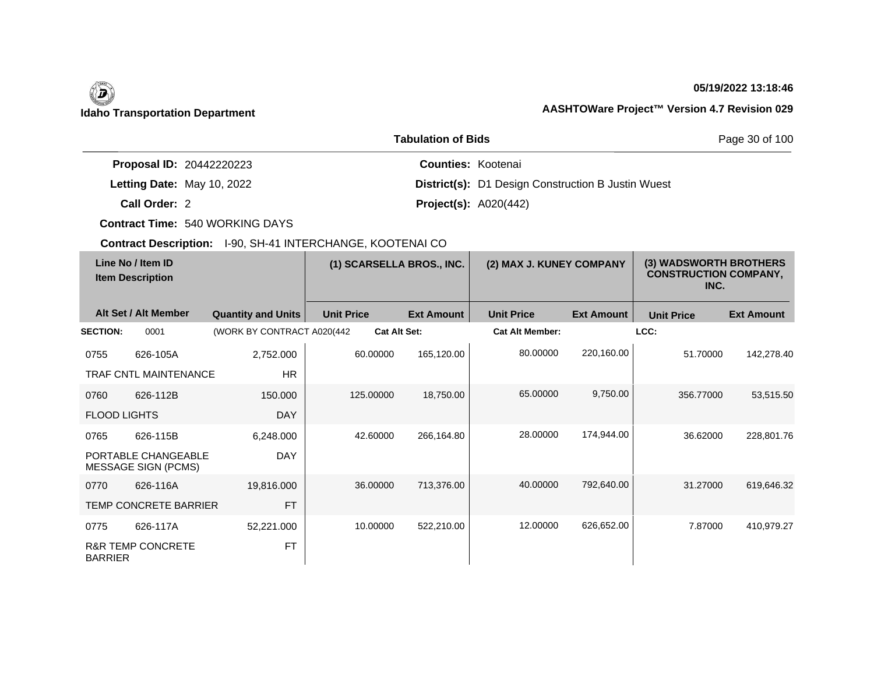## **05/19/2022 13:18:46**

|                                 | <b>Tabulation of Bids</b>                                 | Page 30 of 100 |
|---------------------------------|-----------------------------------------------------------|----------------|
| <b>Proposal ID: 20442220223</b> | <b>Counties: Kootenai</b>                                 |                |
| Letting Date: May 10, 2022      | <b>District(s):</b> D1 Design Construction B Justin Wuest |                |
| Call Order: 2                   | <b>Project(s): A020(442)</b>                              |                |

**Contract Time:** 540 WORKING DAYS

| Line No / Item ID<br><b>Item Description</b> |                                                   | (1) SCARSELLA BROS., INC.   |                   | (2) MAX J. KUNEY COMPANY |                        | (3) WADSWORTH BROTHERS<br><b>CONSTRUCTION COMPANY,</b><br>INC. |                   |                   |
|----------------------------------------------|---------------------------------------------------|-----------------------------|-------------------|--------------------------|------------------------|----------------------------------------------------------------|-------------------|-------------------|
|                                              | Alt Set / Alt Member                              | <b>Quantity and Units</b>   | <b>Unit Price</b> | <b>Ext Amount</b>        | <b>Unit Price</b>      | <b>Ext Amount</b>                                              | <b>Unit Price</b> | <b>Ext Amount</b> |
| <b>SECTION:</b>                              | 0001                                              | (WORK BY CONTRACT A020(442) |                   | <b>Cat Alt Set:</b>      | <b>Cat Alt Member:</b> |                                                                | LCC:              |                   |
| 0755                                         | 626-105A                                          | 2,752.000                   | 60.00000          | 165,120.00               | 80.00000               | 220,160.00                                                     | 51.70000          | 142,278.40        |
|                                              | <b>TRAF CNTL MAINTENANCE</b>                      | <b>HR</b>                   |                   |                          |                        |                                                                |                   |                   |
| 0760                                         | 626-112B                                          | 150,000                     | 125.00000         | 18,750.00                | 65.00000               | 9,750.00                                                       | 356.77000         | 53,515.50         |
| <b>FLOOD LIGHTS</b>                          |                                                   | <b>DAY</b>                  |                   |                          |                        |                                                                |                   |                   |
| 0765                                         | 626-115B                                          | 6,248.000                   | 42.60000          | 266,164.80               | 28.00000               | 174,944.00                                                     | 36.62000          | 228,801.76        |
|                                              | PORTABLE CHANGEABLE<br><b>MESSAGE SIGN (PCMS)</b> | <b>DAY</b>                  |                   |                          |                        |                                                                |                   |                   |
| 0770                                         | 626-116A                                          | 19,816.000                  | 36.00000          | 713,376.00               | 40.00000               | 792,640.00                                                     | 31.27000          | 619,646.32        |
|                                              | <b>TEMP CONCRETE BARRIER</b>                      | <b>FT</b>                   |                   |                          |                        |                                                                |                   |                   |
| 0775                                         | 626-117A                                          | 52,221.000                  | 10.00000          | 522,210.00               | 12.00000               | 626,652.00                                                     | 7.87000           | 410,979.27        |
| <b>BARRIER</b>                               | <b>R&amp;R TEMP CONCRETE</b>                      | <b>FT</b>                   |                   |                          |                        |                                                                |                   |                   |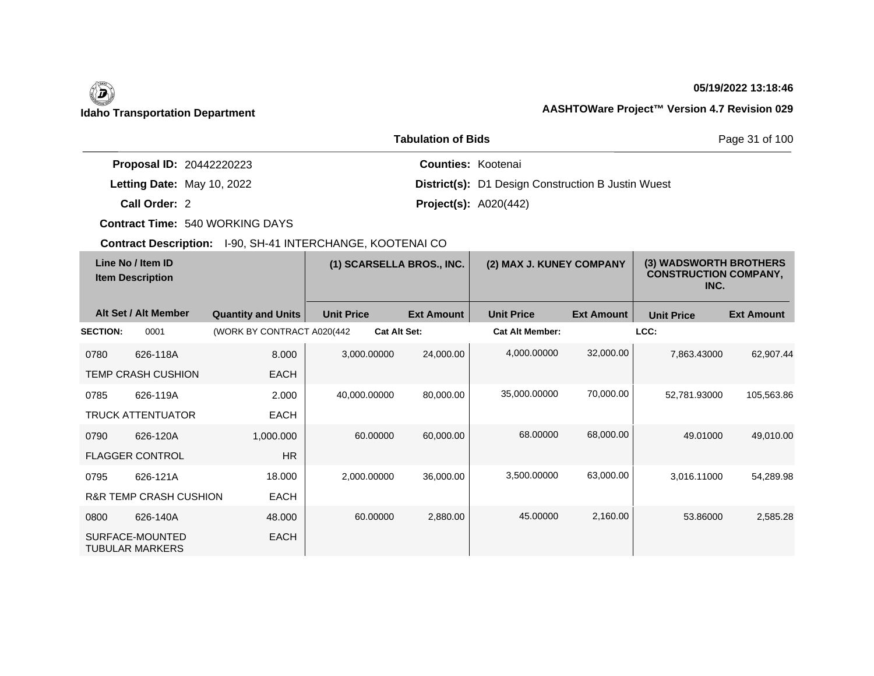$\overline{\phantom{a}}$ 

# **05/19/2022 13:18:46**

|                                 | Page 31 of 100                                            |  |
|---------------------------------|-----------------------------------------------------------|--|
| <b>Proposal ID: 20442220223</b> | <b>Counties: Kootenai</b>                                 |  |
| Letting Date: May 10, 2022      | <b>District(s):</b> D1 Design Construction B Justin Wuest |  |
| Call Order: 2                   | <b>Project(s):</b> $A020(442)$                            |  |

**Contract Time:** 540 WORKING DAYS

| Line No / Item ID<br><b>Item Description</b> |                                           | (1) SCARSELLA BROS., INC.   |                   | (2) MAX J. KUNEY COMPANY |                   | (3) WADSWORTH BROTHERS<br><b>CONSTRUCTION COMPANY,</b><br>INC. |                   |                   |                   |
|----------------------------------------------|-------------------------------------------|-----------------------------|-------------------|--------------------------|-------------------|----------------------------------------------------------------|-------------------|-------------------|-------------------|
|                                              | Alt Set / Alt Member                      | <b>Quantity and Units</b>   | <b>Unit Price</b> |                          | <b>Ext Amount</b> | <b>Unit Price</b>                                              | <b>Ext Amount</b> | <b>Unit Price</b> | <b>Ext Amount</b> |
| <b>SECTION:</b>                              | 0001                                      | (WORK BY CONTRACT A020(442) |                   | <b>Cat Alt Set:</b>      |                   | <b>Cat Alt Member:</b>                                         |                   | LCC:              |                   |
| 0780                                         | 626-118A                                  | 8.000                       | 3,000.00000       |                          | 24,000.00         | 4,000.00000                                                    | 32,000.00         | 7,863.43000       | 62,907.44         |
|                                              | <b>TEMP CRASH CUSHION</b>                 | <b>EACH</b>                 |                   |                          |                   |                                                                |                   |                   |                   |
| 0785                                         | 626-119A                                  | 2.000                       | 40,000.00000      |                          | 80,000.00         | 35,000.00000                                                   | 70,000.00         | 52,781.93000      | 105,563.86        |
|                                              | <b>TRUCK ATTENTUATOR</b>                  | <b>EACH</b>                 |                   |                          |                   |                                                                |                   |                   |                   |
| 0790                                         | 626-120A                                  | 1,000.000                   |                   | 60.00000                 | 60,000.00         | 68.00000                                                       | 68,000.00         | 49.01000          | 49,010.00         |
|                                              | <b>FLAGGER CONTROL</b>                    | <b>HR</b>                   |                   |                          |                   |                                                                |                   |                   |                   |
| 0795                                         | 626-121A                                  | 18,000                      |                   | 2,000.00000              | 36,000.00         | 3,500.00000                                                    | 63,000.00         | 3,016.11000       | 54,289.98         |
|                                              | <b>R&amp;R TEMP CRASH CUSHION</b>         | <b>EACH</b>                 |                   |                          |                   |                                                                |                   |                   |                   |
| 0800                                         | 626-140A                                  | 48.000                      |                   | 60.00000                 | 2,880.00          | 45.00000                                                       | 2,160.00          | 53.86000          | 2,585.28          |
|                                              | SURFACE-MOUNTED<br><b>TUBULAR MARKERS</b> | <b>EACH</b>                 |                   |                          |                   |                                                                |                   |                   |                   |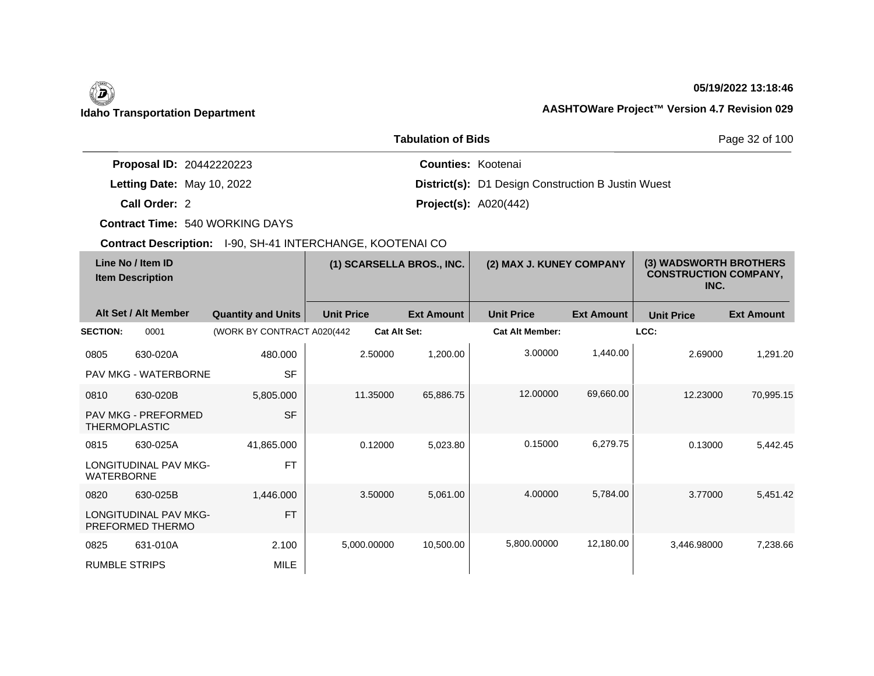## **05/19/2022 13:18:46**

# **Idaho Transportation Department AASHTOWare Project™ Version 4.7 Revision 029**

|                                 | Page 32 of 100                                            |  |
|---------------------------------|-----------------------------------------------------------|--|
| <b>Proposal ID: 20442220223</b> | <b>Counties: Kootenai</b>                                 |  |
| Letting Date: May 10, 2022      | <b>District(s):</b> D1 Design Construction B Justin Wuest |  |
| Call Order: 2                   | <b>Project(s): A020(442)</b>                              |  |

**Contract Time:** 540 WORKING DAYS

|                                              | <b>OOMTOOL DUSCH DITE:</b> TOO, OFF THIN ENOTIATIOL, NOOT LIVAL OO |                             |                     |                          |                        |                                                                |                   |                   |
|----------------------------------------------|--------------------------------------------------------------------|-----------------------------|---------------------|--------------------------|------------------------|----------------------------------------------------------------|-------------------|-------------------|
| Line No / Item ID<br><b>Item Description</b> |                                                                    | (1) SCARSELLA BROS., INC.   |                     | (2) MAX J. KUNEY COMPANY |                        | (3) WADSWORTH BROTHERS<br><b>CONSTRUCTION COMPANY,</b><br>INC. |                   |                   |
|                                              | Alt Set / Alt Member                                               | <b>Quantity and Units</b>   | <b>Unit Price</b>   | <b>Ext Amount</b>        | <b>Unit Price</b>      | <b>Ext Amount</b>                                              | <b>Unit Price</b> | <b>Ext Amount</b> |
| <b>SECTION:</b>                              | 0001                                                               | (WORK BY CONTRACT A020(442) | <b>Cat Alt Set:</b> |                          | <b>Cat Alt Member:</b> |                                                                | LCC:              |                   |
| 0805                                         | 630-020A                                                           | 480.000                     | 2.50000             | 1,200.00                 | 3.00000                | 1,440.00                                                       | 2.69000           | 1,291.20          |
|                                              | PAV MKG - WATERBORNE                                               | <b>SF</b>                   |                     |                          |                        |                                                                |                   |                   |
| 0810                                         | 630-020B                                                           | 5,805.000                   | 11.35000            | 65,886.75                | 12.00000               | 69,660.00                                                      | 12.23000          | 70,995.15         |
|                                              | <b>PAV MKG - PREFORMED</b><br><b>THERMOPLASTIC</b>                 | <b>SF</b>                   |                     |                          |                        |                                                                |                   |                   |
| 0815                                         | 630-025A                                                           | 41,865.000                  | 0.12000             | 5,023.80                 | 0.15000                | 6,279.75                                                       | 0.13000           | 5,442.45          |
| <b>WATERBORNE</b>                            | <b>LONGITUDINAL PAV MKG-</b>                                       | <b>FT</b>                   |                     |                          |                        |                                                                |                   |                   |
| 0820                                         | 630-025B                                                           | 1,446.000                   | 3.50000             | 5,061.00                 | 4.00000                | 5,784.00                                                       | 3.77000           | 5,451.42          |
|                                              | LONGITUDINAL PAV MKG-<br>PREFORMED THERMO                          | <b>FT</b>                   |                     |                          |                        |                                                                |                   |                   |
| 0825                                         | 631-010A                                                           | 2.100                       | 5,000.00000         | 10,500.00                | 5,800.00000            | 12,180.00                                                      | 3.446.98000       | 7,238.66          |
| <b>RUMBLE STRIPS</b>                         |                                                                    | <b>MILE</b>                 |                     |                          |                        |                                                                |                   |                   |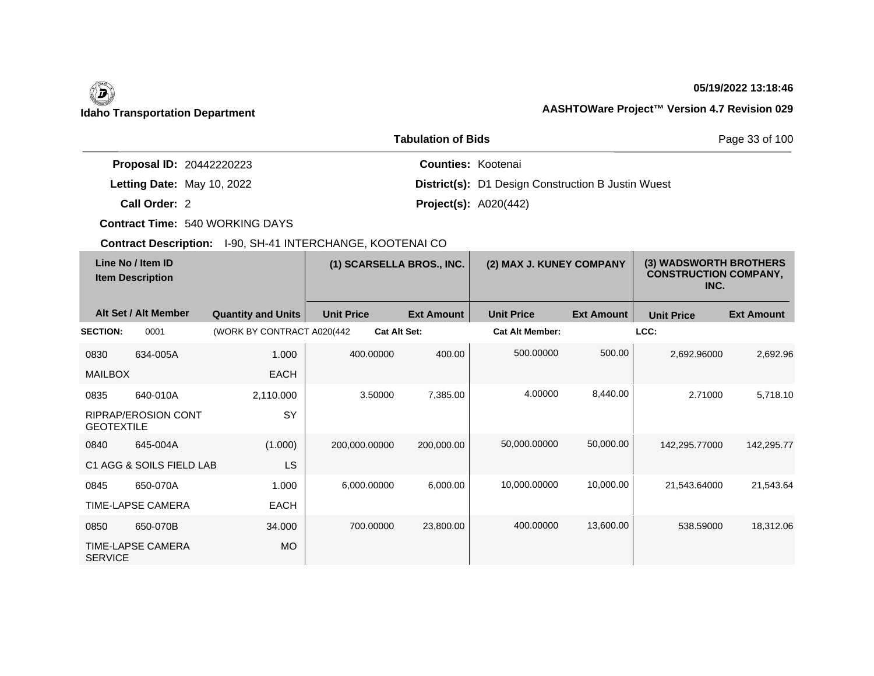## **05/19/2022 13:18:46**

|                                 | <b>Tabulation of Bids</b>                                 | Page 33 of 100 |  |  |
|---------------------------------|-----------------------------------------------------------|----------------|--|--|
| <b>Proposal ID: 20442220223</b> | <b>Counties: Kootenai</b>                                 |                |  |  |
| Letting Date: May 10, 2022      | <b>District(s):</b> D1 Design Construction B Justin Wuest |                |  |  |
| Call Order: 2                   | <b>Project(s):</b> $A020(442)$                            |                |  |  |

**Contract Time:** 540 WORKING DAYS

| Line No / Item ID<br><b>Item Description</b> |                            | (1) SCARSELLA BROS., INC.   |                     | (2) MAX J. KUNEY COMPANY |                        | (3) WADSWORTH BROTHERS<br><b>CONSTRUCTION COMPANY,</b><br>INC. |                   |                   |
|----------------------------------------------|----------------------------|-----------------------------|---------------------|--------------------------|------------------------|----------------------------------------------------------------|-------------------|-------------------|
|                                              | Alt Set / Alt Member       | <b>Quantity and Units</b>   | <b>Unit Price</b>   | <b>Ext Amount</b>        | <b>Unit Price</b>      | <b>Ext Amount</b>                                              | <b>Unit Price</b> | <b>Ext Amount</b> |
| <b>SECTION:</b>                              | 0001                       | (WORK BY CONTRACT A020(442) | <b>Cat Alt Set:</b> |                          | <b>Cat Alt Member:</b> |                                                                | LCC:              |                   |
| 0830                                         | 634-005A                   | 1.000                       | 400.00000           | 400.00                   | 500.00000              | 500.00                                                         | 2,692.96000       | 2,692.96          |
| <b>MAILBOX</b>                               |                            | <b>EACH</b>                 |                     |                          |                        |                                                                |                   |                   |
| 0835                                         | 640-010A                   | 2,110.000                   | 3.50000             | 7,385.00                 | 4.00000                | 8,440.00                                                       | 2.71000           | 5,718.10          |
| <b>GEOTEXTILE</b>                            | <b>RIPRAP/EROSION CONT</b> | <b>SY</b>                   |                     |                          |                        |                                                                |                   |                   |
| 0840                                         | 645-004A                   | (1.000)                     | 200,000.00000       | 200,000.00               | 50,000.00000           | 50,000.00                                                      | 142,295.77000     | 142,295.77        |
|                                              | C1 AGG & SOILS FIELD LAB   | <b>LS</b>                   |                     |                          |                        |                                                                |                   |                   |
| 0845                                         | 650-070A                   | 1.000                       | 6,000.00000         | 6,000.00                 | 10,000.00000           | 10,000.00                                                      | 21,543.64000      | 21,543.64         |
|                                              | <b>TIME-LAPSE CAMERA</b>   | <b>EACH</b>                 |                     |                          |                        |                                                                |                   |                   |
| 0850                                         | 650-070B                   | 34.000                      | 700.00000           | 23,800.00                | 400.00000              | 13,600.00                                                      | 538,59000         | 18,312.06         |
| <b>SERVICE</b>                               | TIME-LAPSE CAMERA          | <b>MO</b>                   |                     |                          |                        |                                                                |                   |                   |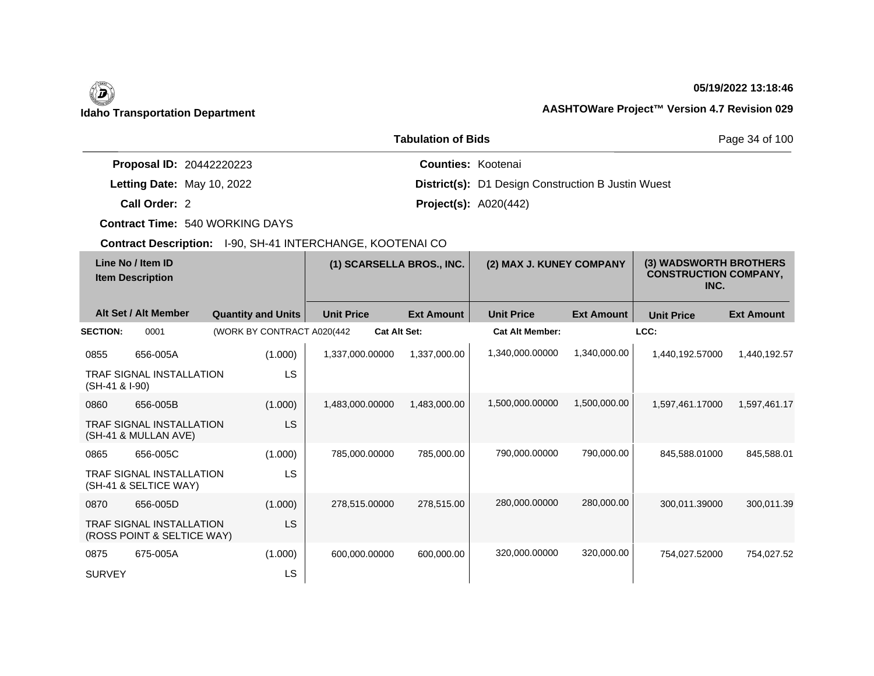## **05/19/2022 13:18:46**

# **Idaho Transportation Department AASHTOWare Project™ Version 4.7 Revision 029**

|                                 | Page 34 of 100                                            |  |
|---------------------------------|-----------------------------------------------------------|--|
| <b>Proposal ID: 20442220223</b> | <b>Counties: Kootenai</b>                                 |  |
| Letting Date: May 10, 2022      | <b>District(s):</b> D1 Design Construction B Justin Wuest |  |
| Call Order: 2                   | <b>Project(s): A020(442)</b>                              |  |

**Contract Time:** 540 WORKING DAYS

| Line No / Item ID<br><b>Item Description</b> |                                                               | (1) SCARSELLA BROS., INC.  |                     | (2) MAX J. KUNEY COMPANY |                        | (3) WADSWORTH BROTHERS<br><b>CONSTRUCTION COMPANY,</b><br>INC. |                   |                   |
|----------------------------------------------|---------------------------------------------------------------|----------------------------|---------------------|--------------------------|------------------------|----------------------------------------------------------------|-------------------|-------------------|
|                                              | Alt Set / Alt Member                                          | <b>Quantity and Units</b>  | <b>Unit Price</b>   | <b>Ext Amount</b>        | <b>Unit Price</b>      | <b>Ext Amount</b>                                              | <b>Unit Price</b> | <b>Ext Amount</b> |
| <b>SECTION:</b>                              | 0001                                                          | (WORK BY CONTRACT A020(442 | <b>Cat Alt Set:</b> |                          | <b>Cat Alt Member:</b> |                                                                | LCC:              |                   |
| 0855                                         | 656-005A                                                      | (1.000)                    | 1,337,000.00000     | 1,337,000.00             | 1,340,000.00000        | 1,340,000.00                                                   | 1,440,192.57000   | 1,440,192.57      |
| (SH-41 & I-90)                               | <b>TRAF SIGNAL INSTALLATION</b>                               | <b>LS</b>                  |                     |                          |                        |                                                                |                   |                   |
| 0860                                         | 656-005B                                                      | (1.000)                    | 1,483,000.00000     | 1,483,000.00             | 1,500,000.00000        | 1,500,000.00                                                   | 1,597,461.17000   | 1,597,461.17      |
|                                              | <b>TRAF SIGNAL INSTALLATION</b><br>(SH-41 & MULLAN AVE)       | <b>LS</b>                  |                     |                          |                        |                                                                |                   |                   |
| 0865                                         | 656-005C                                                      | (1.000)                    | 785,000.00000       | 785,000.00               | 790,000.00000          | 790,000.00                                                     | 845,588.01000     | 845,588.01        |
|                                              | <b>TRAF SIGNAL INSTALLATION</b><br>(SH-41 & SELTICE WAY)      | LS                         |                     |                          |                        |                                                                |                   |                   |
| 0870                                         | 656-005D                                                      | (1.000)                    | 278,515.00000       | 278,515.00               | 280,000.00000          | 280,000.00                                                     | 300.011.39000     | 300,011.39        |
|                                              | <b>TRAF SIGNAL INSTALLATION</b><br>(ROSS POINT & SELTICE WAY) | <b>LS</b>                  |                     |                          |                        |                                                                |                   |                   |
| 0875                                         | 675-005A                                                      | (1.000)                    | 600,000.00000       | 600,000.00               | 320,000.00000          | 320,000.00                                                     | 754,027.52000     | 754,027.52        |
| <b>SURVEY</b>                                |                                                               | LS                         |                     |                          |                        |                                                                |                   |                   |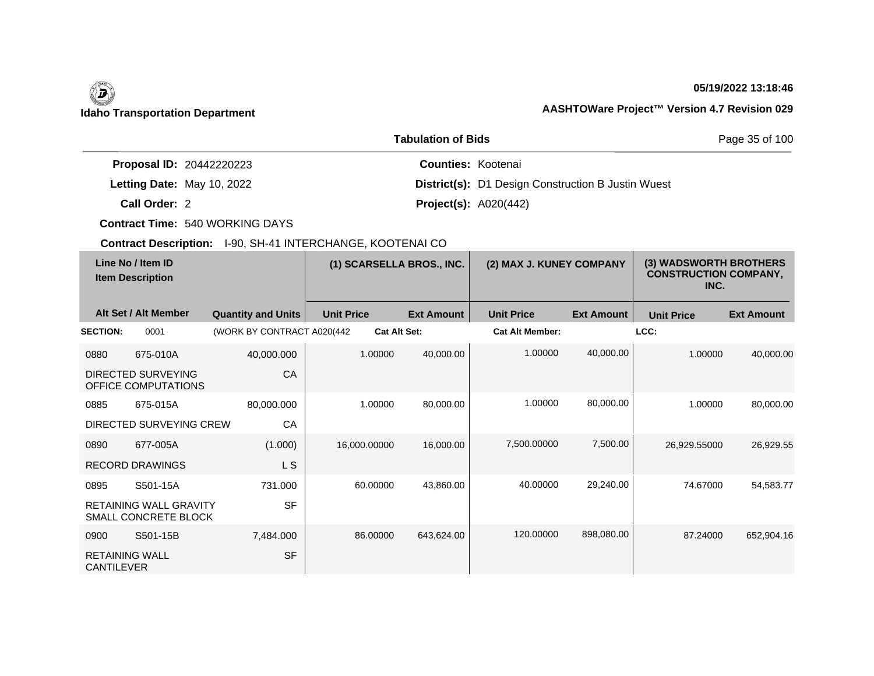$\overline{\phantom{a}}$ 

## **05/19/2022 13:18:46**

|                                 | Page 35 of 100                                            |  |
|---------------------------------|-----------------------------------------------------------|--|
| <b>Proposal ID: 20442220223</b> | <b>Counties: Kootenai</b>                                 |  |
| Letting Date: May 10, 2022      | <b>District(s):</b> D1 Design Construction B Justin Wuest |  |
| Call Order: 2                   | <b>Project(s):</b> $A020(442)$                            |  |

**Contract Time:** 540 WORKING DAYS

|                                            | Line No / Item ID<br><b>Item Description</b>          |                             |                     | (1) SCARSELLA BROS., INC. |                        | (2) MAX J. KUNEY COMPANY |                   | (3) WADSWORTH BROTHERS<br><b>CONSTRUCTION COMPANY,</b><br>INC. |  |
|--------------------------------------------|-------------------------------------------------------|-----------------------------|---------------------|---------------------------|------------------------|--------------------------|-------------------|----------------------------------------------------------------|--|
|                                            | Alt Set / Alt Member                                  | <b>Quantity and Units</b>   | <b>Unit Price</b>   | <b>Ext Amount</b>         | <b>Unit Price</b>      | <b>Ext Amount</b>        | <b>Unit Price</b> | <b>Ext Amount</b>                                              |  |
| <b>SECTION:</b>                            | 0001                                                  | (WORK BY CONTRACT A020(442) | <b>Cat Alt Set:</b> |                           | <b>Cat Alt Member:</b> |                          | LCC:              |                                                                |  |
| 0880                                       | 675-010A                                              | 40,000.000                  | 1.00000             | 40,000.00                 | 1.00000                | 40,000.00                | 1.00000           | 40,000.00                                                      |  |
|                                            | DIRECTED SURVEYING<br>OFFICE COMPUTATIONS             | CA                          |                     |                           |                        |                          |                   |                                                                |  |
| 0885                                       | 675-015A                                              | 80,000.000                  | 1.00000             | 80,000.00                 | 1.00000                | 80,000.00                | 1.00000           | 80,000.00                                                      |  |
|                                            | DIRECTED SURVEYING CREW                               | CA                          |                     |                           |                        |                          |                   |                                                                |  |
| 0890                                       | 677-005A                                              | (1.000)                     | 16,000.00000        | 16,000.00                 | 7,500.00000            | 7,500.00                 | 26,929.55000      | 26,929.55                                                      |  |
|                                            | <b>RECORD DRAWINGS</b>                                | L S                         |                     |                           |                        |                          |                   |                                                                |  |
| 0895                                       | S501-15A                                              | 731.000                     | 60.00000            | 43,860.00                 | 40.00000               | 29,240.00                | 74.67000          | 54,583.77                                                      |  |
|                                            | <b>RETAINING WALL GRAVITY</b><br>SMALL CONCRETE BLOCK | <b>SF</b>                   |                     |                           |                        |                          |                   |                                                                |  |
| 0900                                       | S501-15B                                              | 7,484.000                   | 86.00000            | 643,624.00                | 120.00000              | 898,080.00               | 87.24000          | 652,904.16                                                     |  |
| <b>RETAINING WALL</b><br><b>CANTILEVER</b> |                                                       | <b>SF</b>                   |                     |                           |                        |                          |                   |                                                                |  |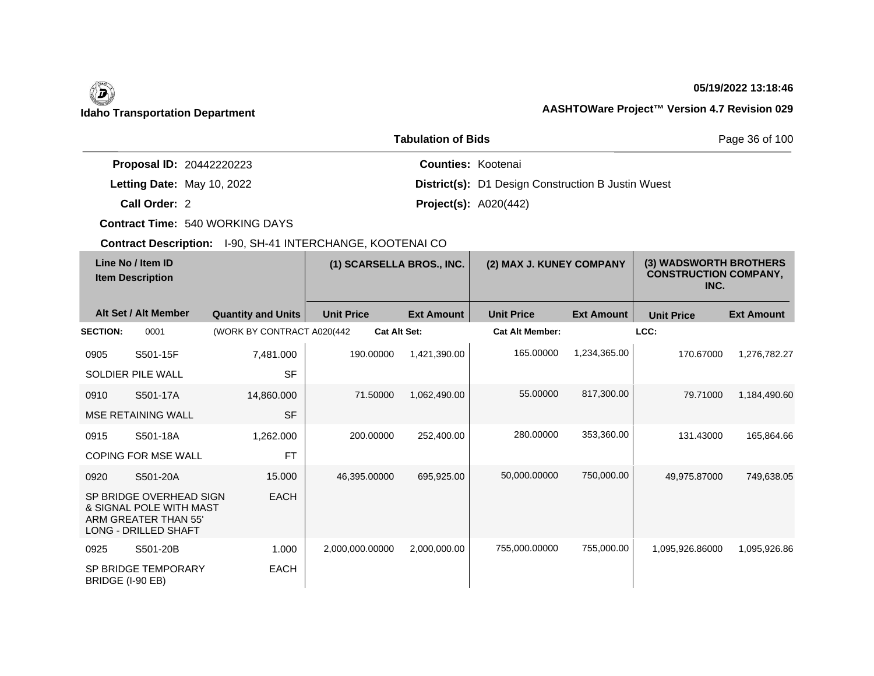## **05/19/2022 13:18:46**

|                                 | <b>Tabulation of Bids</b>                                 | Page 36 of 100 |  |
|---------------------------------|-----------------------------------------------------------|----------------|--|
| <b>Proposal ID: 20442220223</b> | <b>Counties: Kootenai</b>                                 |                |  |
| Letting Date: May 10, 2022      | <b>District(s):</b> D1 Design Construction B Justin Wuest |                |  |
| Call Order: 2                   | <b>Project(s): A020(442)</b>                              |                |  |

**Contract Time:** 540 WORKING DAYS

| Line No / Item ID<br><b>Item Description</b> |                                                                                                           | (1) SCARSELLA BROS., INC.   |                     | (2) MAX J. KUNEY COMPANY |                        | (3) WADSWORTH BROTHERS<br><b>CONSTRUCTION COMPANY,</b><br>INC. |                   |                   |
|----------------------------------------------|-----------------------------------------------------------------------------------------------------------|-----------------------------|---------------------|--------------------------|------------------------|----------------------------------------------------------------|-------------------|-------------------|
|                                              | Alt Set / Alt Member                                                                                      | <b>Quantity and Units</b>   | <b>Unit Price</b>   | <b>Ext Amount</b>        | <b>Unit Price</b>      | <b>Ext Amount</b>                                              | <b>Unit Price</b> | <b>Ext Amount</b> |
| <b>SECTION:</b>                              | 0001                                                                                                      | (WORK BY CONTRACT A020(442) | <b>Cat Alt Set:</b> |                          | <b>Cat Alt Member:</b> |                                                                | LCC:              |                   |
| 0905                                         | S501-15F                                                                                                  | 7,481.000                   | 190.00000           | 1,421,390.00             | 165.00000              | 1,234,365.00                                                   | 170.67000         | 1,276,782.27      |
|                                              | <b>SOLDIER PILE WALL</b>                                                                                  | <b>SF</b>                   |                     |                          |                        |                                                                |                   |                   |
| 0910                                         | S501-17A                                                                                                  | 14,860.000                  | 71.50000            | 1,062,490.00             | 55.00000               | 817,300.00                                                     | 79.71000          | 1,184,490.60      |
|                                              | <b>MSE RETAINING WALL</b>                                                                                 | <b>SF</b>                   |                     |                          |                        |                                                                |                   |                   |
| 0915                                         | S501-18A                                                                                                  | 1,262.000                   | 200.00000           | 252,400.00               | 280.00000              | 353,360.00                                                     | 131.43000         | 165,864.66        |
|                                              | <b>COPING FOR MSE WALL</b>                                                                                | <b>FT</b>                   |                     |                          |                        |                                                                |                   |                   |
| 0920                                         | S501-20A                                                                                                  | 15.000                      | 46.395.00000        | 695,925.00               | 50,000.00000           | 750,000.00                                                     | 49,975.87000      | 749,638.05        |
|                                              | SP BRIDGE OVERHEAD SIGN<br>& SIGNAL POLE WITH MAST<br>ARM GREATER THAN 55'<br><b>LONG - DRILLED SHAFT</b> | <b>EACH</b>                 |                     |                          |                        |                                                                |                   |                   |
| 0925                                         | S501-20B                                                                                                  | 1.000                       | 2,000,000.00000     | 2,000,000.00             | 755,000.00000          | 755,000.00                                                     | 1,095,926.86000   | 1,095,926.86      |
| BRIDGE (I-90 EB)                             | SP BRIDGE TEMPORARY                                                                                       | EACH                        |                     |                          |                        |                                                                |                   |                   |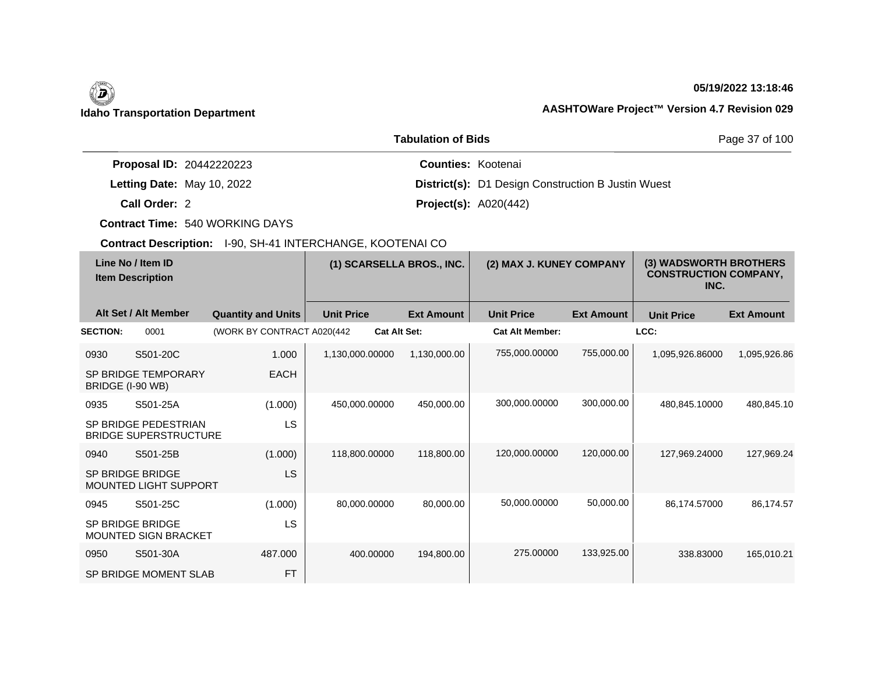## **05/19/2022 13:18:46**

|                                 | Page 37 of 100                                            |  |
|---------------------------------|-----------------------------------------------------------|--|
| <b>Proposal ID: 20442220223</b> | <b>Counties: Kootenai</b>                                 |  |
| Letting Date: May 10, 2022      | <b>District(s):</b> D1 Design Construction B Justin Wuest |  |
| Call Order: 2                   | <b>Project(s): A020(442)</b>                              |  |

**Contract Time:** 540 WORKING DAYS

| Line No / Item ID<br><b>Item Description</b> |                                                      | (1) SCARSELLA BROS., INC.   |                     | (2) MAX J. KUNEY COMPANY |                        | (3) WADSWORTH BROTHERS<br><b>CONSTRUCTION COMPANY,</b><br>INC. |                   |                   |
|----------------------------------------------|------------------------------------------------------|-----------------------------|---------------------|--------------------------|------------------------|----------------------------------------------------------------|-------------------|-------------------|
|                                              | Alt Set / Alt Member                                 | <b>Quantity and Units</b>   | <b>Unit Price</b>   | <b>Ext Amount</b>        | <b>Unit Price</b>      | <b>Ext Amount</b>                                              | <b>Unit Price</b> | <b>Ext Amount</b> |
| <b>SECTION:</b>                              | 0001                                                 | (WORK BY CONTRACT A020(442) | <b>Cat Alt Set:</b> |                          | <b>Cat Alt Member:</b> |                                                                | LCC:              |                   |
| 0930                                         | S501-20C                                             | 1.000                       | 1,130,000.00000     | 1,130,000.00             | 755,000.00000          | 755,000.00                                                     | 1,095,926.86000   | 1,095,926.86      |
| BRIDGE (I-90 WB)                             | SP BRIDGE TEMPORARY                                  | <b>EACH</b>                 |                     |                          |                        |                                                                |                   |                   |
| 0935                                         | S501-25A                                             | (1.000)                     | 450,000.00000       | 450,000.00               | 300,000.00000          | 300,000.00                                                     | 480,845.10000     | 480,845.10        |
|                                              | SP BRIDGE PEDESTRIAN<br><b>BRIDGE SUPERSTRUCTURE</b> | LS                          |                     |                          |                        |                                                                |                   |                   |
| 0940                                         | S501-25B                                             | (1.000)                     | 118,800.00000       | 118,800.00               | 120,000.00000          | 120,000.00                                                     | 127,969.24000     | 127,969.24        |
|                                              | SP BRIDGE BRIDGE<br><b>MOUNTED LIGHT SUPPORT</b>     | LS                          |                     |                          |                        |                                                                |                   |                   |
| 0945                                         | S501-25C                                             | (1.000)                     | 80,000.00000        | 80,000.00                | 50,000.00000           | 50,000.00                                                      | 86,174.57000      | 86,174.57         |
|                                              | SP BRIDGE BRIDGE<br>MOUNTED SIGN BRACKET             | LS                          |                     |                          |                        |                                                                |                   |                   |
| 0950                                         | S501-30A                                             | 487.000                     | 400.00000           | 194,800.00               | 275,00000              | 133,925.00                                                     | 338.83000         | 165,010.21        |
|                                              | SP BRIDGE MOMENT SLAB                                | <b>FT</b>                   |                     |                          |                        |                                                                |                   |                   |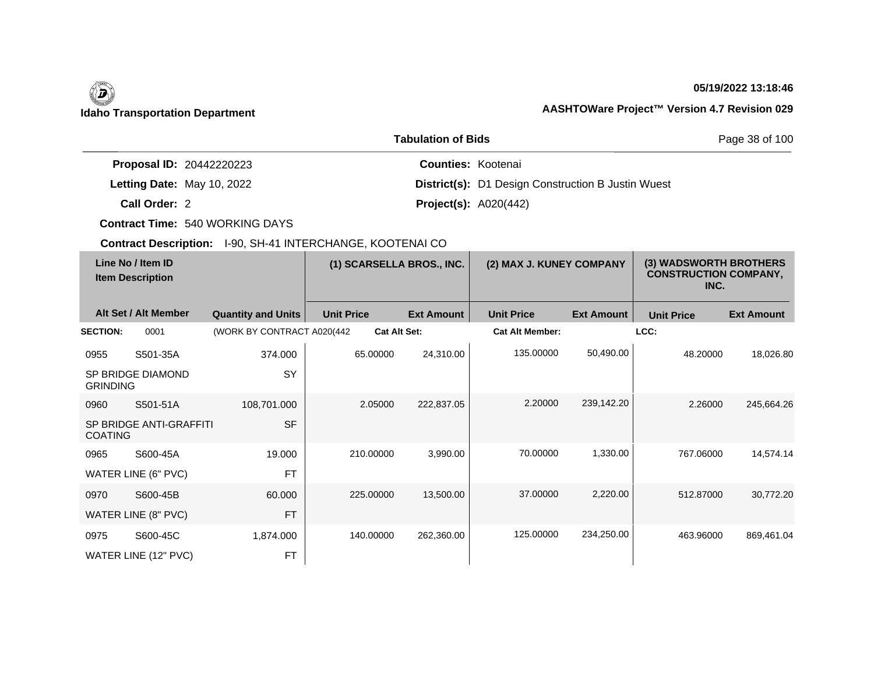## **05/19/2022 13:18:46**

## **Idaho Transportation Department AASHTOWare Project™ Version 4.7 Revision 029**

|                                 | Page 38 of 100                                            |  |
|---------------------------------|-----------------------------------------------------------|--|
| <b>Proposal ID: 20442220223</b> | <b>Counties: Kootenai</b>                                 |  |
| Letting Date: May 10, 2022      | <b>District(s):</b> D1 Design Construction B Justin Wuest |  |
| Call Order: 2                   | <b>Project(s): A020(442)</b>                              |  |

**Contract Time:** 540 WORKING DAYS

| Line No / Item ID<br><b>Item Description</b> |                            | (1) SCARSELLA BROS., INC.   |                   | (2) MAX J. KUNEY COMPANY |                        | (3) WADSWORTH BROTHERS<br><b>CONSTRUCTION COMPANY,</b><br>INC. |                   |                   |
|----------------------------------------------|----------------------------|-----------------------------|-------------------|--------------------------|------------------------|----------------------------------------------------------------|-------------------|-------------------|
|                                              | Alt Set / Alt Member       | <b>Quantity and Units</b>   | <b>Unit Price</b> | <b>Ext Amount</b>        | <b>Unit Price</b>      | <b>Ext Amount</b>                                              | <b>Unit Price</b> | <b>Ext Amount</b> |
| <b>SECTION:</b>                              | 0001                       | (WORK BY CONTRACT A020(442) |                   | <b>Cat Alt Set:</b>      | <b>Cat Alt Member:</b> |                                                                | LCC:              |                   |
| 0955                                         | S501-35A                   | 374.000                     | 65.00000          | 24,310.00                | 135.00000              | 50,490.00                                                      | 48.20000          | 18,026.80         |
| <b>GRINDING</b>                              | SP BRIDGE DIAMOND          | SY                          |                   |                          |                        |                                                                |                   |                   |
| 0960                                         | S501-51A                   | 108,701.000                 | 2.05000           | 222,837.05               | 2.20000                | 239,142.20                                                     | 2.26000           | 245,664.26        |
| <b>COATING</b>                               | SP BRIDGE ANTI-GRAFFITI    | <b>SF</b>                   |                   |                          |                        |                                                                |                   |                   |
| 0965                                         | S600-45A                   | 19.000                      | 210.00000         | 3,990.00                 | 70.00000               | 1,330.00                                                       | 767.06000         | 14,574.14         |
|                                              | <b>WATER LINE (6" PVC)</b> | <b>FT</b>                   |                   |                          |                        |                                                                |                   |                   |
| 0970                                         | S600-45B                   | 60.000                      | 225.00000         | 13,500.00                | 37,00000               | 2,220.00                                                       | 512.87000         | 30,772.20         |
|                                              | WATER LINE (8" PVC)        | <b>FT</b>                   |                   |                          |                        |                                                                |                   |                   |
| 0975                                         | S600-45C                   | 1,874.000                   | 140.00000         | 262,360.00               | 125.00000              | 234,250.00                                                     | 463.96000         | 869,461.04        |
|                                              | WATER LINE (12" PVC)       | <b>FT</b>                   |                   |                          |                        |                                                                |                   |                   |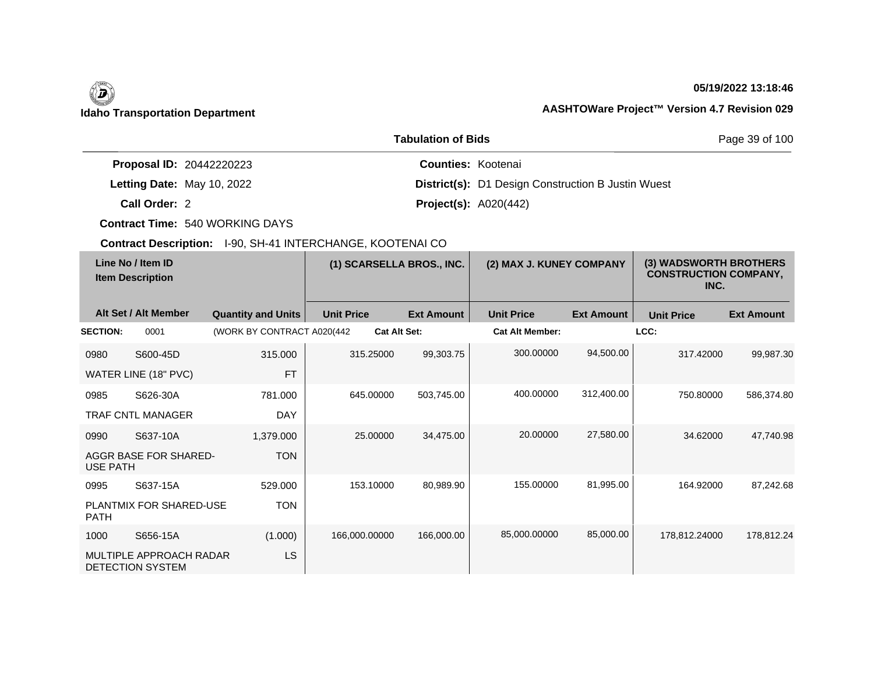## **05/19/2022 13:18:46**

|                                 | <b>Tabulation of Bids</b>                                 | Page 39 of 100 |  |
|---------------------------------|-----------------------------------------------------------|----------------|--|
| <b>Proposal ID: 20442220223</b> | <b>Counties: Kootenai</b>                                 |                |  |
| Letting Date: May 10, 2022      | <b>District(s):</b> D1 Design Construction B Justin Wuest |                |  |
| Call Order: 2                   | <b>Project(s): A020(442)</b>                              |                |  |

**Contract Time:** 540 WORKING DAYS

|                 | Line No / Item ID<br><b>Item Description</b> |                             | (1) SCARSELLA BROS., INC. |                     | (2) MAX J. KUNEY COMPANY |                   | (3) WADSWORTH BROTHERS<br><b>CONSTRUCTION COMPANY,</b><br>INC. |                   |
|-----------------|----------------------------------------------|-----------------------------|---------------------------|---------------------|--------------------------|-------------------|----------------------------------------------------------------|-------------------|
|                 | Alt Set / Alt Member                         | <b>Quantity and Units</b>   | <b>Unit Price</b>         | <b>Ext Amount</b>   | <b>Unit Price</b>        | <b>Ext Amount</b> | <b>Unit Price</b>                                              | <b>Ext Amount</b> |
| <b>SECTION:</b> | 0001                                         | (WORK BY CONTRACT A020(442) |                           | <b>Cat Alt Set:</b> | <b>Cat Alt Member:</b>   |                   | LCC:                                                           |                   |
| 0980            | S600-45D                                     | 315.000                     | 315.25000                 | 99,303.75           | 300.00000                | 94,500.00         | 317.42000                                                      | 99,987.30         |
|                 | WATER LINE (18" PVC)                         | <b>FT</b>                   |                           |                     |                          |                   |                                                                |                   |
| 0985            | S626-30A                                     | 781.000                     | 645.00000                 | 503,745.00          | 400.00000                | 312,400.00        | 750.80000                                                      | 586,374.80        |
|                 | <b>TRAF CNTL MANAGER</b>                     | <b>DAY</b>                  |                           |                     |                          |                   |                                                                |                   |
| 0990            | S637-10A                                     | 1,379.000                   | 25,00000                  | 34,475.00           | 20.00000                 | 27,580.00         | 34.62000                                                       | 47,740.98         |
| <b>USE PATH</b> | AGGR BASE FOR SHARED-                        | <b>TON</b>                  |                           |                     |                          |                   |                                                                |                   |
| 0995            | S637-15A                                     | 529.000                     | 153.10000                 | 80,989.90           | 155.00000                | 81,995.00         | 164.92000                                                      | 87,242.68         |
| <b>PATH</b>     | PLANTMIX FOR SHARED-USE                      | <b>TON</b>                  |                           |                     |                          |                   |                                                                |                   |
| 1000            | S656-15A                                     | (1.000)                     | 166,000.00000             | 166,000.00          | 85,000.00000             | 85,000.00         | 178.812.24000                                                  | 178.812.24        |
|                 | MULTIPLE APPROACH RADAR<br>DETECTION SYSTEM  | LS                          |                           |                     |                          |                   |                                                                |                   |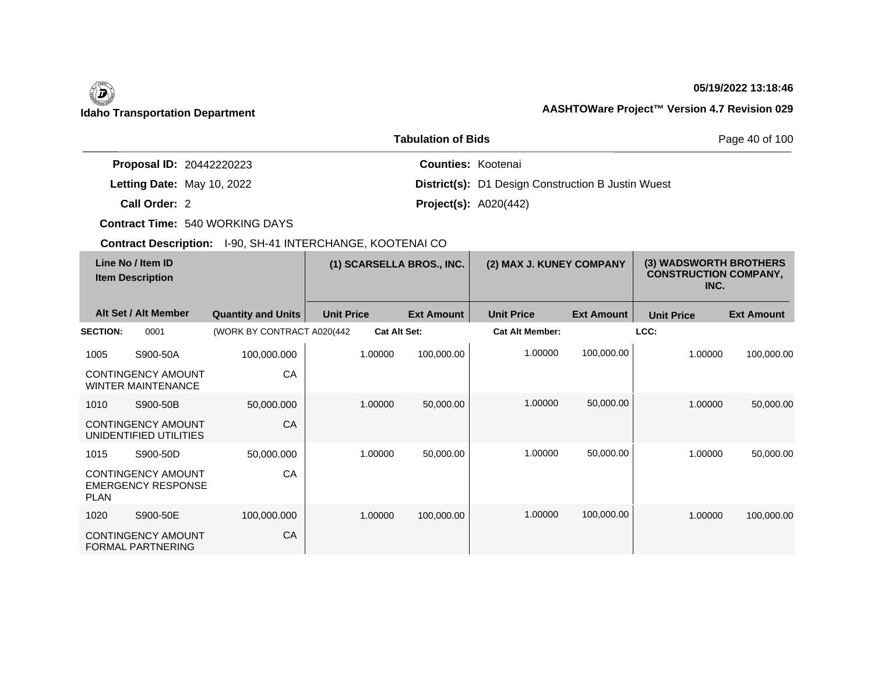## **05/19/2022 13:18:46**

## **Idaho Transportation Department AASHTOWare Project™ Version 4.7 Revision 029**

|                                 | <b>Tabulation of Bids</b>                                 | Page 40 of 100 |  |
|---------------------------------|-----------------------------------------------------------|----------------|--|
| <b>Proposal ID: 20442220223</b> | <b>Counties: Kootenai</b>                                 |                |  |
| Letting Date: May 10, 2022      | <b>District(s):</b> D1 Design Construction B Justin Wuest |                |  |
| Call Order: 2                   | <b>Project(s): A020(442)</b>                              |                |  |

**Contract Time:** 540 WORKING DAYS

|                 | Line No / Item ID<br><b>Item Description</b>           |                             | (1) SCARSELLA BROS., INC. |                     | (2) MAX J. KUNEY COMPANY |                        | (3) WADSWORTH BROTHERS<br><b>CONSTRUCTION COMPANY,</b><br>INC. |                   |                   |
|-----------------|--------------------------------------------------------|-----------------------------|---------------------------|---------------------|--------------------------|------------------------|----------------------------------------------------------------|-------------------|-------------------|
|                 | Alt Set / Alt Member                                   | <b>Quantity and Units</b>   | <b>Unit Price</b>         |                     | <b>Ext Amount</b>        | <b>Unit Price</b>      | <b>Ext Amount</b>                                              | <b>Unit Price</b> | <b>Ext Amount</b> |
| <b>SECTION:</b> | 0001                                                   | (WORK BY CONTRACT A020(442) |                           | <b>Cat Alt Set:</b> |                          | <b>Cat Alt Member:</b> |                                                                | LCC:              |                   |
| 1005            | S900-50A                                               | 100,000.000                 |                           | 1.00000             | 100,000.00               | 1.00000                | 100,000.00                                                     | 1.00000           | 100,000.00        |
|                 | <b>CONTINGENCY AMOUNT</b><br><b>WINTER MAINTENANCE</b> | CA                          |                           |                     |                          |                        |                                                                |                   |                   |
| 1010            | S900-50B                                               | 50,000.000                  |                           | 1.00000             | 50,000.00                | 1.00000                | 50,000.00                                                      | 1.00000           | 50,000.00         |
|                 | <b>CONTINGENCY AMOUNT</b><br>UNIDENTIFIED UTILITIES    | CA                          |                           |                     |                          |                        |                                                                |                   |                   |
| 1015            | S900-50D                                               | 50,000.000                  |                           | 1.00000             | 50,000.00                | 1.00000                | 50,000.00                                                      | 1.00000           | 50,000.00         |
| <b>PLAN</b>     | <b>CONTINGENCY AMOUNT</b><br><b>EMERGENCY RESPONSE</b> | CA                          |                           |                     |                          |                        |                                                                |                   |                   |
| 1020            | S900-50E                                               | 100,000.000                 |                           | 1.00000             | 100,000.00               | 1.00000                | 100,000.00                                                     | 1.00000           | 100,000.00        |
|                 | <b>CONTINGENCY AMOUNT</b><br><b>FORMAL PARTNERING</b>  | CA                          |                           |                     |                          |                        |                                                                |                   |                   |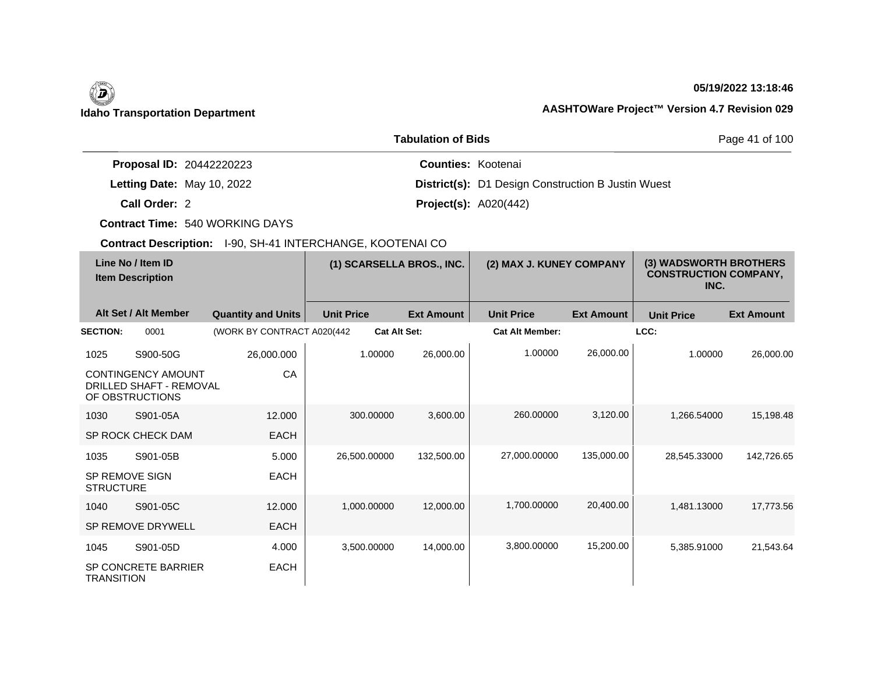## **05/19/2022 13:18:46**

|                                 | <b>Tabulation of Bids</b>                                 | Page 41 of 100 |  |
|---------------------------------|-----------------------------------------------------------|----------------|--|
| <b>Proposal ID: 20442220223</b> | <b>Counties: Kootenai</b>                                 |                |  |
| Letting Date: May 10, 2022      | <b>District(s):</b> D1 Design Construction B Justin Wuest |                |  |
| Call Order: 2                   | <b>Project(s):</b> $A020(442)$                            |                |  |

**Contract Time:** 540 WORKING DAYS

| Line No / Item ID<br><b>Item Description</b> |                                                                         | (1) SCARSELLA BROS., INC.   |                   | (2) MAX J. KUNEY COMPANY |                        | (3) WADSWORTH BROTHERS<br><b>CONSTRUCTION COMPANY,</b><br>INC. |                   |                   |
|----------------------------------------------|-------------------------------------------------------------------------|-----------------------------|-------------------|--------------------------|------------------------|----------------------------------------------------------------|-------------------|-------------------|
|                                              | Alt Set / Alt Member                                                    | <b>Quantity and Units</b>   | <b>Unit Price</b> | <b>Ext Amount</b>        | <b>Unit Price</b>      | <b>Ext Amount</b>                                              | <b>Unit Price</b> | <b>Ext Amount</b> |
| <b>SECTION:</b>                              | 0001                                                                    | (WORK BY CONTRACT A020(442) |                   | <b>Cat Alt Set:</b>      | <b>Cat Alt Member:</b> |                                                                | LCC:              |                   |
| 1025                                         | S900-50G                                                                | 26,000.000                  | 1.00000           | 26,000.00                | 1.00000                | 26,000.00                                                      | 1.00000           | 26,000.00         |
|                                              | <b>CONTINGENCY AMOUNT</b><br>DRILLED SHAFT - REMOVAL<br>OF OBSTRUCTIONS | CA                          |                   |                          |                        |                                                                |                   |                   |
| 1030                                         | S901-05A                                                                | 12.000                      | 300.00000         | 3,600.00                 | 260,00000              | 3,120.00                                                       | 1,266.54000       | 15,198.48         |
|                                              | SP ROCK CHECK DAM                                                       | <b>EACH</b>                 |                   |                          |                        |                                                                |                   |                   |
| 1035                                         | S901-05B                                                                | 5.000                       | 26,500,00000      | 132.500.00               | 27,000.00000           | 135,000.00                                                     | 28.545.33000      | 142.726.65        |
| SP REMOVE SIGN<br><b>STRUCTURE</b>           |                                                                         | <b>EACH</b>                 |                   |                          |                        |                                                                |                   |                   |
| 1040                                         | S901-05C                                                                | 12,000                      | 1.000.00000       | 12,000.00                | 1,700.00000            | 20,400.00                                                      | 1.481.13000       | 17.773.56         |
|                                              | <b>SP REMOVE DRYWELL</b>                                                | <b>EACH</b>                 |                   |                          |                        |                                                                |                   |                   |
| 1045                                         | S901-05D                                                                | 4.000                       | 3,500.00000       | 14,000.00                | 3,800.00000            | 15,200.00                                                      | 5,385.91000       | 21,543.64         |
| <b>TRANSITION</b>                            | <b>SP CONCRETE BARRIER</b>                                              | <b>EACH</b>                 |                   |                          |                        |                                                                |                   |                   |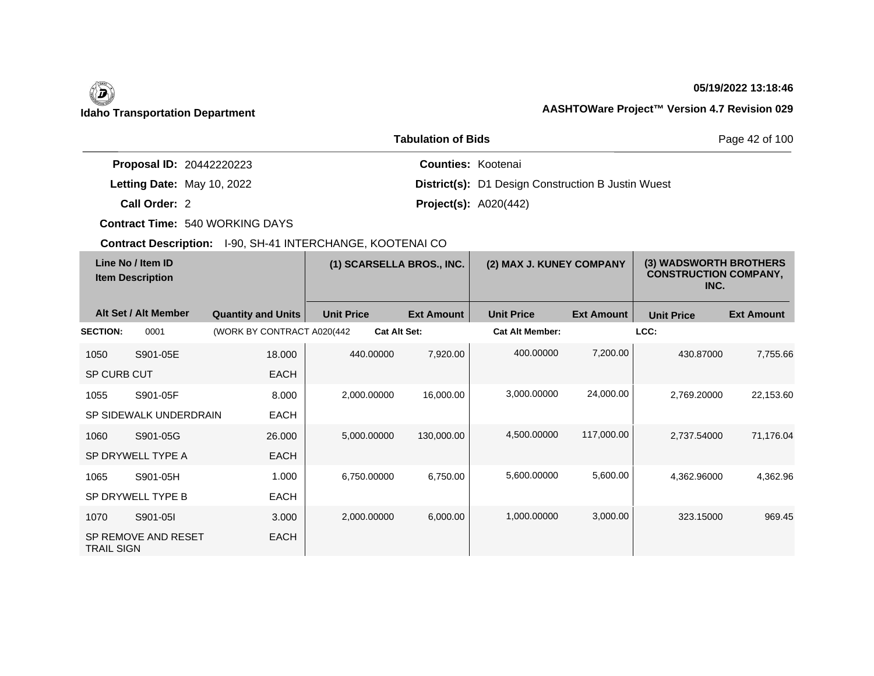$\overline{\phantom{a}}$ 

## **05/19/2022 13:18:46**

|                                 | <b>Tabulation of Bids</b>                                 | Page 42 of 100 |
|---------------------------------|-----------------------------------------------------------|----------------|
| <b>Proposal ID: 20442220223</b> | <b>Counties: Kootenai</b>                                 |                |
| Letting Date: May 10, 2022      | <b>District(s):</b> D1 Design Construction B Justin Wuest |                |
| Call Order: 2                   | <b>Project(s):</b> $A020(442)$                            |                |

**Contract Time:** 540 WORKING DAYS

| Line No / Item ID<br><b>Item Description</b> |                        | (1) SCARSELLA BROS., INC.   |                   | (2) MAX J. KUNEY COMPANY |                        | (3) WADSWORTH BROTHERS<br><b>CONSTRUCTION COMPANY,</b><br>INC. |                   |                   |
|----------------------------------------------|------------------------|-----------------------------|-------------------|--------------------------|------------------------|----------------------------------------------------------------|-------------------|-------------------|
|                                              | Alt Set / Alt Member   | <b>Quantity and Units</b>   | <b>Unit Price</b> | <b>Ext Amount</b>        | <b>Unit Price</b>      | <b>Ext Amount</b>                                              | <b>Unit Price</b> | <b>Ext Amount</b> |
| <b>SECTION:</b>                              | 0001                   | (WORK BY CONTRACT A020(442) |                   | <b>Cat Alt Set:</b>      | <b>Cat Alt Member:</b> |                                                                | LCC:              |                   |
| 1050                                         | S901-05E               | 18.000                      | 440.00000         | 7,920.00                 | 400.00000              | 7,200.00                                                       | 430.87000         | 7,755.66          |
| <b>SP CURB CUT</b>                           |                        | <b>EACH</b>                 |                   |                          |                        |                                                                |                   |                   |
| 1055                                         | S901-05F               | 8.000                       | 2,000.00000       | 16,000.00                | 3,000.00000            | 24,000.00                                                      | 2,769.20000       | 22,153.60         |
|                                              | SP SIDEWALK UNDERDRAIN | <b>EACH</b>                 |                   |                          |                        |                                                                |                   |                   |
| 1060                                         | S901-05G               | 26,000                      | 5,000.00000       | 130,000.00               | 4,500.00000            | 117,000.00                                                     | 2,737.54000       | 71,176.04         |
|                                              | SP DRYWELL TYPE A      | <b>EACH</b>                 |                   |                          |                        |                                                                |                   |                   |
| 1065                                         | S901-05H               | 1.000                       | 6,750.00000       | 6,750.00                 | 5,600.00000            | 5,600.00                                                       | 4,362.96000       | 4,362.96          |
|                                              | SP DRYWELL TYPE B      | <b>EACH</b>                 |                   |                          |                        |                                                                |                   |                   |
| 1070                                         | S901-05I               | 3.000                       | 2,000.00000       | 6,000.00                 | 1,000.00000            | 3,000.00                                                       | 323.15000         | 969.45            |
| <b>TRAIL SIGN</b>                            | SP REMOVE AND RESET    | <b>EACH</b>                 |                   |                          |                        |                                                                |                   |                   |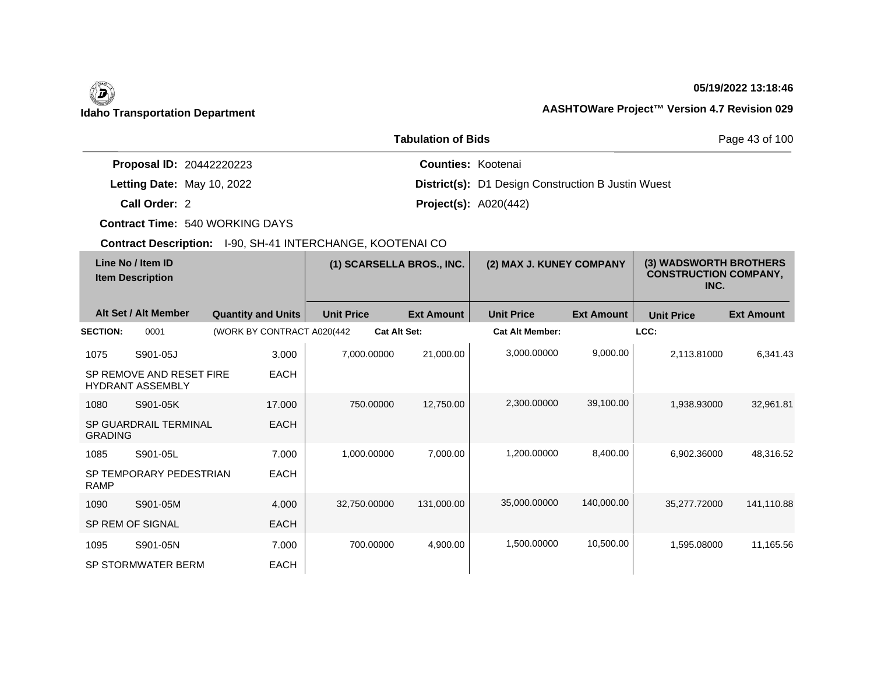## **05/19/2022 13:18:46**

## **Idaho Transportation Department AASHTOWare Project™ Version 4.7 Revision 029**

|                                 | Page 43 of 100                                            |  |
|---------------------------------|-----------------------------------------------------------|--|
| <b>Proposal ID: 20442220223</b> | <b>Counties: Kootenai</b>                                 |  |
| Letting Date: May 10, 2022      | <b>District(s):</b> D1 Design Construction B Justin Wuest |  |
| Call Order: 2                   | <b>Project(s):</b> $A020(442)$                            |  |

**Contract Time:** 540 WORKING DAYS

| Line No / Item ID<br><b>Item Description</b> |                                                     | (1) SCARSELLA BROS., INC.   |                     | (2) MAX J. KUNEY COMPANY |                        | (3) WADSWORTH BROTHERS<br><b>CONSTRUCTION COMPANY,</b><br>INC. |                   |                   |
|----------------------------------------------|-----------------------------------------------------|-----------------------------|---------------------|--------------------------|------------------------|----------------------------------------------------------------|-------------------|-------------------|
|                                              | Alt Set / Alt Member                                | <b>Quantity and Units</b>   | <b>Unit Price</b>   | <b>Ext Amount</b>        | <b>Unit Price</b>      | <b>Ext Amount</b>                                              | <b>Unit Price</b> | <b>Ext Amount</b> |
| <b>SECTION:</b>                              | 0001                                                | (WORK BY CONTRACT A020(442) | <b>Cat Alt Set:</b> |                          | <b>Cat Alt Member:</b> |                                                                | LCC:              |                   |
| 1075                                         | S901-05J                                            | 3.000                       | 7.000.00000         | 21,000.00                | 3.000.00000            | 9,000.00                                                       | 2.113.81000       | 6.341.43          |
|                                              | SP REMOVE AND RESET FIRE<br><b>HYDRANT ASSEMBLY</b> | <b>EACH</b>                 |                     |                          |                        |                                                                |                   |                   |
| 1080                                         | S901-05K                                            | 17.000                      | 750.00000           | 12,750.00                | 2,300.00000            | 39,100.00                                                      | 1,938.93000       | 32,961.81         |
| <b>GRADING</b>                               | SP GUARDRAIL TERMINAL                               | <b>EACH</b>                 |                     |                          |                        |                                                                |                   |                   |
| 1085                                         | S901-05L                                            | 7.000                       | 1,000.00000         | 7,000.00                 | 1,200.00000            | 8,400.00                                                       | 6,902.36000       | 48,316.52         |
| <b>RAMP</b>                                  | SP TEMPORARY PEDESTRIAN                             | <b>EACH</b>                 |                     |                          |                        |                                                                |                   |                   |
| 1090                                         | S901-05M                                            | 4.000                       | 32,750.00000        | 131,000.00               | 35,000.00000           | 140,000.00                                                     | 35,277.72000      | 141,110.88        |
|                                              | SP REM OF SIGNAL                                    | <b>EACH</b>                 |                     |                          |                        |                                                                |                   |                   |
| 1095                                         | S901-05N                                            | 7.000                       | 700.00000           | 4,900.00                 | 1,500.00000            | 10,500.00                                                      | 1,595.08000       | 11,165.56         |
|                                              | <b>SP STORMWATER BERM</b>                           | <b>EACH</b>                 |                     |                          |                        |                                                                |                   |                   |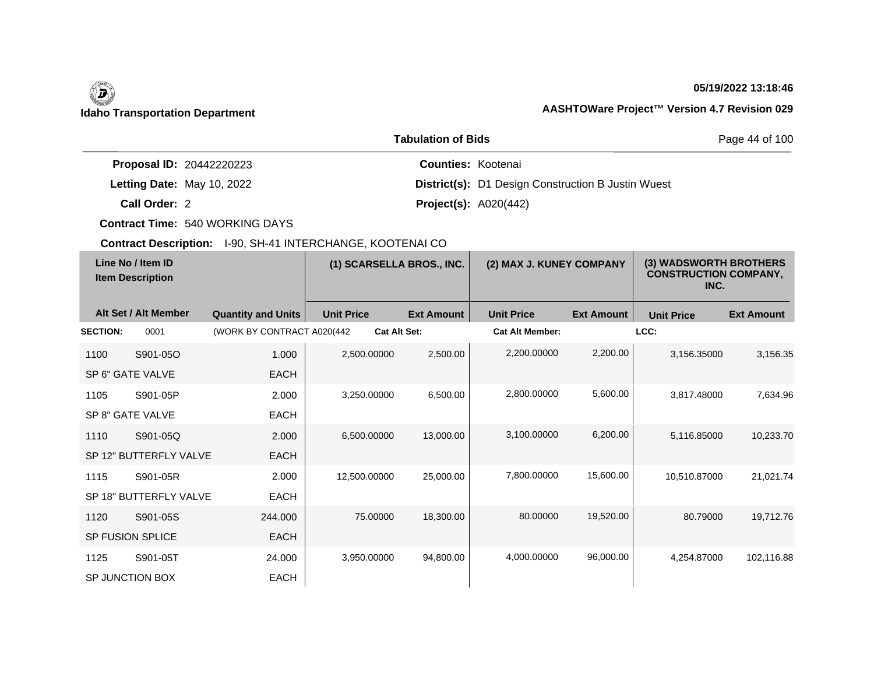## **05/19/2022 13:18:46**

## **Idaho Transportation Department AASHTOWare Project™ Version 4.7 Revision 029**

|                                 | Page 44 of 100                                            |  |
|---------------------------------|-----------------------------------------------------------|--|
| <b>Proposal ID: 20442220223</b> | <b>Counties: Kootenai</b>                                 |  |
| Letting Date: May 10, 2022      | <b>District(s):</b> D1 Design Construction B Justin Wuest |  |
| Call Order: 2                   | <b>Project(s):</b> $A020(442)$                            |  |

**Contract Time:** 540 WORKING DAYS

| Line No / Item ID<br><b>Item Description</b> |                        | (1) SCARSELLA BROS., INC.   |                   | (2) MAX J. KUNEY COMPANY |                        | (3) WADSWORTH BROTHERS<br><b>CONSTRUCTION COMPANY,</b><br>INC. |                   |                   |
|----------------------------------------------|------------------------|-----------------------------|-------------------|--------------------------|------------------------|----------------------------------------------------------------|-------------------|-------------------|
|                                              | Alt Set / Alt Member   | <b>Quantity and Units</b>   | <b>Unit Price</b> | <b>Ext Amount</b>        | <b>Unit Price</b>      | <b>Ext Amount</b>                                              | <b>Unit Price</b> | <b>Ext Amount</b> |
| <b>SECTION:</b>                              | 0001                   | (WORK BY CONTRACT A020(442) |                   | <b>Cat Alt Set:</b>      | <b>Cat Alt Member:</b> |                                                                | LCC:              |                   |
| 1100                                         | S901-05O               | 1.000                       | 2,500.00000       | 2,500.00                 | 2,200.00000            | 2,200.00                                                       | 3,156.35000       | 3,156.35          |
|                                              | SP 6" GATE VALVE       | <b>EACH</b>                 |                   |                          |                        |                                                                |                   |                   |
| 1105                                         | S901-05P               | 2.000                       | 3,250.00000       | 6,500.00                 | 2,800.00000            | 5,600.00                                                       | 3,817.48000       | 7,634.96          |
|                                              | SP 8" GATE VALVE       | <b>EACH</b>                 |                   |                          |                        |                                                                |                   |                   |
| 1110                                         | S901-05Q               | 2.000                       | 6,500.00000       | 13,000.00                | 3,100.00000            | 6,200.00                                                       | 5,116.85000       | 10,233.70         |
|                                              | SP 12" BUTTERFLY VALVE | <b>EACH</b>                 |                   |                          |                        |                                                                |                   |                   |
| 1115                                         | S901-05R               | 2.000                       | 12,500.00000      | 25,000.00                | 7,800.00000            | 15,600.00                                                      | 10,510.87000      | 21,021.74         |
|                                              | SP 18" BUTTERFLY VALVE | <b>EACH</b>                 |                   |                          |                        |                                                                |                   |                   |
| 1120                                         | S901-05S               | 244.000                     | 75,00000          | 18,300.00                | 80.00000               | 19,520.00                                                      | 80.79000          | 19,712.76         |
|                                              | SP FUSION SPLICE       | <b>EACH</b>                 |                   |                          |                        |                                                                |                   |                   |
| 1125                                         | S901-05T               | 24.000                      | 3,950.00000       | 94,800.00                | 4,000.00000            | 96,000.00                                                      | 4,254.87000       | 102,116.88        |
|                                              | SP JUNCTION BOX        | <b>EACH</b>                 |                   |                          |                        |                                                                |                   |                   |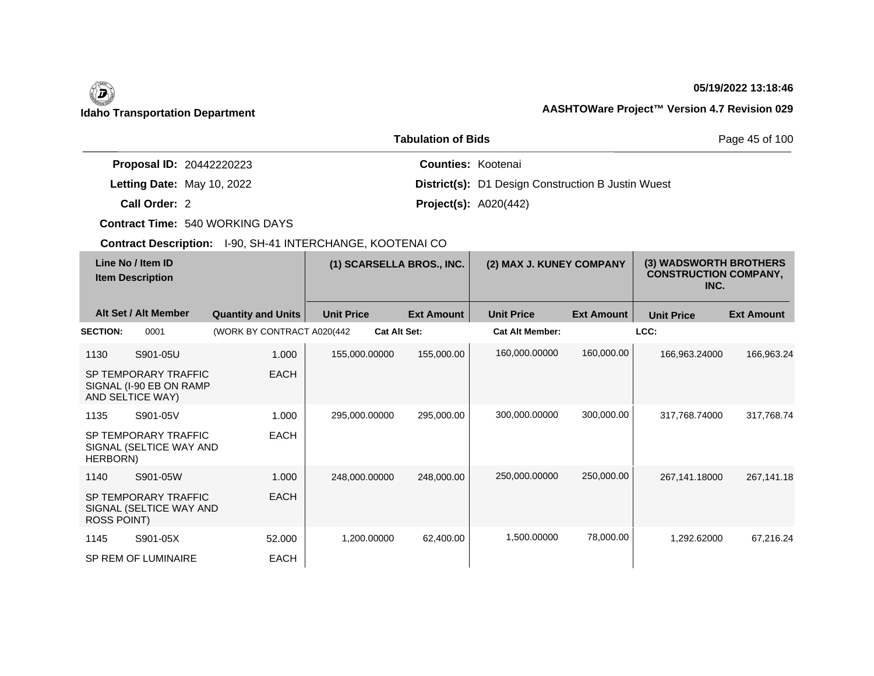## **05/19/2022 13:18:46**

## **Idaho Transportation Department AASHTOWare Project™ Version 4.7 Revision 029**

|                                 | Page 45 of 100                                            |  |
|---------------------------------|-----------------------------------------------------------|--|
| <b>Proposal ID: 20442220223</b> | <b>Counties: Kootenai</b>                                 |  |
| Letting Date: May 10, 2022      | <b>District(s):</b> D1 Design Construction B Justin Wuest |  |
| Call Order: 2                   | <b>Project(s): A020(442)</b>                              |  |

**Contract Time:** 540 WORKING DAYS

| Line No / Item ID<br><b>Item Description</b> |                                                                     | (1) SCARSELLA BROS., INC.   |                   | (2) MAX J. KUNEY COMPANY |                        | (3) WADSWORTH BROTHERS<br><b>CONSTRUCTION COMPANY,</b><br>INC. |                   |                   |
|----------------------------------------------|---------------------------------------------------------------------|-----------------------------|-------------------|--------------------------|------------------------|----------------------------------------------------------------|-------------------|-------------------|
|                                              | Alt Set / Alt Member                                                | <b>Quantity and Units</b>   | <b>Unit Price</b> | <b>Ext Amount</b>        | <b>Unit Price</b>      | <b>Ext Amount</b>                                              | <b>Unit Price</b> | <b>Ext Amount</b> |
| <b>SECTION:</b>                              | 0001                                                                | (WORK BY CONTRACT A020(442) |                   | <b>Cat Alt Set:</b>      | <b>Cat Alt Member:</b> |                                                                | LCC:              |                   |
| 1130                                         | S901-05U                                                            | 1.000                       | 155,000.00000     | 155,000.00               | 160,000.00000          | 160,000.00                                                     | 166,963.24000     | 166,963.24        |
|                                              | SP TEMPORARY TRAFFIC<br>SIGNAL (I-90 EB ON RAMP<br>AND SELTICE WAY) | <b>EACH</b>                 |                   |                          |                        |                                                                |                   |                   |
| 1135                                         | S901-05V                                                            | 1.000                       | 295,000.00000     | 295,000.00               | 300,000.00000          | 300,000.00                                                     | 317,768.74000     | 317,768.74        |
| HERBORN)                                     | SP TEMPORARY TRAFFIC<br>SIGNAL (SELTICE WAY AND                     | <b>EACH</b>                 |                   |                          |                        |                                                                |                   |                   |
| 1140                                         | S901-05W                                                            | 1.000                       | 248,000.00000     | 248,000.00               | 250,000.00000          | 250,000.00                                                     | 267,141.18000     | 267,141.18        |
| <b>ROSS POINT)</b>                           | SP TEMPORARY TRAFFIC<br>SIGNAL (SELTICE WAY AND                     | <b>EACH</b>                 |                   |                          |                        |                                                                |                   |                   |
| 1145                                         | S901-05X                                                            | 52.000                      | 1,200.00000       | 62,400.00                | 1,500.00000            | 78,000.00                                                      | 1,292.62000       | 67,216.24         |
|                                              | SP REM OF LUMINAIRE                                                 | EACH                        |                   |                          |                        |                                                                |                   |                   |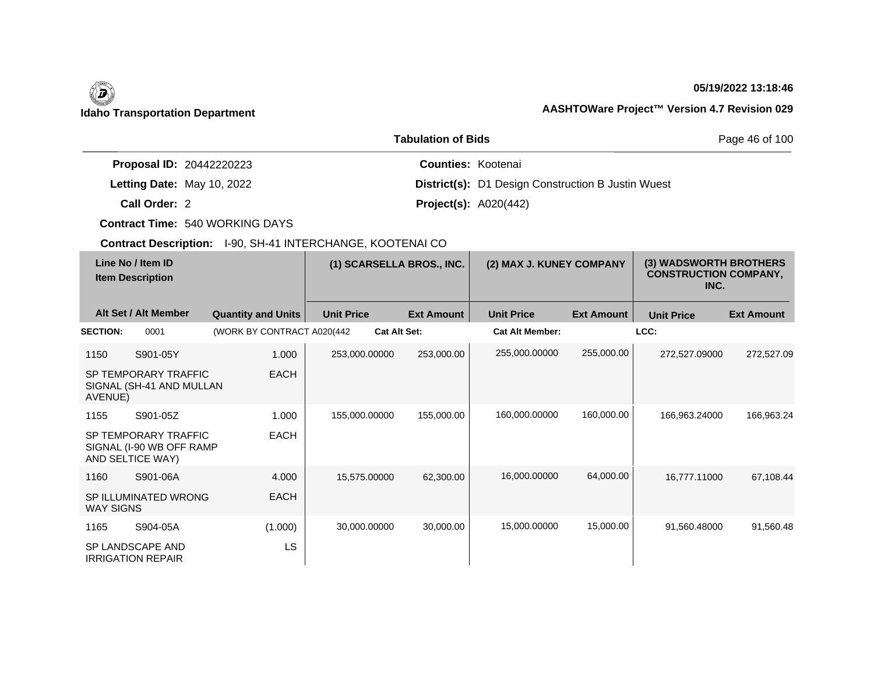## **05/19/2022 13:18:46**

## **Idaho Transportation Department AASHTOWare Project™ Version 4.7 Revision 029**

|                                 | Page 46 of 100                                            |  |
|---------------------------------|-----------------------------------------------------------|--|
| <b>Proposal ID: 20442220223</b> | <b>Counties: Kootenai</b>                                 |  |
| Letting Date: May 10, 2022      | <b>District(s):</b> D1 Design Construction B Justin Wuest |  |
| Call Order: 2                   | <b>Project(s): A020(442)</b>                              |  |

**Contract Time:** 540 WORKING DAYS

| Line No / Item ID<br><b>Item Description</b> |                                                                       | (1) SCARSELLA BROS., INC.   |                   | (2) MAX J. KUNEY COMPANY |                        | (3) WADSWORTH BROTHERS<br><b>CONSTRUCTION COMPANY,</b><br>INC. |                   |                   |
|----------------------------------------------|-----------------------------------------------------------------------|-----------------------------|-------------------|--------------------------|------------------------|----------------------------------------------------------------|-------------------|-------------------|
|                                              | Alt Set / Alt Member                                                  | <b>Quantity and Units</b>   | <b>Unit Price</b> | <b>Ext Amount</b>        | <b>Unit Price</b>      | <b>Ext Amount</b>                                              | <b>Unit Price</b> | <b>Ext Amount</b> |
| <b>SECTION:</b>                              | 0001                                                                  | (WORK BY CONTRACT A020(442) |                   | <b>Cat Alt Set:</b>      | <b>Cat Alt Member:</b> |                                                                | LCC:              |                   |
| 1150                                         | S901-05Y                                                              | 1.000                       | 253,000.00000     | 253,000.00               | 255,000.00000          | 255,000.00                                                     | 272,527.09000     | 272,527.09        |
| AVENUE)                                      | SP TEMPORARY TRAFFIC<br>SIGNAL (SH-41 AND MULLAN                      | <b>EACH</b>                 |                   |                          |                        |                                                                |                   |                   |
| 1155                                         | S901-05Z                                                              | 1.000                       | 155,000.00000     | 155,000.00               | 160,000.00000          | 160,000.00                                                     | 166,963.24000     | 166,963.24        |
|                                              | SP TEMPORARY TRAFFIC<br>SIGNAL (I-90 WB OFF RAMP)<br>AND SELTICE WAY) | <b>EACH</b>                 |                   |                          |                        |                                                                |                   |                   |
| 1160                                         | S901-06A                                                              | 4.000                       | 15,575.00000      | 62,300.00                | 16,000.00000           | 64,000.00                                                      | 16,777.11000      | 67,108.44         |
| <b>WAY SIGNS</b>                             | SP ILLUMINATED WRONG                                                  | <b>EACH</b>                 |                   |                          |                        |                                                                |                   |                   |
| 1165                                         | S904-05A                                                              | (1.000)                     | 30,000.00000      | 30,000.00                | 15,000.00000           | 15,000.00                                                      | 91,560.48000      | 91,560.48         |
|                                              | SP LANDSCAPE AND<br><b>IRRIGATION REPAIR</b>                          | LS                          |                   |                          |                        |                                                                |                   |                   |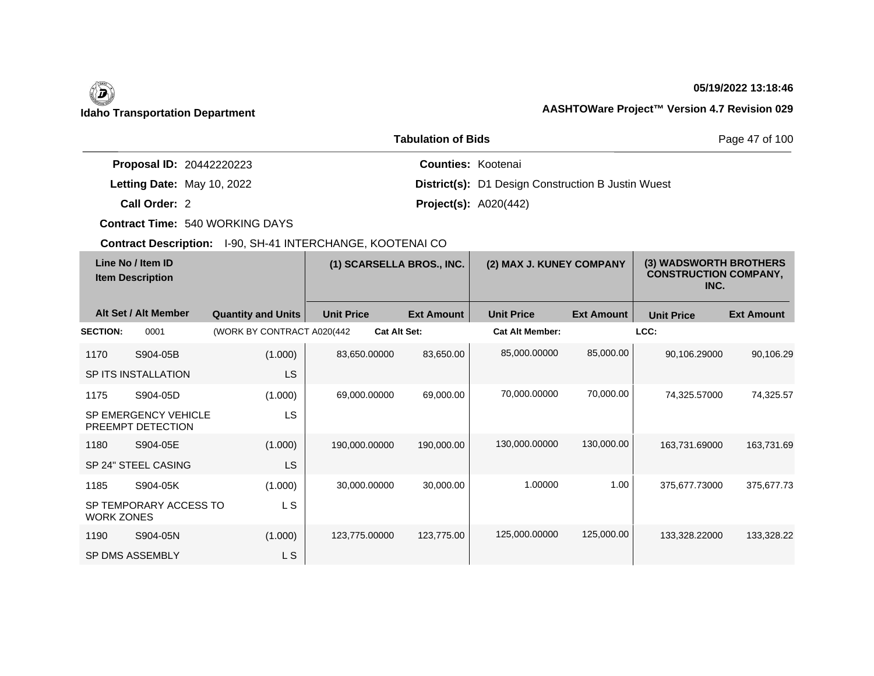## **05/19/2022 13:18:46**

## **Idaho Transportation Department AASHTOWare Project™ Version 4.7 Revision 029**

|                                 | Page 47 of 100                                            |  |
|---------------------------------|-----------------------------------------------------------|--|
| <b>Proposal ID: 20442220223</b> | <b>Counties: Kootenai</b>                                 |  |
| Letting Date: May 10, 2022      | <b>District(s):</b> D1 Design Construction B Justin Wuest |  |
| Call Order: 2                   | <b>Project(s): A020(442)</b>                              |  |

**Contract Time:** 540 WORKING DAYS

|                                              | <b>OOMTOOL DUSCH DITE:</b> TOO, OFF THIN ENOTIATIOL, NOOT LIVAL OO |                            |                   |                          |                   |                                                                |                   |                   |                   |
|----------------------------------------------|--------------------------------------------------------------------|----------------------------|-------------------|--------------------------|-------------------|----------------------------------------------------------------|-------------------|-------------------|-------------------|
| Line No / Item ID<br><b>Item Description</b> |                                                                    | (1) SCARSELLA BROS., INC.  |                   | (2) MAX J. KUNEY COMPANY |                   | (3) WADSWORTH BROTHERS<br><b>CONSTRUCTION COMPANY,</b><br>INC. |                   |                   |                   |
|                                              | Alt Set / Alt Member                                               | <b>Quantity and Units</b>  | <b>Unit Price</b> |                          | <b>Ext Amount</b> | <b>Unit Price</b>                                              | <b>Ext Amount</b> | <b>Unit Price</b> | <b>Ext Amount</b> |
| <b>SECTION:</b>                              | 0001                                                               | (WORK BY CONTRACT A020(442 |                   | <b>Cat Alt Set:</b>      |                   | <b>Cat Alt Member:</b>                                         |                   | LCC:              |                   |
| 1170                                         | S904-05B                                                           | (1.000)                    |                   | 83,650.00000             | 83,650.00         | 85,000.00000                                                   | 85,000.00         | 90,106.29000      | 90,106.29         |
|                                              | SP ITS INSTALLATION                                                | <b>LS</b>                  |                   |                          |                   |                                                                |                   |                   |                   |
| 1175                                         | S904-05D                                                           | (1.000)                    |                   | 69,000.00000             | 69,000.00         | 70,000.00000                                                   | 70,000.00         | 74,325.57000      | 74,325.57         |
|                                              | <b>SP EMERGENCY VEHICLE</b><br>PREEMPT DETECTION                   | LS.                        |                   |                          |                   |                                                                |                   |                   |                   |
| 1180                                         | S904-05E                                                           | (1.000)                    |                   | 190,000.00000            | 190,000.00        | 130,000.00000                                                  | 130,000.00        | 163,731.69000     | 163,731.69        |
|                                              | SP 24" STEEL CASING                                                | LS.                        |                   |                          |                   |                                                                |                   |                   |                   |
| 1185                                         | S904-05K                                                           | (1.000)                    |                   | 30.000.00000             | 30,000.00         | 1.00000                                                        | 1.00              | 375.677.73000     | 375,677.73        |
| <b>WORK ZONES</b>                            | SP TEMPORARY ACCESS TO                                             | L S                        |                   |                          |                   |                                                                |                   |                   |                   |
| 1190                                         | S904-05N                                                           | (1.000)                    |                   | 123,775.00000            | 123,775.00        | 125,000.00000                                                  | 125,000.00        | 133,328.22000     | 133,328.22        |
|                                              | SP DMS ASSEMBLY                                                    | L S                        |                   |                          |                   |                                                                |                   |                   |                   |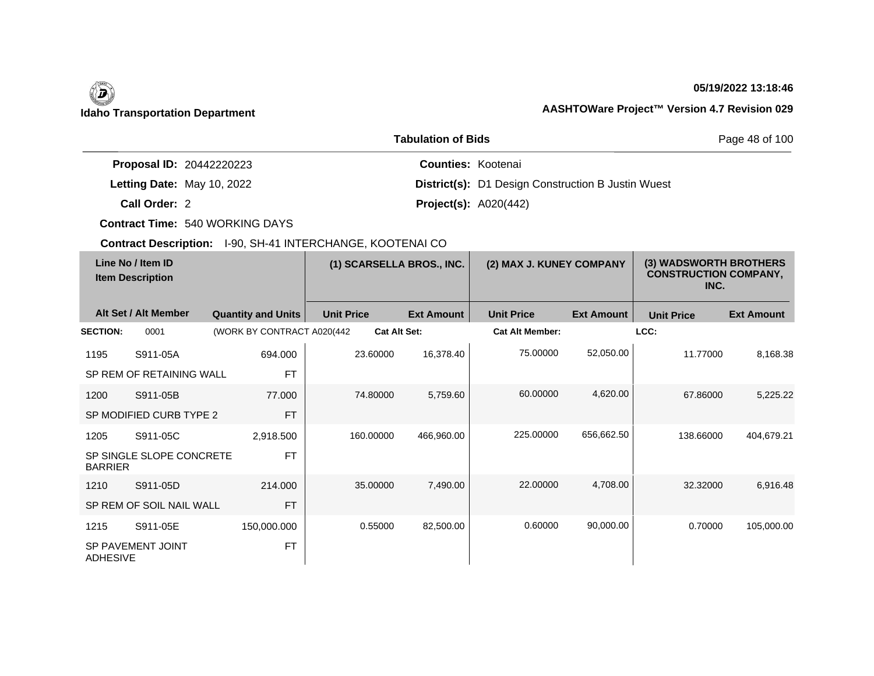## **05/19/2022 13:18:46**

|                                 | <b>Tabulation of Bids</b>                                 | Page 48 of 100 |  |
|---------------------------------|-----------------------------------------------------------|----------------|--|
| <b>Proposal ID: 20442220223</b> | <b>Counties: Kootenai</b>                                 |                |  |
| Letting Date: May 10, 2022      | <b>District(s):</b> D1 Design Construction B Justin Wuest |                |  |
| Call Order: 2                   | <b>Project(s):</b> $A020(442)$                            |                |  |

**Contract Time:** 540 WORKING DAYS

|                 | Line No / Item ID<br><b>Item Description</b> |                             | (1) SCARSELLA BROS., INC. |                   | (2) MAX J. KUNEY COMPANY |                   | (3) WADSWORTH BROTHERS<br><b>CONSTRUCTION COMPANY,</b><br>INC. |                   |
|-----------------|----------------------------------------------|-----------------------------|---------------------------|-------------------|--------------------------|-------------------|----------------------------------------------------------------|-------------------|
|                 | Alt Set / Alt Member                         | <b>Quantity and Units</b>   | <b>Unit Price</b>         | <b>Ext Amount</b> | <b>Unit Price</b>        | <b>Ext Amount</b> | <b>Unit Price</b>                                              | <b>Ext Amount</b> |
| <b>SECTION:</b> | 0001                                         | (WORK BY CONTRACT A020(442) | <b>Cat Alt Set:</b>       |                   | <b>Cat Alt Member:</b>   |                   | LCC:                                                           |                   |
| 1195            | S911-05A                                     | 694.000                     | 23.60000                  | 16,378.40         | 75.00000                 | 52,050.00         | 11.77000                                                       | 8,168.38          |
|                 | SP REM OF RETAINING WALL                     | <b>FT</b>                   |                           |                   |                          |                   |                                                                |                   |
| 1200            | S911-05B                                     | 77.000                      | 74.80000                  | 5,759.60          | 60.00000                 | 4,620.00          | 67.86000                                                       | 5,225.22          |
|                 | SP MODIFIED CURB TYPE 2                      | <b>FT</b>                   |                           |                   |                          |                   |                                                                |                   |
| 1205            | S911-05C                                     | 2,918.500                   | 160.00000                 | 466,960.00        | 225,00000                | 656,662.50        | 138.66000                                                      | 404,679.21        |
| <b>BARRIER</b>  | SP SINGLE SLOPE CONCRETE                     | <b>FT</b>                   |                           |                   |                          |                   |                                                                |                   |
| 1210            | S911-05D                                     | 214.000                     | 35.00000                  | 7,490.00          | 22,00000                 | 4,708.00          | 32,32000                                                       | 6,916.48          |
|                 | SP REM OF SOIL NAIL WALL                     | <b>FT</b>                   |                           |                   |                          |                   |                                                                |                   |
| 1215            | S911-05E                                     | 150,000.000                 | 0.55000                   | 82,500.00         | 0.60000                  | 90,000.00         | 0.70000                                                        | 105,000.00        |
| <b>ADHESIVE</b> | SP PAVEMENT JOINT                            | <b>FT</b>                   |                           |                   |                          |                   |                                                                |                   |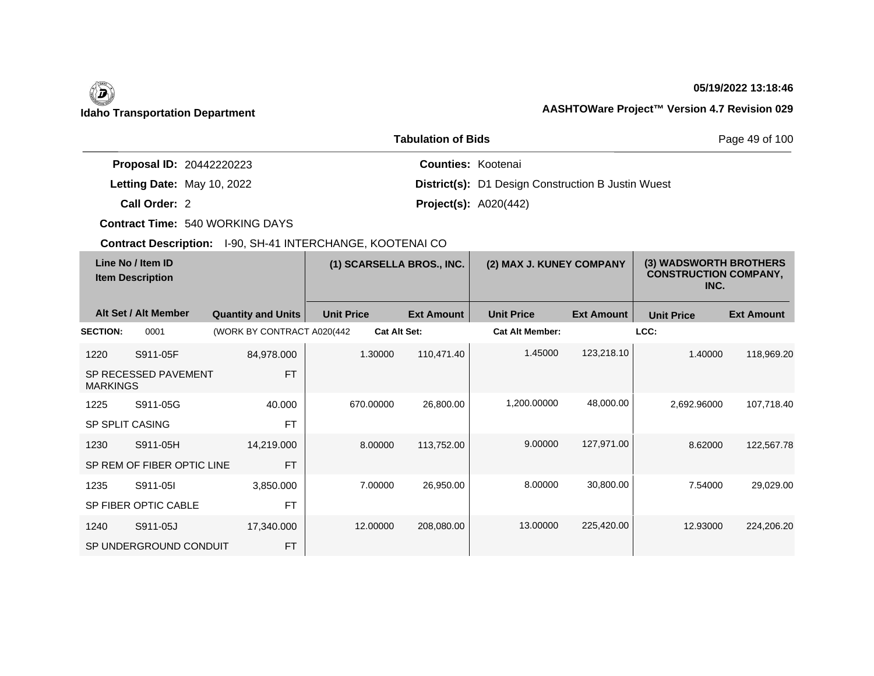## **05/19/2022 13:18:46**

|                                 | <b>Tabulation of Bids</b>                                 | Page 49 of 100 |  |
|---------------------------------|-----------------------------------------------------------|----------------|--|
| <b>Proposal ID: 20442220223</b> | <b>Counties: Kootenai</b>                                 |                |  |
| Letting Date: May 10, 2022      | <b>District(s):</b> D1 Design Construction B Justin Wuest |                |  |
| Call Order: 2                   | <b>Project(s):</b> $A020(442)$                            |                |  |

**Contract Time:** 540 WORKING DAYS

|                        | Line No / Item ID<br><b>Item Description</b> |                             |                   | (1) SCARSELLA BROS., INC. | (2) MAX J. KUNEY COMPANY |                   | (3) WADSWORTH BROTHERS<br><b>CONSTRUCTION COMPANY,</b><br>INC. |                   |
|------------------------|----------------------------------------------|-----------------------------|-------------------|---------------------------|--------------------------|-------------------|----------------------------------------------------------------|-------------------|
|                        | Alt Set / Alt Member                         | <b>Quantity and Units</b>   | <b>Unit Price</b> | <b>Ext Amount</b>         | <b>Unit Price</b>        | <b>Ext Amount</b> | <b>Unit Price</b>                                              | <b>Ext Amount</b> |
| <b>SECTION:</b>        | 0001                                         | (WORK BY CONTRACT A020(442) |                   | <b>Cat Alt Set:</b>       | <b>Cat Alt Member:</b>   |                   | LCC:                                                           |                   |
| 1220                   | S911-05F                                     | 84,978.000                  | 1.30000           | 110,471.40                | 1.45000                  | 123,218.10        | 1.40000                                                        | 118,969.20        |
| <b>MARKINGS</b>        | SP RECESSED PAVEMENT                         | <b>FT</b>                   |                   |                           |                          |                   |                                                                |                   |
| 1225                   | S911-05G                                     | 40.000                      | 670,00000         | 26,800.00                 | 1,200.00000              | 48,000.00         | 2,692.96000                                                    | 107,718.40        |
| <b>SP SPLIT CASING</b> |                                              | <b>FT</b>                   |                   |                           |                          |                   |                                                                |                   |
| 1230                   | S911-05H                                     | 14,219.000                  | 8.00000           | 113,752.00                | 9.00000                  | 127,971.00        | 8.62000                                                        | 122,567.78        |
|                        | SP REM OF FIBER OPTIC LINE                   | <b>FT</b>                   |                   |                           |                          |                   |                                                                |                   |
| 1235                   | S911-05I                                     | 3,850.000                   | 7.00000           | 26,950.00                 | 8.00000                  | 30,800.00         | 7.54000                                                        | 29,029.00         |
|                        | SP FIBER OPTIC CABLE                         | <b>FT</b>                   |                   |                           |                          |                   |                                                                |                   |
| 1240                   | S911-05J                                     | 17,340.000                  | 12,00000          | 208,080.00                | 13.00000                 | 225,420.00        | 12.93000                                                       | 224,206.20        |
|                        | SP UNDERGROUND CONDUIT                       | <b>FT</b>                   |                   |                           |                          |                   |                                                                |                   |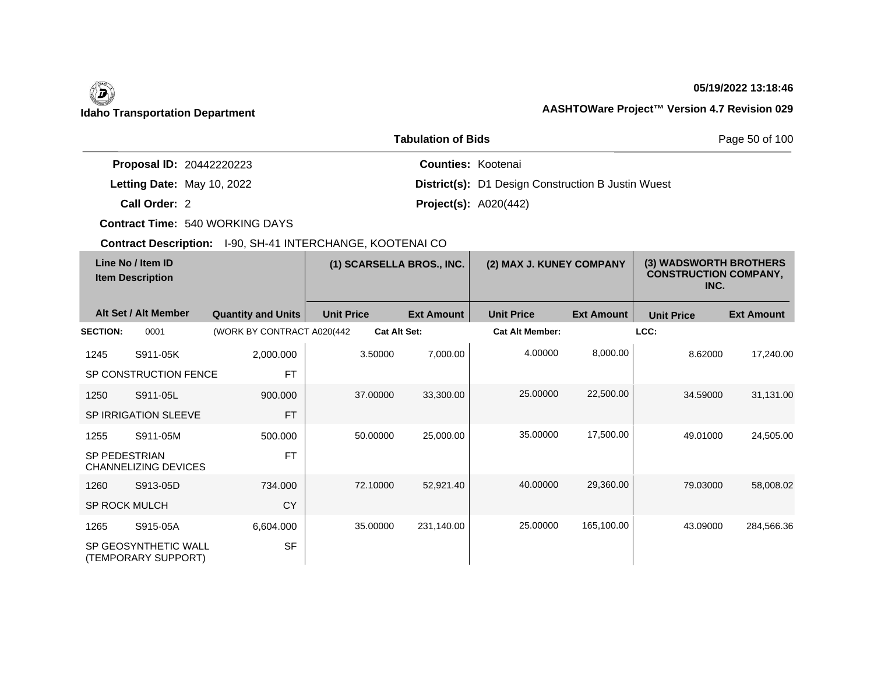## **05/19/2022 13:18:46**

|                                 | <b>Tabulation of Bids</b>                                 | Page 50 of 100 |  |
|---------------------------------|-----------------------------------------------------------|----------------|--|
| <b>Proposal ID: 20442220223</b> | <b>Counties: Kootenai</b>                                 |                |  |
| Letting Date: May 10, 2022      | <b>District(s):</b> D1 Design Construction B Justin Wuest |                |  |
| Call Order: 2                   | <b>Project(s): A020(442)</b>                              |                |  |

**Contract Time:** 540 WORKING DAYS

|                      | Line No / Item ID<br><b>Item Description</b> |                             | (1) SCARSELLA BROS., INC. |                   | (2) MAX J. KUNEY COMPANY |                   | (3) WADSWORTH BROTHERS<br><b>CONSTRUCTION COMPANY,</b><br>INC. |                   |
|----------------------|----------------------------------------------|-----------------------------|---------------------------|-------------------|--------------------------|-------------------|----------------------------------------------------------------|-------------------|
|                      | Alt Set / Alt Member                         | <b>Quantity and Units</b>   | <b>Unit Price</b>         | <b>Ext Amount</b> | <b>Unit Price</b>        | <b>Ext Amount</b> | <b>Unit Price</b>                                              | <b>Ext Amount</b> |
| <b>SECTION:</b>      | 0001                                         | (WORK BY CONTRACT A020(442) | <b>Cat Alt Set:</b>       |                   | <b>Cat Alt Member:</b>   |                   | LCC:                                                           |                   |
| 1245                 | S911-05K                                     | 2,000.000                   | 3.50000                   | 7,000.00          | 4.00000                  | 8,000.00          | 8.62000                                                        | 17,240.00         |
|                      | SP CONSTRUCTION FENCE                        | <b>FT</b>                   |                           |                   |                          |                   |                                                                |                   |
| 1250                 | S911-05L                                     | 900.000                     | 37.00000                  | 33,300.00         | 25.00000                 | 22,500.00         | 34.59000                                                       | 31,131.00         |
|                      | <b>SP IRRIGATION SLEEVE</b>                  | <b>FT</b>                   |                           |                   |                          |                   |                                                                |                   |
| 1255                 | S911-05M                                     | 500.000                     | 50.00000                  | 25,000.00         | 35.00000                 | 17,500.00         | 49.01000                                                       | 24,505.00         |
| <b>SP PEDESTRIAN</b> | CHANNELIZING DEVICES                         | <b>FT</b>                   |                           |                   |                          |                   |                                                                |                   |
| 1260                 | S913-05D                                     | 734.000                     | 72.10000                  | 52,921.40         | 40.00000                 | 29,360.00         | 79.03000                                                       | 58,008.02         |
| <b>SP ROCK MULCH</b> |                                              | <b>CY</b>                   |                           |                   |                          |                   |                                                                |                   |
| 1265                 | S915-05A                                     | 6,604.000                   | 35.00000                  | 231,140.00        | 25.00000                 | 165,100.00        | 43.09000                                                       | 284,566.36        |
|                      | SP GEOSYNTHETIC WALL<br>(TEMPORARY SUPPORT)  | <b>SF</b>                   |                           |                   |                          |                   |                                                                |                   |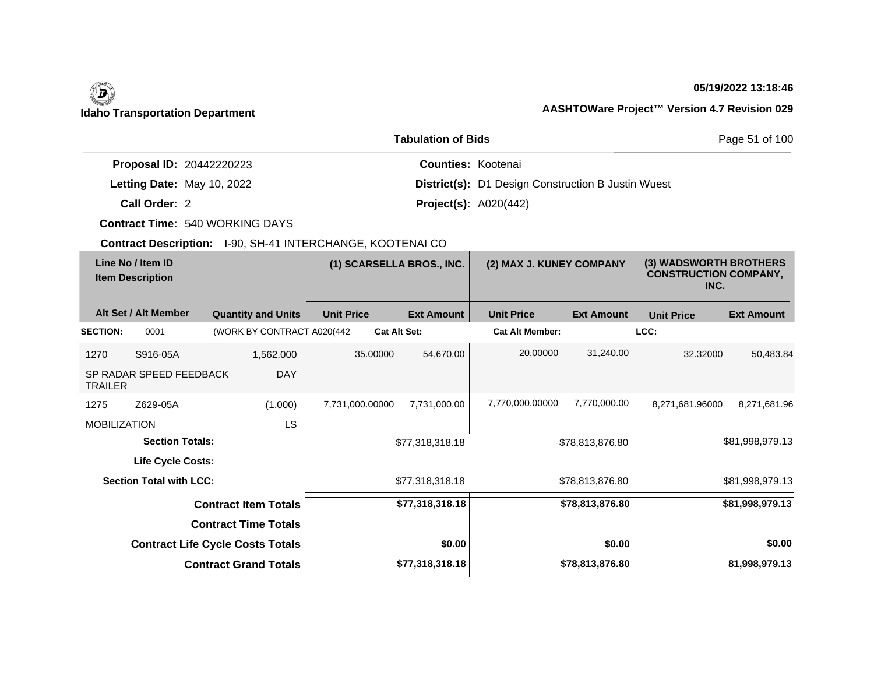# (D)

## **05/19/2022 13:18:46**

## **Idaho Transportation Department AASHTOWare Project™ Version 4.7 Revision 029**

|                                 | <b>Tabulation of Bids</b>                                 | Page 51 of 100 |  |
|---------------------------------|-----------------------------------------------------------|----------------|--|
| <b>Proposal ID: 20442220223</b> | <b>Counties: Kootenai</b>                                 |                |  |
| Letting Date: May 10, 2022      | <b>District(s):</b> D1 Design Construction B Justin Wuest |                |  |
| Call Order: 2                   | <b>Project(s):</b> $A020(442)$                            |                |  |

**Contract Time:** 540 WORKING DAYS

|                     | Line No / Item ID<br><b>Item Description</b> |                                         | (1) SCARSELLA BROS., INC. |                   | (2) MAX J. KUNEY COMPANY |                   | (3) WADSWORTH BROTHERS<br><b>CONSTRUCTION COMPANY,</b><br>INC. |                   |
|---------------------|----------------------------------------------|-----------------------------------------|---------------------------|-------------------|--------------------------|-------------------|----------------------------------------------------------------|-------------------|
|                     | Alt Set / Alt Member                         | <b>Quantity and Units</b>               | <b>Unit Price</b>         | <b>Ext Amount</b> | <b>Unit Price</b>        | <b>Ext Amount</b> | <b>Unit Price</b>                                              | <b>Ext Amount</b> |
| <b>SECTION:</b>     | 0001                                         | (WORK BY CONTRACT A020(442)             | <b>Cat Alt Set:</b>       |                   | <b>Cat Alt Member:</b>   |                   | LCC:                                                           |                   |
| 1270                | S916-05A                                     | 1,562.000                               | 35.00000                  | 54,670.00         | 20.00000                 | 31,240.00         | 32.32000                                                       | 50,483.84         |
| <b>TRAILER</b>      | SP RADAR SPEED FEEDBACK                      | <b>DAY</b>                              |                           |                   |                          |                   |                                                                |                   |
| 1275                | Z629-05A                                     | (1.000)                                 | 7,731,000.00000           | 7,731,000.00      | 7,770,000.00000          | 7,770,000.00      | 8,271,681.96000                                                | 8,271,681.96      |
| <b>MOBILIZATION</b> |                                              | LS                                      |                           |                   |                          |                   |                                                                |                   |
|                     | <b>Section Totals:</b>                       |                                         |                           | \$77,318,318.18   |                          | \$78,813,876.80   |                                                                | \$81,998,979.13   |
|                     | <b>Life Cycle Costs:</b>                     |                                         |                           |                   |                          |                   |                                                                |                   |
|                     | <b>Section Total with LCC:</b>               |                                         |                           | \$77,318,318.18   |                          | \$78,813,876.80   |                                                                | \$81,998,979.13   |
|                     |                                              | <b>Contract Item Totals</b>             |                           | \$77,318,318.18   |                          | \$78,813,876.80   |                                                                | \$81,998,979.13   |
|                     |                                              | <b>Contract Time Totals</b>             |                           |                   |                          |                   |                                                                |                   |
|                     |                                              | <b>Contract Life Cycle Costs Totals</b> |                           | \$0.00            |                          | \$0.00            |                                                                | \$0.00            |
|                     |                                              | <b>Contract Grand Totals</b>            |                           | \$77,318,318.18   |                          | \$78,813,876.80   |                                                                | 81,998,979.13     |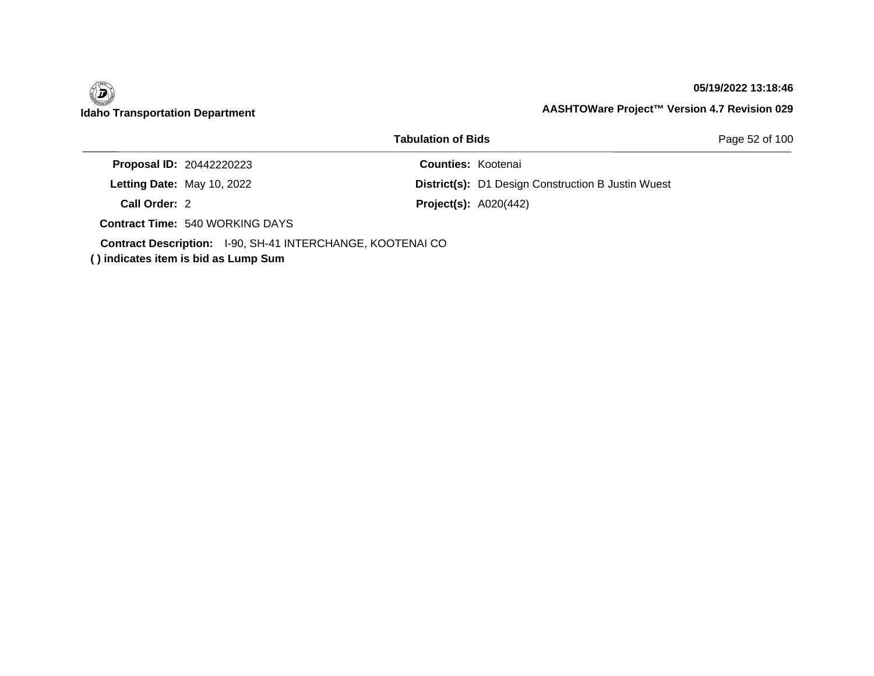

### **05/19/2022 13:18:46**

|                                                            | <b>Tabulation of Bids</b>                                 | Page 52 of 100 |
|------------------------------------------------------------|-----------------------------------------------------------|----------------|
| <b>Proposal ID: 20442220223</b>                            | <b>Counties: Kootenai</b>                                 |                |
| Letting Date: May 10, 2022                                 | <b>District(s):</b> D1 Design Construction B Justin Wuest |                |
| Call Order: 2                                              | <b>Project(s): A020(442)</b>                              |                |
| <b>Contract Time: 540 WORKING DAYS</b>                     |                                                           |                |
| Contract Description: I-90, SH-41 INTERCHANGE, KOOTENAI CO |                                                           |                |

**( ) indicates item is bid as Lump Sum**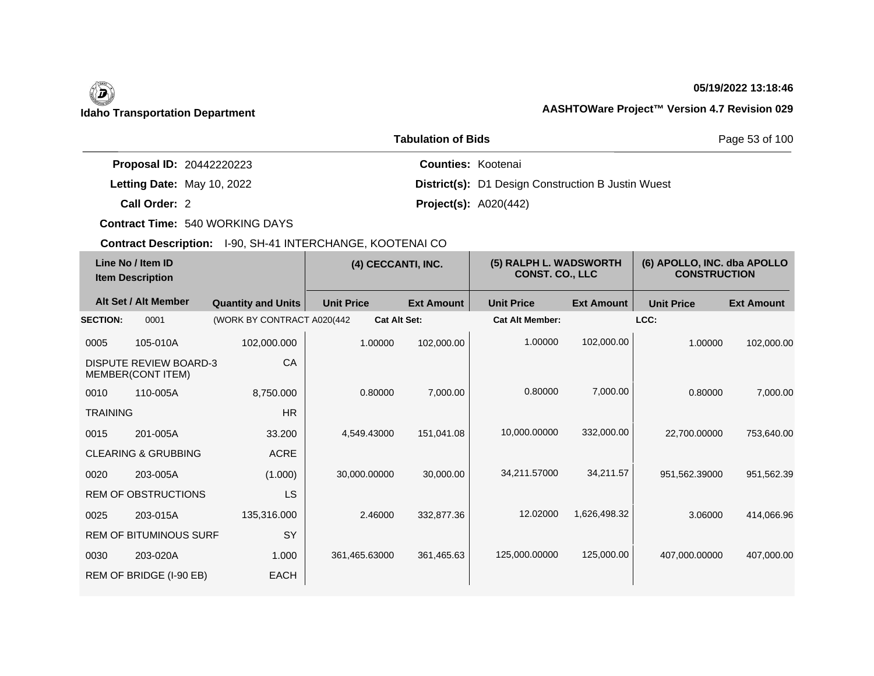## **05/19/2022 13:18:46**

|                                 | <b>Tabulation of Bids</b>                                 | Page 53 of 100 |
|---------------------------------|-----------------------------------------------------------|----------------|
| <b>Proposal ID: 20442220223</b> | <b>Counties: Kootenai</b>                                 |                |
| Letting Date: May 10, 2022      | <b>District(s):</b> D1 Design Construction B Justin Wuest |                |
| Call Order: 2                   | <b>Project(s): A020(442)</b>                              |                |

**Contract Time:** 540 WORKING DAYS

| Line No / Item ID<br><b>Item Description</b> |                                                    | (4) CECCANTI, INC.          |                   | (5) RALPH L. WADSWORTH<br><b>CONST. CO., LLC</b> |                        | (6) APOLLO, INC. dba APOLLO<br><b>CONSTRUCTION</b> |                   |                   |
|----------------------------------------------|----------------------------------------------------|-----------------------------|-------------------|--------------------------------------------------|------------------------|----------------------------------------------------|-------------------|-------------------|
|                                              | Alt Set / Alt Member                               | <b>Quantity and Units</b>   | <b>Unit Price</b> | <b>Ext Amount</b>                                | <b>Unit Price</b>      | <b>Ext Amount</b>                                  | <b>Unit Price</b> | <b>Ext Amount</b> |
| <b>SECTION:</b>                              | 0001                                               | (WORK BY CONTRACT A020(442) |                   | <b>Cat Alt Set:</b>                              | <b>Cat Alt Member:</b> |                                                    | LCC:              |                   |
| 0005                                         | 105-010A                                           | 102,000.000                 | 1.00000           | 102,000.00                                       | 1.00000                | 102,000.00                                         | 1.00000           | 102,000.00        |
|                                              | <b>DISPUTE REVIEW BOARD-3</b><br>MEMBER(CONT ITEM) | CA                          |                   |                                                  |                        |                                                    |                   |                   |
| 0010                                         | 110-005A                                           | 8,750.000                   | 0.80000           | 7,000.00                                         | 0.80000                | 7,000.00                                           | 0.80000           | 7,000.00          |
| <b>TRAINING</b>                              |                                                    | <b>HR</b>                   |                   |                                                  |                        |                                                    |                   |                   |
| 0015                                         | 201-005A                                           | 33.200                      | 4.549.43000       | 151,041.08                                       | 10,000.00000           | 332,000.00                                         | 22,700.00000      | 753,640.00        |
|                                              | <b>CLEARING &amp; GRUBBING</b>                     | <b>ACRE</b>                 |                   |                                                  |                        |                                                    |                   |                   |
| 0020                                         | 203-005A                                           | (1.000)                     | 30,000.00000      | 30,000.00                                        | 34,211.57000           | 34,211.57                                          | 951,562.39000     | 951,562.39        |
|                                              | <b>REM OF OBSTRUCTIONS</b>                         | LS                          |                   |                                                  |                        |                                                    |                   |                   |
| 0025                                         | 203-015A                                           | 135,316.000                 | 2.46000           | 332,877.36                                       | 12.02000               | 1,626,498.32                                       | 3.06000           | 414,066.96        |
|                                              | <b>REM OF BITUMINOUS SURF</b>                      | <b>SY</b>                   |                   |                                                  |                        |                                                    |                   |                   |
| 0030                                         | 203-020A                                           | 1.000                       | 361,465.63000     | 361,465.63                                       | 125,000.00000          | 125,000.00                                         | 407,000.00000     | 407,000.00        |
|                                              | REM OF BRIDGE (I-90 EB)                            | <b>EACH</b>                 |                   |                                                  |                        |                                                    |                   |                   |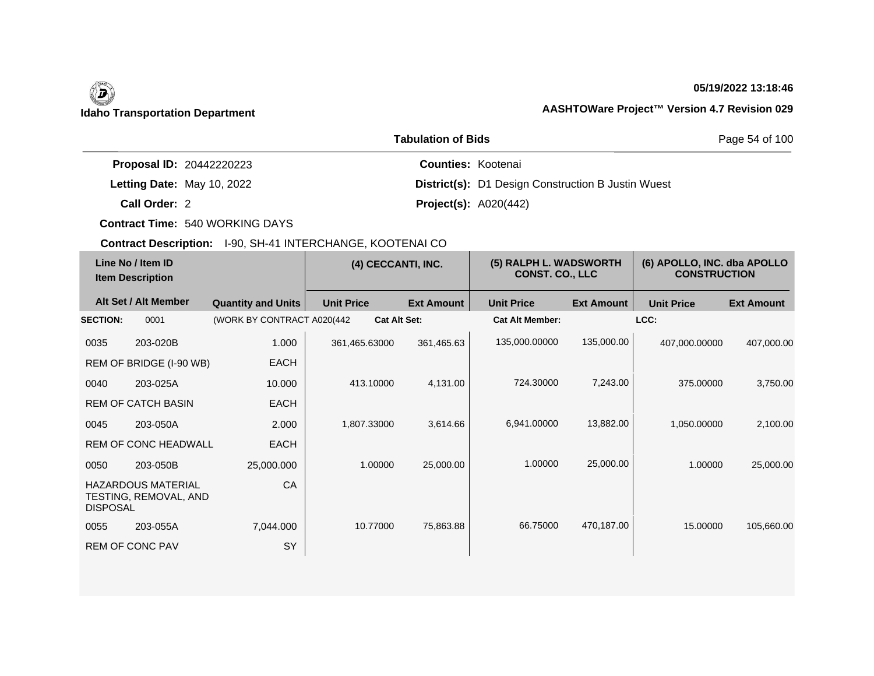## **05/19/2022 13:18:46**

|                                 | <b>Tabulation of Bids</b>                                 | Page 54 of 100 |
|---------------------------------|-----------------------------------------------------------|----------------|
| <b>Proposal ID: 20442220223</b> | <b>Counties: Kootenai</b>                                 |                |
| Letting Date: May 10, 2022      | <b>District(s):</b> D1 Design Construction B Justin Wuest |                |
| Call Order: 2                   | <b>Project(s): A020(442)</b>                              |                |

**Contract Time:** 540 WORKING DAYS

| Line No / Item ID<br><b>Item Description</b> |                                                    | (4) CECCANTI, INC.          |                     | (5) RALPH L. WADSWORTH<br><b>CONST. CO., LLC</b> |                        | (6) APOLLO, INC. dba APOLLO<br><b>CONSTRUCTION</b> |                   |                   |
|----------------------------------------------|----------------------------------------------------|-----------------------------|---------------------|--------------------------------------------------|------------------------|----------------------------------------------------|-------------------|-------------------|
|                                              | Alt Set / Alt Member                               | <b>Quantity and Units</b>   | <b>Unit Price</b>   | <b>Ext Amount</b>                                | <b>Unit Price</b>      | <b>Ext Amount</b>                                  | <b>Unit Price</b> | <b>Ext Amount</b> |
| <b>SECTION:</b>                              | 0001                                               | (WORK BY CONTRACT A020(442) | <b>Cat Alt Set:</b> |                                                  | <b>Cat Alt Member:</b> |                                                    | LCC:              |                   |
| 0035                                         | 203-020B                                           | 1.000                       | 361,465.63000       | 361,465.63                                       | 135,000.00000          | 135,000.00                                         | 407,000.00000     | 407,000.00        |
|                                              | REM OF BRIDGE (I-90 WB)                            | <b>EACH</b>                 |                     |                                                  |                        |                                                    |                   |                   |
| 0040                                         | 203-025A                                           | 10.000                      | 413.10000           | 4,131.00                                         | 724.30000              | 7,243.00                                           | 375.00000         | 3,750.00          |
|                                              | <b>REM OF CATCH BASIN</b>                          | <b>EACH</b>                 |                     |                                                  |                        |                                                    |                   |                   |
| 0045                                         | 203-050A                                           | 2.000                       | 1,807.33000         | 3,614.66                                         | 6,941.00000            | 13,882.00                                          | 1,050.00000       | 2,100.00          |
|                                              | <b>REM OF CONC HEADWALL</b>                        | <b>EACH</b>                 |                     |                                                  |                        |                                                    |                   |                   |
| 0050                                         | 203-050B                                           | 25,000.000                  | 1.00000             | 25,000.00                                        | 1.00000                | 25,000.00                                          | 1.00000           | 25,000.00         |
| <b>DISPOSAL</b>                              | <b>HAZARDOUS MATERIAL</b><br>TESTING, REMOVAL, AND | CA                          |                     |                                                  |                        |                                                    |                   |                   |
| 0055                                         | 203-055A                                           | 7,044.000                   | 10.77000            | 75,863.88                                        | 66.75000               | 470,187.00                                         | 15,00000          | 105,660.00        |
|                                              | <b>REM OF CONC PAV</b>                             | <b>SY</b>                   |                     |                                                  |                        |                                                    |                   |                   |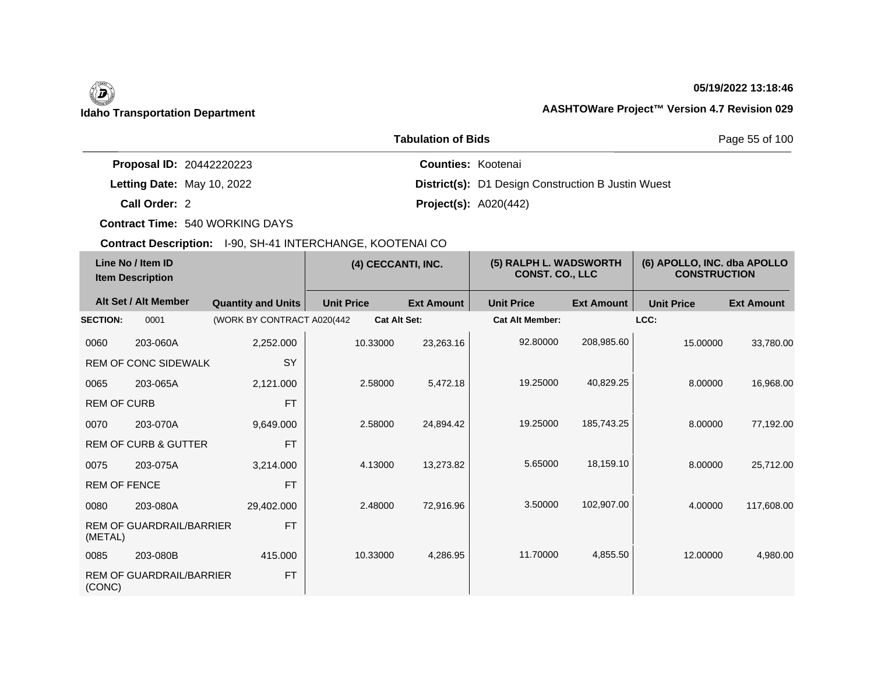## **05/19/2022 13:18:46**

|                                 | Page 55 of 100                                            |  |
|---------------------------------|-----------------------------------------------------------|--|
| <b>Proposal ID: 20442220223</b> | <b>Counties: Kootenai</b>                                 |  |
| Letting Date: May 10, 2022      | <b>District(s):</b> D1 Design Construction B Justin Wuest |  |
| Call Order: 2                   | <b>Project(s): A020(442)</b>                              |  |

**Contract Time:** 540 WORKING DAYS

| Line No / Item ID<br><b>Item Description</b> |                                 | (4) CECCANTI, INC.         |                   | (5) RALPH L. WADSWORTH<br><b>CONST. CO., LLC</b> |                   | (6) APOLLO, INC. dba APOLLO<br><b>CONSTRUCTION</b> |                   |                   |                   |
|----------------------------------------------|---------------------------------|----------------------------|-------------------|--------------------------------------------------|-------------------|----------------------------------------------------|-------------------|-------------------|-------------------|
|                                              | Alt Set / Alt Member            | <b>Quantity and Units</b>  | <b>Unit Price</b> |                                                  | <b>Ext Amount</b> | <b>Unit Price</b>                                  | <b>Ext Amount</b> | <b>Unit Price</b> | <b>Ext Amount</b> |
| <b>SECTION:</b>                              | 0001                            | (WORK BY CONTRACT A020(442 |                   | <b>Cat Alt Set:</b>                              |                   | <b>Cat Alt Member:</b>                             |                   | LCC:              |                   |
| 0060                                         | 203-060A                        | 2,252.000                  |                   | 10.33000                                         | 23,263.16         | 92.80000                                           | 208,985.60        | 15.00000          | 33,780.00         |
|                                              | <b>REM OF CONC SIDEWALK</b>     | SY                         |                   |                                                  |                   |                                                    |                   |                   |                   |
| 0065                                         | 203-065A                        | 2,121.000                  |                   | 2.58000                                          | 5,472.18          | 19.25000                                           | 40,829.25         | 8.00000           | 16,968.00         |
| <b>REM OF CURB</b>                           |                                 | <b>FT</b>                  |                   |                                                  |                   |                                                    |                   |                   |                   |
| 0070                                         | 203-070A                        | 9,649.000                  |                   | 2.58000                                          | 24,894.42         | 19.25000                                           | 185,743.25        | 8.00000           | 77,192.00         |
|                                              | <b>REM OF CURB &amp; GUTTER</b> | <b>FT</b>                  |                   |                                                  |                   |                                                    |                   |                   |                   |
| 0075                                         | 203-075A                        | 3,214.000                  |                   | 4.13000                                          | 13,273.82         | 5.65000                                            | 18,159.10         | 8.00000           | 25,712.00         |
| <b>REM OF FENCE</b>                          |                                 | <b>FT</b>                  |                   |                                                  |                   |                                                    |                   |                   |                   |
| 0080                                         | 203-080A                        | 29,402.000                 |                   | 2.48000                                          | 72,916.96         | 3.50000                                            | 102,907.00        | 4.00000           | 117,608.00        |
| (METAL)                                      | <b>REM OF GUARDRAIL/BARRIER</b> | <b>FT</b>                  |                   |                                                  |                   |                                                    |                   |                   |                   |
| 0085                                         | 203-080B                        | 415.000                    |                   | 10.33000                                         | 4,286.95          | 11.70000                                           | 4,855.50          | 12.00000          | 4,980.00          |
| (CONC)                                       | <b>REM OF GUARDRAIL/BARRIER</b> | <b>FT</b>                  |                   |                                                  |                   |                                                    |                   |                   |                   |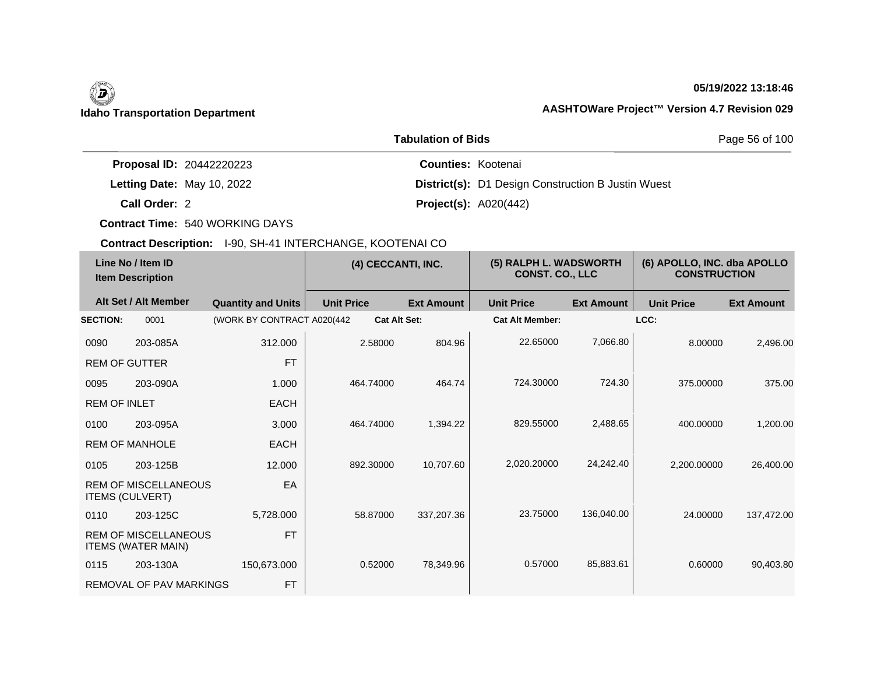## **05/19/2022 13:18:46**

|                                 | Page 56 of 100                                            |  |
|---------------------------------|-----------------------------------------------------------|--|
| <b>Proposal ID: 20442220223</b> | <b>Counties: Kootenai</b>                                 |  |
| Letting Date: May 10, 2022      | <b>District(s):</b> D1 Design Construction B Justin Wuest |  |
| Call Order: 2                   | <b>Project(s): A020(442)</b>                              |  |

**Contract Time:** 540 WORKING DAYS

| Line No / Item ID<br><b>Item Description</b> |                                                          | (4) CECCANTI, INC.          |                     | (5) RALPH L. WADSWORTH<br>CONST. CO., LLC |                        | (6) APOLLO, INC. dba APOLLO<br><b>CONSTRUCTION</b> |                   |                   |
|----------------------------------------------|----------------------------------------------------------|-----------------------------|---------------------|-------------------------------------------|------------------------|----------------------------------------------------|-------------------|-------------------|
|                                              | Alt Set / Alt Member                                     | <b>Quantity and Units</b>   | <b>Unit Price</b>   | <b>Ext Amount</b>                         | <b>Unit Price</b>      | <b>Ext Amount</b>                                  | <b>Unit Price</b> | <b>Ext Amount</b> |
| <b>SECTION:</b>                              | 0001                                                     | (WORK BY CONTRACT A020(442) | <b>Cat Alt Set:</b> |                                           | <b>Cat Alt Member:</b> |                                                    | LCC:              |                   |
| 0090                                         | 203-085A                                                 | 312.000                     | 2.58000             | 804.96                                    | 22.65000               | 7,066.80                                           | 8.00000           | 2,496.00          |
| <b>REM OF GUTTER</b>                         |                                                          | <b>FT</b>                   |                     |                                           |                        |                                                    |                   |                   |
| 0095                                         | 203-090A                                                 | 1.000                       | 464.74000           | 464.74                                    | 724.30000              | 724.30                                             | 375.00000         | 375.00            |
| <b>REM OF INLET</b>                          |                                                          | <b>EACH</b>                 |                     |                                           |                        |                                                    |                   |                   |
| 0100                                         | 203-095A                                                 | 3.000                       | 464.74000           | 1,394.22                                  | 829.55000              | 2,488.65                                           | 400.00000         | 1,200.00          |
|                                              | <b>REM OF MANHOLE</b>                                    | <b>EACH</b>                 |                     |                                           |                        |                                                    |                   |                   |
| 0105                                         | 203-125B                                                 | 12.000                      | 892.30000           | 10,707.60                                 | 2,020.20000            | 24,242.40                                          | 2,200.00000       | 26,400.00         |
|                                              | <b>REM OF MISCELLANEOUS</b><br><b>ITEMS (CULVERT)</b>    | EA                          |                     |                                           |                        |                                                    |                   |                   |
| 0110                                         | 203-125C                                                 | 5,728.000                   | 58.87000            | 337,207.36                                | 23.75000               | 136,040.00                                         | 24.00000          | 137,472.00        |
|                                              | <b>REM OF MISCELLANEOUS</b><br><b>ITEMS (WATER MAIN)</b> | <b>FT</b>                   |                     |                                           |                        |                                                    |                   |                   |
| 0115                                         | 203-130A                                                 | 150,673.000                 | 0.52000             | 78,349.96                                 | 0.57000                | 85,883.61                                          | 0.60000           | 90,403.80         |
|                                              | <b>REMOVAL OF PAV MARKINGS</b>                           | <b>FT</b>                   |                     |                                           |                        |                                                    |                   |                   |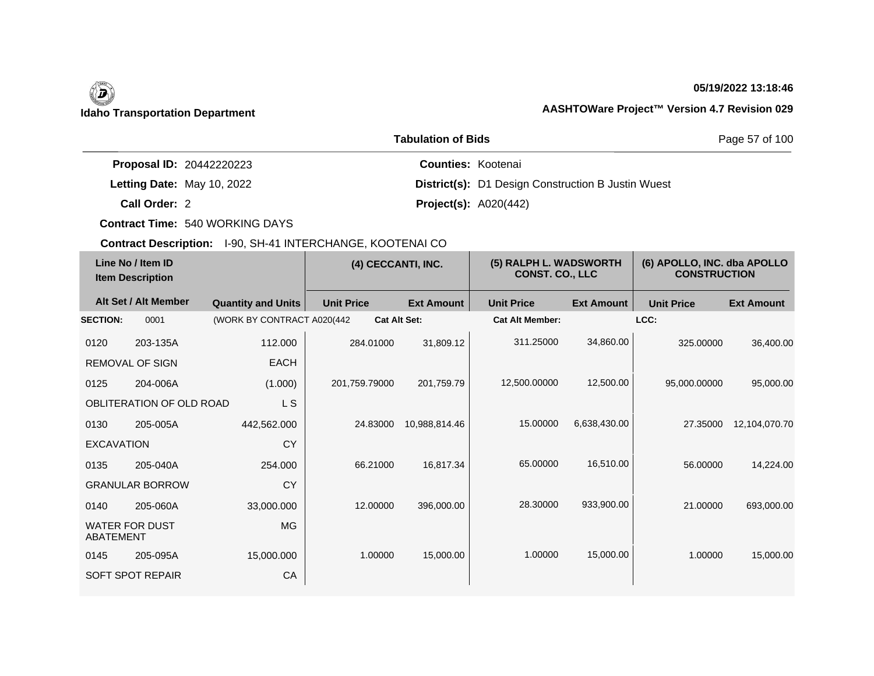## **05/19/2022 13:18:46**

|                                 | Page 57 of 100                                            |  |
|---------------------------------|-----------------------------------------------------------|--|
| <b>Proposal ID: 20442220223</b> | <b>Counties: Kootenai</b>                                 |  |
| Letting Date: May 10, 2022      | <b>District(s):</b> D1 Design Construction B Justin Wuest |  |
| Call Order: 2                   | <b>Project(s): A020(442)</b>                              |  |

**Contract Time:** 540 WORKING DAYS

| Line No / Item ID<br><b>Item Description</b> |                          | (4) CECCANTI, INC.          |                     | (5) RALPH L. WADSWORTH<br><b>CONST. CO., LLC</b> |                        | (6) APOLLO, INC. dba APOLLO<br><b>CONSTRUCTION</b> |                   |                   |
|----------------------------------------------|--------------------------|-----------------------------|---------------------|--------------------------------------------------|------------------------|----------------------------------------------------|-------------------|-------------------|
|                                              | Alt Set / Alt Member     | <b>Quantity and Units</b>   | <b>Unit Price</b>   | <b>Ext Amount</b>                                | <b>Unit Price</b>      | <b>Ext Amount</b>                                  | <b>Unit Price</b> | <b>Ext Amount</b> |
| <b>SECTION:</b>                              | 0001                     | (WORK BY CONTRACT A020(442) | <b>Cat Alt Set:</b> |                                                  | <b>Cat Alt Member:</b> |                                                    | LCC:              |                   |
| 0120                                         | 203-135A                 | 112.000                     | 284.01000           | 31,809.12                                        | 311.25000              | 34,860.00                                          | 325.00000         | 36,400.00         |
|                                              | <b>REMOVAL OF SIGN</b>   | <b>EACH</b>                 |                     |                                                  |                        |                                                    |                   |                   |
| 0125                                         | 204-006A                 | (1.000)                     | 201,759.79000       | 201,759.79                                       | 12,500.00000           | 12,500.00                                          | 95,000.00000      | 95,000.00         |
|                                              | OBLITERATION OF OLD ROAD | L S                         |                     |                                                  |                        |                                                    |                   |                   |
| 0130                                         | 205-005A                 | 442,562.000                 | 24.83000            | 10,988,814.46                                    | 15.00000               | 6,638,430.00                                       | 27.35000          | 12,104,070.70     |
| <b>EXCAVATION</b>                            |                          | CY                          |                     |                                                  |                        |                                                    |                   |                   |
| 0135                                         | 205-040A                 | 254.000                     | 66.21000            | 16,817.34                                        | 65.00000               | 16,510.00                                          | 56.00000          | 14,224.00         |
|                                              | <b>GRANULAR BORROW</b>   | <b>CY</b>                   |                     |                                                  |                        |                                                    |                   |                   |
| 0140                                         | 205-060A                 | 33,000.000                  | 12.00000            | 396,000.00                                       | 28,30000               | 933,900.00                                         | 21.00000          | 693,000.00        |
| ABATEMENT                                    | <b>WATER FOR DUST</b>    | <b>MG</b>                   |                     |                                                  |                        |                                                    |                   |                   |
| 0145                                         | 205-095A                 | 15,000.000                  | 1.00000             | 15,000.00                                        | 1.00000                | 15,000.00                                          | 1.00000           | 15,000.00         |
|                                              | <b>SOFT SPOT REPAIR</b>  | CA                          |                     |                                                  |                        |                                                    |                   |                   |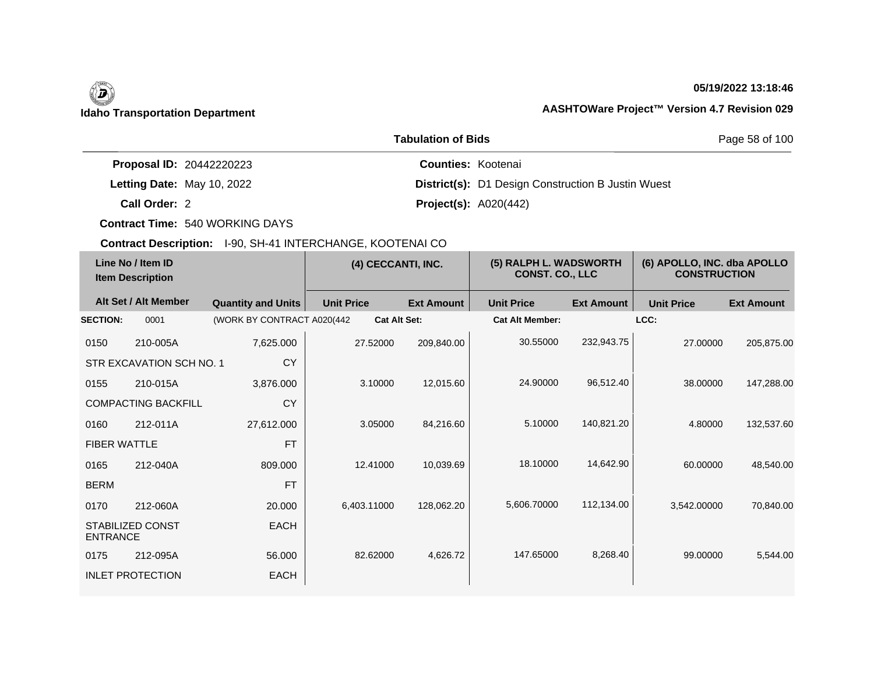## **05/19/2022 13:18:46**

|                                 | Page 58 of 100                                            |  |
|---------------------------------|-----------------------------------------------------------|--|
| <b>Proposal ID: 20442220223</b> | <b>Counties: Kootenai</b>                                 |  |
| Letting Date: May 10, 2022      | <b>District(s):</b> D1 Design Construction B Justin Wuest |  |
| Call Order: 2                   | <b>Project(s): A020(442)</b>                              |  |

**Contract Time:** 540 WORKING DAYS

| Line No / Item ID<br><b>Item Description</b> |                            | (4) CECCANTI, INC.         |                     | (5) RALPH L. WADSWORTH<br><b>CONST. CO., LLC</b> |                        | (6) APOLLO, INC. dba APOLLO<br><b>CONSTRUCTION</b> |                   |                   |
|----------------------------------------------|----------------------------|----------------------------|---------------------|--------------------------------------------------|------------------------|----------------------------------------------------|-------------------|-------------------|
|                                              | Alt Set / Alt Member       | <b>Quantity and Units</b>  | <b>Unit Price</b>   | <b>Ext Amount</b>                                | <b>Unit Price</b>      | <b>Ext Amount</b>                                  | <b>Unit Price</b> | <b>Ext Amount</b> |
| <b>SECTION:</b>                              | 0001                       | (WORK BY CONTRACT A020(442 | <b>Cat Alt Set:</b> |                                                  | <b>Cat Alt Member:</b> |                                                    | LCC:              |                   |
| 0150                                         | 210-005A                   | 7,625.000                  | 27.52000            | 209,840.00                                       | 30.55000               | 232,943.75                                         | 27.00000          | 205,875.00        |
|                                              | STR EXCAVATION SCH NO. 1   | <b>CY</b>                  |                     |                                                  |                        |                                                    |                   |                   |
| 0155                                         | 210-015A                   | 3,876.000                  | 3.10000             | 12,015.60                                        | 24.90000               | 96,512.40                                          | 38,00000          | 147,288.00        |
|                                              | <b>COMPACTING BACKFILL</b> | <b>CY</b>                  |                     |                                                  |                        |                                                    |                   |                   |
| 0160                                         | 212-011A                   | 27,612.000                 | 3.05000             | 84,216.60                                        | 5.10000                | 140,821.20                                         | 4.80000           | 132,537.60        |
| <b>FIBER WATTLE</b>                          |                            | <b>FT</b>                  |                     |                                                  |                        |                                                    |                   |                   |
| 0165                                         | 212-040A                   | 809,000                    | 12.41000            | 10,039.69                                        | 18.10000               | 14,642.90                                          | 60.00000          | 48,540.00         |
| <b>BERM</b>                                  |                            | <b>FT</b>                  |                     |                                                  |                        |                                                    |                   |                   |
| 0170                                         | 212-060A                   | 20.000                     | 6,403.11000         | 128,062.20                                       | 5,606.70000            | 112,134.00                                         | 3,542.00000       | 70,840.00         |
| <b>ENTRANCE</b>                              | <b>STABILIZED CONST</b>    | <b>EACH</b>                |                     |                                                  |                        |                                                    |                   |                   |
| 0175                                         | 212-095A                   | 56,000                     | 82.62000            | 4,626.72                                         | 147.65000              | 8,268.40                                           | 99.00000          | 5,544.00          |
|                                              | <b>INLET PROTECTION</b>    | <b>EACH</b>                |                     |                                                  |                        |                                                    |                   |                   |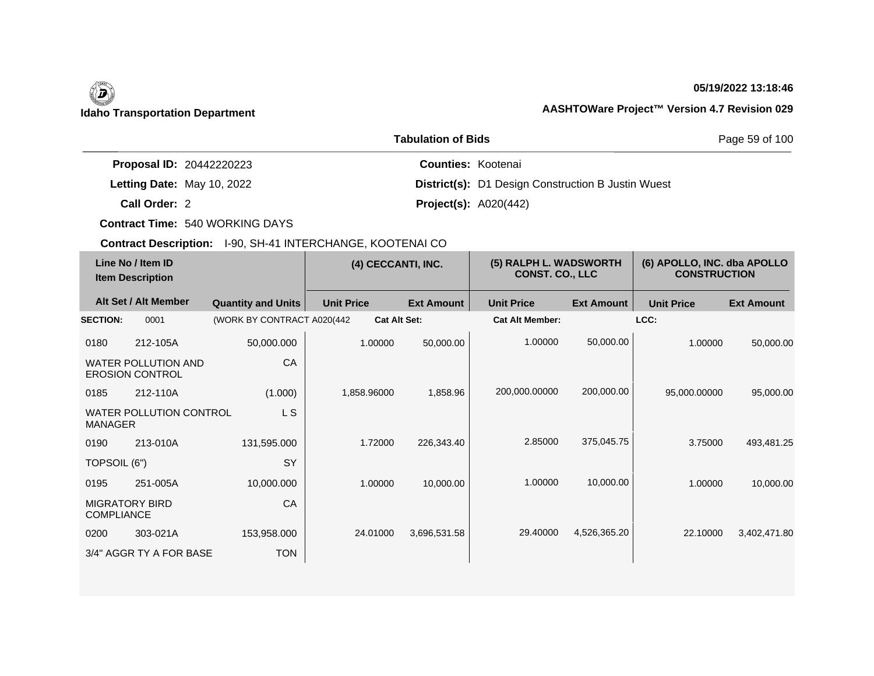# 0

## **05/19/2022 13:18:46**

## **Idaho Transportation Department AASHTOWare Project™ Version 4.7 Revision 029**

|                                 | Page 59 of 100                                            |  |
|---------------------------------|-----------------------------------------------------------|--|
| <b>Proposal ID: 20442220223</b> | <b>Counties: Kootenai</b>                                 |  |
| Letting Date: May 10, 2022      | <b>District(s):</b> D1 Design Construction B Justin Wuest |  |
| Call Order: 2                   | <b>Project(s): A020(442)</b>                              |  |

**Contract Time:** 540 WORKING DAYS

| Line No / Item ID<br><b>Item Description</b> |                                                      | (4) CECCANTI, INC.         |                   | (5) RALPH L. WADSWORTH<br><b>CONST. CO., LLC</b> |                        | (6) APOLLO, INC. dba APOLLO<br><b>CONSTRUCTION</b> |                   |                   |
|----------------------------------------------|------------------------------------------------------|----------------------------|-------------------|--------------------------------------------------|------------------------|----------------------------------------------------|-------------------|-------------------|
|                                              | Alt Set / Alt Member                                 | <b>Quantity and Units</b>  | <b>Unit Price</b> | <b>Ext Amount</b>                                | <b>Unit Price</b>      | <b>Ext Amount</b>                                  | <b>Unit Price</b> | <b>Ext Amount</b> |
| <b>SECTION:</b>                              | 0001                                                 | (WORK BY CONTRACT A020(442 |                   | <b>Cat Alt Set:</b>                              | <b>Cat Alt Member:</b> |                                                    | LCC:              |                   |
| 0180                                         | 212-105A                                             | 50,000.000                 | 1.00000           | 50,000.00                                        | 1.00000                | 50,000.00                                          | 1.00000           | 50,000.00         |
|                                              | <b>WATER POLLUTION AND</b><br><b>EROSION CONTROL</b> | CA                         |                   |                                                  |                        |                                                    |                   |                   |
| 0185                                         | 212-110A                                             | (1.000)                    | 1,858.96000       | 1,858.96                                         | 200,000.00000          | 200,000.00                                         | 95,000.00000      | 95,000.00         |
| <b>MANAGER</b>                               | <b>WATER POLLUTION CONTROL</b>                       | L S                        |                   |                                                  |                        |                                                    |                   |                   |
| 0190                                         | 213-010A                                             | 131,595.000                | 1.72000           | 226,343.40                                       | 2.85000                | 375,045.75                                         | 3.75000           | 493,481.25        |
| TOPSOIL (6")                                 |                                                      | <b>SY</b>                  |                   |                                                  |                        |                                                    |                   |                   |
| 0195                                         | 251-005A                                             | 10,000.000                 | 1.00000           | 10,000.00                                        | 1.00000                | 10,000.00                                          | 1.00000           | 10,000.00         |
| <b>COMPLIANCE</b>                            | <b>MIGRATORY BIRD</b>                                | CA                         |                   |                                                  |                        |                                                    |                   |                   |
| 0200                                         | 303-021A                                             | 153,958.000                | 24.01000          | 3,696,531.58                                     | 29.40000               | 4,526,365.20                                       | 22.10000          | 3,402,471.80      |
|                                              | 3/4" AGGR TY A FOR BASE                              | <b>TON</b>                 |                   |                                                  |                        |                                                    |                   |                   |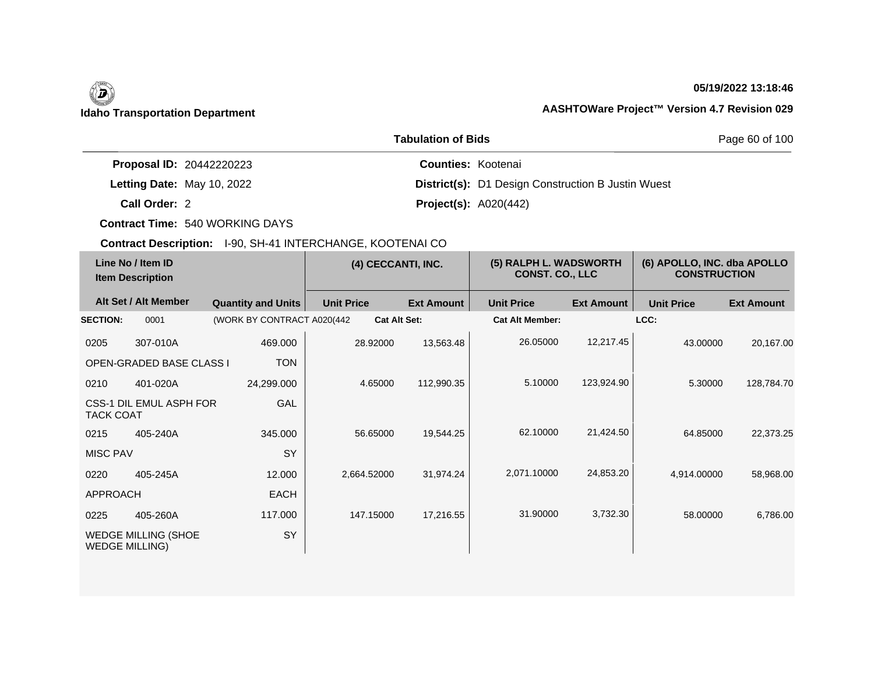## **05/19/2022 13:18:46**

|                                 | Page 60 of 100                                            |  |
|---------------------------------|-----------------------------------------------------------|--|
| <b>Proposal ID: 20442220223</b> | <b>Counties: Kootenai</b>                                 |  |
| Letting Date: May 10, 2022      | <b>District(s):</b> D1 Design Construction B Justin Wuest |  |
| Call Order: 2                   | <b>Project(s): A020(442)</b>                              |  |

**Contract Time:** 540 WORKING DAYS

| Line No / Item ID<br><b>Item Description</b> |                                 | (4) CECCANTI, INC.          |                     | (5) RALPH L. WADSWORTH<br>CONST. CO., LLC |                        | (6) APOLLO, INC. dba APOLLO<br><b>CONSTRUCTION</b> |                   |                   |
|----------------------------------------------|---------------------------------|-----------------------------|---------------------|-------------------------------------------|------------------------|----------------------------------------------------|-------------------|-------------------|
|                                              | Alt Set / Alt Member            | <b>Quantity and Units</b>   | <b>Unit Price</b>   | <b>Ext Amount</b>                         | <b>Unit Price</b>      | <b>Ext Amount</b>                                  | <b>Unit Price</b> | <b>Ext Amount</b> |
| <b>SECTION:</b>                              | 0001                            | (WORK BY CONTRACT A020(442) | <b>Cat Alt Set:</b> |                                           | <b>Cat Alt Member:</b> |                                                    | LCC:              |                   |
| 0205                                         | 307-010A                        | 469,000                     | 28.92000            | 13,563.48                                 | 26.05000               | 12,217.45                                          | 43.00000          | 20,167.00         |
|                                              | <b>OPEN-GRADED BASE CLASS I</b> | <b>TON</b>                  |                     |                                           |                        |                                                    |                   |                   |
| 0210                                         | 401-020A                        | 24,299.000                  | 4.65000             | 112,990.35                                | 5.10000                | 123,924.90                                         | 5.30000           | 128,784.70        |
| <b>TACK COAT</b>                             | CSS-1 DIL EMUL ASPH FOR         | GAL                         |                     |                                           |                        |                                                    |                   |                   |
| 0215                                         | 405-240A                        | 345,000                     | 56.65000            | 19,544.25                                 | 62.10000               | 21,424.50                                          | 64.85000          | 22,373.25         |
| <b>MISC PAV</b>                              |                                 | SY                          |                     |                                           |                        |                                                    |                   |                   |
| 0220                                         | 405-245A                        | 12.000                      | 2,664.52000         | 31,974.24                                 | 2,071.10000            | 24,853.20                                          | 4,914.00000       | 58,968.00         |
| <b>APPROACH</b>                              |                                 | <b>EACH</b>                 |                     |                                           |                        |                                                    |                   |                   |
| 0225                                         | 405-260A                        | 117.000                     | 147.15000           | 17,216.55                                 | 31.90000               | 3,732.30                                           | 58.00000          | 6,786.00          |
| <b>WEDGE MILLING)</b>                        | <b>WEDGE MILLING (SHOE</b>      | SY                          |                     |                                           |                        |                                                    |                   |                   |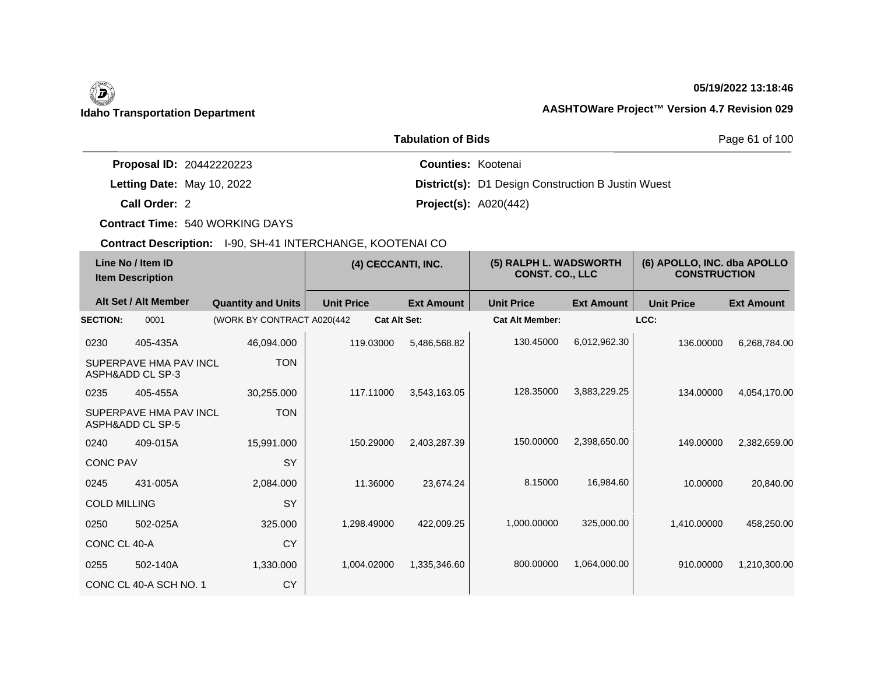## **05/19/2022 13:18:46**

|                                 | <b>Tabulation of Bids</b>                                 | Page 61 of 100 |
|---------------------------------|-----------------------------------------------------------|----------------|
| <b>Proposal ID: 20442220223</b> | <b>Counties: Kootenai</b>                                 |                |
| Letting Date: May 10, 2022      | <b>District(s):</b> D1 Design Construction B Justin Wuest |                |
| Call Order: 2                   | <b>Project(s): A020(442)</b>                              |                |

**Contract Time:** 540 WORKING DAYS

|                     | Line No / Item ID<br><b>Item Description</b> |                             | (4) CECCANTI, INC.  |                   | (5) RALPH L. WADSWORTH<br><b>CONST. CO., LLC</b> |                   | (6) APOLLO, INC. dba APOLLO<br><b>CONSTRUCTION</b> |                   |
|---------------------|----------------------------------------------|-----------------------------|---------------------|-------------------|--------------------------------------------------|-------------------|----------------------------------------------------|-------------------|
|                     | Alt Set / Alt Member                         | <b>Quantity and Units</b>   | <b>Unit Price</b>   | <b>Ext Amount</b> | <b>Unit Price</b>                                | <b>Ext Amount</b> | <b>Unit Price</b>                                  | <b>Ext Amount</b> |
| <b>SECTION:</b>     | 0001                                         | (WORK BY CONTRACT A020(442) | <b>Cat Alt Set:</b> |                   | <b>Cat Alt Member:</b>                           |                   | LCC:                                               |                   |
| 0230                | 405-435A                                     | 46,094.000                  | 119.03000           | 5,486,568.82      | 130.45000                                        | 6,012,962.30      | 136.00000                                          | 6,268,784.00      |
|                     | SUPERPAVE HMA PAV INCL<br>ASPH&ADD CL SP-3   | <b>TON</b>                  |                     |                   |                                                  |                   |                                                    |                   |
| 0235                | 405-455A                                     | 30,255.000                  | 117.11000           | 3,543,163.05      | 128.35000                                        | 3,883,229.25      | 134.00000                                          | 4,054,170.00      |
|                     | SUPERPAVE HMA PAV INCL<br>ASPH&ADD CL SP-5   | <b>TON</b>                  |                     |                   |                                                  |                   |                                                    |                   |
| 0240                | 409-015A                                     | 15,991.000                  | 150.29000           | 2,403,287.39      | 150.00000                                        | 2,398,650.00      | 149.00000                                          | 2,382,659.00      |
| <b>CONC PAV</b>     |                                              | SY                          |                     |                   |                                                  |                   |                                                    |                   |
| 0245                | 431-005A                                     | 2,084.000                   | 11.36000            | 23,674.24         | 8.15000                                          | 16,984.60         | 10.00000                                           | 20,840.00         |
| <b>COLD MILLING</b> |                                              | SY                          |                     |                   |                                                  |                   |                                                    |                   |
| 0250                | 502-025A                                     | 325,000                     | 1.298.49000         | 422,009.25        | 1,000.00000                                      | 325,000.00        | 1,410.00000                                        | 458,250.00        |
| CONC CL 40-A        |                                              | <b>CY</b>                   |                     |                   |                                                  |                   |                                                    |                   |
| 0255                | 502-140A                                     | 1,330.000                   | 1,004.02000         | 1,335,346.60      | 800.00000                                        | 1,064,000.00      | 910.00000                                          | 1,210,300.00      |
|                     | CONC CL 40-A SCH NO. 1                       | CY                          |                     |                   |                                                  |                   |                                                    |                   |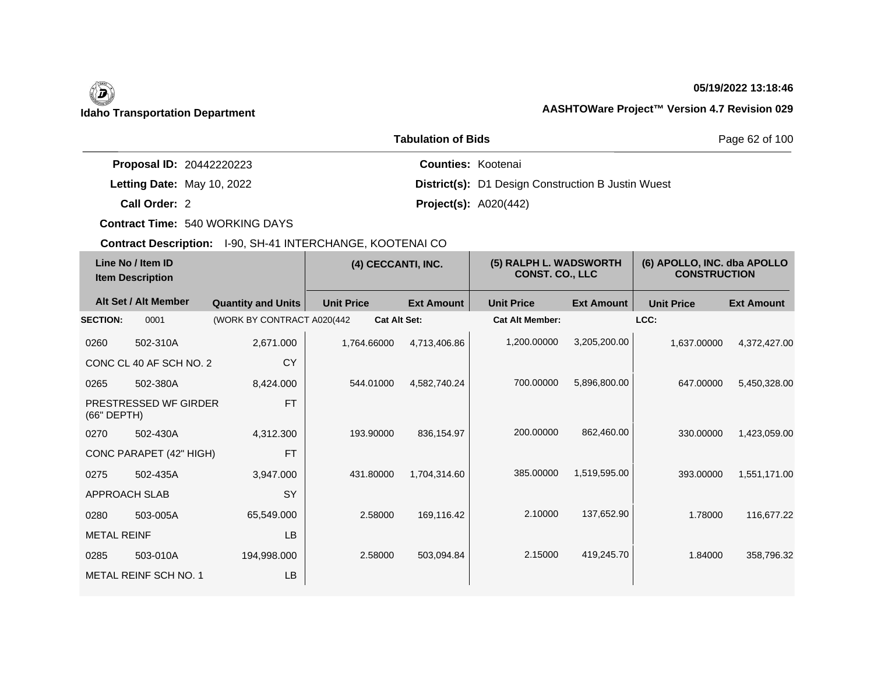## **05/19/2022 13:18:46**

|                                 | <b>Tabulation of Bids</b>                                 | Page 62 of 100 |
|---------------------------------|-----------------------------------------------------------|----------------|
| <b>Proposal ID: 20442220223</b> | <b>Counties: Kootenai</b>                                 |                |
| Letting Date: May 10, 2022      | <b>District(s):</b> D1 Design Construction B Justin Wuest |                |
| Call Order: 2                   | <b>Project(s): A020(442)</b>                              |                |

**Contract Time:** 540 WORKING DAYS

| Line No / Item ID<br><b>Item Description</b> |                         | (4) CECCANTI, INC.          |                     | (5) RALPH L. WADSWORTH<br><b>CONST. CO., LLC</b> |                        | (6) APOLLO, INC. dba APOLLO<br><b>CONSTRUCTION</b> |                   |                   |
|----------------------------------------------|-------------------------|-----------------------------|---------------------|--------------------------------------------------|------------------------|----------------------------------------------------|-------------------|-------------------|
|                                              | Alt Set / Alt Member    | <b>Quantity and Units</b>   | <b>Unit Price</b>   | <b>Ext Amount</b>                                | <b>Unit Price</b>      | <b>Ext Amount</b>                                  | <b>Unit Price</b> | <b>Ext Amount</b> |
| <b>SECTION:</b>                              | 0001                    | (WORK BY CONTRACT A020(442) | <b>Cat Alt Set:</b> |                                                  | <b>Cat Alt Member:</b> |                                                    | LCC:              |                   |
| 0260                                         | 502-310A                | 2,671.000                   | 1,764.66000         | 4,713,406.86                                     | 1,200.00000            | 3,205,200.00                                       | 1,637.00000       | 4,372,427.00      |
|                                              | CONC CL 40 AF SCH NO. 2 | <b>CY</b>                   |                     |                                                  |                        |                                                    |                   |                   |
| 0265                                         | 502-380A                | 8,424.000                   | 544.01000           | 4,582,740.24                                     | 700.00000              | 5,896,800.00                                       | 647.00000         | 5,450,328.00      |
| (66" DEPTH)                                  | PRESTRESSED WF GIRDER   | <b>FT</b>                   |                     |                                                  |                        |                                                    |                   |                   |
| 0270                                         | 502-430A                | 4,312.300                   | 193.90000           | 836,154.97                                       | 200.00000              | 862,460.00                                         | 330,00000         | 1,423,059.00      |
|                                              | CONC PARAPET (42" HIGH) | <b>FT</b>                   |                     |                                                  |                        |                                                    |                   |                   |
| 0275                                         | 502-435A                | 3,947.000                   | 431.80000           | 1,704,314.60                                     | 385.00000              | 1,519,595.00                                       | 393,00000         | 1,551,171.00      |
| APPROACH SLAB                                |                         | SY                          |                     |                                                  |                        |                                                    |                   |                   |
| 0280                                         | 503-005A                | 65,549.000                  | 2.58000             | 169,116.42                                       | 2.10000                | 137,652.90                                         | 1.78000           | 116,677.22        |
| <b>METAL REINF</b>                           |                         | <b>LB</b>                   |                     |                                                  |                        |                                                    |                   |                   |
| 0285                                         | 503-010A                | 194,998.000                 | 2.58000             | 503,094.84                                       | 2.15000                | 419,245.70                                         | 1.84000           | 358,796.32        |
|                                              | METAL REINF SCH NO. 1   | <b>LB</b>                   |                     |                                                  |                        |                                                    |                   |                   |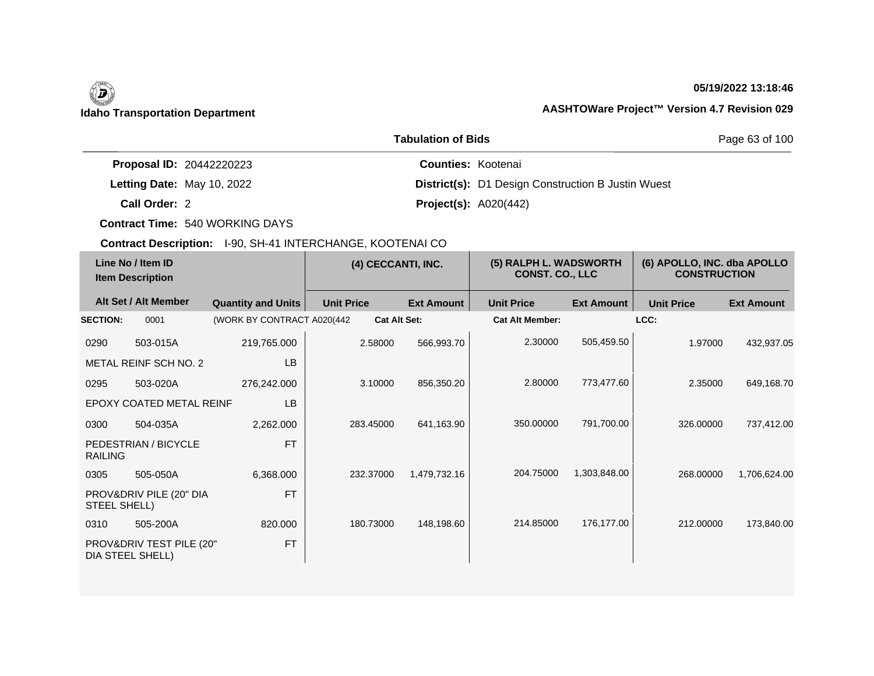# 0

## **05/19/2022 13:18:46**

## **Idaho Transportation Department AASHTOWare Project™ Version 4.7 Revision 029**

|                                 | <b>Tabulation of Bids</b>                                 | Page 63 of 100 |
|---------------------------------|-----------------------------------------------------------|----------------|
| <b>Proposal ID: 20442220223</b> | <b>Counties: Kootenai</b>                                 |                |
| Letting Date: May 10, 2022      | <b>District(s):</b> D1 Design Construction B Justin Wuest |                |
| Call Order: 2                   | <b>Project(s): A020(442)</b>                              |                |

**Contract Time:** 540 WORKING DAYS

| Line No / Item ID<br><b>Item Description</b> |                                              | (4) CECCANTI, INC.          |                   | (5) RALPH L. WADSWORTH<br><b>CONST. CO., LLC</b> |                        | (6) APOLLO, INC. dba APOLLO<br><b>CONSTRUCTION</b> |                   |                   |
|----------------------------------------------|----------------------------------------------|-----------------------------|-------------------|--------------------------------------------------|------------------------|----------------------------------------------------|-------------------|-------------------|
|                                              | Alt Set / Alt Member                         | <b>Quantity and Units</b>   | <b>Unit Price</b> | <b>Ext Amount</b>                                | <b>Unit Price</b>      | <b>Ext Amount</b>                                  | <b>Unit Price</b> | <b>Ext Amount</b> |
| <b>SECTION:</b>                              | 0001                                         | (WORK BY CONTRACT A020(442) |                   | <b>Cat Alt Set:</b>                              | <b>Cat Alt Member:</b> |                                                    | LCC:              |                   |
| 0290                                         | 503-015A                                     | 219,765.000                 | 2.58000           | 566,993.70                                       | 2.30000                | 505,459.50                                         | 1.97000           | 432,937.05        |
|                                              | METAL REINF SCH NO. 2                        | LB                          |                   |                                                  |                        |                                                    |                   |                   |
| 0295                                         | 503-020A                                     | 276,242.000                 | 3.10000           | 856,350.20                                       | 2.80000                | 773,477.60                                         | 2.35000           | 649,168.70        |
|                                              | <b>EPOXY COATED METAL REINF</b>              | <b>LB</b>                   |                   |                                                  |                        |                                                    |                   |                   |
| 0300                                         | 504-035A                                     | 2,262.000                   | 283.45000         | 641,163.90                                       | 350,00000              | 791,700.00                                         | 326,00000         | 737,412.00        |
| <b>RAILING</b>                               | PEDESTRIAN / BICYCLE                         | <b>FT</b>                   |                   |                                                  |                        |                                                    |                   |                   |
| 0305                                         | 505-050A                                     | 6,368.000                   | 232.37000         | 1,479,732.16                                     | 204.75000              | 1,303,848.00                                       | 268,00000         | 1,706,624.00      |
| <b>STEEL SHELL)</b>                          | PROV&DRIV PILE (20" DIA                      | <b>FT</b>                   |                   |                                                  |                        |                                                    |                   |                   |
| 0310                                         | 505-200A                                     | 820.000                     | 180.73000         | 148,198.60                                       | 214.85000              | 176,177.00                                         | 212,00000         | 173,840.00        |
|                                              | PROV&DRIV TEST PILE (20"<br>DIA STEEL SHELL) | <b>FT</b>                   |                   |                                                  |                        |                                                    |                   |                   |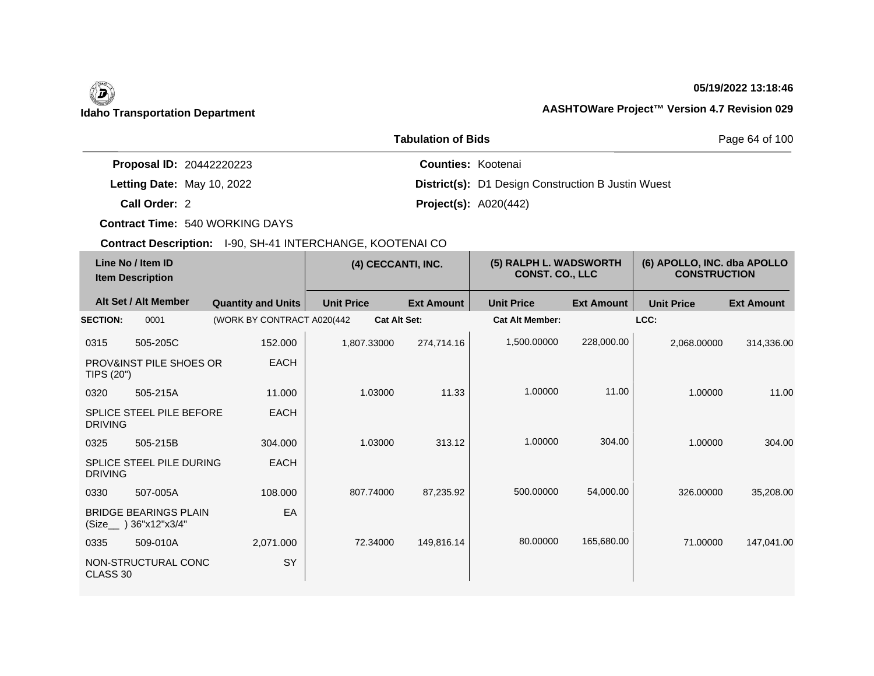## **05/19/2022 13:18:46**

|                                 | <b>Tabulation of Bids</b>                                 | Page 64 of 100 |
|---------------------------------|-----------------------------------------------------------|----------------|
| <b>Proposal ID: 20442220223</b> | <b>Counties: Kootenai</b>                                 |                |
| Letting Date: May 10, 2022      | <b>District(s):</b> D1 Design Construction B Justin Wuest |                |
| Call Order: 2                   | <b>Project(s): A020(442)</b>                              |                |

**Contract Time:** 540 WORKING DAYS

| Line No / Item ID<br><b>Item Description</b> |                                                       | (4) CECCANTI, INC.         |                   | (5) RALPH L. WADSWORTH<br><b>CONST. CO., LLC</b> |                   | (6) APOLLO, INC. dba APOLLO<br><b>CONSTRUCTION</b> |                   |                   |                   |
|----------------------------------------------|-------------------------------------------------------|----------------------------|-------------------|--------------------------------------------------|-------------------|----------------------------------------------------|-------------------|-------------------|-------------------|
|                                              | Alt Set / Alt Member                                  | <b>Quantity and Units</b>  | <b>Unit Price</b> |                                                  | <b>Ext Amount</b> | <b>Unit Price</b>                                  | <b>Ext Amount</b> | <b>Unit Price</b> | <b>Ext Amount</b> |
| <b>SECTION:</b>                              | 0001                                                  | (WORK BY CONTRACT A020(442 |                   | <b>Cat Alt Set:</b>                              |                   | <b>Cat Alt Member:</b>                             |                   | LCC:              |                   |
| 0315                                         | 505-205C                                              | 152.000                    | 1,807.33000       |                                                  | 274,714.16        | 1,500.00000                                        | 228,000.00        | 2,068.00000       | 314,336.00        |
| TIPS (20")                                   | <b>PROV&amp;INST PILE SHOES OR</b>                    | <b>EACH</b>                |                   |                                                  |                   |                                                    |                   |                   |                   |
| 0320                                         | 505-215A                                              | 11.000                     |                   | 1.03000                                          | 11.33             | 1.00000                                            | 11.00             | 1.00000           | 11.00             |
| <b>DRIVING</b>                               | <b>SPLICE STEEL PILE BEFORE</b>                       | <b>EACH</b>                |                   |                                                  |                   |                                                    |                   |                   |                   |
| 0325                                         | 505-215B                                              | 304.000                    |                   | 1.03000                                          | 313.12            | 1.00000                                            | 304.00            | 1.00000           | 304.00            |
| <b>DRIVING</b>                               | <b>SPLICE STEEL PILE DURING</b>                       | <b>EACH</b>                |                   |                                                  |                   |                                                    |                   |                   |                   |
| 0330                                         | 507-005A                                              | 108,000                    |                   | 807.74000                                        | 87,235.92         | 500.00000                                          | 54,000.00         | 326,00000         | 35,208.00         |
|                                              | <b>BRIDGE BEARINGS PLAIN</b><br>(Size__) 36"x12"x3/4" | EA                         |                   |                                                  |                   |                                                    |                   |                   |                   |
| 0335                                         | 509-010A                                              | 2,071.000                  |                   | 72.34000                                         | 149,816.14        | 80.00000                                           | 165,680.00        | 71.00000          | 147,041.00        |
| CLASS 30                                     | NON-STRUCTURAL CONC                                   | SY                         |                   |                                                  |                   |                                                    |                   |                   |                   |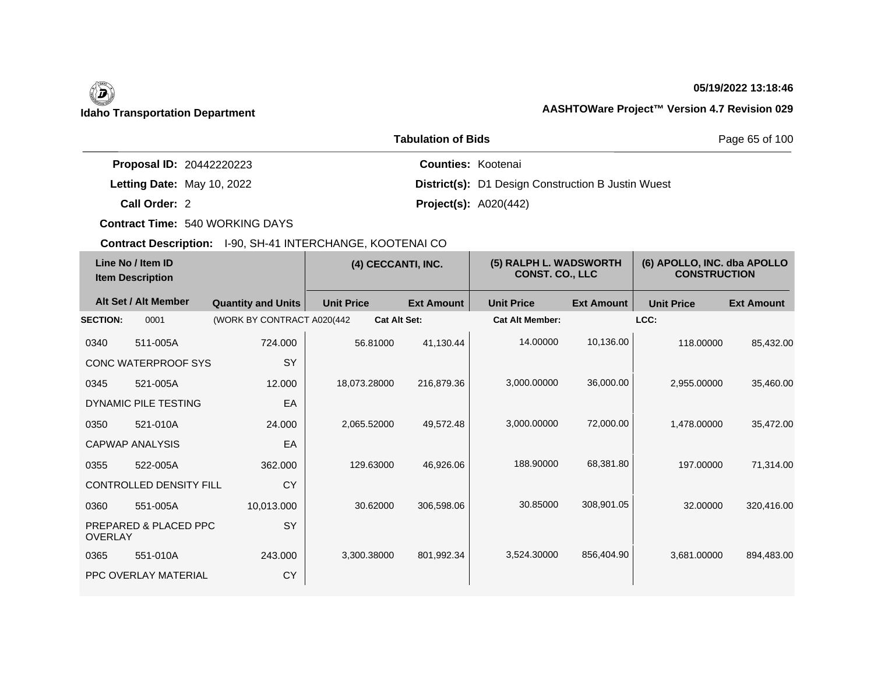## **05/19/2022 13:18:46**

|                                 | Page 65 of 100                                            |  |
|---------------------------------|-----------------------------------------------------------|--|
| <b>Proposal ID: 20442220223</b> | <b>Counties: Kootenai</b>                                 |  |
| Letting Date: May 10, 2022      | <b>District(s):</b> D1 Design Construction B Justin Wuest |  |
| Call Order: 2                   | <b>Project(s): A020(442)</b>                              |  |

**Contract Time:** 540 WORKING DAYS

| Line No / Item ID<br><b>Item Description</b> |                                | (4) CECCANTI, INC.          |                     | (5) RALPH L. WADSWORTH<br><b>CONST. CO., LLC</b> |                        | (6) APOLLO, INC. dba APOLLO<br><b>CONSTRUCTION</b> |                   |                   |
|----------------------------------------------|--------------------------------|-----------------------------|---------------------|--------------------------------------------------|------------------------|----------------------------------------------------|-------------------|-------------------|
|                                              | Alt Set / Alt Member           | <b>Quantity and Units</b>   | <b>Unit Price</b>   | <b>Ext Amount</b>                                | <b>Unit Price</b>      | <b>Ext Amount</b>                                  | <b>Unit Price</b> | <b>Ext Amount</b> |
| <b>SECTION:</b>                              | 0001                           | (WORK BY CONTRACT A020(442) | <b>Cat Alt Set:</b> |                                                  | <b>Cat Alt Member:</b> |                                                    | LCC:              |                   |
| 0340                                         | 511-005A                       | 724.000                     | 56.81000            | 41,130.44                                        | 14.00000               | 10,136.00                                          | 118,00000         | 85,432.00         |
|                                              | CONC WATERPROOF SYS            | SY                          |                     |                                                  |                        |                                                    |                   |                   |
| 0345                                         | 521-005A                       | 12.000                      | 18,073.28000        | 216,879.36                                       | 3,000.00000            | 36,000.00                                          | 2,955.00000       | 35,460.00         |
|                                              | DYNAMIC PILE TESTING           | EA                          |                     |                                                  |                        |                                                    |                   |                   |
| 0350                                         | 521-010A                       | 24,000                      | 2.065.52000         | 49,572.48                                        | 3,000.00000            | 72,000.00                                          | 1.478.00000       | 35,472.00         |
|                                              | <b>CAPWAP ANALYSIS</b>         | EA                          |                     |                                                  |                        |                                                    |                   |                   |
| 0355                                         | 522-005A                       | 362.000                     | 129.63000           | 46,926.06                                        | 188.90000              | 68,381.80                                          | 197.00000         | 71,314.00         |
|                                              | <b>CONTROLLED DENSITY FILL</b> | <b>CY</b>                   |                     |                                                  |                        |                                                    |                   |                   |
| 0360                                         | 551-005A                       | 10,013.000                  | 30.62000            | 306,598.06                                       | 30.85000               | 308,901.05                                         | 32,00000          | 320,416.00        |
| <b>OVERLAY</b>                               | PREPARED & PLACED PPC          | <b>SY</b>                   |                     |                                                  |                        |                                                    |                   |                   |
| 0365                                         | 551-010A                       | 243.000                     | 3,300.38000         | 801,992.34                                       | 3,524.30000            | 856,404.90                                         | 3,681.00000       | 894,483.00        |
|                                              | PPC OVERLAY MATERIAL           | CY                          |                     |                                                  |                        |                                                    |                   |                   |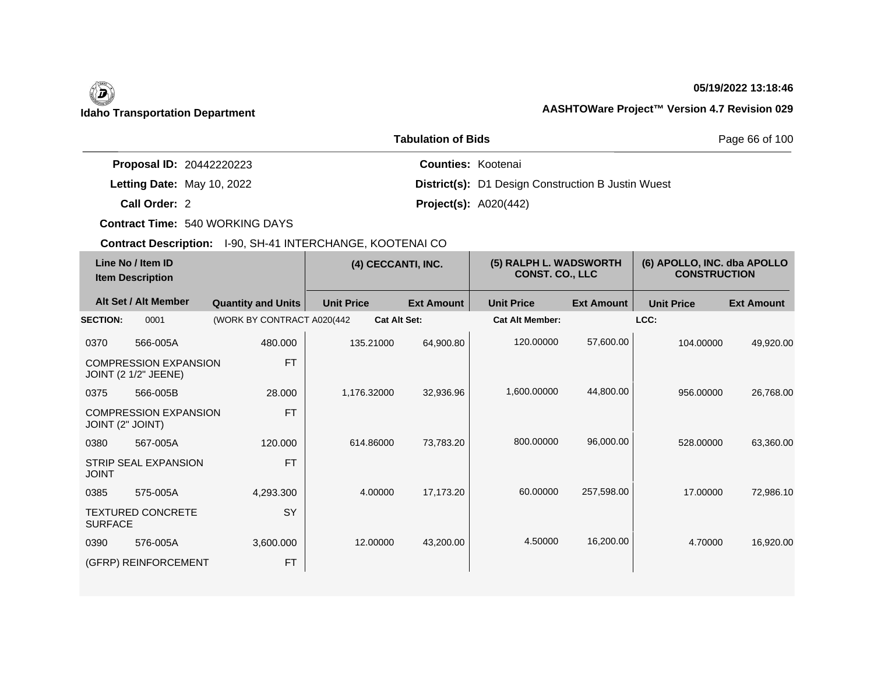## **05/19/2022 13:18:46**

|                                 | Page 66 of 100                                            |  |
|---------------------------------|-----------------------------------------------------------|--|
| <b>Proposal ID: 20442220223</b> | <b>Counties: Kootenai</b>                                 |  |
| Letting Date: May 10, 2022      | <b>District(s):</b> D1 Design Construction B Justin Wuest |  |
| Call Order: 2                   | <b>Project(s): A020(442)</b>                              |  |

**Contract Time:** 540 WORKING DAYS

| Line No / Item ID<br><b>Item Description</b> |                                                             | (4) CECCANTI, INC.          |                     | (5) RALPH L. WADSWORTH<br><b>CONST. CO., LLC</b> |                        | (6) APOLLO, INC. dba APOLLO<br><b>CONSTRUCTION</b> |                   |                   |
|----------------------------------------------|-------------------------------------------------------------|-----------------------------|---------------------|--------------------------------------------------|------------------------|----------------------------------------------------|-------------------|-------------------|
|                                              | Alt Set / Alt Member                                        | <b>Quantity and Units</b>   | <b>Unit Price</b>   | <b>Ext Amount</b>                                | <b>Unit Price</b>      | <b>Ext Amount</b>                                  | <b>Unit Price</b> | <b>Ext Amount</b> |
| <b>SECTION:</b>                              | 0001                                                        | (WORK BY CONTRACT A020(442) | <b>Cat Alt Set:</b> |                                                  | <b>Cat Alt Member:</b> |                                                    | LCC:              |                   |
| 0370                                         | 566-005A                                                    | 480.000                     | 135.21000           | 64,900.80                                        | 120.00000              | 57,600.00                                          | 104.00000         | 49,920.00         |
|                                              | <b>COMPRESSION EXPANSION</b><br><b>JOINT (2 1/2" JEENE)</b> | <b>FT</b>                   |                     |                                                  |                        |                                                    |                   |                   |
| 0375                                         | 566-005B                                                    | 28.000                      | 1,176.32000         | 32,936.96                                        | 1,600.00000            | 44,800.00                                          | 956.00000         | 26,768.00         |
| JOINT (2" JOINT)                             | <b>COMPRESSION EXPANSION</b>                                | <b>FT</b>                   |                     |                                                  |                        |                                                    |                   |                   |
| 0380                                         | 567-005A                                                    | 120,000                     | 614.86000           | 73,783.20                                        | 800.00000              | 96,000.00                                          | 528,00000         | 63,360.00         |
| <b>JOINT</b>                                 | STRIP SEAL EXPANSION                                        | <b>FT</b>                   |                     |                                                  |                        |                                                    |                   |                   |
| 0385                                         | 575-005A                                                    | 4,293.300                   | 4.00000             | 17,173.20                                        | 60.00000               | 257,598.00                                         | 17.00000          | 72,986.10         |
| <b>SURFACE</b>                               | <b>TEXTURED CONCRETE</b>                                    | <b>SY</b>                   |                     |                                                  |                        |                                                    |                   |                   |
| 0390                                         | 576-005A                                                    | 3,600.000                   | 12.00000            | 43,200.00                                        | 4.50000                | 16,200.00                                          | 4.70000           | 16,920.00         |
|                                              | (GFRP) REINFORCEMENT                                        | <b>FT</b>                   |                     |                                                  |                        |                                                    |                   |                   |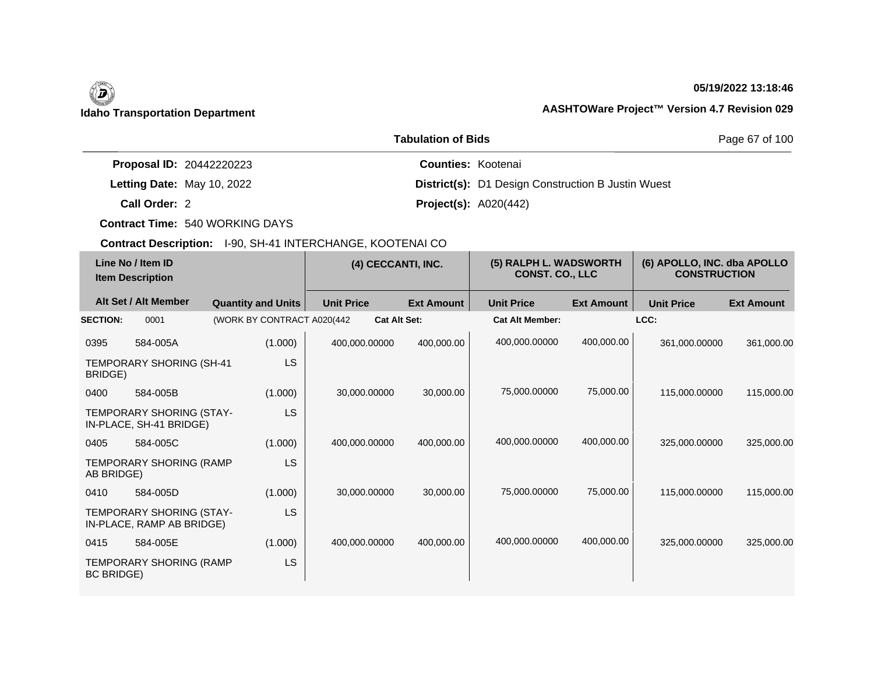## **05/19/2022 13:18:46**

|                                 | Page 67 of 100                                            |  |
|---------------------------------|-----------------------------------------------------------|--|
| <b>Proposal ID: 20442220223</b> | <b>Counties: Kootenai</b>                                 |  |
| Letting Date: May 10, 2022      | <b>District(s):</b> D1 Design Construction B Justin Wuest |  |
| Call Order: 2                   | <b>Project(s): A020(442)</b>                              |  |

**Contract Time:** 540 WORKING DAYS

| Line No / Item ID<br><b>Item Description</b> |                                                       | (4) CECCANTI, INC.          |                     | (5) RALPH L. WADSWORTH<br><b>CONST. CO., LLC</b> |                        | (6) APOLLO, INC. dba APOLLO<br><b>CONSTRUCTION</b> |                   |                   |
|----------------------------------------------|-------------------------------------------------------|-----------------------------|---------------------|--------------------------------------------------|------------------------|----------------------------------------------------|-------------------|-------------------|
|                                              | Alt Set / Alt Member                                  | <b>Quantity and Units</b>   | <b>Unit Price</b>   | <b>Ext Amount</b>                                | <b>Unit Price</b>      | <b>Ext Amount</b>                                  | <b>Unit Price</b> | <b>Ext Amount</b> |
| <b>SECTION:</b>                              | 0001                                                  | (WORK BY CONTRACT A020(442) | <b>Cat Alt Set:</b> |                                                  | <b>Cat Alt Member:</b> |                                                    | LCC:              |                   |
| 0395                                         | 584-005A                                              | (1.000)                     | 400,000.00000       | 400,000.00                                       | 400,000.00000          | 400,000.00                                         | 361,000.00000     | 361,000.00        |
| BRIDGE)                                      | TEMPORARY SHORING (SH-41                              | LS                          |                     |                                                  |                        |                                                    |                   |                   |
| 0400                                         | 584-005B                                              | (1.000)                     | 30,000.00000        | 30,000.00                                        | 75,000.00000           | 75,000.00                                          | 115,000.00000     | 115,000.00        |
|                                              | TEMPORARY SHORING (STAY-<br>IN-PLACE, SH-41 BRIDGE)   | LS                          |                     |                                                  |                        |                                                    |                   |                   |
| 0405                                         | 584-005C                                              | (1.000)                     | 400,000.00000       | 400,000.00                                       | 400,000.00000          | 400,000.00                                         | 325,000.00000     | 325,000.00        |
| AB BRIDGE)                                   | <b>TEMPORARY SHORING (RAMP</b>                        | LS                          |                     |                                                  |                        |                                                    |                   |                   |
| 0410                                         | 584-005D                                              | (1.000)                     | 30,000.00000        | 30,000.00                                        | 75,000.00000           | 75,000.00                                          | 115,000.00000     | 115,000.00        |
|                                              | TEMPORARY SHORING (STAY-<br>IN-PLACE, RAMP AB BRIDGE) | LS                          |                     |                                                  |                        |                                                    |                   |                   |
| 0415                                         | 584-005E                                              | (1.000)                     | 400,000.00000       | 400,000.00                                       | 400,000.00000          | 400,000.00                                         | 325,000.00000     | 325,000.00        |
| <b>BC BRIDGE)</b>                            | TEMPORARY SHORING (RAMP                               | <b>LS</b>                   |                     |                                                  |                        |                                                    |                   |                   |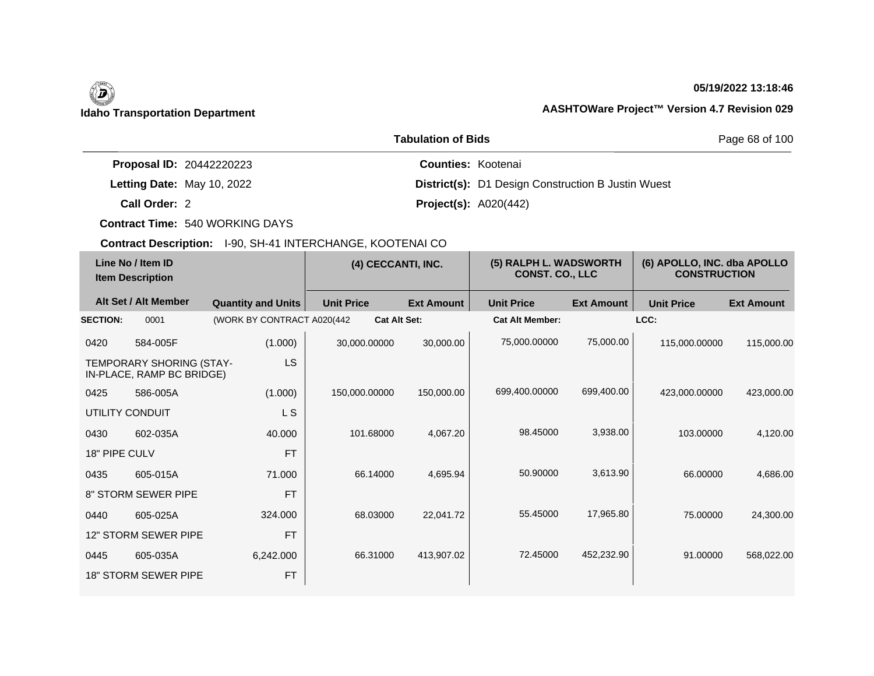## **05/19/2022 13:18:46**

|                                 | Page 68 of 100                                            |  |
|---------------------------------|-----------------------------------------------------------|--|
| <b>Proposal ID: 20442220223</b> | <b>Counties: Kootenai</b>                                 |  |
| Letting Date: May 10, 2022      | <b>District(s):</b> D1 Design Construction B Justin Wuest |  |
| Call Order: 2                   | <b>Project(s): A020(442)</b>                              |  |

**Contract Time:** 540 WORKING DAYS

| Line No / Item ID<br><b>Item Description</b> |                                                       | (4) CECCANTI, INC.          |                     | (5) RALPH L. WADSWORTH<br><b>CONST. CO., LLC</b> |                        | (6) APOLLO, INC. dba APOLLO<br><b>CONSTRUCTION</b> |                   |                   |
|----------------------------------------------|-------------------------------------------------------|-----------------------------|---------------------|--------------------------------------------------|------------------------|----------------------------------------------------|-------------------|-------------------|
|                                              | Alt Set / Alt Member                                  | <b>Quantity and Units</b>   | <b>Unit Price</b>   | <b>Ext Amount</b>                                | <b>Unit Price</b>      | <b>Ext Amount</b>                                  | <b>Unit Price</b> | <b>Ext Amount</b> |
| <b>SECTION:</b>                              | 0001                                                  | (WORK BY CONTRACT A020(442) | <b>Cat Alt Set:</b> |                                                  | <b>Cat Alt Member:</b> |                                                    | LCC:              |                   |
| 0420                                         | 584-005F                                              | (1.000)                     | 30,000.00000        | 30,000.00                                        | 75,000.00000           | 75,000.00                                          | 115,000.00000     | 115,000.00        |
|                                              | TEMPORARY SHORING (STAY-<br>IN-PLACE, RAMP BC BRIDGE) | <b>LS</b>                   |                     |                                                  |                        |                                                    |                   |                   |
| 0425                                         | 586-005A                                              | (1.000)                     | 150,000.00000       | 150,000.00                                       | 699,400.00000          | 699,400.00                                         | 423,000.00000     | 423,000.00        |
| UTILITY CONDUIT                              |                                                       | L S                         |                     |                                                  |                        |                                                    |                   |                   |
| 0430                                         | 602-035A                                              | 40.000                      | 101.68000           | 4,067.20                                         | 98.45000               | 3,938.00                                           | 103.00000         | 4,120.00          |
| 18" PIPE CULV                                |                                                       | <b>FT</b>                   |                     |                                                  |                        |                                                    |                   |                   |
| 0435                                         | 605-015A                                              | 71.000                      | 66.14000            | 4,695.94                                         | 50.90000               | 3,613.90                                           | 66,00000          | 4,686.00          |
|                                              | 8" STORM SEWER PIPE                                   | <b>FT</b>                   |                     |                                                  |                        |                                                    |                   |                   |
| 0440                                         | 605-025A                                              | 324.000                     | 68.03000            | 22,041.72                                        | 55.45000               | 17,965.80                                          | 75.00000          | 24,300.00         |
|                                              | 12" STORM SEWER PIPE                                  | <b>FT</b>                   |                     |                                                  |                        |                                                    |                   |                   |
| 0445                                         | 605-035A                                              | 6,242.000                   | 66.31000            | 413,907.02                                       | 72.45000               | 452,232.90                                         | 91.00000          | 568,022.00        |
|                                              | <b>18" STORM SEWER PIPE</b>                           | <b>FT</b>                   |                     |                                                  |                        |                                                    |                   |                   |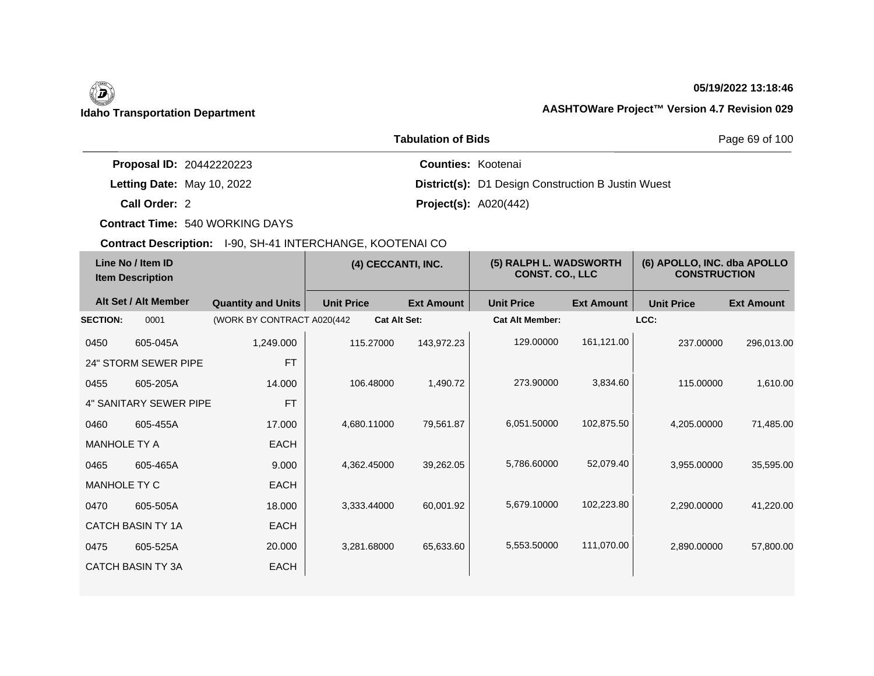## **05/19/2022 13:18:46**

|                                 | Page 69 of 100                                            |  |
|---------------------------------|-----------------------------------------------------------|--|
| <b>Proposal ID: 20442220223</b> | <b>Counties: Kootenai</b>                                 |  |
| Letting Date: May 10, 2022      | <b>District(s):</b> D1 Design Construction B Justin Wuest |  |
| Call Order: 2                   | <b>Project(s):</b> $A020(442)$                            |  |

**Contract Time:** 540 WORKING DAYS

| Line No / Item ID<br><b>Item Description</b> |                          | (4) CECCANTI, INC.          |                     | (5) RALPH L. WADSWORTH<br><b>CONST. CO., LLC</b> |                        | (6) APOLLO, INC. dba APOLLO<br><b>CONSTRUCTION</b> |                   |                   |
|----------------------------------------------|--------------------------|-----------------------------|---------------------|--------------------------------------------------|------------------------|----------------------------------------------------|-------------------|-------------------|
|                                              | Alt Set / Alt Member     | <b>Quantity and Units</b>   | <b>Unit Price</b>   | <b>Ext Amount</b>                                | <b>Unit Price</b>      | <b>Ext Amount</b>                                  | <b>Unit Price</b> | <b>Ext Amount</b> |
| <b>SECTION:</b>                              | 0001                     | (WORK BY CONTRACT A020(442) | <b>Cat Alt Set:</b> |                                                  | <b>Cat Alt Member:</b> |                                                    | LCC:              |                   |
| 0450                                         | 605-045A                 | 1,249.000                   | 115.27000           | 143,972.23                                       | 129.00000              | 161,121.00                                         | 237.00000         | 296,013.00        |
|                                              | 24" STORM SEWER PIPE     | <b>FT</b>                   |                     |                                                  |                        |                                                    |                   |                   |
| 0455                                         | 605-205A                 | 14.000                      | 106.48000           | 1,490.72                                         | 273.90000              | 3,834.60                                           | 115,00000         | 1,610.00          |
|                                              | 4" SANITARY SEWER PIPE   | <b>FT</b>                   |                     |                                                  |                        |                                                    |                   |                   |
| 0460                                         | 605-455A                 | 17.000                      | 4,680.11000         | 79,561.87                                        | 6,051.50000            | 102,875.50                                         | 4,205.00000       | 71,485.00         |
| <b>MANHOLE TY A</b>                          |                          | <b>EACH</b>                 |                     |                                                  |                        |                                                    |                   |                   |
| 0465                                         | 605-465A                 | 9.000                       | 4,362.45000         | 39,262.05                                        | 5,786.60000            | 52,079.40                                          | 3,955.00000       | 35,595.00         |
| MANHOLE TY C                                 |                          | <b>EACH</b>                 |                     |                                                  |                        |                                                    |                   |                   |
| 0470                                         | 605-505A                 | 18.000                      | 3,333.44000         | 60,001.92                                        | 5,679.10000            | 102,223.80                                         | 2,290.00000       | 41,220.00         |
|                                              | <b>CATCH BASIN TY 1A</b> | <b>EACH</b>                 |                     |                                                  |                        |                                                    |                   |                   |
| 0475                                         | 605-525A                 | 20.000                      | 3,281.68000         | 65,633.60                                        | 5,553.50000            | 111,070.00                                         | 2,890.00000       | 57,800.00         |
|                                              | <b>CATCH BASIN TY 3A</b> | EACH                        |                     |                                                  |                        |                                                    |                   |                   |
|                                              |                          |                             |                     |                                                  |                        |                                                    |                   |                   |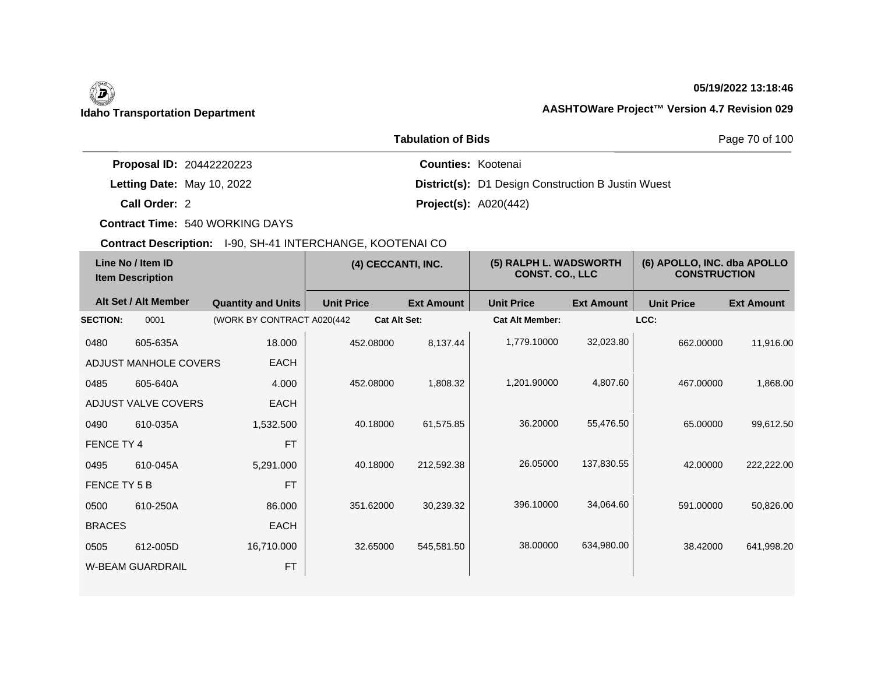## **05/19/2022 13:18:46**

|                                 | Page 70 of 100                                            |  |
|---------------------------------|-----------------------------------------------------------|--|
| <b>Proposal ID: 20442220223</b> | <b>Counties: Kootenai</b>                                 |  |
| Letting Date: May 10, 2022      | <b>District(s):</b> D1 Design Construction B Justin Wuest |  |
| Call Order: 2                   | <b>Project(s): A020(442)</b>                              |  |

**Contract Time:** 540 WORKING DAYS

| Line No / Item ID<br><b>Item Description</b> |                         | (4) CECCANTI, INC.          |                     | (5) RALPH L. WADSWORTH<br><b>CONST. CO., LLC</b> |                        | (6) APOLLO, INC. dba APOLLO<br><b>CONSTRUCTION</b> |                   |                   |
|----------------------------------------------|-------------------------|-----------------------------|---------------------|--------------------------------------------------|------------------------|----------------------------------------------------|-------------------|-------------------|
|                                              | Alt Set / Alt Member    | <b>Quantity and Units</b>   | <b>Unit Price</b>   | <b>Ext Amount</b>                                | <b>Unit Price</b>      | <b>Ext Amount</b>                                  | <b>Unit Price</b> | <b>Ext Amount</b> |
| <b>SECTION:</b>                              | 0001                    | (WORK BY CONTRACT A020(442) | <b>Cat Alt Set:</b> |                                                  | <b>Cat Alt Member:</b> |                                                    | LCC:              |                   |
| 0480                                         | 605-635A                | 18.000                      | 452.08000           | 8,137.44                                         | 1,779.10000            | 32,023.80                                          | 662.00000         | 11,916.00         |
|                                              | ADJUST MANHOLE COVERS   | <b>EACH</b>                 |                     |                                                  |                        |                                                    |                   |                   |
| 0485                                         | 605-640A                | 4.000                       | 452.08000           | 1,808.32                                         | 1,201.90000            | 4,807.60                                           | 467.00000         | 1,868.00          |
|                                              | ADJUST VALVE COVERS     | <b>EACH</b>                 |                     |                                                  |                        |                                                    |                   |                   |
| 0490                                         | 610-035A                | 1,532.500                   | 40.18000            | 61,575.85                                        | 36.20000               | 55,476.50                                          | 65.00000          | 99,612.50         |
| FENCE TY 4                                   |                         | <b>FT</b>                   |                     |                                                  |                        |                                                    |                   |                   |
| 0495                                         | 610-045A                | 5,291.000                   | 40.18000            | 212,592.38                                       | 26.05000               | 137,830.55                                         | 42.00000          | 222,222.00        |
| FENCE TY 5 B                                 |                         | <b>FT</b>                   |                     |                                                  |                        |                                                    |                   |                   |
| 0500                                         | 610-250A                | 86,000                      | 351.62000           | 30,239.32                                        | 396.10000              | 34,064.60                                          | 591.00000         | 50,826.00         |
| <b>BRACES</b>                                |                         | <b>EACH</b>                 |                     |                                                  |                        |                                                    |                   |                   |
| 0505                                         | 612-005D                | 16,710.000                  | 32.65000            | 545,581.50                                       | 38,00000               | 634,980.00                                         | 38.42000          | 641,998.20        |
|                                              | <b>W-BEAM GUARDRAIL</b> | <b>FT</b>                   |                     |                                                  |                        |                                                    |                   |                   |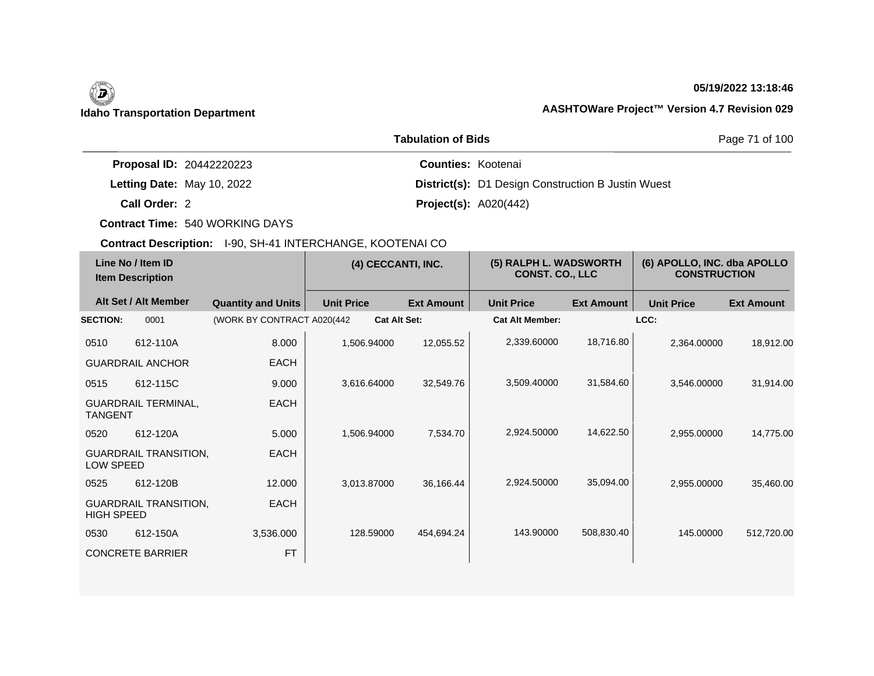# (B)

## **05/19/2022 13:18:46**

## **Idaho Transportation Department AASHTOWare Project™ Version 4.7 Revision 029**

|                                 | Page 71 of 100                                            |  |
|---------------------------------|-----------------------------------------------------------|--|
| <b>Proposal ID: 20442220223</b> | <b>Counties: Kootenai</b>                                 |  |
| Letting Date: May 10, 2022      | <b>District(s):</b> D1 Design Construction B Justin Wuest |  |
| Call Order: 2                   | <b>Project(s): A020(442)</b>                              |  |

**Contract Time:** 540 WORKING DAYS

| Line No / Item ID<br><b>Item Description</b> |                              | (4) CECCANTI, INC.          |                     | (5) RALPH L. WADSWORTH<br><b>CONST. CO., LLC</b> |                        | (6) APOLLO, INC. dba APOLLO<br><b>CONSTRUCTION</b> |                   |                   |
|----------------------------------------------|------------------------------|-----------------------------|---------------------|--------------------------------------------------|------------------------|----------------------------------------------------|-------------------|-------------------|
|                                              | Alt Set / Alt Member         | <b>Quantity and Units</b>   | <b>Unit Price</b>   | <b>Ext Amount</b>                                | <b>Unit Price</b>      | <b>Ext Amount</b>                                  | <b>Unit Price</b> | <b>Ext Amount</b> |
| <b>SECTION:</b>                              | 0001                         | (WORK BY CONTRACT A020(442) | <b>Cat Alt Set:</b> |                                                  | <b>Cat Alt Member:</b> |                                                    | LCC:              |                   |
| 0510                                         | 612-110A                     | 8.000                       | 1,506.94000         | 12,055.52                                        | 2,339.60000            | 18,716.80                                          | 2,364.00000       | 18,912.00         |
|                                              | <b>GUARDRAIL ANCHOR</b>      | <b>EACH</b>                 |                     |                                                  |                        |                                                    |                   |                   |
| 0515                                         | 612-115C                     | 9.000                       | 3,616.64000         | 32,549.76                                        | 3,509.40000            | 31,584.60                                          | 3,546.00000       | 31,914.00         |
| <b>TANGENT</b>                               | <b>GUARDRAIL TERMINAL,</b>   | <b>EACH</b>                 |                     |                                                  |                        |                                                    |                   |                   |
| 0520                                         | 612-120A                     | 5.000                       | 1,506.94000         | 7,534.70                                         | 2,924.50000            | 14,622.50                                          | 2,955.00000       | 14,775.00         |
| LOW SPEED                                    | <b>GUARDRAIL TRANSITION,</b> | <b>EACH</b>                 |                     |                                                  |                        |                                                    |                   |                   |
| 0525                                         | 612-120B                     | 12.000                      | 3,013.87000         | 36,166.44                                        | 2,924.50000            | 35,094.00                                          | 2,955.00000       | 35,460.00         |
| <b>HIGH SPEED</b>                            | <b>GUARDRAIL TRANSITION,</b> | <b>EACH</b>                 |                     |                                                  |                        |                                                    |                   |                   |
| 0530                                         | 612-150A                     | 3,536.000                   | 128.59000           | 454,694.24                                       | 143.90000              | 508,830.40                                         | 145,00000         | 512,720.00        |
|                                              | <b>CONCRETE BARRIER</b>      | <b>FT</b>                   |                     |                                                  |                        |                                                    |                   |                   |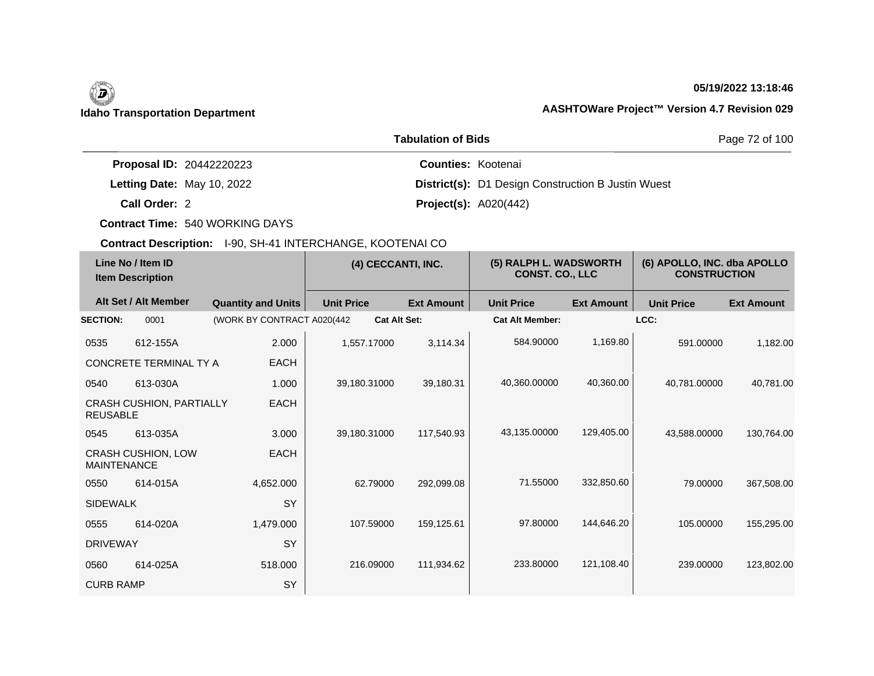## **05/19/2022 13:18:46**

|                                 | Page 72 of 100                                            |  |
|---------------------------------|-----------------------------------------------------------|--|
| <b>Proposal ID: 20442220223</b> | <b>Counties: Kootenai</b>                                 |  |
| Letting Date: May 10, 2022      | <b>District(s):</b> D1 Design Construction B Justin Wuest |  |
| Call Order: 2                   | <b>Project(s): A020(442)</b>                              |  |

**Contract Time:** 540 WORKING DAYS

|                    | Line No / Item ID<br><b>Item Description</b> |                             | (4) CECCANTI, INC.  |                   | (5) RALPH L. WADSWORTH<br><b>CONST. CO., LLC</b> |                   | (6) APOLLO, INC. dba APOLLO<br><b>CONSTRUCTION</b> |                   |
|--------------------|----------------------------------------------|-----------------------------|---------------------|-------------------|--------------------------------------------------|-------------------|----------------------------------------------------|-------------------|
|                    | Alt Set / Alt Member                         | <b>Quantity and Units</b>   | <b>Unit Price</b>   | <b>Ext Amount</b> | <b>Unit Price</b>                                | <b>Ext Amount</b> | <b>Unit Price</b>                                  | <b>Ext Amount</b> |
| <b>SECTION:</b>    | 0001                                         | (WORK BY CONTRACT A020(442) | <b>Cat Alt Set:</b> |                   | <b>Cat Alt Member:</b>                           |                   | LCC:                                               |                   |
| 0535               | 612-155A                                     | 2.000                       | 1.557.17000         | 3,114.34          | 584.90000                                        | 1,169.80          | 591.00000                                          | 1,182.00          |
|                    | CONCRETE TERMINAL TY A                       | <b>EACH</b>                 |                     |                   |                                                  |                   |                                                    |                   |
| 0540               | 613-030A                                     | 1.000                       | 39,180.31000        | 39,180.31         | 40,360.00000                                     | 40,360.00         | 40,781.00000                                       | 40,781.00         |
| <b>REUSABLE</b>    | <b>CRASH CUSHION, PARTIALLY</b>              | <b>EACH</b>                 |                     |                   |                                                  |                   |                                                    |                   |
| 0545               | 613-035A                                     | 3.000                       | 39.180.31000        | 117.540.93        | 43,135.00000                                     | 129,405.00        | 43.588.00000                                       | 130,764.00        |
| <b>MAINTENANCE</b> | CRASH CUSHION, LOW                           | EACH                        |                     |                   |                                                  |                   |                                                    |                   |
| 0550               | 614-015A                                     | 4,652.000                   | 62.79000            | 292,099.08        | 71.55000                                         | 332,850.60        | 79.00000                                           | 367,508.00        |
| <b>SIDEWALK</b>    |                                              | <b>SY</b>                   |                     |                   |                                                  |                   |                                                    |                   |
| 0555               | 614-020A                                     | 1,479.000                   | 107.59000           | 159,125.61        | 97.80000                                         | 144,646.20        | 105.00000                                          | 155,295.00        |
| <b>DRIVEWAY</b>    |                                              | SY                          |                     |                   |                                                  |                   |                                                    |                   |
| 0560               | 614-025A                                     | 518.000                     | 216.09000           | 111,934.62        | 233.80000                                        | 121,108.40        | 239.00000                                          | 123,802.00        |
| <b>CURB RAMP</b>   |                                              | SY                          |                     |                   |                                                  |                   |                                                    |                   |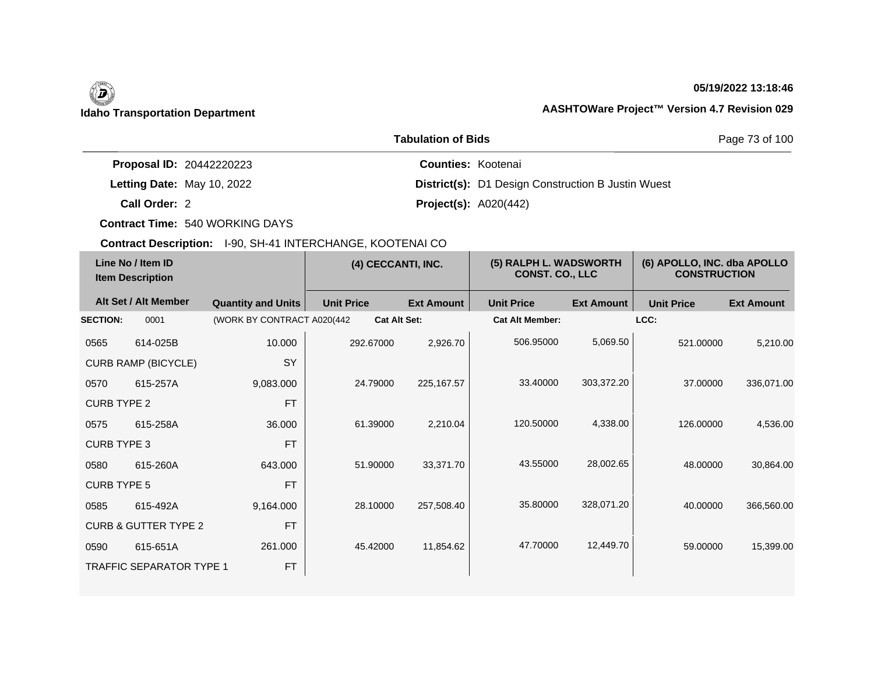## **05/19/2022 13:18:46**

|                                 | Page 73 of 100                                            |  |
|---------------------------------|-----------------------------------------------------------|--|
| <b>Proposal ID: 20442220223</b> | <b>Counties: Kootenai</b>                                 |  |
| Letting Date: May 10, 2022      | <b>District(s):</b> D1 Design Construction B Justin Wuest |  |
| Call Order: 2                   | <b>Project(s):</b> $A020(442)$                            |  |

**Contract Time:** 540 WORKING DAYS

| Line No / Item ID<br><b>Item Description</b> |                                 | (4) CECCANTI, INC.          |                   | (5) RALPH L. WADSWORTH<br><b>CONST. CO., LLC</b> |                        | (6) APOLLO, INC. dba APOLLO<br><b>CONSTRUCTION</b> |                   |                   |
|----------------------------------------------|---------------------------------|-----------------------------|-------------------|--------------------------------------------------|------------------------|----------------------------------------------------|-------------------|-------------------|
|                                              | Alt Set / Alt Member            | <b>Quantity and Units</b>   | <b>Unit Price</b> | <b>Ext Amount</b>                                | <b>Unit Price</b>      | <b>Ext Amount</b>                                  | <b>Unit Price</b> | <b>Ext Amount</b> |
| <b>SECTION:</b>                              | 0001                            | (WORK BY CONTRACT A020(442) |                   | <b>Cat Alt Set:</b>                              | <b>Cat Alt Member:</b> |                                                    | LCC:              |                   |
| 0565                                         | 614-025B                        | 10.000                      | 292.67000         | 2,926.70                                         | 506.95000              | 5,069.50                                           | 521.00000         | 5,210.00          |
|                                              | <b>CURB RAMP (BICYCLE)</b>      | <b>SY</b>                   |                   |                                                  |                        |                                                    |                   |                   |
| 0570                                         | 615-257A                        | 9,083.000                   | 24.79000          | 225, 167.57                                      | 33.40000               | 303,372.20                                         | 37,00000          | 336,071.00        |
| <b>CURB TYPE 2</b>                           |                                 | <b>FT</b>                   |                   |                                                  |                        |                                                    |                   |                   |
| 0575                                         | 615-258A                        | 36.000                      | 61.39000          | 2,210.04                                         | 120,50000              | 4,338.00                                           | 126,00000         | 4,536.00          |
| <b>CURB TYPE 3</b>                           |                                 | <b>FT</b>                   |                   |                                                  |                        |                                                    |                   |                   |
| 0580                                         | 615-260A                        | 643.000                     | 51.90000          | 33,371.70                                        | 43.55000               | 28,002.65                                          | 48.00000          | 30,864.00         |
| <b>CURB TYPE 5</b>                           |                                 | <b>FT</b>                   |                   |                                                  |                        |                                                    |                   |                   |
| 0585                                         | 615-492A                        | 9,164.000                   | 28.10000          | 257,508.40                                       | 35,80000               | 328,071.20                                         | 40.00000          | 366,560.00        |
|                                              | <b>CURB &amp; GUTTER TYPE 2</b> | <b>FT</b>                   |                   |                                                  |                        |                                                    |                   |                   |
| 0590                                         | 615-651A                        | 261.000                     | 45.42000          | 11,854.62                                        | 47.70000               | 12,449.70                                          | 59.00000          | 15,399.00         |
|                                              | <b>TRAFFIC SEPARATOR TYPE 1</b> | <b>FT</b>                   |                   |                                                  |                        |                                                    |                   |                   |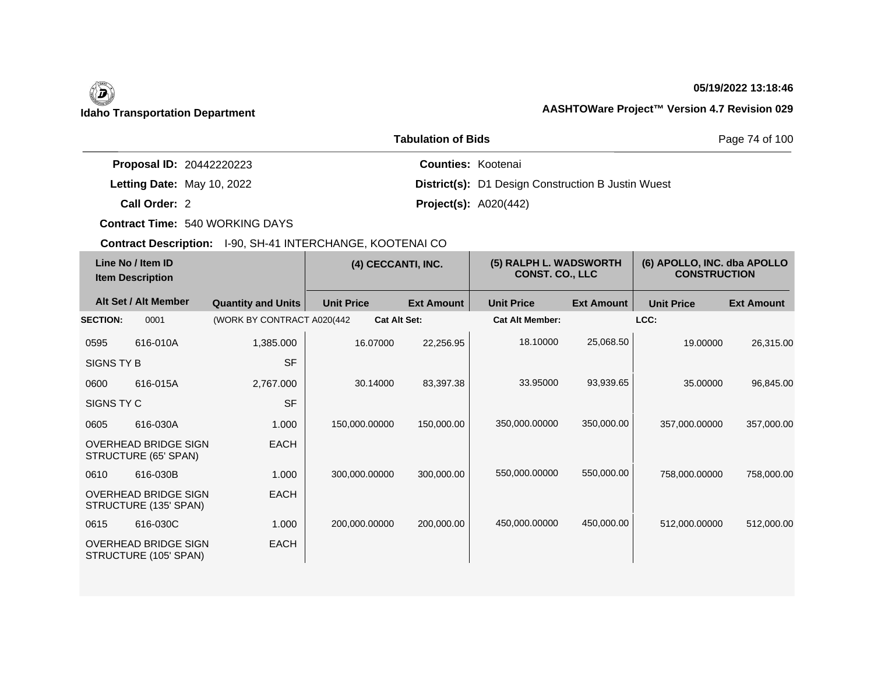# (D)

## **05/19/2022 13:18:46**

## **Idaho Transportation Department AASHTOWare Project™ Version 4.7 Revision 029**

|                                 | Page 74 of 100                                            |  |
|---------------------------------|-----------------------------------------------------------|--|
| <b>Proposal ID: 20442220223</b> | <b>Counties: Kootenai</b>                                 |  |
| Letting Date: May 10, 2022      | <b>District(s):</b> D1 Design Construction B Justin Wuest |  |
| Call Order: 2                   | <b>Project(s):</b> $A020(442)$                            |  |

**Contract Time:** 540 WORKING DAYS

| Line No / Item ID<br><b>Item Description</b> |                                                      | (4) CECCANTI, INC.          |                   | (5) RALPH L. WADSWORTH<br><b>CONST. CO., LLC</b> |                        | (6) APOLLO, INC. dba APOLLO<br><b>CONSTRUCTION</b> |                   |                   |
|----------------------------------------------|------------------------------------------------------|-----------------------------|-------------------|--------------------------------------------------|------------------------|----------------------------------------------------|-------------------|-------------------|
|                                              | Alt Set / Alt Member                                 | <b>Quantity and Units</b>   | <b>Unit Price</b> | <b>Ext Amount</b>                                | <b>Unit Price</b>      | <b>Ext Amount</b>                                  | <b>Unit Price</b> | <b>Ext Amount</b> |
| <b>SECTION:</b>                              | 0001                                                 | (WORK BY CONTRACT A020(442) |                   | <b>Cat Alt Set:</b>                              | <b>Cat Alt Member:</b> |                                                    | LCC:              |                   |
| 0595                                         | 616-010A                                             | 1,385.000                   | 16.07000          | 22,256.95                                        | 18.10000               | 25,068.50                                          | 19.00000          | 26,315.00         |
| SIGNS TY B                                   |                                                      | <b>SF</b>                   |                   |                                                  |                        |                                                    |                   |                   |
| 0600                                         | 616-015A                                             | 2,767.000                   | 30.14000          | 83,397.38                                        | 33.95000               | 93,939.65                                          | 35.00000          | 96,845.00         |
| SIGNS TY C                                   |                                                      | <b>SF</b>                   |                   |                                                  |                        |                                                    |                   |                   |
| 0605                                         | 616-030A                                             | 1.000                       | 150,000.00000     | 150,000.00                                       | 350,000.00000          | 350,000.00                                         | 357,000.00000     | 357,000.00        |
|                                              | <b>OVERHEAD BRIDGE SIGN</b><br>STRUCTURE (65' SPAN)  | <b>EACH</b>                 |                   |                                                  |                        |                                                    |                   |                   |
| 0610                                         | 616-030B                                             | 1.000                       | 300.000.00000     | 300,000.00                                       | 550,000.00000          | 550,000.00                                         | 758,000.00000     | 758,000.00        |
|                                              | <b>OVERHEAD BRIDGE SIGN</b><br>STRUCTURE (135' SPAN) | <b>EACH</b>                 |                   |                                                  |                        |                                                    |                   |                   |
| 0615                                         | 616-030C                                             | 1.000                       | 200,000.00000     | 200,000.00                                       | 450,000.00000          | 450,000.00                                         | 512,000.00000     | 512,000.00        |
|                                              | <b>OVERHEAD BRIDGE SIGN</b><br>STRUCTURE (105' SPAN) | <b>EACH</b>                 |                   |                                                  |                        |                                                    |                   |                   |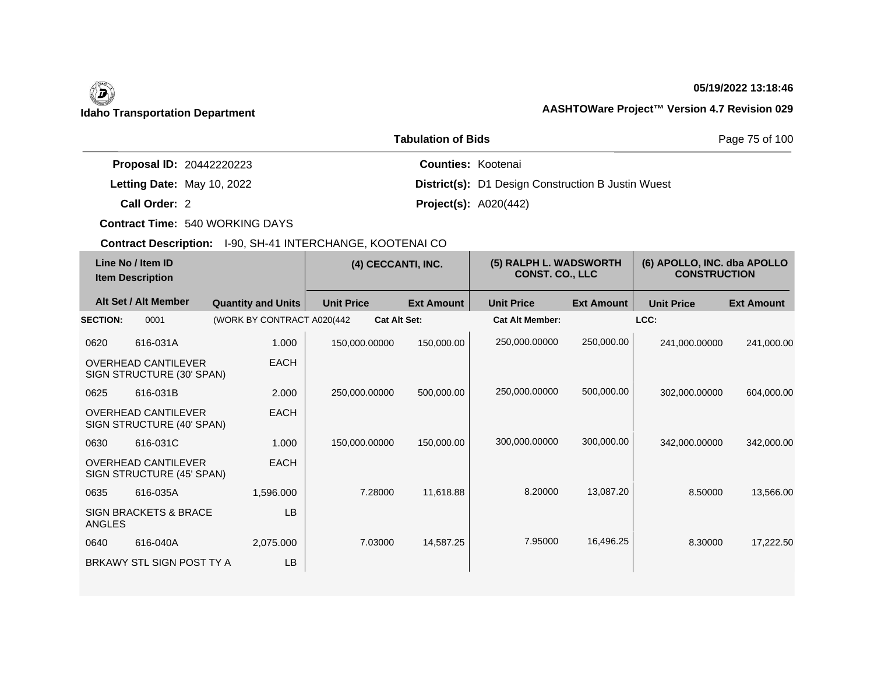## **05/19/2022 13:18:46**

|                                 | Page 75 of 100                                            |  |
|---------------------------------|-----------------------------------------------------------|--|
| <b>Proposal ID: 20442220223</b> | <b>Counties: Kootenai</b>                                 |  |
| Letting Date: May 10, 2022      | <b>District(s):</b> D1 Design Construction B Justin Wuest |  |
| Call Order: 2                   | <b>Project(s): A020(442)</b>                              |  |

**Contract Time:** 540 WORKING DAYS

| Line No / Item ID<br><b>Item Description</b> |                                                         | (4) CECCANTI, INC.          |                   | (5) RALPH L. WADSWORTH<br><b>CONST. CO., LLC</b> |                        | (6) APOLLO, INC. dba APOLLO<br><b>CONSTRUCTION</b> |                   |                   |
|----------------------------------------------|---------------------------------------------------------|-----------------------------|-------------------|--------------------------------------------------|------------------------|----------------------------------------------------|-------------------|-------------------|
|                                              | Alt Set / Alt Member                                    | <b>Quantity and Units</b>   | <b>Unit Price</b> | <b>Ext Amount</b>                                | <b>Unit Price</b>      | <b>Ext Amount</b>                                  | <b>Unit Price</b> | <b>Ext Amount</b> |
| <b>SECTION:</b>                              | 0001                                                    | (WORK BY CONTRACT A020(442) |                   | <b>Cat Alt Set:</b>                              | <b>Cat Alt Member:</b> |                                                    | LCC:              |                   |
| 0620                                         | 616-031A                                                | 1.000                       | 150,000.00000     | 150,000.00                                       | 250,000.00000          | 250,000.00                                         | 241,000.00000     | 241,000.00        |
|                                              | <b>OVERHEAD CANTILEVER</b><br>SIGN STRUCTURE (30' SPAN) | <b>EACH</b>                 |                   |                                                  |                        |                                                    |                   |                   |
| 0625                                         | 616-031B                                                | 2.000                       | 250,000.00000     | 500,000.00                                       | 250,000.00000          | 500,000.00                                         | 302,000.00000     | 604,000.00        |
|                                              | <b>OVERHEAD CANTILEVER</b><br>SIGN STRUCTURE (40' SPAN) | <b>EACH</b>                 |                   |                                                  |                        |                                                    |                   |                   |
| 0630                                         | 616-031C                                                | 1.000                       | 150,000.00000     | 150,000.00                                       | 300,000.00000          | 300,000.00                                         | 342,000.00000     | 342,000.00        |
|                                              | <b>OVERHEAD CANTILEVER</b><br>SIGN STRUCTURE (45' SPAN) | <b>EACH</b>                 |                   |                                                  |                        |                                                    |                   |                   |
| 0635                                         | 616-035A                                                | 1,596.000                   | 7.28000           | 11,618.88                                        | 8.20000                | 13,087.20                                          | 8.50000           | 13,566.00         |
| <b>ANGLES</b>                                | <b>SIGN BRACKETS &amp; BRACE</b>                        | <b>LB</b>                   |                   |                                                  |                        |                                                    |                   |                   |
| 0640                                         | 616-040A                                                | 2,075.000                   | 7.03000           | 14,587.25                                        | 7.95000                | 16,496.25                                          | 8.30000           | 17,222.50         |
|                                              | BRKAWY STL SIGN POST TY A                               | LB                          |                   |                                                  |                        |                                                    |                   |                   |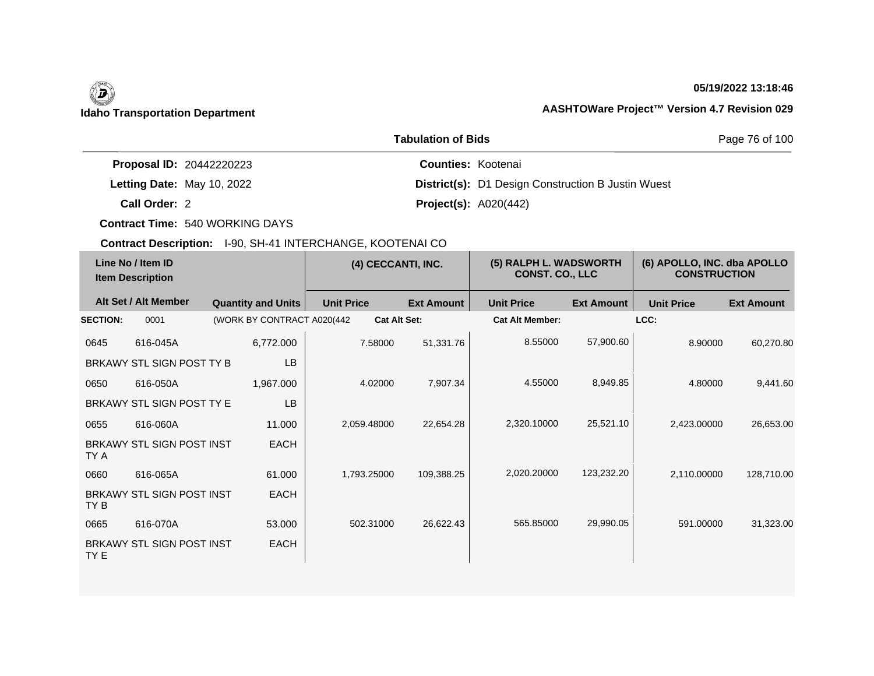# (D)

## **05/19/2022 13:18:46**

## **Idaho Transportation Department AASHTOWare Project™ Version 4.7 Revision 029**

|                                 | Page 76 of 100                                            |  |
|---------------------------------|-----------------------------------------------------------|--|
| <b>Proposal ID: 20442220223</b> | <b>Counties: Kootenai</b>                                 |  |
| Letting Date: May 10, 2022      | <b>District(s):</b> D1 Design Construction B Justin Wuest |  |
| Call Order: 2                   | <b>Project(s): A020(442)</b>                              |  |

**Contract Time:** 540 WORKING DAYS

| Line No / Item ID<br><b>Item Description</b> |                                  | (4) CECCANTI, INC.          |                   | (5) RALPH L. WADSWORTH<br><b>CONST. CO., LLC</b> |                        | (6) APOLLO, INC. dba APOLLO<br><b>CONSTRUCTION</b> |                   |                   |
|----------------------------------------------|----------------------------------|-----------------------------|-------------------|--------------------------------------------------|------------------------|----------------------------------------------------|-------------------|-------------------|
|                                              | Alt Set / Alt Member             | <b>Quantity and Units</b>   | <b>Unit Price</b> | <b>Ext Amount</b>                                | <b>Unit Price</b>      | <b>Ext Amount</b>                                  | <b>Unit Price</b> | <b>Ext Amount</b> |
| <b>SECTION:</b>                              | 0001                             | (WORK BY CONTRACT A020(442) |                   | <b>Cat Alt Set:</b>                              | <b>Cat Alt Member:</b> |                                                    | LCC:              |                   |
| 0645                                         | 616-045A                         | 6,772.000                   | 7.58000           | 51,331.76                                        | 8.55000                | 57,900.60                                          | 8.90000           | 60,270.80         |
|                                              | BRKAWY STL SIGN POST TY B        | <b>LB</b>                   |                   |                                                  |                        |                                                    |                   |                   |
| 0650                                         | 616-050A                         | 1,967.000                   | 4.02000           | 7,907.34                                         | 4.55000                | 8,949.85                                           | 4.80000           | 9,441.60          |
|                                              | BRKAWY STL SIGN POST TY E        | <b>LB</b>                   |                   |                                                  |                        |                                                    |                   |                   |
| 0655                                         | 616-060A                         | 11.000                      | 2,059.48000       | 22,654.28                                        | 2,320.10000            | 25,521.10                                          | 2,423.00000       | 26,653.00         |
| TY A                                         | BRKAWY STL SIGN POST INST        | <b>EACH</b>                 |                   |                                                  |                        |                                                    |                   |                   |
| 0660                                         | 616-065A                         | 61.000                      | 1,793.25000       | 109,388.25                                       | 2,020.20000            | 123,232.20                                         | 2,110.00000       | 128,710.00        |
| TY B                                         | <b>BRKAWY STL SIGN POST INST</b> | <b>EACH</b>                 |                   |                                                  |                        |                                                    |                   |                   |
| 0665                                         | 616-070A                         | 53.000                      | 502.31000         | 26,622.43                                        | 565.85000              | 29,990.05                                          | 591.00000         | 31,323.00         |
| TY E                                         | <b>BRKAWY STL SIGN POST INST</b> | <b>EACH</b>                 |                   |                                                  |                        |                                                    |                   |                   |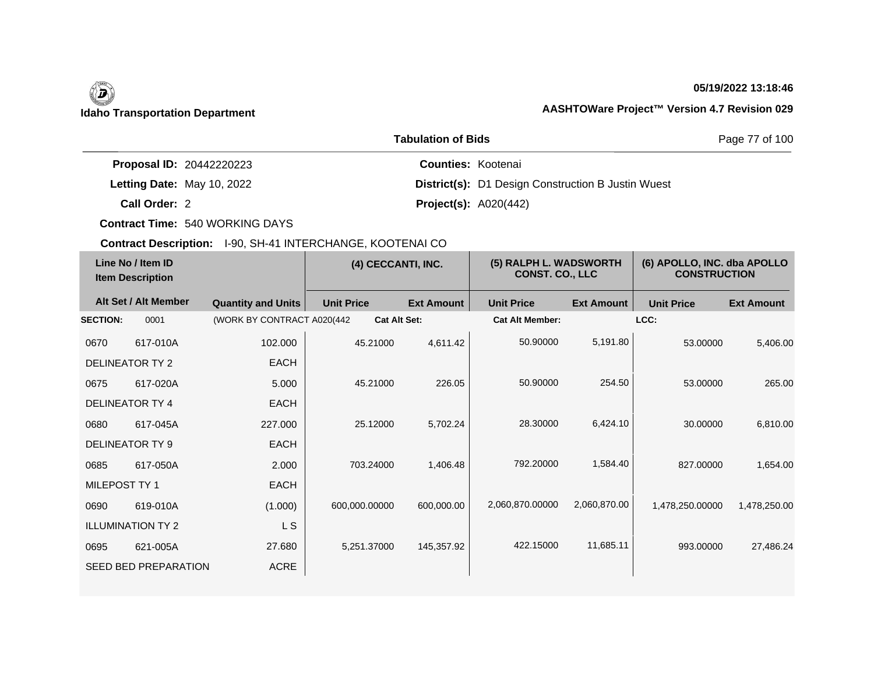## **05/19/2022 13:18:46**

|                                 | Page 77 of 100                                            |  |
|---------------------------------|-----------------------------------------------------------|--|
| <b>Proposal ID: 20442220223</b> | <b>Counties: Kootenai</b>                                 |  |
| Letting Date: May 10, 2022      | <b>District(s):</b> D1 Design Construction B Justin Wuest |  |
| Call Order: 2                   | <b>Project(s):</b> $A020(442)$                            |  |

**Contract Time:** 540 WORKING DAYS

| Line No / Item ID<br><b>Item Description</b> |                             | (4) CECCANTI, INC.          |                     | (5) RALPH L. WADSWORTH<br><b>CONST. CO., LLC</b> |                        | (6) APOLLO, INC. dba APOLLO<br><b>CONSTRUCTION</b> |                   |                   |
|----------------------------------------------|-----------------------------|-----------------------------|---------------------|--------------------------------------------------|------------------------|----------------------------------------------------|-------------------|-------------------|
|                                              | Alt Set / Alt Member        | <b>Quantity and Units</b>   | <b>Unit Price</b>   | <b>Ext Amount</b>                                | <b>Unit Price</b>      | <b>Ext Amount</b>                                  | <b>Unit Price</b> | <b>Ext Amount</b> |
| <b>SECTION:</b>                              | 0001                        | (WORK BY CONTRACT A020(442) | <b>Cat Alt Set:</b> |                                                  | <b>Cat Alt Member:</b> |                                                    | LCC:              |                   |
| 0670                                         | 617-010A                    | 102.000                     | 45.21000            | 4,611.42                                         | 50.90000               | 5,191.80                                           | 53.00000          | 5,406.00          |
|                                              | DELINEATOR TY 2             | <b>EACH</b>                 |                     |                                                  |                        |                                                    |                   |                   |
| 0675                                         | 617-020A                    | 5.000                       | 45.21000            | 226.05                                           | 50.90000               | 254.50                                             | 53.00000          | 265.00            |
|                                              | <b>DELINEATOR TY 4</b>      | <b>EACH</b>                 |                     |                                                  |                        |                                                    |                   |                   |
| 0680                                         | 617-045A                    | 227,000                     | 25.12000            | 5,702.24                                         | 28,30000               | 6,424.10                                           | 30.00000          | 6,810.00          |
|                                              | DELINEATOR TY 9             | <b>EACH</b>                 |                     |                                                  |                        |                                                    |                   |                   |
| 0685                                         | 617-050A                    | 2.000                       | 703.24000           | 1,406.48                                         | 792.20000              | 1,584.40                                           | 827.00000         | 1,654.00          |
| MILEPOST TY 1                                |                             | <b>EACH</b>                 |                     |                                                  |                        |                                                    |                   |                   |
| 0690                                         | 619-010A                    | (1.000)                     | 600,000.00000       | 600,000.00                                       | 2,060,870.00000        | 2,060,870.00                                       | 1,478,250.00000   | 1,478,250.00      |
|                                              | <b>ILLUMINATION TY 2</b>    | L S                         |                     |                                                  |                        |                                                    |                   |                   |
| 0695                                         | 621-005A                    | 27.680                      | 5,251.37000         | 145,357.92                                       | 422.15000              | 11,685.11                                          | 993.00000         | 27,486.24         |
|                                              | <b>SEED BED PREPARATION</b> | <b>ACRE</b>                 |                     |                                                  |                        |                                                    |                   |                   |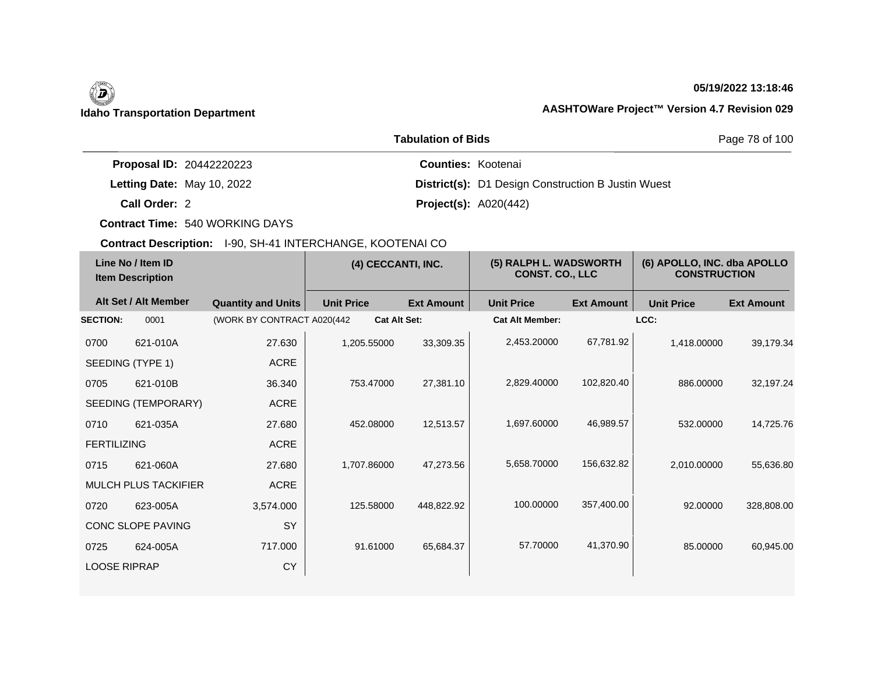## **05/19/2022 13:18:46**

|                                 | <b>Tabulation of Bids</b>                                 |  |  |  |  |
|---------------------------------|-----------------------------------------------------------|--|--|--|--|
| <b>Proposal ID: 20442220223</b> | <b>Counties: Kootenai</b>                                 |  |  |  |  |
| Letting Date: May 10, 2022      | <b>District(s):</b> D1 Design Construction B Justin Wuest |  |  |  |  |
| Call Order: 2                   | <b>Project(s): A020(442)</b>                              |  |  |  |  |

**Contract Time:** 540 WORKING DAYS

| <b>Ext Amount</b>        |
|--------------------------|
|                          |
| 39,179.34<br>1,418.00000 |
|                          |
| 886.00000<br>32,197.24   |
|                          |
| 532.00000<br>14,725.76   |
|                          |
| 2,010.00000<br>55,636.80 |
|                          |
| 92.00000<br>328,808.00   |
|                          |
| 85.00000<br>60,945.00    |
|                          |
|                          |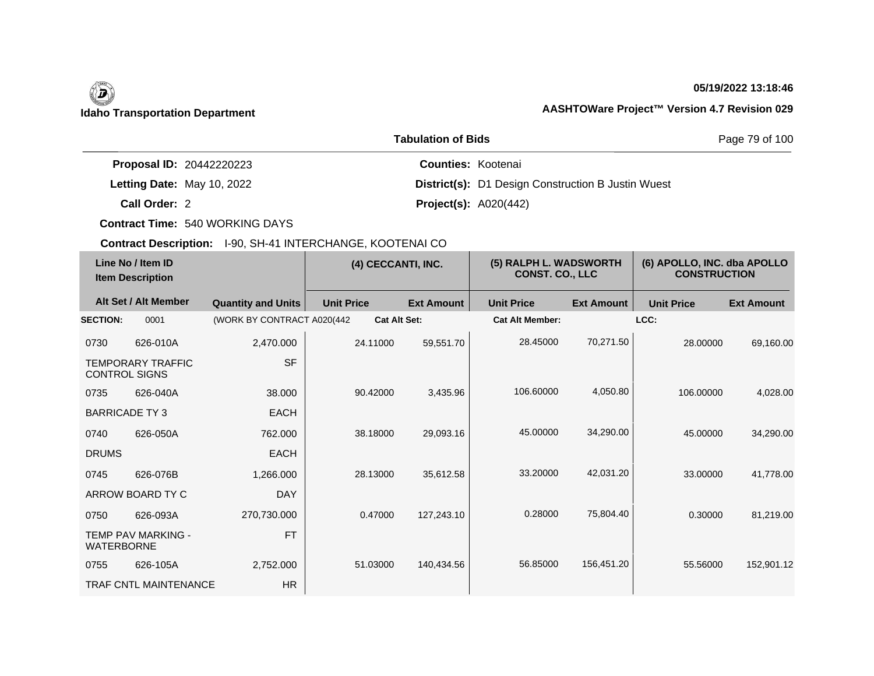## **05/19/2022 13:18:46**

|                                 | Page 79 of 100                                            |  |
|---------------------------------|-----------------------------------------------------------|--|
| <b>Proposal ID: 20442220223</b> | <b>Counties: Kootenai</b>                                 |  |
| Letting Date: May 10, 2022      | <b>District(s):</b> D1 Design Construction B Justin Wuest |  |
| Call Order: 2                   | <b>Project(s): A020(442)</b>                              |  |

**Contract Time:** 540 WORKING DAYS

| Line No / Item ID<br><b>Item Description</b> |                              | (4) CECCANTI, INC.          |                   | (5) RALPH L. WADSWORTH<br><b>CONST. CO., LLC</b> |                   | (6) APOLLO, INC. dba APOLLO<br><b>CONSTRUCTION</b> |                   |                   |                   |
|----------------------------------------------|------------------------------|-----------------------------|-------------------|--------------------------------------------------|-------------------|----------------------------------------------------|-------------------|-------------------|-------------------|
|                                              | Alt Set / Alt Member         | <b>Quantity and Units</b>   | <b>Unit Price</b> |                                                  | <b>Ext Amount</b> | <b>Unit Price</b>                                  | <b>Ext Amount</b> | <b>Unit Price</b> | <b>Ext Amount</b> |
| <b>SECTION:</b>                              | 0001                         | (WORK BY CONTRACT A020(442) |                   | <b>Cat Alt Set:</b>                              |                   | <b>Cat Alt Member:</b>                             |                   | LCC:              |                   |
| 0730                                         | 626-010A                     | 2,470.000                   |                   | 24.11000                                         | 59,551.70         | 28.45000                                           | 70,271.50         | 28.00000          | 69,160.00         |
| <b>CONTROL SIGNS</b>                         | <b>TEMPORARY TRAFFIC</b>     | <b>SF</b>                   |                   |                                                  |                   |                                                    |                   |                   |                   |
| 0735                                         | 626-040A                     | 38,000                      |                   | 90.42000                                         | 3,435.96          | 106.60000                                          | 4,050.80          | 106.00000         | 4,028.00          |
| <b>BARRICADE TY3</b>                         |                              | <b>EACH</b>                 |                   |                                                  |                   |                                                    |                   |                   |                   |
| 0740                                         | 626-050A                     | 762,000                     |                   | 38.18000                                         | 29,093.16         | 45.00000                                           | 34,290.00         | 45.00000          | 34,290.00         |
| <b>DRUMS</b>                                 |                              | <b>EACH</b>                 |                   |                                                  |                   |                                                    |                   |                   |                   |
| 0745                                         | 626-076B                     | 1,266.000                   |                   | 28.13000                                         | 35,612.58         | 33.20000                                           | 42,031.20         | 33.00000          | 41,778.00         |
|                                              | ARROW BOARD TY C             | <b>DAY</b>                  |                   |                                                  |                   |                                                    |                   |                   |                   |
| 0750                                         | 626-093A                     | 270,730.000                 |                   | 0.47000                                          | 127,243.10        | 0.28000                                            | 75,804.40         | 0.30000           | 81,219.00         |
| <b>WATERBORNE</b>                            | <b>TEMP PAV MARKING -</b>    | <b>FT</b>                   |                   |                                                  |                   |                                                    |                   |                   |                   |
| 0755                                         | 626-105A                     | 2,752.000                   |                   | 51.03000                                         | 140,434.56        | 56.85000                                           | 156,451.20        | 55.56000          | 152,901.12        |
|                                              | <b>TRAF CNTL MAINTENANCE</b> | <b>HR</b>                   |                   |                                                  |                   |                                                    |                   |                   |                   |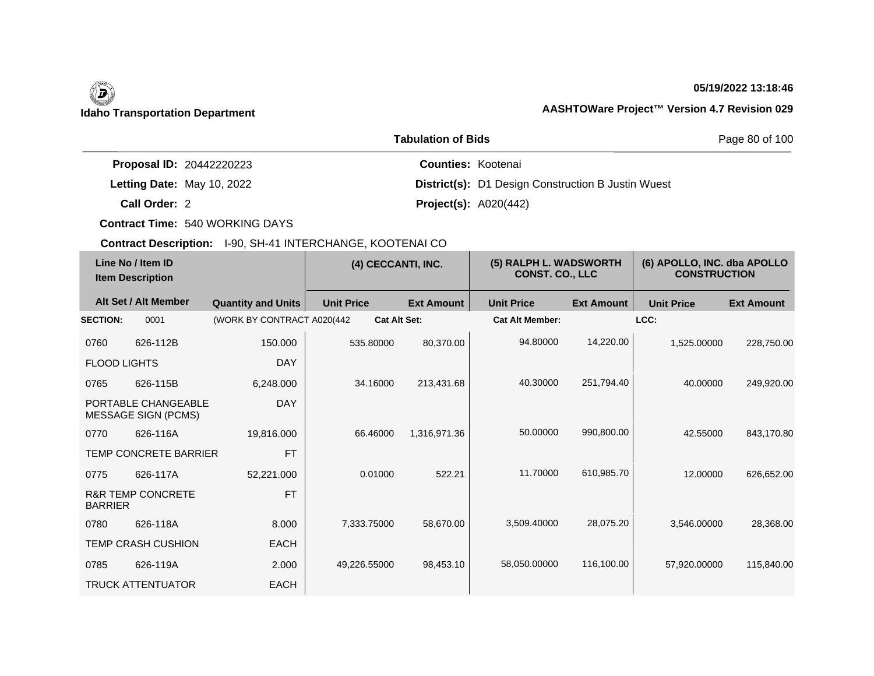## **05/19/2022 13:18:46**

|                                 | Page 80 of 100                                            |  |
|---------------------------------|-----------------------------------------------------------|--|
| <b>Proposal ID: 20442220223</b> | <b>Counties: Kootenai</b>                                 |  |
| Letting Date: May 10, 2022      | <b>District(s):</b> D1 Design Construction B Justin Wuest |  |
| Call Order: 2                   | <b>Project(s): A020(442)</b>                              |  |

**Contract Time:** 540 WORKING DAYS

| Line No / Item ID<br><b>Item Description</b> |                                                   | (4) CECCANTI, INC.          |                     | (5) RALPH L. WADSWORTH<br><b>CONST. CO., LLC</b> |                        | (6) APOLLO, INC. dba APOLLO<br><b>CONSTRUCTION</b> |                   |                   |
|----------------------------------------------|---------------------------------------------------|-----------------------------|---------------------|--------------------------------------------------|------------------------|----------------------------------------------------|-------------------|-------------------|
|                                              | Alt Set / Alt Member                              | <b>Quantity and Units</b>   | <b>Unit Price</b>   | <b>Ext Amount</b>                                | <b>Unit Price</b>      | <b>Ext Amount</b>                                  | <b>Unit Price</b> | <b>Ext Amount</b> |
| <b>SECTION:</b>                              | 0001                                              | (WORK BY CONTRACT A020(442) | <b>Cat Alt Set:</b> |                                                  | <b>Cat Alt Member:</b> |                                                    | LCC:              |                   |
| 0760                                         | 626-112B                                          | 150.000                     | 535.80000           | 80,370.00                                        | 94.80000               | 14,220.00                                          | 1,525.00000       | 228,750.00        |
| <b>FLOOD LIGHTS</b>                          |                                                   | <b>DAY</b>                  |                     |                                                  |                        |                                                    |                   |                   |
| 0765                                         | 626-115B                                          | 6,248.000                   | 34.16000            | 213,431.68                                       | 40.30000               | 251,794.40                                         | 40.00000          | 249,920.00        |
|                                              | PORTABLE CHANGEABLE<br><b>MESSAGE SIGN (PCMS)</b> | <b>DAY</b>                  |                     |                                                  |                        |                                                    |                   |                   |
| 0770                                         | 626-116A                                          | 19,816.000                  | 66.46000            | 1,316,971.36                                     | 50.00000               | 990,800.00                                         | 42.55000          | 843,170.80        |
|                                              | TEMP CONCRETE BARRIER                             | <b>FT</b>                   |                     |                                                  |                        |                                                    |                   |                   |
| 0775                                         | 626-117A                                          | 52,221.000                  | 0.01000             | 522.21                                           | 11.70000               | 610,985.70                                         | 12.00000          | 626,652.00        |
| <b>BARRIER</b>                               | <b>R&amp;R TEMP CONCRETE</b>                      | <b>FT</b>                   |                     |                                                  |                        |                                                    |                   |                   |
| 0780                                         | 626-118A                                          | 8.000                       | 7,333.75000         | 58,670.00                                        | 3,509.40000            | 28,075.20                                          | 3,546.00000       | 28,368.00         |
|                                              | <b>TEMP CRASH CUSHION</b>                         | <b>EACH</b>                 |                     |                                                  |                        |                                                    |                   |                   |
| 0785                                         | 626-119A                                          | 2.000                       | 49,226.55000        | 98,453.10                                        | 58,050.00000           | 116,100.00                                         | 57,920.00000      | 115,840.00        |
|                                              | <b>TRUCK ATTENTUATOR</b>                          | <b>EACH</b>                 |                     |                                                  |                        |                                                    |                   |                   |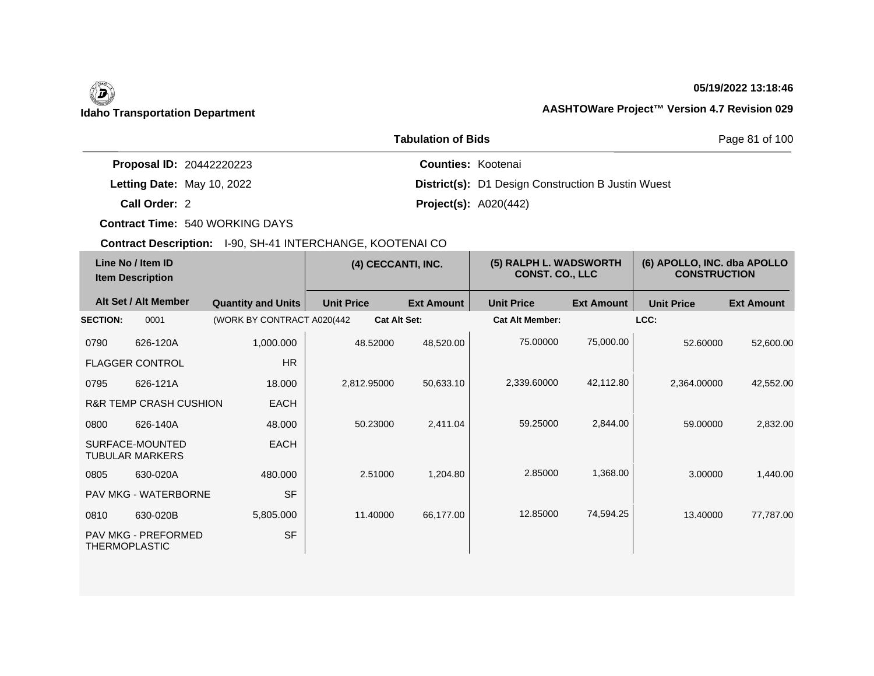## **05/19/2022 13:18:46**

|                                 | Page 81 of 100                                            |  |
|---------------------------------|-----------------------------------------------------------|--|
| <b>Proposal ID: 20442220223</b> | <b>Counties: Kootenai</b>                                 |  |
| Letting Date: May 10, 2022      | <b>District(s):</b> D1 Design Construction B Justin Wuest |  |
| Call Order: 2                   | <b>Project(s): A020(442)</b>                              |  |

**Contract Time:** 540 WORKING DAYS

| Line No / Item ID<br><b>Item Description</b> |                                           | (4) CECCANTI, INC.          |                     | (5) RALPH L. WADSWORTH<br><b>CONST. CO., LLC</b> |                        | (6) APOLLO, INC. dba APOLLO<br><b>CONSTRUCTION</b> |                   |                   |
|----------------------------------------------|-------------------------------------------|-----------------------------|---------------------|--------------------------------------------------|------------------------|----------------------------------------------------|-------------------|-------------------|
|                                              | Alt Set / Alt Member                      | <b>Quantity and Units</b>   | <b>Unit Price</b>   | <b>Ext Amount</b>                                | <b>Unit Price</b>      | <b>Ext Amount</b>                                  | <b>Unit Price</b> | <b>Ext Amount</b> |
| <b>SECTION:</b>                              | 0001                                      | (WORK BY CONTRACT A020(442) | <b>Cat Alt Set:</b> |                                                  | <b>Cat Alt Member:</b> |                                                    | LCC:              |                   |
| 0790                                         | 626-120A                                  | 1,000.000                   | 48.52000            | 48,520.00                                        | 75.00000               | 75,000.00                                          | 52.60000          | 52,600.00         |
|                                              | <b>FLAGGER CONTROL</b>                    | <b>HR</b>                   |                     |                                                  |                        |                                                    |                   |                   |
| 0795                                         | 626-121A                                  | 18.000                      | 2,812.95000         | 50,633.10                                        | 2,339.60000            | 42,112.80                                          | 2,364.00000       | 42,552.00         |
|                                              | <b>R&amp;R TEMP CRASH CUSHION</b>         | <b>EACH</b>                 |                     |                                                  |                        |                                                    |                   |                   |
| 0800                                         | 626-140A                                  | 48.000                      | 50.23000            | 2,411.04                                         | 59.25000               | 2,844.00                                           | 59.00000          | 2,832.00          |
|                                              | SURFACE-MOUNTED<br><b>TUBULAR MARKERS</b> | <b>EACH</b>                 |                     |                                                  |                        |                                                    |                   |                   |
| 0805                                         | 630-020A                                  | 480,000                     | 2.51000             | 1,204.80                                         | 2.85000                | 1,368.00                                           | 3.00000           | 1,440.00          |
|                                              | <b>PAV MKG - WATERBORNE</b>               | <b>SF</b>                   |                     |                                                  |                        |                                                    |                   |                   |
| 0810                                         | 630-020B                                  | 5,805.000                   | 11.40000            | 66,177.00                                        | 12.85000               | 74,594.25                                          | 13.40000          | 77,787.00         |
| <b>THERMOPLASTIC</b>                         | <b>PAV MKG - PREFORMED</b>                | <b>SF</b>                   |                     |                                                  |                        |                                                    |                   |                   |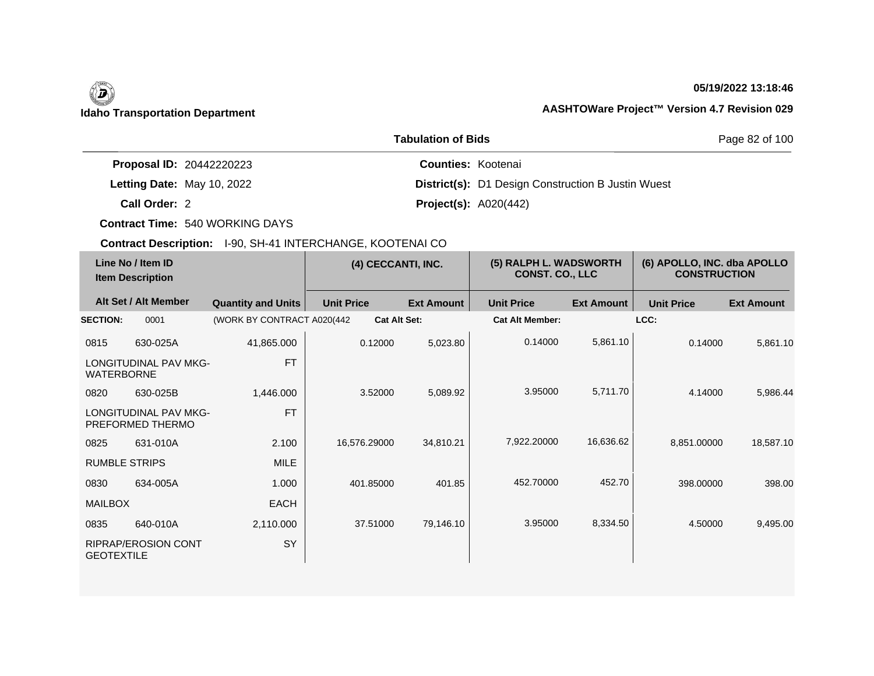# (d)

## **05/19/2022 13:18:46**

## **Idaho Transportation Department AASHTOWare Project™ Version 4.7 Revision 029**

|                                 | Page 82 of 100                                            |  |
|---------------------------------|-----------------------------------------------------------|--|
| <b>Proposal ID: 20442220223</b> | <b>Counties: Kootenai</b>                                 |  |
| Letting Date: May 10, 2022      | <b>District(s):</b> D1 Design Construction B Justin Wuest |  |
| Call Order: 2                   | <b>Project(s): A020(442)</b>                              |  |

**Contract Time:** 540 WORKING DAYS

| Line No / Item ID<br><b>Item Description</b> |                                                  | (4) CECCANTI, INC.          |                   | (5) RALPH L. WADSWORTH<br><b>CONST. CO., LLC</b> |                        | (6) APOLLO, INC. dba APOLLO<br><b>CONSTRUCTION</b> |                   |                   |
|----------------------------------------------|--------------------------------------------------|-----------------------------|-------------------|--------------------------------------------------|------------------------|----------------------------------------------------|-------------------|-------------------|
|                                              | Alt Set / Alt Member                             | <b>Quantity and Units</b>   | <b>Unit Price</b> | <b>Ext Amount</b>                                | <b>Unit Price</b>      | <b>Ext Amount</b>                                  | <b>Unit Price</b> | <b>Ext Amount</b> |
| <b>SECTION:</b>                              | 0001                                             | (WORK BY CONTRACT A020(442) |                   | <b>Cat Alt Set:</b>                              | <b>Cat Alt Member:</b> |                                                    | LCC:              |                   |
| 0815                                         | 630-025A                                         | 41,865.000                  | 0.12000           | 5,023.80                                         | 0.14000                | 5,861.10                                           | 0.14000           | 5,861.10          |
| <b>WATERBORNE</b>                            | <b>LONGITUDINAL PAV MKG-</b>                     | <b>FT</b>                   |                   |                                                  |                        |                                                    |                   |                   |
| 0820                                         | 630-025B                                         | 1,446.000                   | 3.52000           | 5,089.92                                         | 3.95000                | 5,711.70                                           | 4.14000           | 5,986.44          |
|                                              | <b>LONGITUDINAL PAV MKG-</b><br>PREFORMED THERMO | <b>FT</b>                   |                   |                                                  |                        |                                                    |                   |                   |
| 0825                                         | 631-010A                                         | 2.100                       | 16,576.29000      | 34,810.21                                        | 7.922.20000            | 16,636.62                                          | 8,851.00000       | 18,587.10         |
| <b>RUMBLE STRIPS</b>                         |                                                  | <b>MILE</b>                 |                   |                                                  |                        |                                                    |                   |                   |
| 0830                                         | 634-005A                                         | 1.000                       | 401.85000         | 401.85                                           | 452.70000              | 452.70                                             | 398.00000         | 398.00            |
| <b>MAILBOX</b>                               |                                                  | <b>EACH</b>                 |                   |                                                  |                        |                                                    |                   |                   |
| 0835                                         | 640-010A                                         | 2,110.000                   | 37.51000          | 79,146.10                                        | 3.95000                | 8,334.50                                           | 4.50000           | 9,495.00          |
| <b>GEOTEXTILE</b>                            | <b>RIPRAP/EROSION CONT</b>                       | SY                          |                   |                                                  |                        |                                                    |                   |                   |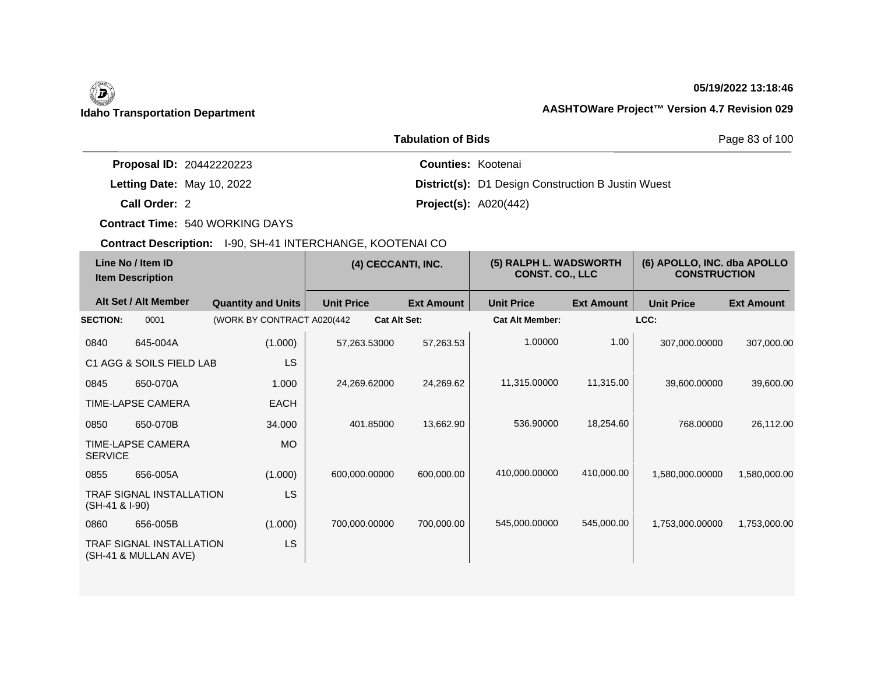# 0

## **05/19/2022 13:18:46**

## **Idaho Transportation Department AASHTOWare Project™ Version 4.7 Revision 029**

|                                 | Page 83 of 100                                            |  |
|---------------------------------|-----------------------------------------------------------|--|
| <b>Proposal ID: 20442220223</b> | <b>Counties: Kootenai</b>                                 |  |
| Letting Date: May 10, 2022      | <b>District(s):</b> D1 Design Construction B Justin Wuest |  |
| Call Order: 2                   | <b>Project(s): A020(442)</b>                              |  |

**Contract Time:** 540 WORKING DAYS

| Line No / Item ID<br><b>Item Description</b> |                                                         | (4) CECCANTI, INC.          |                   | (5) RALPH L. WADSWORTH<br><b>CONST. CO., LLC</b> |                        | (6) APOLLO, INC. dba APOLLO<br><b>CONSTRUCTION</b> |                   |                   |
|----------------------------------------------|---------------------------------------------------------|-----------------------------|-------------------|--------------------------------------------------|------------------------|----------------------------------------------------|-------------------|-------------------|
|                                              | Alt Set / Alt Member                                    | <b>Quantity and Units</b>   | <b>Unit Price</b> | <b>Ext Amount</b>                                | <b>Unit Price</b>      | <b>Ext Amount</b>                                  | <b>Unit Price</b> | <b>Ext Amount</b> |
| <b>SECTION:</b>                              | 0001                                                    | (WORK BY CONTRACT A020(442) |                   | <b>Cat Alt Set:</b>                              | <b>Cat Alt Member:</b> |                                                    | LCC:              |                   |
| 0840                                         | 645-004A                                                | (1.000)                     | 57,263.53000      | 57,263.53                                        | 1.00000                | 1.00                                               | 307,000.00000     | 307,000.00        |
|                                              | C1 AGG & SOILS FIELD LAB                                | <b>LS</b>                   |                   |                                                  |                        |                                                    |                   |                   |
| 0845                                         | 650-070A                                                | 1.000                       | 24,269.62000      | 24,269.62                                        | 11,315.00000           | 11,315.00                                          | 39,600.00000      | 39,600.00         |
|                                              | TIME-LAPSE CAMERA                                       | <b>EACH</b>                 |                   |                                                  |                        |                                                    |                   |                   |
| 0850                                         | 650-070B                                                | 34.000                      | 401.85000         | 13,662.90                                        | 536.90000              | 18,254.60                                          | 768.00000         | 26,112.00         |
| <b>SERVICE</b>                               | TIME-LAPSE CAMERA                                       | <b>MO</b>                   |                   |                                                  |                        |                                                    |                   |                   |
| 0855                                         | 656-005A                                                | (1.000)                     | 600,000.00000     | 600,000.00                                       | 410,000.00000          | 410.000.00                                         | 1,580,000.00000   | 1,580,000.00      |
| (SH-41 & I-90)                               | TRAF SIGNAL INSTALLATION                                | <b>LS</b>                   |                   |                                                  |                        |                                                    |                   |                   |
| 0860                                         | 656-005B                                                | (1.000)                     | 700,000.00000     | 700,000.00                                       | 545,000.00000          | 545,000.00                                         | 1,753,000.00000   | 1,753,000.00      |
|                                              | <b>TRAF SIGNAL INSTALLATION</b><br>(SH-41 & MULLAN AVE) | LS                          |                   |                                                  |                        |                                                    |                   |                   |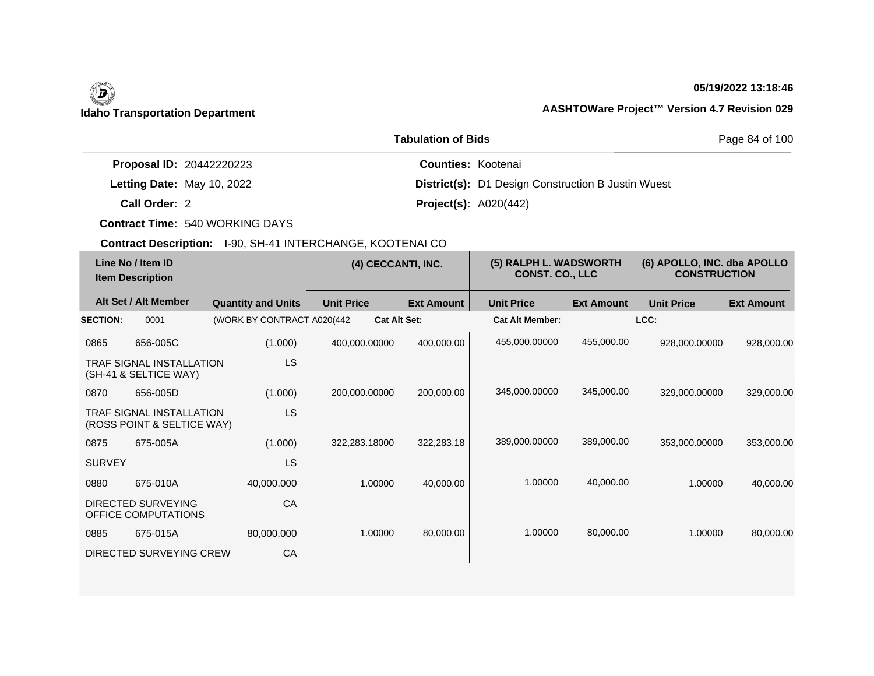# 0

## **05/19/2022 13:18:46**

## **Idaho Transportation Department AASHTOWare Project™ Version 4.7 Revision 029**

|                                 | Page 84 of 100                                            |  |
|---------------------------------|-----------------------------------------------------------|--|
| <b>Proposal ID: 20442220223</b> | <b>Counties: Kootenai</b>                                 |  |
| Letting Date: May 10, 2022      | <b>District(s):</b> D1 Design Construction B Justin Wuest |  |
| Call Order: 2                   | <b>Project(s): A020(442)</b>                              |  |

**Contract Time:** 540 WORKING DAYS

| Line No / Item ID<br><b>Item Description</b> |                                                               | (4) CECCANTI, INC.          |                     | (5) RALPH L. WADSWORTH<br><b>CONST. CO., LLC</b> |                        | (6) APOLLO, INC. dba APOLLO<br><b>CONSTRUCTION</b> |                   |                   |
|----------------------------------------------|---------------------------------------------------------------|-----------------------------|---------------------|--------------------------------------------------|------------------------|----------------------------------------------------|-------------------|-------------------|
|                                              | Alt Set / Alt Member                                          | <b>Quantity and Units</b>   | <b>Unit Price</b>   | <b>Ext Amount</b>                                | <b>Unit Price</b>      | <b>Ext Amount</b>                                  | <b>Unit Price</b> | <b>Ext Amount</b> |
| <b>SECTION:</b>                              | 0001                                                          | (WORK BY CONTRACT A020(442) | <b>Cat Alt Set:</b> |                                                  | <b>Cat Alt Member:</b> |                                                    | LCC:              |                   |
| 0865                                         | 656-005C                                                      | (1.000)                     | 400,000.00000       | 400,000.00                                       | 455,000.00000          | 455,000.00                                         | 928,000.00000     | 928,000.00        |
|                                              | <b>TRAF SIGNAL INSTALLATION</b><br>(SH-41 & SELTICE WAY)      | <b>LS</b>                   |                     |                                                  |                        |                                                    |                   |                   |
| 0870                                         | 656-005D                                                      | (1.000)                     | 200,000.00000       | 200,000.00                                       | 345,000.00000          | 345,000.00                                         | 329,000.00000     | 329,000.00        |
|                                              | <b>TRAF SIGNAL INSTALLATION</b><br>(ROSS POINT & SELTICE WAY) | <b>LS</b>                   |                     |                                                  |                        |                                                    |                   |                   |
| 0875                                         | 675-005A                                                      | (1.000)                     | 322.283.18000       | 322,283.18                                       | 389,000.00000          | 389,000.00                                         | 353,000.00000     | 353,000.00        |
| <b>SURVEY</b>                                |                                                               | <b>LS</b>                   |                     |                                                  |                        |                                                    |                   |                   |
| 0880                                         | 675-010A                                                      | 40,000.000                  | 1.00000             | 40,000.00                                        | 1.00000                | 40,000.00                                          | 1.00000           | 40,000.00         |
|                                              | DIRECTED SURVEYING<br>OFFICE COMPUTATIONS                     | CA                          |                     |                                                  |                        |                                                    |                   |                   |
| 0885                                         | 675-015A                                                      | 80,000.000                  | 1.00000             | 80,000.00                                        | 1.00000                | 80,000.00                                          | 1.00000           | 80,000.00         |
|                                              | DIRECTED SURVEYING CREW                                       | CA                          |                     |                                                  |                        |                                                    |                   |                   |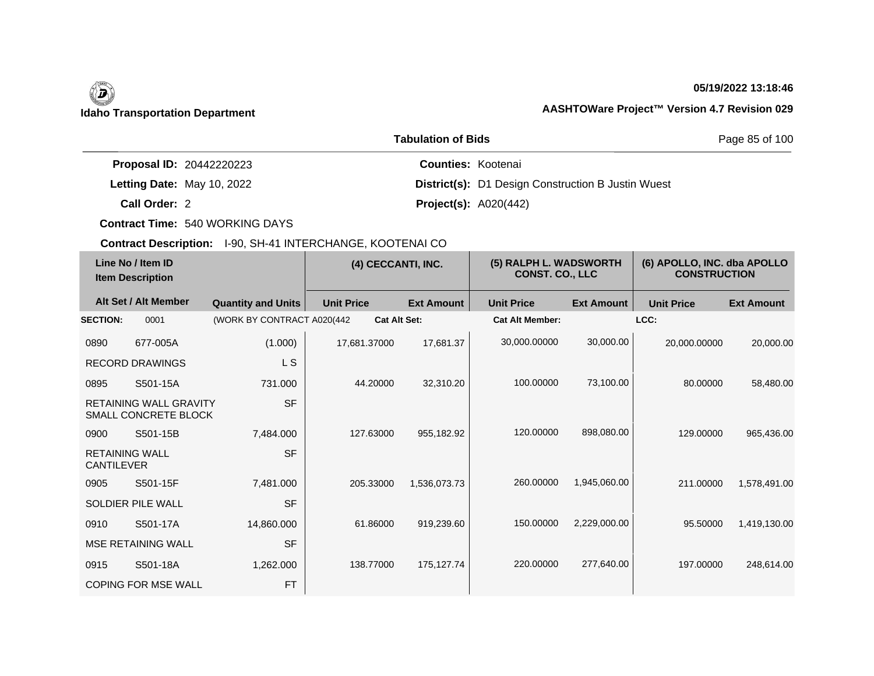## **05/19/2022 13:18:46**

|                                 | Page 85 of 100                                            |  |
|---------------------------------|-----------------------------------------------------------|--|
| <b>Proposal ID: 20442220223</b> | <b>Counties: Kootenai</b>                                 |  |
| Letting Date: May 10, 2022      | <b>District(s):</b> D1 Design Construction B Justin Wuest |  |
| Call Order: 2                   | <b>Project(s): A020(442)</b>                              |  |

**Contract Time:** 540 WORKING DAYS

|                                            | Line No / Item ID<br><b>Item Description</b>          |                             | (4) CECCANTI, INC.  |                   | (5) RALPH L. WADSWORTH<br><b>CONST. CO., LLC</b> |                   | (6) APOLLO, INC. dba APOLLO<br><b>CONSTRUCTION</b> |                   |
|--------------------------------------------|-------------------------------------------------------|-----------------------------|---------------------|-------------------|--------------------------------------------------|-------------------|----------------------------------------------------|-------------------|
|                                            | Alt Set / Alt Member                                  | <b>Quantity and Units</b>   | <b>Unit Price</b>   | <b>Ext Amount</b> | <b>Unit Price</b>                                | <b>Ext Amount</b> | <b>Unit Price</b>                                  | <b>Ext Amount</b> |
| <b>SECTION:</b>                            | 0001                                                  | (WORK BY CONTRACT A020(442) | <b>Cat Alt Set:</b> |                   | <b>Cat Alt Member:</b>                           |                   | LCC:                                               |                   |
| 0890                                       | 677-005A                                              | (1.000)                     | 17,681.37000        | 17,681.37         | 30,000.00000                                     | 30,000.00         | 20,000.00000                                       | 20,000.00         |
|                                            | <b>RECORD DRAWINGS</b>                                | L S                         |                     |                   |                                                  |                   |                                                    |                   |
| 0895                                       | S501-15A                                              | 731.000                     | 44.20000            | 32,310.20         | 100.00000                                        | 73,100.00         | 80.00000                                           | 58,480.00         |
|                                            | <b>RETAINING WALL GRAVITY</b><br>SMALL CONCRETE BLOCK | <b>SF</b>                   |                     |                   |                                                  |                   |                                                    |                   |
| 0900                                       | S501-15B                                              | 7,484.000                   | 127.63000           | 955,182.92        | 120.00000                                        | 898,080.00        | 129.00000                                          | 965,436.00        |
| <b>RETAINING WALL</b><br><b>CANTILEVER</b> |                                                       | <b>SF</b>                   |                     |                   |                                                  |                   |                                                    |                   |
| 0905                                       | S501-15F                                              | 7,481.000                   | 205.33000           | 1,536,073.73      | 260,00000                                        | 1,945,060.00      | 211.00000                                          | 1,578,491.00      |
|                                            | SOLDIER PILE WALL                                     | <b>SF</b>                   |                     |                   |                                                  |                   |                                                    |                   |
| 0910                                       | S501-17A                                              | 14,860.000                  | 61.86000            | 919,239.60        | 150.00000                                        | 2,229,000.00      | 95.50000                                           | 1,419,130.00      |
|                                            | <b>MSE RETAINING WALL</b>                             | <b>SF</b>                   |                     |                   |                                                  |                   |                                                    |                   |
| 0915                                       | S501-18A                                              | 1,262.000                   | 138.77000           | 175,127.74        | 220.00000                                        | 277,640.00        | 197.00000                                          | 248,614.00        |
|                                            | <b>COPING FOR MSE WALL</b>                            | <b>FT</b>                   |                     |                   |                                                  |                   |                                                    |                   |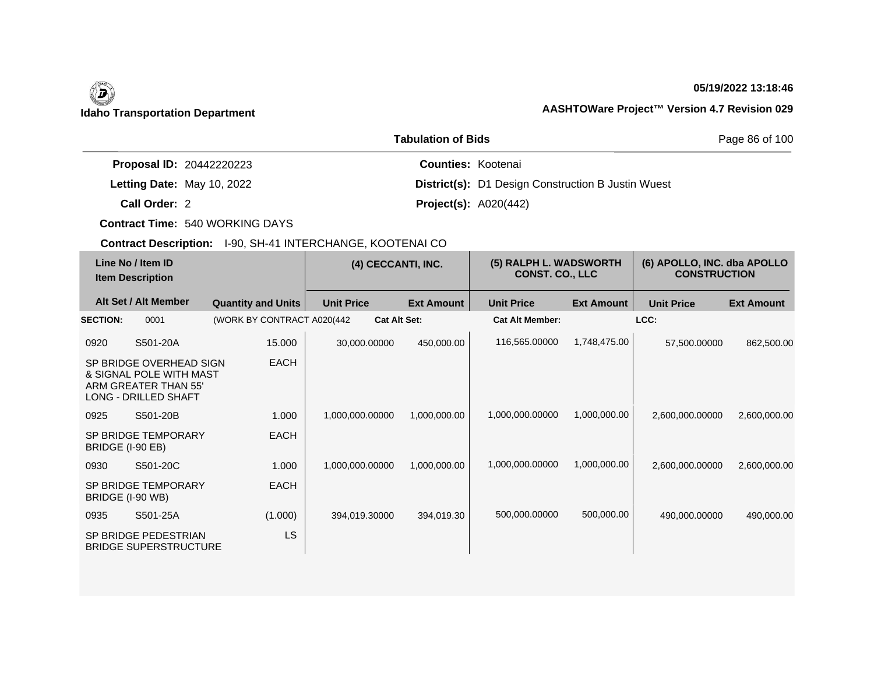## **05/19/2022 13:18:46**

|                                 | Page 86 of 100                                            |  |
|---------------------------------|-----------------------------------------------------------|--|
| <b>Proposal ID: 20442220223</b> | <b>Counties: Kootenai</b>                                 |  |
| Letting Date: May 10, 2022      | <b>District(s):</b> D1 Design Construction B Justin Wuest |  |
| Call Order: 2                   | <b>Project(s): A020(442)</b>                              |  |

**Contract Time:** 540 WORKING DAYS

| Line No / Item ID<br><b>Item Description</b> |                                                                                                    | (4) CECCANTI, INC.          |                   | (5) RALPH L. WADSWORTH<br><b>CONST. CO., LLC</b> |                        | (6) APOLLO, INC. dba APOLLO<br><b>CONSTRUCTION</b> |                   |                   |
|----------------------------------------------|----------------------------------------------------------------------------------------------------|-----------------------------|-------------------|--------------------------------------------------|------------------------|----------------------------------------------------|-------------------|-------------------|
|                                              | Alt Set / Alt Member                                                                               | <b>Quantity and Units</b>   | <b>Unit Price</b> | <b>Ext Amount</b>                                | <b>Unit Price</b>      | <b>Ext Amount</b>                                  | <b>Unit Price</b> | <b>Ext Amount</b> |
| <b>SECTION:</b>                              | 0001                                                                                               | (WORK BY CONTRACT A020(442) |                   | <b>Cat Alt Set:</b>                              | <b>Cat Alt Member:</b> |                                                    | LCC:              |                   |
| 0920                                         | S501-20A                                                                                           | 15.000                      | 30,000.00000      | 450,000.00                                       | 116,565.00000          | 1,748,475.00                                       | 57,500.00000      | 862,500.00        |
|                                              | SP BRIDGE OVERHEAD SIGN<br>& SIGNAL POLE WITH MAST<br>ARM GREATER THAN 55'<br>LONG - DRILLED SHAFT | <b>EACH</b>                 |                   |                                                  |                        |                                                    |                   |                   |
| 0925                                         | S501-20B                                                                                           | 1.000                       | 1,000,000.00000   | 1,000,000.00                                     | 1,000,000.00000        | 1,000,000.00                                       | 2,600,000.00000   | 2,600,000.00      |
| BRIDGE (I-90 EB)                             | <b>SP BRIDGE TEMPORARY</b>                                                                         | <b>EACH</b>                 |                   |                                                  |                        |                                                    |                   |                   |
| 0930                                         | S501-20C                                                                                           | 1.000                       | 1,000,000.00000   | 1,000,000.00                                     | 1,000,000.00000        | 1,000,000.00                                       | 2,600,000.00000   | 2,600,000.00      |
| BRIDGE (I-90 WB)                             | <b>SP BRIDGE TEMPORARY</b>                                                                         | <b>EACH</b>                 |                   |                                                  |                        |                                                    |                   |                   |
| 0935                                         | S501-25A                                                                                           | (1.000)                     | 394,019.30000     | 394,019.30                                       | 500,000.00000          | 500,000.00                                         | 490,000.00000     | 490,000.00        |
|                                              | SP BRIDGE PEDESTRIAN<br><b>BRIDGE SUPERSTRUCTURE</b>                                               | LS                          |                   |                                                  |                        |                                                    |                   |                   |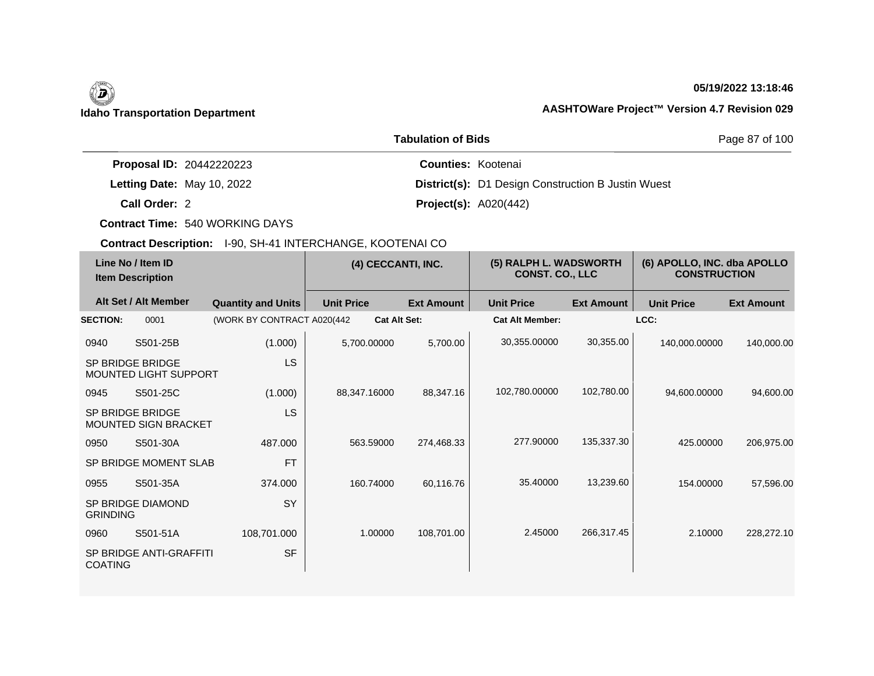## **05/19/2022 13:18:46**

|                                 | Page 87 of 100                                            |  |
|---------------------------------|-----------------------------------------------------------|--|
| <b>Proposal ID: 20442220223</b> | <b>Counties: Kootenai</b>                                 |  |
| Letting Date: May 10, 2022      | <b>District(s):</b> D1 Design Construction B Justin Wuest |  |
| Call Order: 2                   | <b>Project(s): A020(442)</b>                              |  |

**Contract Time:** 540 WORKING DAYS

| Line No / Item ID<br><b>Item Description</b> |                                                 | (4) CECCANTI, INC.          |                   | (5) RALPH L. WADSWORTH<br><b>CONST. CO., LLC</b> |                        | (6) APOLLO, INC. dba APOLLO<br><b>CONSTRUCTION</b> |                   |                   |
|----------------------------------------------|-------------------------------------------------|-----------------------------|-------------------|--------------------------------------------------|------------------------|----------------------------------------------------|-------------------|-------------------|
|                                              | Alt Set / Alt Member                            | <b>Quantity and Units</b>   | <b>Unit Price</b> | <b>Ext Amount</b>                                | <b>Unit Price</b>      | <b>Ext Amount</b>                                  | <b>Unit Price</b> | <b>Ext Amount</b> |
| <b>SECTION:</b>                              | 0001                                            | (WORK BY CONTRACT A020(442) |                   | <b>Cat Alt Set:</b>                              | <b>Cat Alt Member:</b> |                                                    | LCC:              |                   |
| 0940                                         | S501-25B                                        | (1.000)                     | 5,700.00000       | 5,700.00                                         | 30,355.00000           | 30,355.00                                          | 140,000.00000     | 140,000.00        |
|                                              | SP BRIDGE BRIDGE<br>MOUNTED LIGHT SUPPORT       | <b>LS</b>                   |                   |                                                  |                        |                                                    |                   |                   |
| 0945                                         | S501-25C                                        | (1.000)                     | 88.347.16000      | 88,347.16                                        | 102,780.00000          | 102,780.00                                         | 94,600.00000      | 94,600.00         |
|                                              | SP BRIDGE BRIDGE<br><b>MOUNTED SIGN BRACKET</b> | <b>LS</b>                   |                   |                                                  |                        |                                                    |                   |                   |
| 0950                                         | S501-30A                                        | 487.000                     | 563.59000         | 274,468.33                                       | 277.90000              | 135,337.30                                         | 425,00000         | 206,975.00        |
|                                              | SP BRIDGE MOMENT SLAB                           | <b>FT</b>                   |                   |                                                  |                        |                                                    |                   |                   |
| 0955                                         | S501-35A                                        | 374.000                     | 160.74000         | 60,116.76                                        | 35.40000               | 13,239.60                                          | 154.00000         | 57,596.00         |
| <b>GRINDING</b>                              | SP BRIDGE DIAMOND                               | SY                          |                   |                                                  |                        |                                                    |                   |                   |
| 0960                                         | S501-51A                                        | 108,701.000                 | 1.00000           | 108,701.00                                       | 2.45000                | 266,317.45                                         | 2.10000           | 228,272.10        |
| <b>COATING</b>                               | SP BRIDGE ANTI-GRAFFITI                         | <b>SF</b>                   |                   |                                                  |                        |                                                    |                   |                   |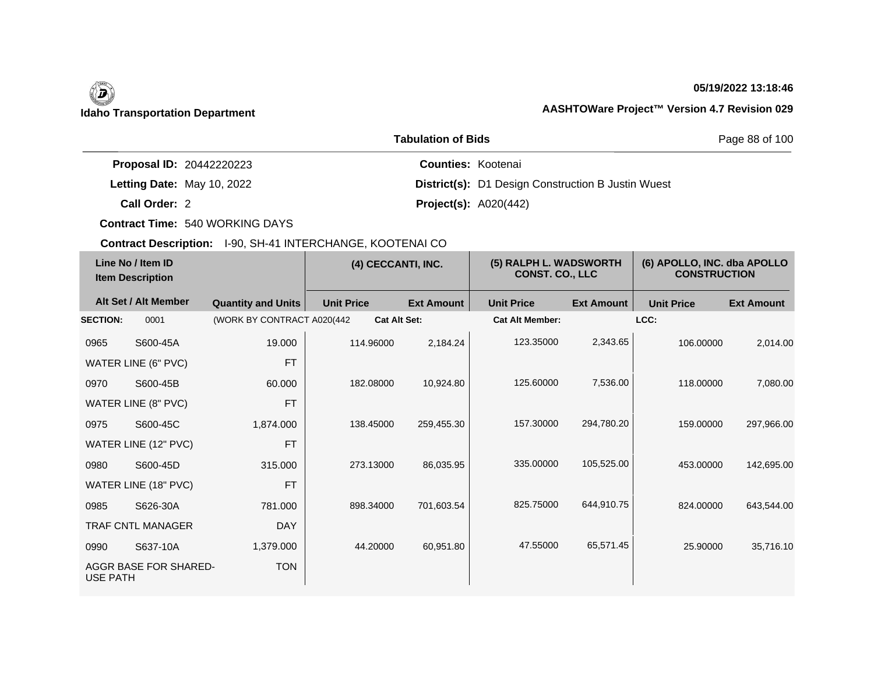## **05/19/2022 13:18:46**

|                                 | Page 88 of 100<br><b>Tabulation of Bids</b> |                                                           |
|---------------------------------|---------------------------------------------|-----------------------------------------------------------|
| <b>Proposal ID: 20442220223</b> |                                             | <b>Counties: Kootenai</b>                                 |
| Letting Date: May 10, 2022      |                                             | <b>District(s):</b> D1 Design Construction B Justin Wuest |
| Call Order: 2                   |                                             | <b>Project(s): A020(442)</b>                              |

**Contract Time:** 540 WORKING DAYS

| Line No / Item ID<br><b>Item Description</b> |                            | (4) CECCANTI, INC.          |                     | (5) RALPH L. WADSWORTH<br><b>CONST. CO., LLC</b> |                        | (6) APOLLO, INC. dba APOLLO<br><b>CONSTRUCTION</b> |                   |                   |
|----------------------------------------------|----------------------------|-----------------------------|---------------------|--------------------------------------------------|------------------------|----------------------------------------------------|-------------------|-------------------|
|                                              | Alt Set / Alt Member       | <b>Quantity and Units</b>   | <b>Unit Price</b>   | <b>Ext Amount</b>                                | <b>Unit Price</b>      | <b>Ext Amount</b>                                  | <b>Unit Price</b> | <b>Ext Amount</b> |
| <b>SECTION:</b>                              | 0001                       | (WORK BY CONTRACT A020(442) | <b>Cat Alt Set:</b> |                                                  | <b>Cat Alt Member:</b> |                                                    | LCC:              |                   |
| 0965                                         | S600-45A                   | 19.000                      | 114.96000           | 2,184.24                                         | 123.35000              | 2,343.65                                           | 106.00000         | 2,014.00          |
|                                              | <b>WATER LINE (6" PVC)</b> | <b>FT</b>                   |                     |                                                  |                        |                                                    |                   |                   |
| 0970                                         | S600-45B                   | 60.000                      | 182.08000           | 10,924.80                                        | 125.60000              | 7,536.00                                           | 118,00000         | 7,080.00          |
|                                              | WATER LINE (8" PVC)        | <b>FT</b>                   |                     |                                                  |                        |                                                    |                   |                   |
| 0975                                         | S600-45C                   | 1,874.000                   | 138.45000           | 259,455.30                                       | 157.30000              | 294,780.20                                         | 159.00000         | 297,966.00        |
|                                              | WATER LINE (12" PVC)       | <b>FT</b>                   |                     |                                                  |                        |                                                    |                   |                   |
| 0980                                         | S600-45D                   | 315,000                     | 273.13000           | 86,035.95                                        | 335.00000              | 105,525.00                                         | 453.00000         | 142,695.00        |
|                                              | WATER LINE (18" PVC)       | <b>FT</b>                   |                     |                                                  |                        |                                                    |                   |                   |
| 0985                                         | S626-30A                   | 781.000                     | 898.34000           | 701,603.54                                       | 825.75000              | 644,910.75                                         | 824.00000         | 643,544.00        |
|                                              | TRAF CNTL MANAGER          | <b>DAY</b>                  |                     |                                                  |                        |                                                    |                   |                   |
| 0990                                         | S637-10A                   | 1,379.000                   | 44.20000            | 60,951.80                                        | 47.55000               | 65,571.45                                          | 25.90000          | 35,716.10         |
| <b>USE PATH</b>                              | AGGR BASE FOR SHARED-      | <b>TON</b>                  |                     |                                                  |                        |                                                    |                   |                   |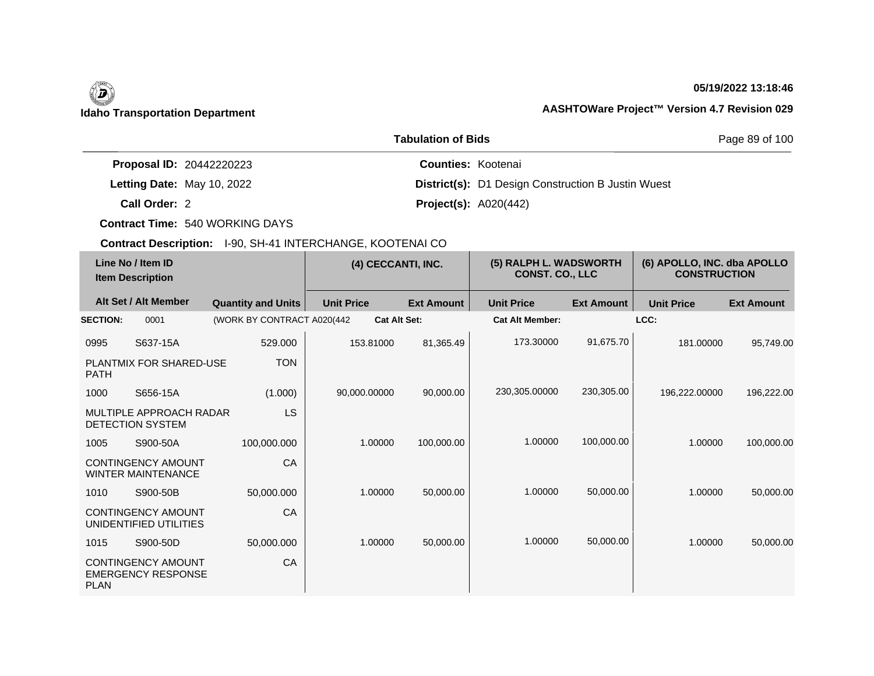## **05/19/2022 13:18:46**

|                                 | Page 89 of 100                                            |  |
|---------------------------------|-----------------------------------------------------------|--|
| <b>Proposal ID: 20442220223</b> | <b>Counties: Kootenai</b>                                 |  |
| Letting Date: May 10, 2022      | <b>District(s):</b> D1 Design Construction B Justin Wuest |  |
| Call Order: 2                   | <b>Project(s): A020(442)</b>                              |  |

**Contract Time:** 540 WORKING DAYS

| Line No / Item ID<br><b>Item Description</b> |                                                        | (4) CECCANTI, INC.          |                     | (5) RALPH L. WADSWORTH<br><b>CONST. CO., LLC</b> |                        | (6) APOLLO, INC. dba APOLLO<br><b>CONSTRUCTION</b> |                   |                   |
|----------------------------------------------|--------------------------------------------------------|-----------------------------|---------------------|--------------------------------------------------|------------------------|----------------------------------------------------|-------------------|-------------------|
|                                              | Alt Set / Alt Member                                   | <b>Quantity and Units</b>   | <b>Unit Price</b>   | <b>Ext Amount</b>                                | <b>Unit Price</b>      | <b>Ext Amount</b>                                  | <b>Unit Price</b> | <b>Ext Amount</b> |
| <b>SECTION:</b>                              | 0001                                                   | (WORK BY CONTRACT A020(442) | <b>Cat Alt Set:</b> |                                                  | <b>Cat Alt Member:</b> |                                                    | LCC:              |                   |
| 0995                                         | S637-15A                                               | 529.000                     | 153.81000           | 81,365.49                                        | 173.30000              | 91,675.70                                          | 181.00000         | 95,749.00         |
| <b>PATH</b>                                  | PLANTMIX FOR SHARED-USE                                | <b>TON</b>                  |                     |                                                  |                        |                                                    |                   |                   |
| 1000                                         | S656-15A                                               | (1.000)                     | 90,000.00000        | 90,000.00                                        | 230,305.00000          | 230,305.00                                         | 196,222.00000     | 196,222.00        |
|                                              | MULTIPLE APPROACH RADAR<br>DETECTION SYSTEM            | <b>LS</b>                   |                     |                                                  |                        |                                                    |                   |                   |
| 1005                                         | S900-50A                                               | 100.000.000                 | 1.00000             | 100,000.00                                       | 1.00000                | 100,000.00                                         | 1.00000           | 100,000.00        |
|                                              | <b>CONTINGENCY AMOUNT</b><br><b>WINTER MAINTENANCE</b> | CA                          |                     |                                                  |                        |                                                    |                   |                   |
| 1010                                         | S900-50B                                               | 50,000.000                  | 1.00000             | 50,000.00                                        | 1.00000                | 50,000.00                                          | 1.00000           | 50,000.00         |
|                                              | <b>CONTINGENCY AMOUNT</b><br>UNIDENTIFIED UTILITIES    | CA                          |                     |                                                  |                        |                                                    |                   |                   |
| 1015                                         | S900-50D                                               | 50,000.000                  | 1.00000             | 50,000.00                                        | 1.00000                | 50,000.00                                          | 1.00000           | 50,000.00         |
| <b>PLAN</b>                                  | <b>CONTINGENCY AMOUNT</b><br><b>EMERGENCY RESPONSE</b> | CA                          |                     |                                                  |                        |                                                    |                   |                   |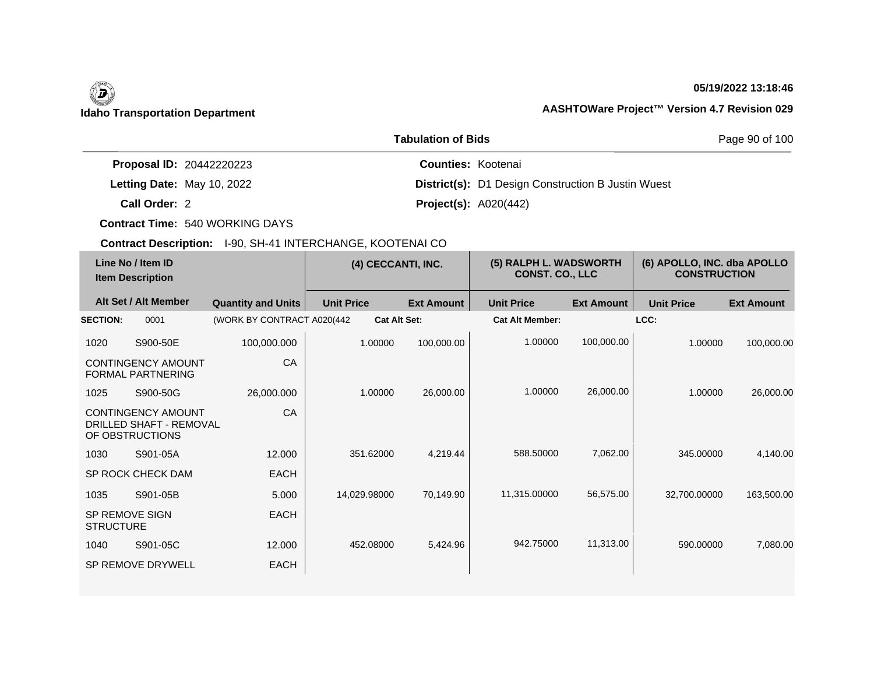## **05/19/2022 13:18:46**

|                                 | Page 90 of 100                                            |  |
|---------------------------------|-----------------------------------------------------------|--|
| <b>Proposal ID: 20442220223</b> | <b>Counties: Kootenai</b>                                 |  |
| Letting Date: May 10, 2022      | <b>District(s):</b> D1 Design Construction B Justin Wuest |  |
| Call Order: 2                   | <b>Project(s): A020(442)</b>                              |  |

**Contract Time:** 540 WORKING DAYS

| Line No / Item ID<br><b>Item Description</b> |                                                                                | (4) CECCANTI, INC.         |                   | (5) RALPH L. WADSWORTH<br><b>CONST. CO., LLC</b> |                   | (6) APOLLO, INC. dba APOLLO<br><b>CONSTRUCTION</b> |                   |                   |                   |
|----------------------------------------------|--------------------------------------------------------------------------------|----------------------------|-------------------|--------------------------------------------------|-------------------|----------------------------------------------------|-------------------|-------------------|-------------------|
|                                              | Alt Set / Alt Member                                                           | <b>Quantity and Units</b>  | <b>Unit Price</b> |                                                  | <b>Ext Amount</b> | <b>Unit Price</b>                                  | <b>Ext Amount</b> | <b>Unit Price</b> | <b>Ext Amount</b> |
| <b>SECTION:</b>                              | 0001                                                                           | (WORK BY CONTRACT A020(442 |                   | <b>Cat Alt Set:</b>                              |                   | <b>Cat Alt Member:</b>                             |                   | LCC:              |                   |
| 1020                                         | S900-50E                                                                       | 100,000.000                |                   | 1.00000                                          | 100,000.00        | 1.00000                                            | 100,000.00        | 1.00000           | 100,000.00        |
|                                              | CONTINGENCY AMOUNT<br>FORMAL PARTNERING                                        | CA                         |                   |                                                  |                   |                                                    |                   |                   |                   |
| 1025                                         | S900-50G                                                                       | 26,000.000                 |                   | 1.00000                                          | 26,000.00         | 1.00000                                            | 26,000.00         | 1.00000           | 26,000.00         |
|                                              | <b>CONTINGENCY AMOUNT</b><br><b>DRILLED SHAFT - REMOVAL</b><br>OF OBSTRUCTIONS | CA                         |                   |                                                  |                   |                                                    |                   |                   |                   |
| 1030                                         | S901-05A                                                                       | 12.000                     |                   | 351.62000                                        | 4,219.44          | 588.50000                                          | 7,062.00          | 345.00000         | 4,140.00          |
|                                              | SP ROCK CHECK DAM                                                              | <b>EACH</b>                |                   |                                                  |                   |                                                    |                   |                   |                   |
| 1035                                         | S901-05B                                                                       | 5.000                      |                   | 14,029.98000                                     | 70,149.90         | 11,315.00000                                       | 56,575.00         | 32,700.00000      | 163,500.00        |
| <b>SP REMOVE SIGN</b><br><b>STRUCTURE</b>    |                                                                                | <b>EACH</b>                |                   |                                                  |                   |                                                    |                   |                   |                   |
| 1040                                         | S901-05C                                                                       | 12.000                     |                   | 452.08000                                        | 5,424.96          | 942.75000                                          | 11,313.00         | 590.00000         | 7,080.00          |
|                                              | <b>SP REMOVE DRYWELL</b>                                                       | <b>EACH</b>                |                   |                                                  |                   |                                                    |                   |                   |                   |
|                                              |                                                                                |                            |                   |                                                  |                   |                                                    |                   |                   |                   |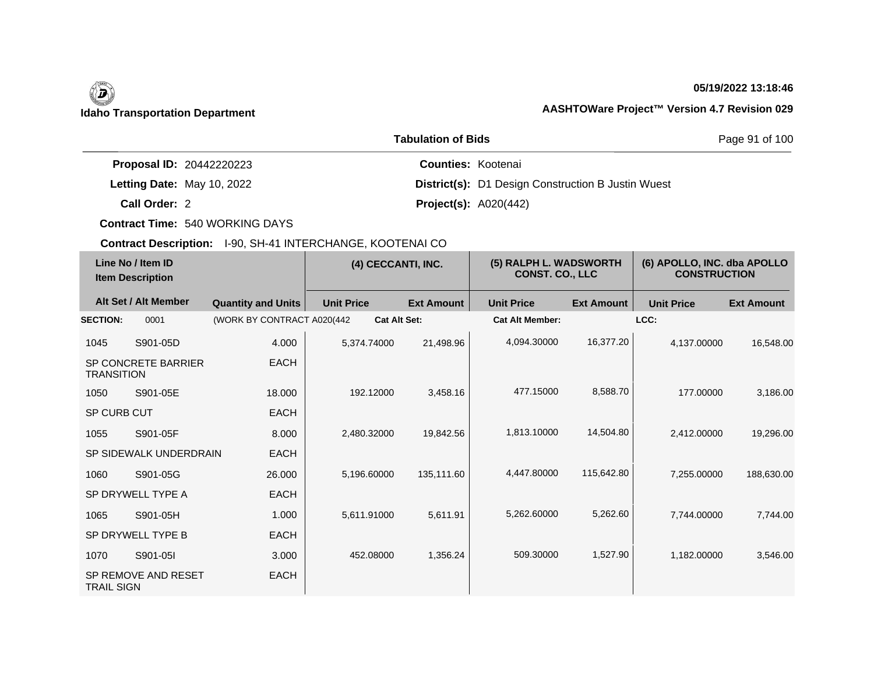## **05/19/2022 13:18:46**

|                                 | Page 91 of 100                                            |  |
|---------------------------------|-----------------------------------------------------------|--|
| <b>Proposal ID: 20442220223</b> | <b>Counties: Kootenai</b>                                 |  |
| Letting Date: May 10, 2022      | <b>District(s):</b> D1 Design Construction B Justin Wuest |  |
| Call Order: 2                   | <b>Project(s):</b> $A020(442)$                            |  |

**Contract Time:** 540 WORKING DAYS

| Line No / Item ID<br><b>Item Description</b> |                            | (4) CECCANTI, INC.          |                     | (5) RALPH L. WADSWORTH<br><b>CONST. CO., LLC</b> |                        | (6) APOLLO, INC. dba APOLLO<br><b>CONSTRUCTION</b> |                   |                   |
|----------------------------------------------|----------------------------|-----------------------------|---------------------|--------------------------------------------------|------------------------|----------------------------------------------------|-------------------|-------------------|
|                                              | Alt Set / Alt Member       | <b>Quantity and Units</b>   | <b>Unit Price</b>   | <b>Ext Amount</b>                                | <b>Unit Price</b>      | <b>Ext Amount</b>                                  | <b>Unit Price</b> | <b>Ext Amount</b> |
| <b>SECTION:</b>                              | 0001                       | (WORK BY CONTRACT A020(442) | <b>Cat Alt Set:</b> |                                                  | <b>Cat Alt Member:</b> |                                                    | LCC:              |                   |
| 1045                                         | S901-05D                   | 4.000                       | 5,374.74000         | 21,498.96                                        | 4,094.30000            | 16,377.20                                          | 4,137.00000       | 16,548.00         |
| <b>TRANSITION</b>                            | <b>SP CONCRETE BARRIER</b> | <b>EACH</b>                 |                     |                                                  |                        |                                                    |                   |                   |
| 1050                                         | S901-05E                   | 18,000                      | 192.12000           | 3,458.16                                         | 477.15000              | 8,588.70                                           | 177,00000         | 3,186.00          |
| SP CURB CUT                                  |                            | <b>EACH</b>                 |                     |                                                  |                        |                                                    |                   |                   |
| 1055                                         | S901-05F                   | 8.000                       | 2,480.32000         | 19,842.56                                        | 1,813.10000            | 14,504.80                                          | 2,412.00000       | 19,296.00         |
|                                              | SP SIDEWALK UNDERDRAIN     | <b>EACH</b>                 |                     |                                                  |                        |                                                    |                   |                   |
| 1060                                         | S901-05G                   | 26,000                      | 5,196.60000         | 135,111.60                                       | 4.447.80000            | 115,642.80                                         | 7,255.00000       | 188,630.00        |
|                                              | SP DRYWELL TYPE A          | <b>EACH</b>                 |                     |                                                  |                        |                                                    |                   |                   |
| 1065                                         | S901-05H                   | 1.000                       | 5,611.91000         | 5,611.91                                         | 5,262.60000            | 5,262.60                                           | 7.744.00000       | 7,744.00          |
|                                              | SP DRYWELL TYPE B          | <b>EACH</b>                 |                     |                                                  |                        |                                                    |                   |                   |
| 1070                                         | S901-05I                   | 3.000                       | 452.08000           | 1,356.24                                         | 509.30000              | 1,527.90                                           | 1,182.00000       | 3,546.00          |
| <b>TRAIL SIGN</b>                            | SP REMOVE AND RESET        | <b>EACH</b>                 |                     |                                                  |                        |                                                    |                   |                   |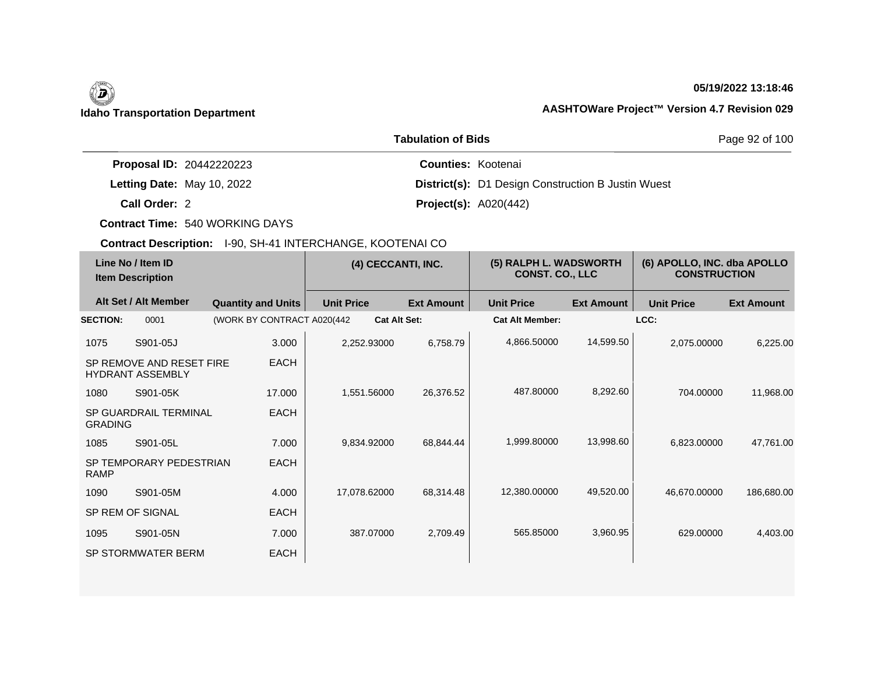# 0

## **05/19/2022 13:18:46**

## **Idaho Transportation Department AASHTOWare Project™ Version 4.7 Revision 029**

|                                 | Page 92 of 100                                            |  |
|---------------------------------|-----------------------------------------------------------|--|
| <b>Proposal ID: 20442220223</b> | <b>Counties: Kootenai</b>                                 |  |
| Letting Date: May 10, 2022      | <b>District(s):</b> D1 Design Construction B Justin Wuest |  |
| Call Order: 2                   | <b>Project(s): A020(442)</b>                              |  |

**Contract Time:** 540 WORKING DAYS

| Line No / Item ID<br><b>Item Description</b> |                                                     | (4) CECCANTI, INC.          |                     | (5) RALPH L. WADSWORTH<br><b>CONST. CO., LLC</b> |                        | (6) APOLLO, INC. dba APOLLO<br><b>CONSTRUCTION</b> |                   |                   |
|----------------------------------------------|-----------------------------------------------------|-----------------------------|---------------------|--------------------------------------------------|------------------------|----------------------------------------------------|-------------------|-------------------|
|                                              | Alt Set / Alt Member                                | <b>Quantity and Units</b>   | <b>Unit Price</b>   | <b>Ext Amount</b>                                | <b>Unit Price</b>      | <b>Ext Amount</b>                                  | <b>Unit Price</b> | <b>Ext Amount</b> |
| <b>SECTION:</b>                              | 0001                                                | (WORK BY CONTRACT A020(442) | <b>Cat Alt Set:</b> |                                                  | <b>Cat Alt Member:</b> |                                                    | LCC:              |                   |
| 1075                                         | S901-05J                                            | 3.000                       | 2,252.93000         | 6,758.79                                         | 4,866.50000            | 14,599.50                                          | 2,075.00000       | 6,225.00          |
|                                              | SP REMOVE AND RESET FIRE<br><b>HYDRANT ASSEMBLY</b> | <b>EACH</b>                 |                     |                                                  |                        |                                                    |                   |                   |
| 1080                                         | S901-05K                                            | 17.000                      | 1,551.56000         | 26,376.52                                        | 487.80000              | 8,292.60                                           | 704.00000         | 11,968.00         |
| <b>GRADING</b>                               | <b>SP GUARDRAIL TERMINAL</b>                        | <b>EACH</b>                 |                     |                                                  |                        |                                                    |                   |                   |
| 1085                                         | S901-05L                                            | 7.000                       | 9,834.92000         | 68,844.44                                        | 1,999.80000            | 13,998.60                                          | 6,823.00000       | 47,761.00         |
| <b>RAMP</b>                                  | SP TEMPORARY PEDESTRIAN                             | <b>EACH</b>                 |                     |                                                  |                        |                                                    |                   |                   |
| 1090                                         | S901-05M                                            | 4.000                       | 17,078.62000        | 68,314.48                                        | 12,380.00000           | 49,520.00                                          | 46,670.00000      | 186,680.00        |
|                                              | SP REM OF SIGNAL                                    | <b>EACH</b>                 |                     |                                                  |                        |                                                    |                   |                   |
| 1095                                         | S901-05N                                            | 7.000                       | 387.07000           | 2,709.49                                         | 565.85000              | 3,960.95                                           | 629.00000         | 4,403.00          |
|                                              | SP STORMWATER BERM                                  | <b>EACH</b>                 |                     |                                                  |                        |                                                    |                   |                   |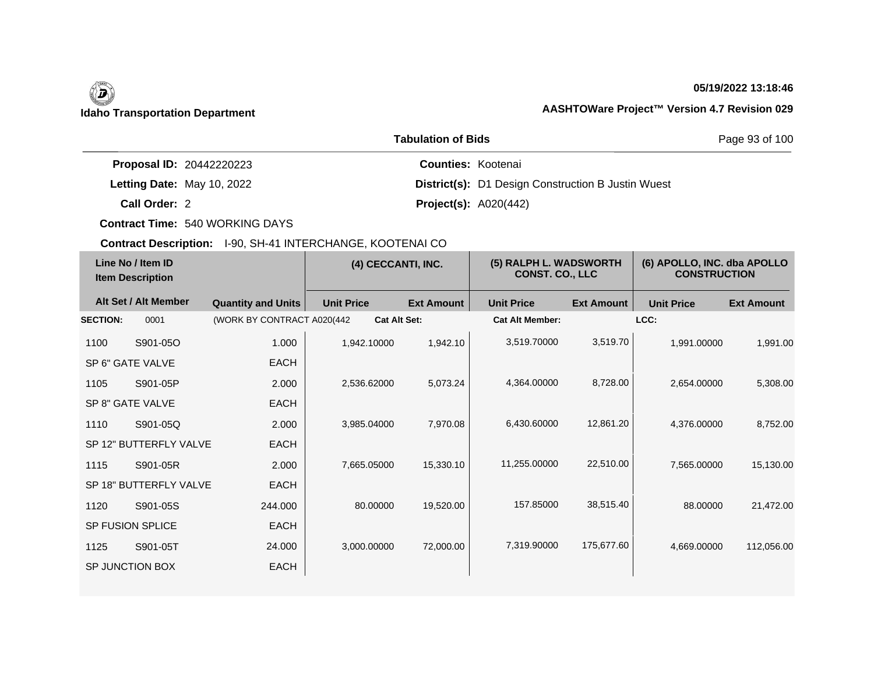## **05/19/2022 13:18:46**

|                                 | Page 93 of 100                                            |  |
|---------------------------------|-----------------------------------------------------------|--|
| <b>Proposal ID: 20442220223</b> | <b>Counties: Kootenai</b>                                 |  |
| Letting Date: May 10, 2022      | <b>District(s):</b> D1 Design Construction B Justin Wuest |  |
| Call Order: 2                   | <b>Project(s):</b> $A020(442)$                            |  |

**Contract Time:** 540 WORKING DAYS

| Line No / Item ID<br><b>Item Description</b> |                                                                          | (4) CECCANTI, INC.                                       |                        | (5) RALPH L. WADSWORTH<br><b>CONST. CO., LLC</b> |                   | (6) APOLLO, INC. dba APOLLO<br><b>CONSTRUCTION</b> |  |
|----------------------------------------------|--------------------------------------------------------------------------|----------------------------------------------------------|------------------------|--------------------------------------------------|-------------------|----------------------------------------------------|--|
|                                              | <b>Unit Price</b>                                                        | <b>Ext Amount</b>                                        | <b>Unit Price</b>      | <b>Ext Amount</b>                                | <b>Unit Price</b> | <b>Ext Amount</b>                                  |  |
|                                              |                                                                          |                                                          | <b>Cat Alt Member:</b> |                                                  | LCC:              |                                                    |  |
| 1.000                                        | 1,942.10000                                                              | 1,942.10                                                 | 3,519.70000            | 3,519.70                                         | 1,991.00000       | 1,991.00                                           |  |
| <b>EACH</b>                                  |                                                                          |                                                          |                        |                                                  |                   |                                                    |  |
| 2.000                                        | 2,536.62000                                                              | 5,073.24                                                 | 4,364.00000            | 8,728.00                                         | 2,654.00000       | 5,308.00                                           |  |
| <b>EACH</b>                                  |                                                                          |                                                          |                        |                                                  |                   |                                                    |  |
| 2.000                                        | 3,985.04000                                                              | 7,970.08                                                 | 6,430.60000            | 12,861.20                                        | 4,376.00000       | 8,752.00                                           |  |
| <b>EACH</b>                                  |                                                                          |                                                          |                        |                                                  |                   |                                                    |  |
| 2.000                                        | 7,665.05000                                                              | 15,330.10                                                | 11,255.00000           | 22,510.00                                        | 7,565.00000       | 15,130.00                                          |  |
| <b>EACH</b>                                  |                                                                          |                                                          |                        |                                                  |                   |                                                    |  |
| 244.000                                      | 80.00000                                                                 | 19,520.00                                                | 157.85000              | 38,515.40                                        | 88.00000          | 21,472.00                                          |  |
| <b>EACH</b>                                  |                                                                          |                                                          |                        |                                                  |                   |                                                    |  |
| 24.000                                       | 3,000.00000                                                              | 72,000.00                                                | 7,319.90000            | 175,677.60                                       | 4,669.00000       | 112,056.00                                         |  |
| <b>EACH</b>                                  |                                                                          |                                                          |                        |                                                  |                   |                                                    |  |
|                                              | Alt Set / Alt Member<br>SP 12" BUTTERFLY VALVE<br>SP 18" BUTTERFLY VALVE | <b>Quantity and Units</b><br>(WORK BY CONTRACT A020(442) | <b>Cat Alt Set:</b>    |                                                  |                   |                                                    |  |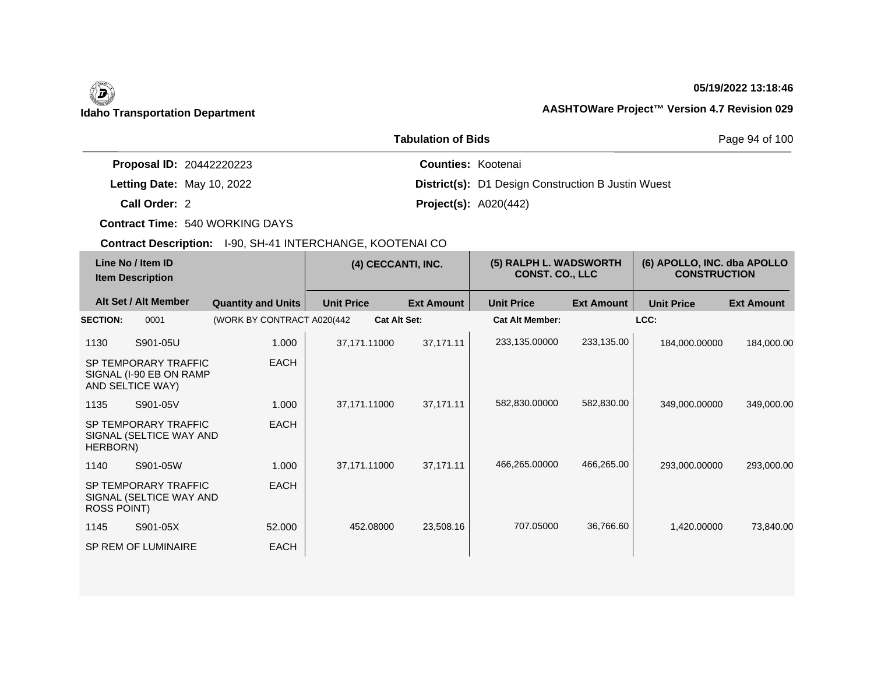## **05/19/2022 13:18:46**

|                                 | Page 94 of 100                                            |  |
|---------------------------------|-----------------------------------------------------------|--|
| <b>Proposal ID: 20442220223</b> | <b>Counties: Kootenai</b>                                 |  |
| Letting Date: May 10, 2022      | <b>District(s):</b> D1 Design Construction B Justin Wuest |  |
| Call Order: 2                   | <b>Project(s): A020(442)</b>                              |  |

**Contract Time:** 540 WORKING DAYS

| Line No / Item ID<br><b>Item Description</b> |                                                                     | (4) CECCANTI, INC.          |                     | (5) RALPH L. WADSWORTH<br><b>CONST. CO., LLC</b> |                        | (6) APOLLO, INC. dba APOLLO<br><b>CONSTRUCTION</b> |                   |                   |
|----------------------------------------------|---------------------------------------------------------------------|-----------------------------|---------------------|--------------------------------------------------|------------------------|----------------------------------------------------|-------------------|-------------------|
|                                              | Alt Set / Alt Member                                                | <b>Quantity and Units</b>   | <b>Unit Price</b>   | <b>Ext Amount</b>                                | <b>Unit Price</b>      | <b>Ext Amount</b>                                  | <b>Unit Price</b> | <b>Ext Amount</b> |
| <b>SECTION:</b>                              | 0001                                                                | (WORK BY CONTRACT A020(442) | <b>Cat Alt Set:</b> |                                                  | <b>Cat Alt Member:</b> |                                                    | LCC:              |                   |
| 1130                                         | S901-05U                                                            | 1.000                       | 37,171.11000        | 37,171.11                                        | 233,135.00000          | 233,135.00                                         | 184,000.00000     | 184,000.00        |
|                                              | SP TEMPORARY TRAFFIC<br>SIGNAL (I-90 EB ON RAMP<br>AND SELTICE WAY) | <b>EACH</b>                 |                     |                                                  |                        |                                                    |                   |                   |
| 1135                                         | S901-05V                                                            | 1.000                       | 37,171.11000        | 37,171.11                                        | 582,830.00000          | 582,830.00                                         | 349,000.00000     | 349,000.00        |
| HERBORN)                                     | SP TEMPORARY TRAFFIC<br>SIGNAL (SELTICE WAY AND                     | <b>EACH</b>                 |                     |                                                  |                        |                                                    |                   |                   |
| 1140                                         | S901-05W                                                            | 1.000                       | 37,171.11000        | 37,171.11                                        | 466,265.00000          | 466,265.00                                         | 293,000.00000     | 293,000.00        |
| ROSS POINT)                                  | SP TEMPORARY TRAFFIC<br>SIGNAL (SELTICE WAY AND                     | <b>EACH</b>                 |                     |                                                  |                        |                                                    |                   |                   |
| 1145                                         | S901-05X                                                            | 52,000                      | 452.08000           | 23,508.16                                        | 707.05000              | 36,766.60                                          | 1,420.00000       | 73,840.00         |
|                                              | SP REM OF LUMINAIRE                                                 | <b>EACH</b>                 |                     |                                                  |                        |                                                    |                   |                   |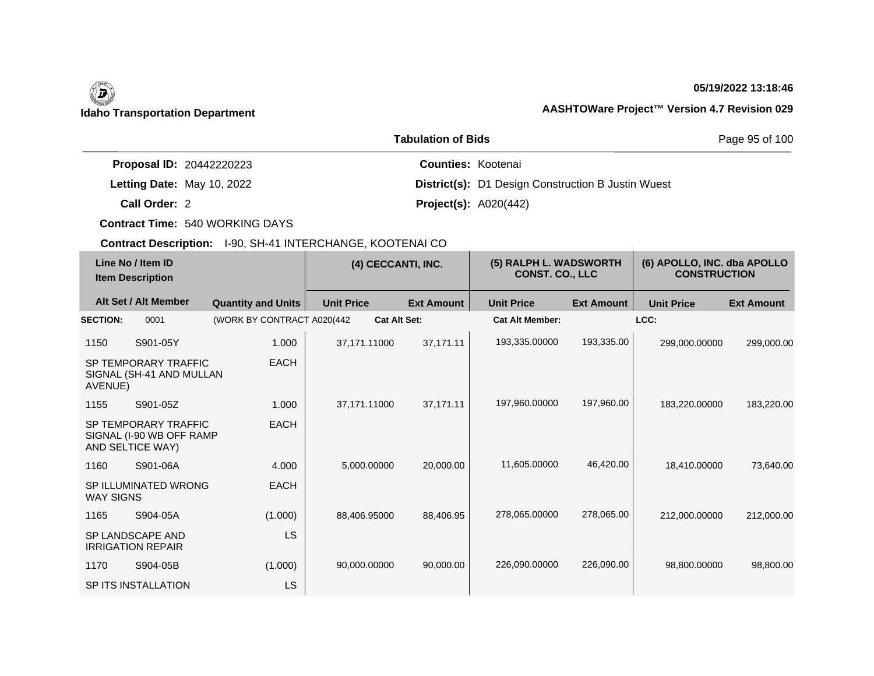## **05/19/2022 13:18:46**

|                                 | Page 95 of 100                                            |  |
|---------------------------------|-----------------------------------------------------------|--|
| <b>Proposal ID: 20442220223</b> | <b>Counties: Kootenai</b>                                 |  |
| Letting Date: May 10, 2022      | <b>District(s):</b> D1 Design Construction B Justin Wuest |  |
| Call Order: 2                   | <b>Project(s): A020(442)</b>                              |  |

**Contract Time:** 540 WORKING DAYS

|                  | Line No / Item ID<br><b>Item Description</b>                         |                             |                     | (4) CECCANTI, INC. |                        | (5) RALPH L. WADSWORTH<br><b>CONST. CO., LLC</b> |                   | (6) APOLLO, INC. dba APOLLO<br><b>CONSTRUCTION</b> |  |
|------------------|----------------------------------------------------------------------|-----------------------------|---------------------|--------------------|------------------------|--------------------------------------------------|-------------------|----------------------------------------------------|--|
|                  | Alt Set / Alt Member                                                 | <b>Quantity and Units</b>   | <b>Unit Price</b>   | <b>Ext Amount</b>  | <b>Unit Price</b>      | <b>Ext Amount</b>                                | <b>Unit Price</b> | <b>Ext Amount</b>                                  |  |
| <b>SECTION:</b>  | 0001                                                                 | (WORK BY CONTRACT A020(442) | <b>Cat Alt Set:</b> |                    | <b>Cat Alt Member:</b> |                                                  | LCC:              |                                                    |  |
| 1150             | S901-05Y                                                             | 1.000                       | 37,171.11000        | 37,171.11          | 193,335.00000          | 193,335.00                                       | 299,000.00000     | 299,000.00                                         |  |
| AVENUE)          | SP TEMPORARY TRAFFIC<br>SIGNAL (SH-41 AND MULLAN                     | <b>EACH</b>                 |                     |                    |                        |                                                  |                   |                                                    |  |
| 1155             | S901-05Z                                                             | 1.000                       | 37,171.11000        | 37,171.11          | 197,960.00000          | 197,960.00                                       | 183,220.00000     | 183,220.00                                         |  |
|                  | SP TEMPORARY TRAFFIC<br>SIGNAL (I-90 WB OFF RAMP<br>AND SELTICE WAY) | <b>EACH</b>                 |                     |                    |                        |                                                  |                   |                                                    |  |
| 1160             | S901-06A                                                             | 4.000                       | 5,000.00000         | 20,000.00          | 11,605.00000           | 46,420.00                                        | 18,410.00000      | 73,640.00                                          |  |
| <b>WAY SIGNS</b> | SP ILLUMINATED WRONG                                                 | <b>EACH</b>                 |                     |                    |                        |                                                  |                   |                                                    |  |
| 1165             | S904-05A                                                             | (1.000)                     | 88,406.95000        | 88,406.95          | 278,065.00000          | 278,065.00                                       | 212,000.00000     | 212,000.00                                         |  |
|                  | SP LANDSCAPE AND<br><b>IRRIGATION REPAIR</b>                         | LS                          |                     |                    |                        |                                                  |                   |                                                    |  |
| 1170             | S904-05B                                                             | (1.000)                     | 90,000.00000        | 90,000.00          | 226,090.00000          | 226,090.00                                       | 98,800.00000      | 98,800.00                                          |  |
|                  | SP ITS INSTALLATION                                                  | LS                          |                     |                    |                        |                                                  |                   |                                                    |  |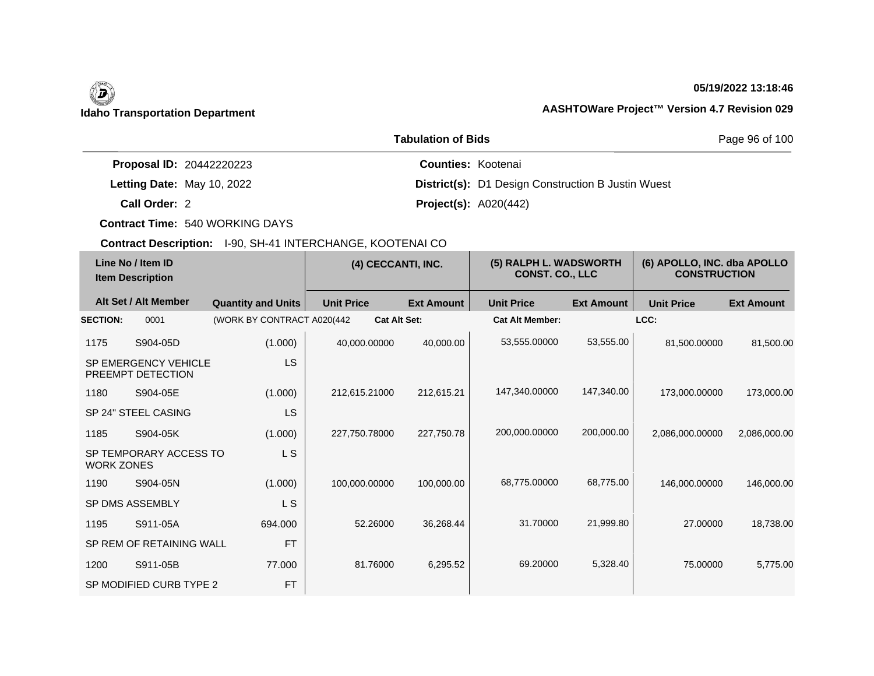## **05/19/2022 13:18:46**

|                                 | Page 96 of 100<br><b>Tabulation of Bids</b> |                                                           |
|---------------------------------|---------------------------------------------|-----------------------------------------------------------|
| <b>Proposal ID: 20442220223</b> |                                             | <b>Counties: Kootenai</b>                                 |
| Letting Date: May 10, 2022      |                                             | <b>District(s):</b> D1 Design Construction B Justin Wuest |
| Call Order: 2                   |                                             | <b>Project(s): A020(442)</b>                              |

**Contract Time:** 540 WORKING DAYS

| Line No / Item ID<br><b>Item Description</b> |                                                  | (4) CECCANTI, INC.          |                   | (5) RALPH L. WADSWORTH<br><b>CONST. CO., LLC</b> |                        | (6) APOLLO, INC. dba APOLLO<br><b>CONSTRUCTION</b> |                   |                   |
|----------------------------------------------|--------------------------------------------------|-----------------------------|-------------------|--------------------------------------------------|------------------------|----------------------------------------------------|-------------------|-------------------|
|                                              | Alt Set / Alt Member                             | <b>Quantity and Units</b>   | <b>Unit Price</b> | <b>Ext Amount</b>                                | <b>Unit Price</b>      | <b>Ext Amount</b>                                  | <b>Unit Price</b> | <b>Ext Amount</b> |
| <b>SECTION:</b>                              | 0001                                             | (WORK BY CONTRACT A020(442) |                   | <b>Cat Alt Set:</b>                              | <b>Cat Alt Member:</b> |                                                    | LCC:              |                   |
| 1175                                         | S904-05D                                         | (1.000)                     | 40,000.00000      | 40,000.00                                        | 53,555.00000           | 53,555.00                                          | 81,500.00000      | 81,500.00         |
|                                              | <b>SP EMERGENCY VEHICLE</b><br>PREEMPT DETECTION | <b>LS</b>                   |                   |                                                  |                        |                                                    |                   |                   |
| 1180                                         | S904-05E                                         | (1.000)                     | 212,615.21000     | 212,615.21                                       | 147,340.00000          | 147,340.00                                         | 173,000.00000     | 173,000.00        |
|                                              | SP 24" STEEL CASING                              | <b>LS</b>                   |                   |                                                  |                        |                                                    |                   |                   |
| 1185                                         | S904-05K                                         | (1.000)                     | 227,750.78000     | 227,750.78                                       | 200,000.00000          | 200,000.00                                         | 2,086,000.00000   | 2,086,000.00      |
| <b>WORK ZONES</b>                            | SP TEMPORARY ACCESS TO                           | L S                         |                   |                                                  |                        |                                                    |                   |                   |
| 1190                                         | S904-05N                                         | (1.000)                     | 100,000.00000     | 100,000.00                                       | 68,775.00000           | 68,775.00                                          | 146,000.00000     | 146,000.00        |
|                                              | SP DMS ASSEMBLY                                  | L S                         |                   |                                                  |                        |                                                    |                   |                   |
| 1195                                         | S911-05A                                         | 694.000                     | 52.26000          | 36,268.44                                        | 31.70000               | 21,999.80                                          | 27,00000          | 18,738.00         |
|                                              | SP REM OF RETAINING WALL                         | <b>FT</b>                   |                   |                                                  |                        |                                                    |                   |                   |
| 1200                                         | S911-05B                                         | 77.000                      | 81.76000          | 6,295.52                                         | 69.20000               | 5,328.40                                           | 75.00000          | 5,775.00          |
|                                              | SP MODIFIED CURB TYPE 2                          | <b>FT</b>                   |                   |                                                  |                        |                                                    |                   |                   |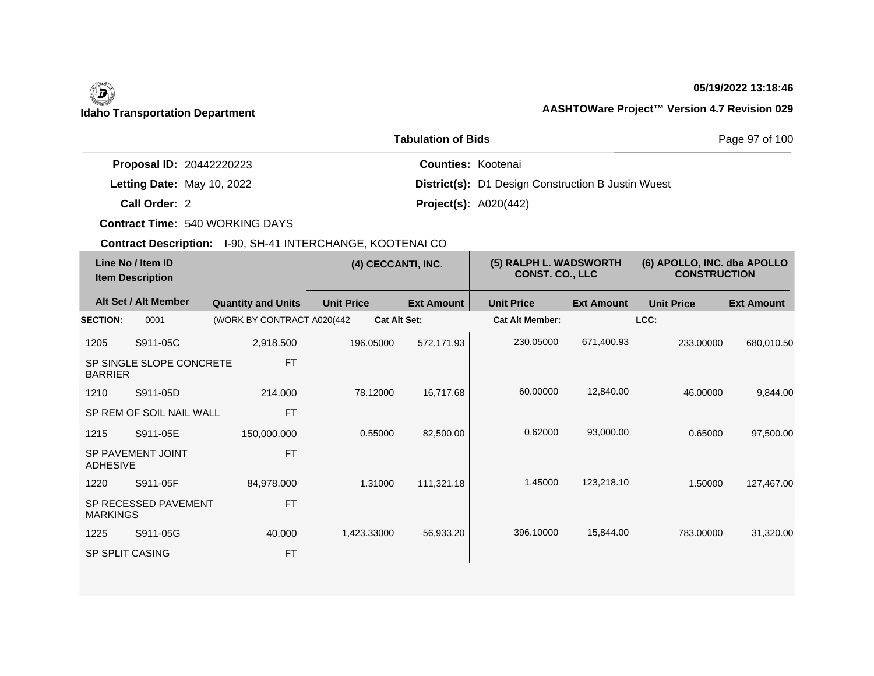# 0

## **05/19/2022 13:18:46**

## **Idaho Transportation Department AASHTOWare Project™ Version 4.7 Revision 029**

|                                 | Page 97 of 100                                            |  |
|---------------------------------|-----------------------------------------------------------|--|
| <b>Proposal ID: 20442220223</b> | <b>Counties: Kootenai</b>                                 |  |
| Letting Date: May 10, 2022      | <b>District(s):</b> D1 Design Construction B Justin Wuest |  |
| Call Order: 2                   | <b>Project(s): A020(442)</b>                              |  |

**Contract Time:** 540 WORKING DAYS

| Line No / Item ID<br><b>Item Description</b> |                          | (4) CECCANTI, INC.          |                     | (5) RALPH L. WADSWORTH<br><b>CONST. CO., LLC</b> |                        | (6) APOLLO, INC. dba APOLLO<br><b>CONSTRUCTION</b> |                   |                   |
|----------------------------------------------|--------------------------|-----------------------------|---------------------|--------------------------------------------------|------------------------|----------------------------------------------------|-------------------|-------------------|
|                                              | Alt Set / Alt Member     | <b>Quantity and Units</b>   | <b>Unit Price</b>   | <b>Ext Amount</b>                                | <b>Unit Price</b>      | <b>Ext Amount</b>                                  | <b>Unit Price</b> | <b>Ext Amount</b> |
| <b>SECTION:</b>                              | 0001                     | (WORK BY CONTRACT A020(442) | <b>Cat Alt Set:</b> |                                                  | <b>Cat Alt Member:</b> |                                                    | LCC:              |                   |
| 1205                                         | S911-05C                 | 2,918.500                   | 196.05000           | 572,171.93                                       | 230.05000              | 671,400.93                                         | 233.00000         | 680,010.50        |
| <b>BARRIER</b>                               | SP SINGLE SLOPE CONCRETE | <b>FT</b>                   |                     |                                                  |                        |                                                    |                   |                   |
| 1210                                         | S911-05D                 | 214,000                     | 78.12000            | 16,717.68                                        | 60.00000               | 12,840.00                                          | 46.00000          | 9,844.00          |
|                                              | SP REM OF SOIL NAIL WALL | <b>FT</b>                   |                     |                                                  |                        |                                                    |                   |                   |
| 1215                                         | S911-05E                 | 150,000.000                 | 0.55000             | 82,500.00                                        | 0.62000                | 93,000.00                                          | 0.65000           | 97,500.00         |
| <b>ADHESIVE</b>                              | SP PAVEMENT JOINT        | <b>FT</b>                   |                     |                                                  |                        |                                                    |                   |                   |
| 1220                                         | S911-05F                 | 84,978.000                  | 1.31000             | 111,321.18                                       | 1.45000                | 123,218.10                                         | 1.50000           | 127,467.00        |
| <b>MARKINGS</b>                              | SP RECESSED PAVEMENT     | <b>FT</b>                   |                     |                                                  |                        |                                                    |                   |                   |
| 1225                                         | S911-05G                 | 40.000                      | 1,423.33000         | 56,933.20                                        | 396.10000              | 15,844.00                                          | 783.00000         | 31,320.00         |
| <b>SP SPLIT CASING</b>                       |                          | <b>FT</b>                   |                     |                                                  |                        |                                                    |                   |                   |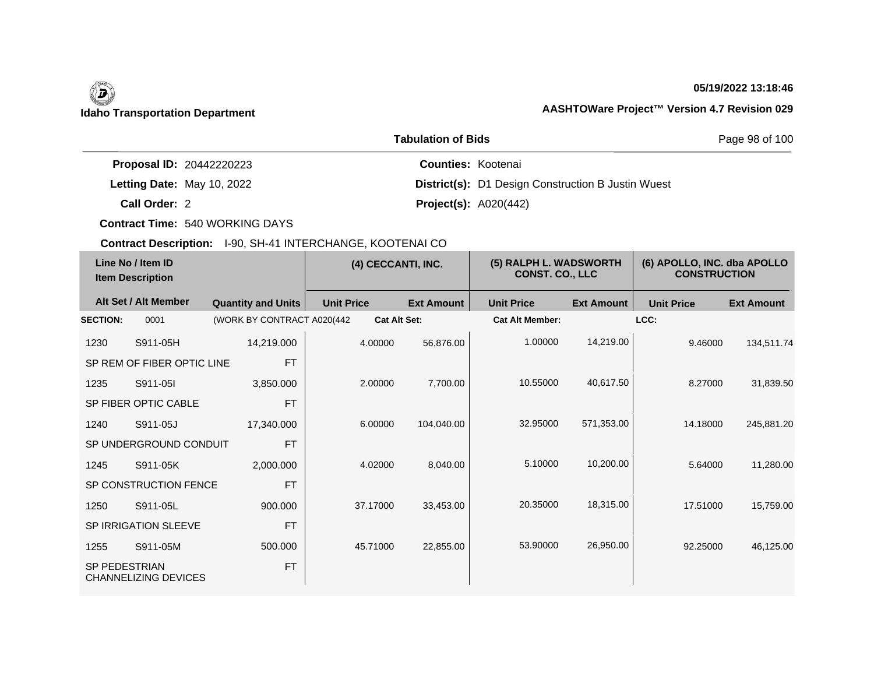## **05/19/2022 13:18:46**

|                                 | <b>Tabulation of Bids</b> | Page 98 of 100                                            |  |
|---------------------------------|---------------------------|-----------------------------------------------------------|--|
| <b>Proposal ID: 20442220223</b> |                           | <b>Counties: Kootenai</b>                                 |  |
| Letting Date: May 10, 2022      |                           | <b>District(s):</b> D1 Design Construction B Justin Wuest |  |
| Call Order: 2                   |                           | <b>Project(s): A020(442)</b>                              |  |

**Contract Time:** 540 WORKING DAYS

| Line No / Item ID<br><b>Item Description</b> |                             | (4) CECCANTI, INC.         |                   | (5) RALPH L. WADSWORTH<br><b>CONST. CO., LLC</b> |                        | (6) APOLLO, INC. dba APOLLO<br><b>CONSTRUCTION</b> |                   |                   |
|----------------------------------------------|-----------------------------|----------------------------|-------------------|--------------------------------------------------|------------------------|----------------------------------------------------|-------------------|-------------------|
|                                              | Alt Set / Alt Member        | <b>Quantity and Units</b>  | <b>Unit Price</b> | <b>Ext Amount</b>                                | <b>Unit Price</b>      | <b>Ext Amount</b>                                  | <b>Unit Price</b> | <b>Ext Amount</b> |
| <b>SECTION:</b>                              | 0001                        | (WORK BY CONTRACT A020(442 |                   | <b>Cat Alt Set:</b>                              | <b>Cat Alt Member:</b> |                                                    | LCC:              |                   |
| 1230                                         | S911-05H                    | 14,219.000                 | 4.00000           | 56,876.00                                        | 1.00000                | 14,219.00                                          | 9.46000           | 134,511.74        |
|                                              | SP REM OF FIBER OPTIC LINE  | <b>FT</b>                  |                   |                                                  |                        |                                                    |                   |                   |
| 1235                                         | S911-05I                    | 3,850.000                  | 2.00000           | 7,700.00                                         | 10.55000               | 40,617.50                                          | 8.27000           | 31,839.50         |
|                                              | SP FIBER OPTIC CABLE        | <b>FT</b>                  |                   |                                                  |                        |                                                    |                   |                   |
| 1240                                         | S911-05J                    | 17.340.000                 | 6.00000           | 104,040.00                                       | 32.95000               | 571,353.00                                         | 14.18000          | 245,881.20        |
|                                              | SP UNDERGROUND CONDUIT      | <b>FT</b>                  |                   |                                                  |                        |                                                    |                   |                   |
| 1245                                         | S911-05K                    | 2,000.000                  | 4.02000           | 8,040.00                                         | 5.10000                | 10,200.00                                          | 5.64000           | 11,280.00         |
|                                              | SP CONSTRUCTION FENCE       | <b>FT</b>                  |                   |                                                  |                        |                                                    |                   |                   |
| 1250                                         | S911-05L                    | 900.000                    | 37.17000          | 33,453.00                                        | 20.35000               | 18,315.00                                          | 17.51000          | 15,759.00         |
|                                              | SP IRRIGATION SLEEVE        | <b>FT</b>                  |                   |                                                  |                        |                                                    |                   |                   |
| 1255                                         | S911-05M                    | 500.000                    | 45.71000          | 22,855.00                                        | 53.90000               | 26,950.00                                          | 92.25000          | 46,125.00         |
| <b>SP PEDESTRIAN</b>                         | <b>CHANNELIZING DEVICES</b> | <b>FT</b>                  |                   |                                                  |                        |                                                    |                   |                   |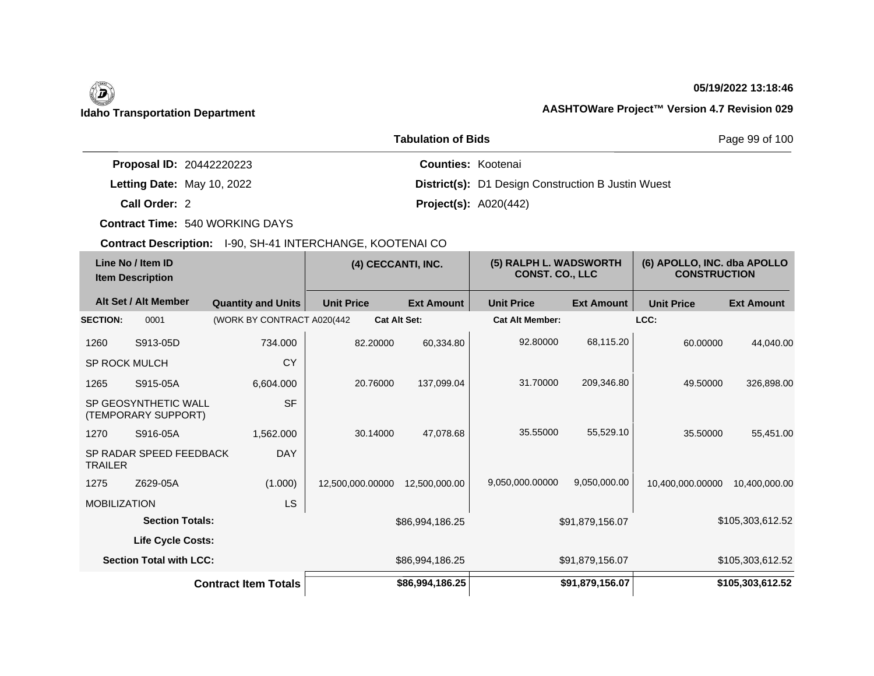# (d)

## **05/19/2022 13:18:46**

## **Idaho Transportation Department AASHTOWare Project™ Version 4.7 Revision 029**

|                                 | Page 99 of 100                                            |  |
|---------------------------------|-----------------------------------------------------------|--|
| <b>Proposal ID: 20442220223</b> | <b>Counties: Kootenai</b>                                 |  |
| Letting Date: May 10, 2022      | <b>District(s):</b> D1 Design Construction B Justin Wuest |  |
| Call Order: 2                   | <b>Project(s): A020(442)</b>                              |  |

**Contract Time:** 540 WORKING DAYS

|                      | Line No / Item ID<br><b>Item Description</b> |                             | (4) CECCANTI, INC.  |                   | (5) RALPH L. WADSWORTH<br><b>CONST. CO., LLC</b> |                   | (6) APOLLO, INC. dba APOLLO<br><b>CONSTRUCTION</b> |                   |
|----------------------|----------------------------------------------|-----------------------------|---------------------|-------------------|--------------------------------------------------|-------------------|----------------------------------------------------|-------------------|
|                      | Alt Set / Alt Member                         | <b>Quantity and Units</b>   | <b>Unit Price</b>   | <b>Ext Amount</b> | <b>Unit Price</b>                                | <b>Ext Amount</b> | <b>Unit Price</b>                                  | <b>Ext Amount</b> |
| <b>SECTION:</b>      | 0001                                         | (WORK BY CONTRACT A020(442  | <b>Cat Alt Set:</b> |                   | <b>Cat Alt Member:</b>                           |                   | LCC:                                               |                   |
| 1260                 | S913-05D                                     | 734.000                     | 82.20000            | 60,334.80         | 92.80000                                         | 68,115.20         | 60.00000                                           | 44,040.00         |
| <b>SP ROCK MULCH</b> |                                              | CY                          |                     |                   |                                                  |                   |                                                    |                   |
| 1265                 | S915-05A                                     | 6,604.000                   | 20.76000            | 137,099.04        | 31.70000                                         | 209,346.80        | 49.50000                                           | 326,898.00        |
|                      | SP GEOSYNTHETIC WALL<br>(TEMPORARY SUPPORT)  | <b>SF</b>                   |                     |                   |                                                  |                   |                                                    |                   |
| 1270                 | S916-05A                                     | 1,562.000                   | 30.14000            | 47,078.68         | 35.55000                                         | 55,529.10         | 35,50000                                           | 55,451.00         |
| <b>TRAILER</b>       | SP RADAR SPEED FEEDBACK                      | <b>DAY</b>                  |                     |                   |                                                  |                   |                                                    |                   |
| 1275                 | Z629-05A                                     | (1.000)                     | 12,500,000.00000    | 12,500,000.00     | 9,050,000.00000                                  | 9,050,000.00      | 10.400.000.00000                                   | 10,400,000.00     |
| <b>MOBILIZATION</b>  |                                              | LS                          |                     |                   |                                                  |                   |                                                    |                   |
|                      | <b>Section Totals:</b>                       |                             |                     | \$86,994,186.25   |                                                  | \$91,879,156.07   |                                                    | \$105,303,612.52  |
|                      | Life Cycle Costs:                            |                             |                     |                   |                                                  |                   |                                                    |                   |
|                      | <b>Section Total with LCC:</b>               |                             |                     | \$86,994,186.25   |                                                  | \$91,879,156.07   |                                                    | \$105,303,612.52  |
|                      |                                              | <b>Contract Item Totals</b> |                     | \$86,994,186.25   |                                                  | \$91,879,156.07   |                                                    | \$105,303,612.52  |